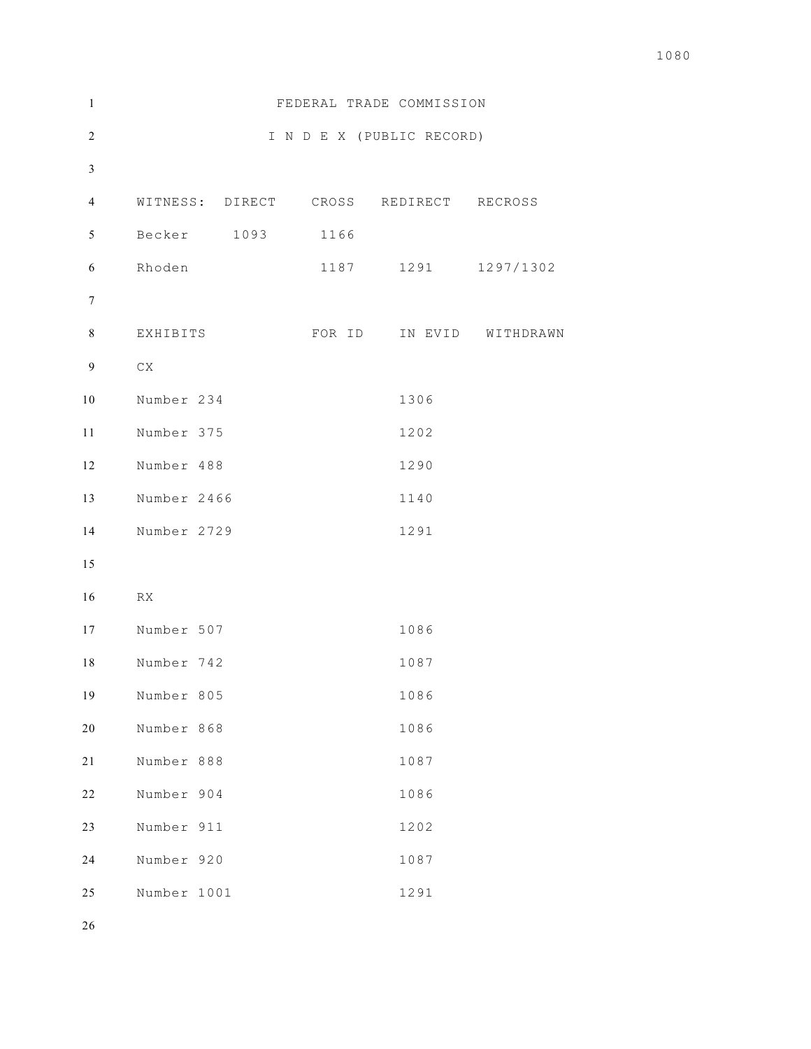| $\mathbf{1}$   |             |      | FEDERAL TRADE COMMISSION               |                          |
|----------------|-------------|------|----------------------------------------|--------------------------|
| $\sqrt{2}$     |             |      | I N D E X (PUBLIC RECORD)              |                          |
| $\mathfrak{Z}$ |             |      |                                        |                          |
| $\overline{4}$ |             |      | WITNESS: DIRECT CROSS REDIRECT RECROSS |                          |
| 5              | Becker 1093 | 1166 |                                        |                          |
| 6              | Rhoden      | 1187 |                                        | 1291 1297/1302           |
| $\tau$         |             |      |                                        |                          |
| 8              | EXHIBITS    |      |                                        | FOR ID IN EVID WITHDRAWN |
| $\overline{9}$ | ${\rm CX}$  |      |                                        |                          |
| 10             | Number 234  |      | 1306                                   |                          |
| 11             | Number 375  |      | 1202                                   |                          |
| 12             | Number 488  |      | 1290                                   |                          |
| 13             | Number 2466 |      | 1140                                   |                          |
| 14             | Number 2729 |      | 1291                                   |                          |
| 15             |             |      |                                        |                          |
| 16             | RX          |      |                                        |                          |
| 17             | Number 507  |      | 1086                                   |                          |
| 18             | Number 742  |      | 1087                                   |                          |
| 19             | Number 805  |      | 1086                                   |                          |
| 20             | Number 868  |      | 1086                                   |                          |
| 21             | Number 888  |      | 1087                                   |                          |
| 22             | Number 904  |      | 1086                                   |                          |
| 23             | Number 911  |      | 1202                                   |                          |
| 24             | Number 920  |      | 1087                                   |                          |
| 25             | Number 1001 |      | 1291                                   |                          |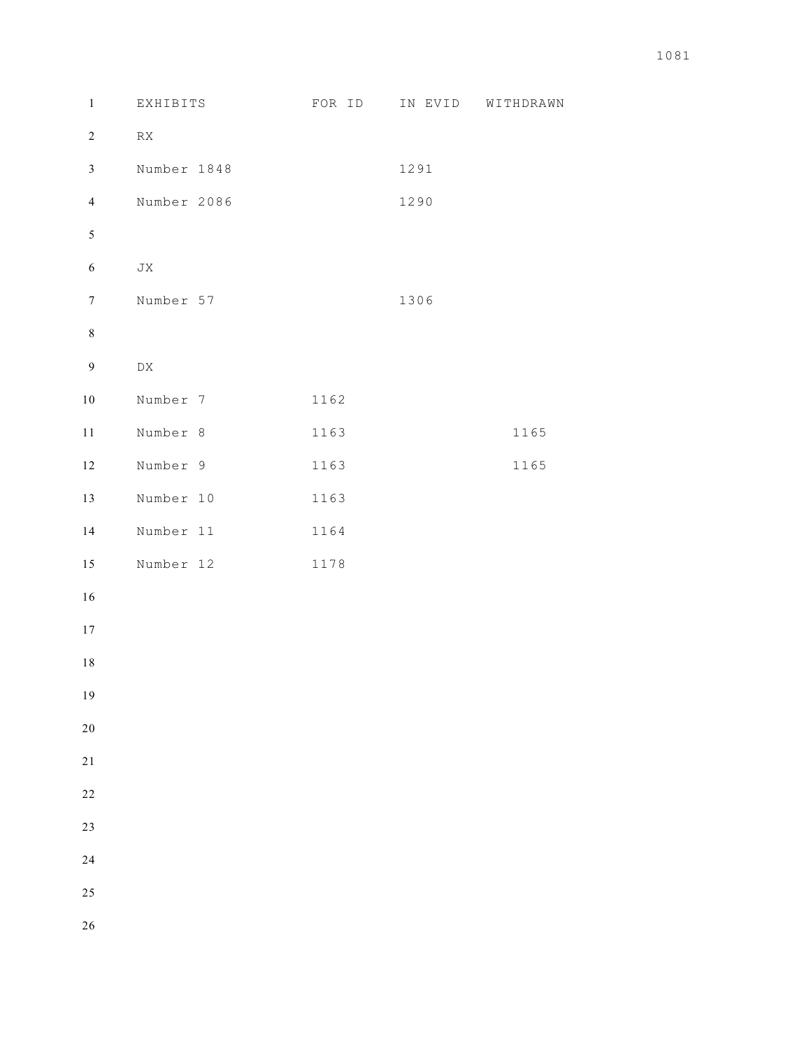| $\,1$            | EXHIBITS                  | FOR ID | IN EVID | WITHDRAWN |
|------------------|---------------------------|--------|---------|-----------|
| $\sqrt{2}$       | ${\mathbb R} {\mathbb X}$ |        |         |           |
| $\mathfrak{Z}$   | Number 1848               |        | 1291    |           |
| $\overline{4}$   | Number 2086               |        | 1290    |           |
| $\sqrt{5}$       |                           |        |         |           |
| $\sqrt{6}$       | ${\rm J}{\rm X}$          |        |         |           |
| $\boldsymbol{7}$ | Number 57                 |        | 1306    |           |
| $\,8\,$          |                           |        |         |           |
| $\boldsymbol{9}$ | ${\rm D}{\rm X}$          |        |         |           |
| $10\,$           | Number 7                  | 1162   |         |           |
| $1\,1$           | Number 8                  | 1163   |         | 1165      |
| 12               | Number 9                  | 1163   |         | 1165      |
| 13               | Number 10                 | 1163   |         |           |
| 14               | Number 11                 | 1164   |         |           |
| 15               | Number 12                 | 1178   |         |           |
| $16\,$           |                           |        |         |           |
| 17               |                           |        |         |           |
| $1\,8$           |                           |        |         |           |
| 19               |                           |        |         |           |
| 20               |                           |        |         |           |
| $2\sqrt{1}$      |                           |        |         |           |
| $2\sqrt{2}$      |                           |        |         |           |
| $23\,$           |                           |        |         |           |
| 24               |                           |        |         |           |
| $25\,$           |                           |        |         |           |
| 26               |                           |        |         |           |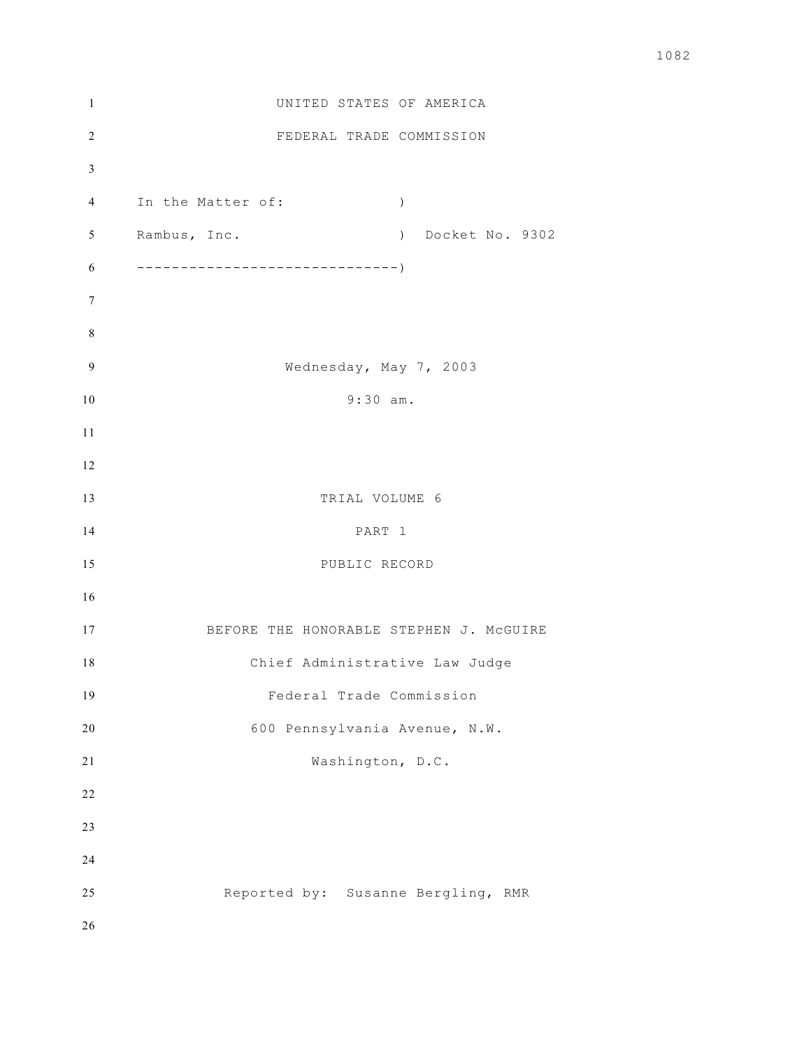| $\mathbf{1}$    | UNITED STATES OF AMERICA                |  |
|-----------------|-----------------------------------------|--|
| $\overline{2}$  | FEDERAL TRADE COMMISSION                |  |
| 3               |                                         |  |
| $\overline{4}$  | In the Matter of:<br>$\left( \right)$   |  |
| 5               | Rambus, Inc.<br>) Docket No. 9302       |  |
| 6               |                                         |  |
| $7\phantom{.0}$ |                                         |  |
| $\,$ 8 $\,$     |                                         |  |
| 9               | Wednesday, May 7, 2003                  |  |
| $10\,$          | $9:30$ am.                              |  |
| 11              |                                         |  |
| 12              |                                         |  |
| 13              | TRIAL VOLUME 6                          |  |
| 14              | PART 1                                  |  |
| 15              | PUBLIC RECORD                           |  |
| 16              |                                         |  |
| 17              | BEFORE THE HONORABLE STEPHEN J. MCGUIRE |  |
| 18              | Chief Administrative Law Judge          |  |
| 19              | Federal Trade Commission                |  |
| 20              | 600 Pennsylvania Avenue, N.W.           |  |
| 21              | Washington, D.C.                        |  |
| 22              |                                         |  |
| 23              |                                         |  |
| 24              |                                         |  |
| 25              | Reported by: Susanne Bergling, RMR      |  |
| 26              |                                         |  |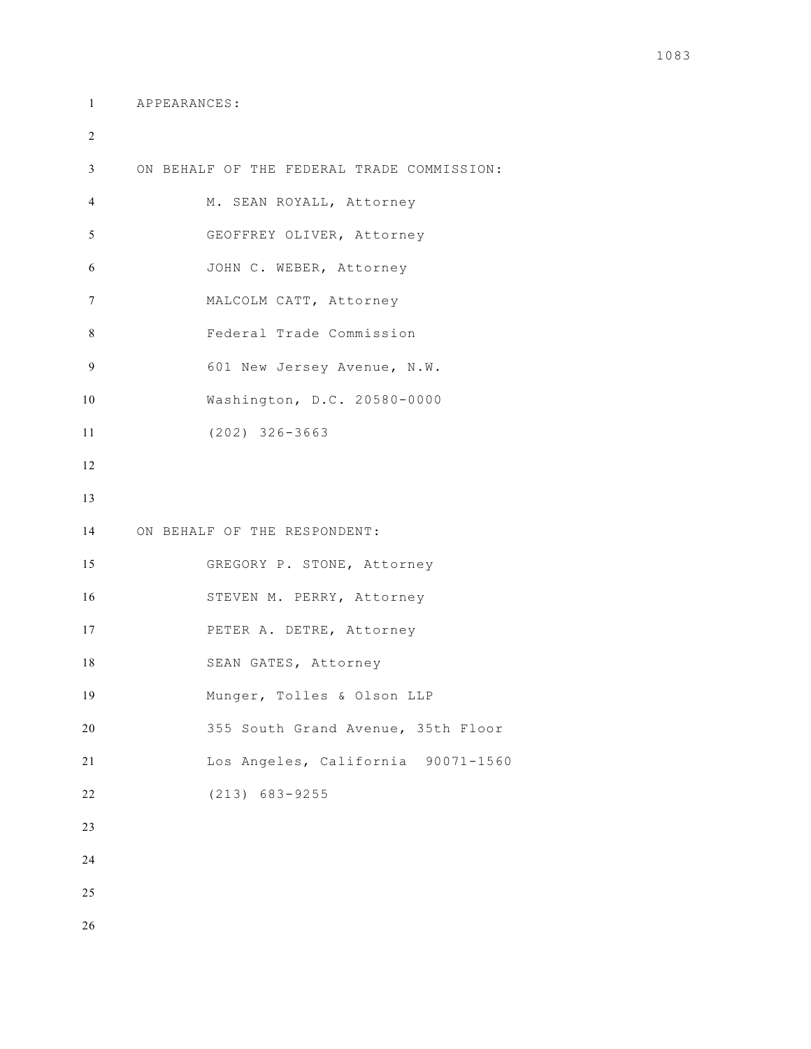```
1 APPEARANCES:
```
 ON BEHALF OF THE FEDERAL TRADE COMMISSION: M. SEAN ROYALL, Attorney GEOFFREY OLIVER, Attorney JOHN C. WEBER, Attorney MALCOLM CATT, Attorney Federal Trade Commission 601 New Jersey Avenue, N.W. Washington, D.C. 20580-0000 (202) 326-3663 ON BEHALF OF THE RESPONDENT: GREGORY P. STONE, Attorney STEVEN M. PERRY, Attorney PETER A. DETRE, Attorney SEAN GATES, Attorney Munger, Tolles & Olson LLP 355 South Grand Avenue, 35th Floor Los Angeles, California 90071-1560 (213) 683-9255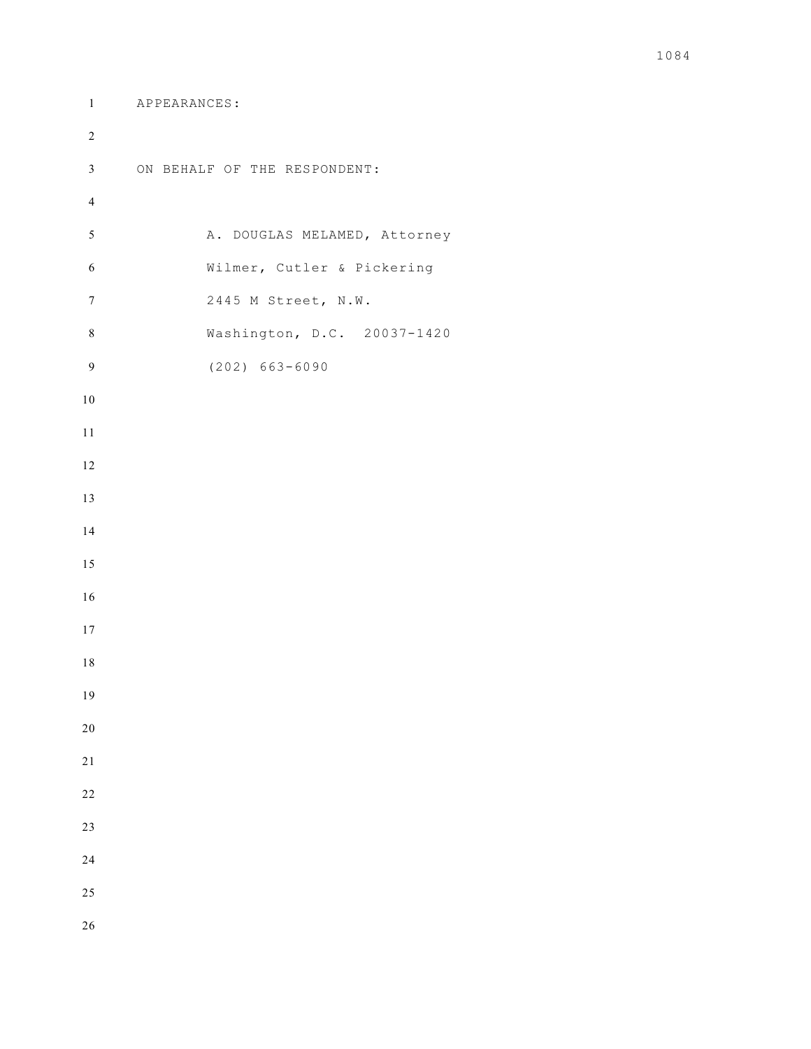```
1 APPEARANCES:
2 
3 ON BEHALF OF THE RESPONDENT:
4 
5 A. DOUGLAS MELAMED, Attorney
6 Wilmer, Cutler & Pickering
7 2445 M Street, N.W.
8 Washington, D.C. 20037-1420
9 (202) 663-6090
10 
11 
12 
13 
14 
15 
16 
17 
18 
19 
20 
21 
22 
23 
24 
25 
26
```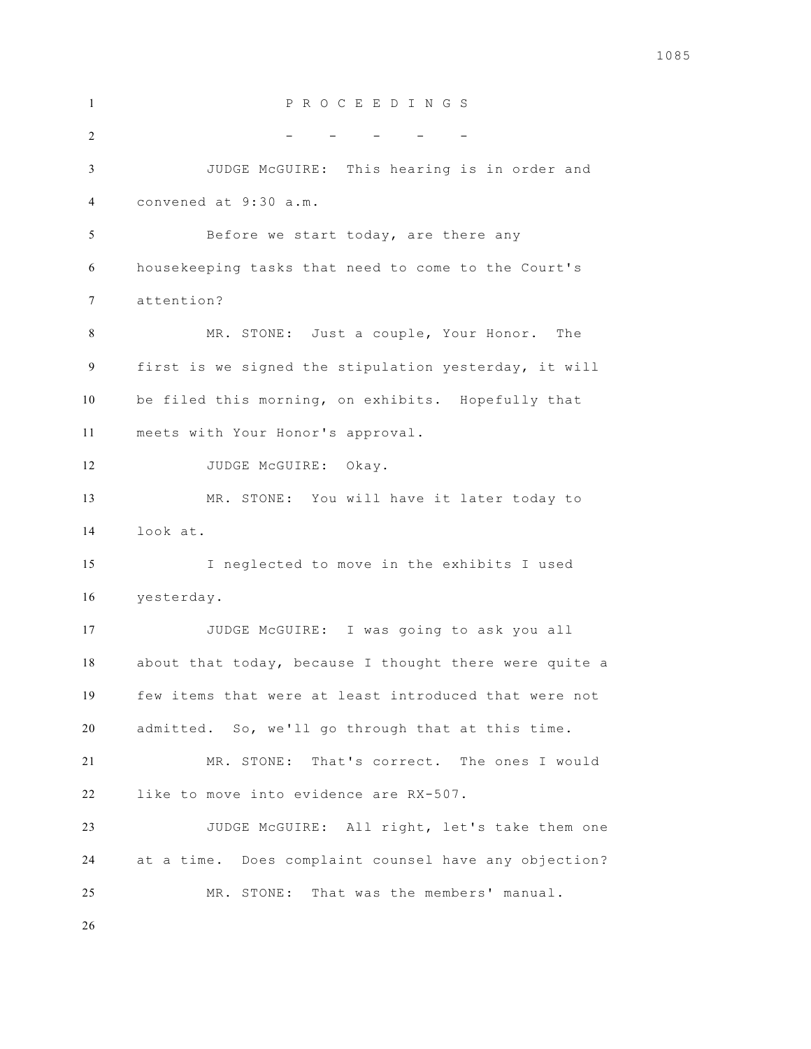P R O C E E D I N G S 2 - - - - - - - - -  $-$  JUDGE McGUIRE: This hearing is in order and convened at 9:30 a.m. Before we start today, are there any housekeeping tasks that need to come to the Court's attention? MR. STONE: Just a couple, Your Honor. The first is we signed the stipulation yesterday, it will be filed this morning, on exhibits. Hopefully that meets with Your Honor's approval. 12 JUDGE McGUIRE: Okay. MR. STONE: You will have it later today to look at. I neglected to move in the exhibits I used yesterday. JUDGE McGUIRE: I was going to ask you all about that today, because I thought there were quite a few items that were at least introduced that were not admitted. So, we'll go through that at this time. MR. STONE: That's correct. The ones I would like to move into evidence are RX-507. JUDGE McGUIRE: All right, let's take them one at a time. Does complaint counsel have any objection? MR. STONE: That was the members' manual.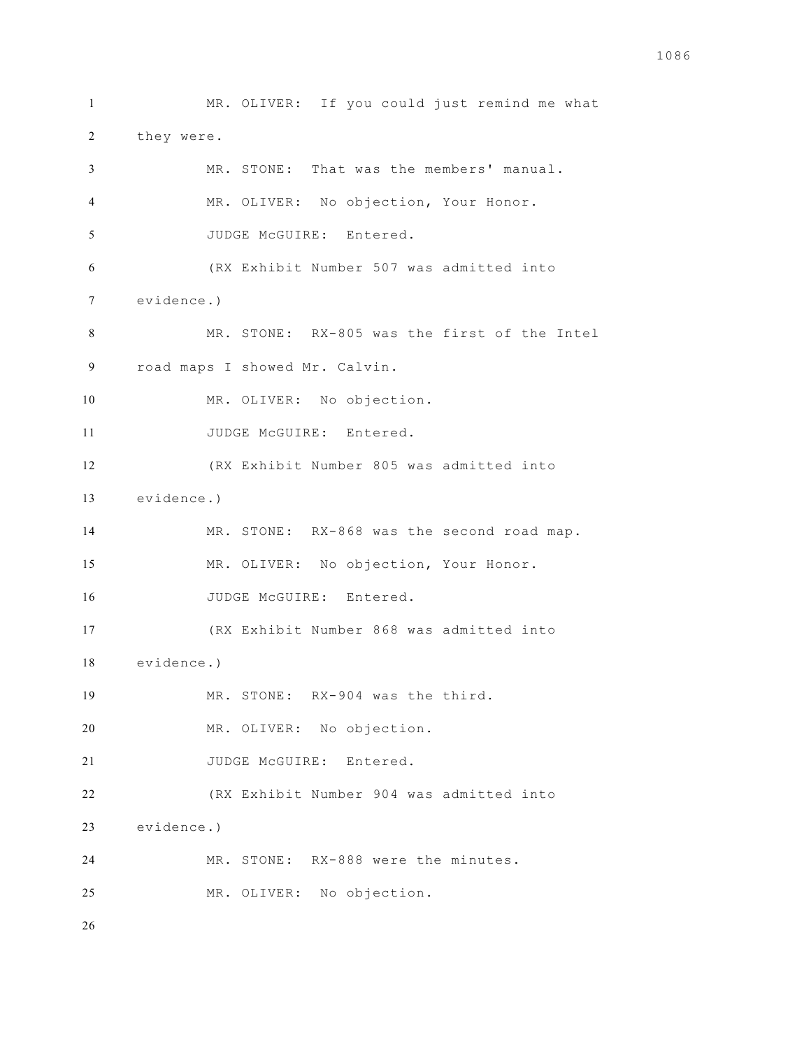MR. OLIVER: If you could just remind me what they were. MR. STONE: That was the members' manual. MR. OLIVER: No objection, Your Honor. 5 JUDGE McGUIRE: Entered. (RX Exhibit Number 507 was admitted into evidence.) MR. STONE: RX-805 was the first of the Intel road maps I showed Mr. Calvin. MR. OLIVER: No objection. 11 JUDGE McGUIRE: Entered. (RX Exhibit Number 805 was admitted into evidence.) MR. STONE: RX-868 was the second road map. MR. OLIVER: No objection, Your Honor. 16 JUDGE McGUIRE: Entered. (RX Exhibit Number 868 was admitted into evidence.) MR. STONE: RX-904 was the third. MR. OLIVER: No objection. 21 JUDGE McGUIRE: Entered. (RX Exhibit Number 904 was admitted into evidence.) MR. STONE: RX-888 were the minutes. MR. OLIVER: No objection.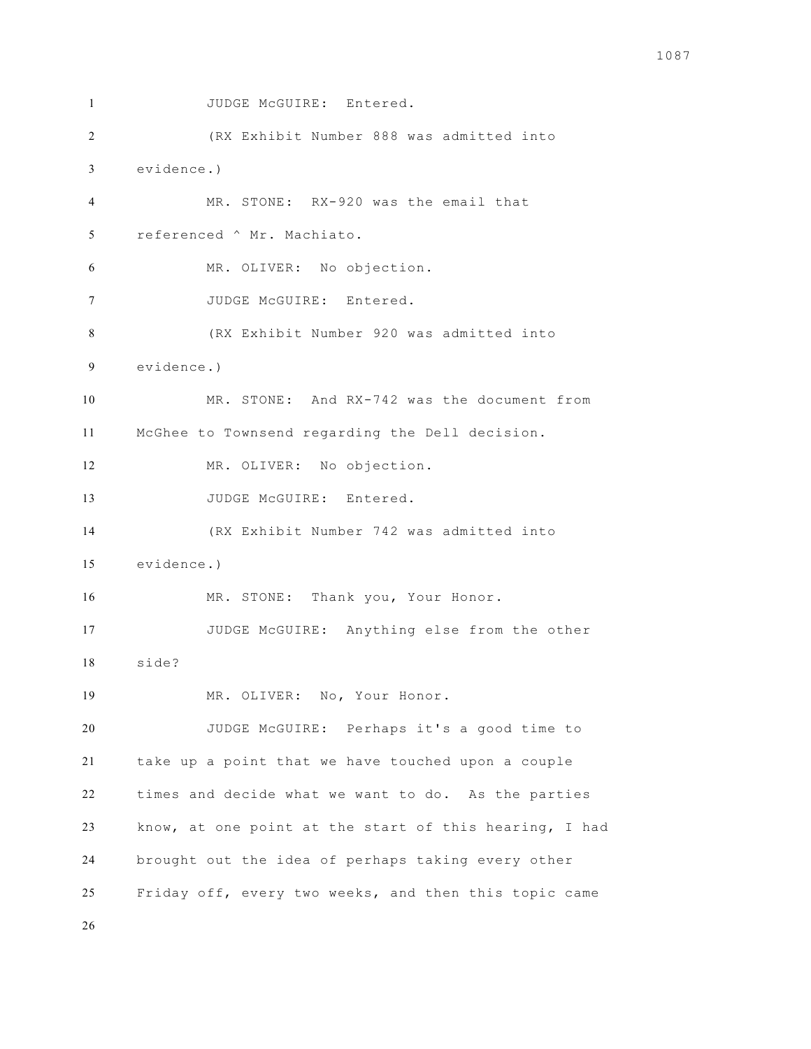```
1 JUDGE McGUIRE: Entered.
2 (RX Exhibit Number 888 was admitted into 
3 evidence.)
4 MR. STONE: RX-920 was the email that 
5 referenced ^ Mr. Machiato. 
6 MR. OLIVER: No objection. 
7 JUDGE McGUIRE: Entered. 
8 (RX Exhibit Number 920 was admitted into 
9 evidence.)
10 MR. STONE: And RX-742 was the document from 
11 McGhee to Townsend regarding the Dell decision. 
12 MR. OLIVER: No objection.
13 JUDGE McGUIRE: Entered.
14 (RX Exhibit Number 742 was admitted into 
15 evidence.)
16 MR. STONE: Thank you, Your Honor.
17 JUDGE McGUIRE: Anything else from the other 
18 side? 
19 MR. OLIVER: No, Your Honor. 
20 JUDGE McGUIRE: Perhaps it's a good time to 
21 take up a point that we have touched upon a couple 
22 times and decide what we want to do. As the parties 
23 know, at one point at the start of this hearing, I had 
24 brought out the idea of perhaps taking every other 
25 Friday off, every two weeks, and then this topic came
```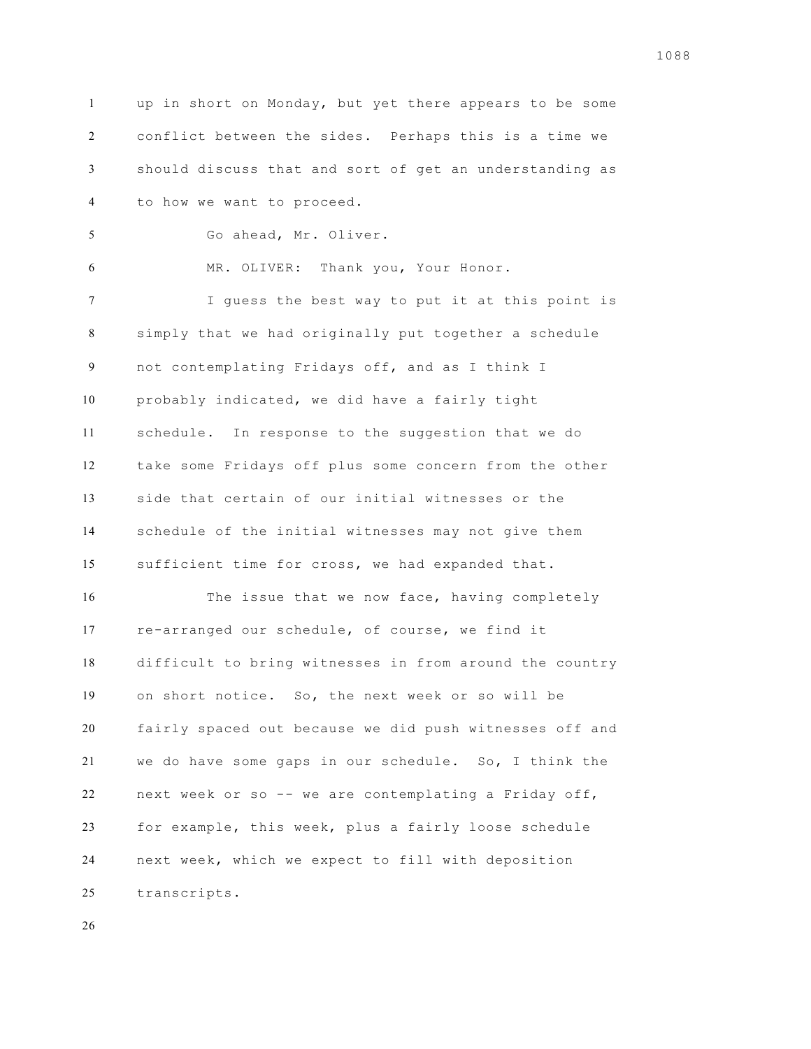up in short on Monday, but yet there appears to be some conflict between the sides. Perhaps this is a time we should discuss that and sort of get an understanding as to how we want to proceed. Go ahead, Mr. Oliver. MR. OLIVER: Thank you, Your Honor. I guess the best way to put it at this point is simply that we had originally put together a schedule not contemplating Fridays off, and as I think I probably indicated, we did have a fairly tight schedule. In response to the suggestion that we do take some Fridays off plus some concern from the other side that certain of our initial witnesses or the schedule of the initial witnesses may not give them sufficient time for cross, we had expanded that. The issue that we now face, having completely re-arranged our schedule, of course, we find it difficult to bring witnesses in from around the country on short notice. So, the next week or so will be fairly spaced out because we did push witnesses off and we do have some gaps in our schedule. So, I think the next week or so -- we are contemplating a Friday off, for example, this week, plus a fairly loose schedule next week, which we expect to fill with deposition transcripts.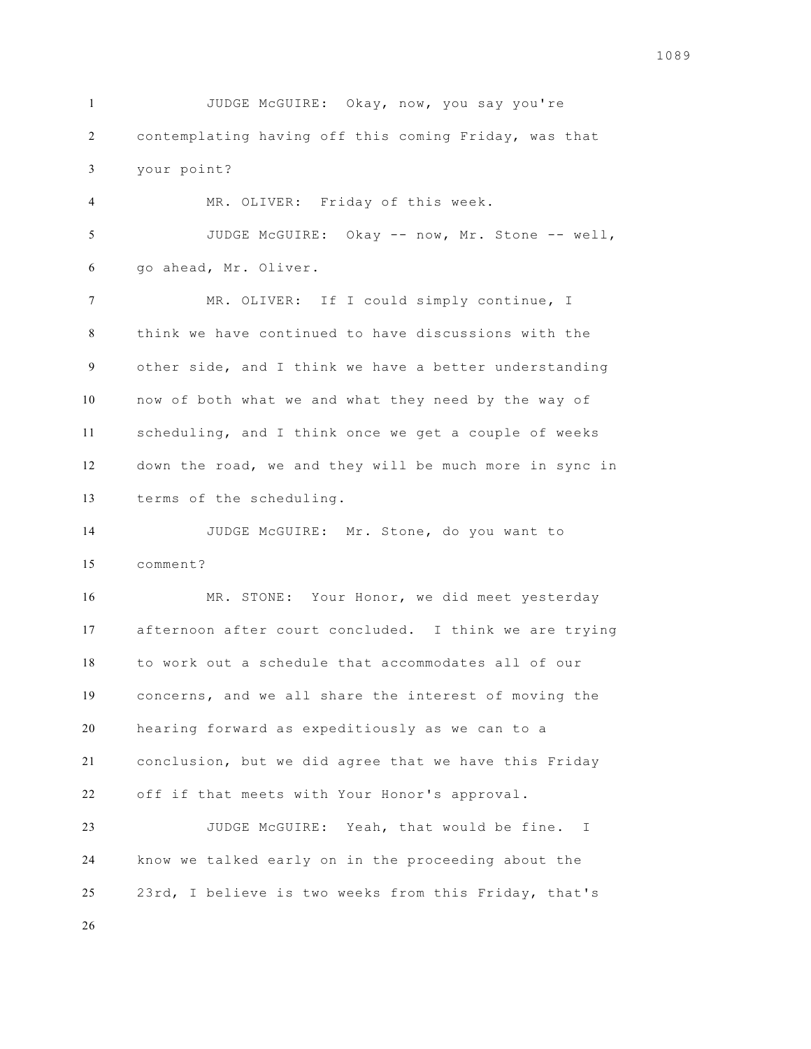JUDGE McGUIRE: Okay, now, you say you're contemplating having off this coming Friday, was that your point? MR. OLIVER: Friday of this week. JUDGE McGUIRE: Okay -- now, Mr. Stone -- well, go ahead, Mr. Oliver. MR. OLIVER: If I could simply continue, I think we have continued to have discussions with the other side, and I think we have a better understanding now of both what we and what they need by the way of scheduling, and I think once we get a couple of weeks down the road, we and they will be much more in sync in terms of the scheduling. JUDGE McGUIRE: Mr. Stone, do you want to comment? MR. STONE: Your Honor, we did meet yesterday afternoon after court concluded. I think we are trying to work out a schedule that accommodates all of our concerns, and we all share the interest of moving the hearing forward as expeditiously as we can to a conclusion, but we did agree that we have this Friday off if that meets with Your Honor's approval. JUDGE McGUIRE: Yeah, that would be fine. I know we talked early on in the proceeding about the 23rd, I believe is two weeks from this Friday, that's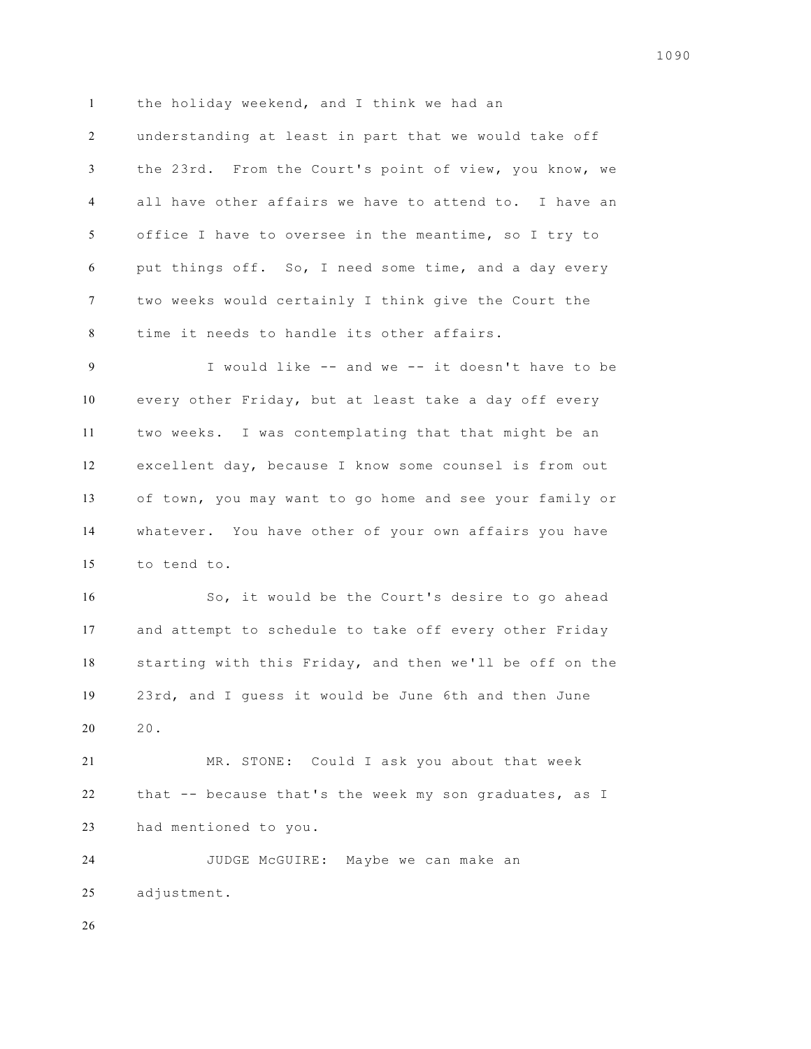1 the holiday weekend, and I think we had an

 understanding at least in part that we would take off the 23rd. From the Court's point of view, you know, we all have other affairs we have to attend to. I have an office I have to oversee in the meantime, so I try to put things off. So, I need some time, and a day every two weeks would certainly I think give the Court the time it needs to handle its other affairs.

 I would like -- and we -- it doesn't have to be every other Friday, but at least take a day off every two weeks. I was contemplating that that might be an excellent day, because I know some counsel is from out of town, you may want to go home and see your family or whatever. You have other of your own affairs you have to tend to.

 So, it would be the Court's desire to go ahead and attempt to schedule to take off every other Friday starting with this Friday, and then we'll be off on the 23rd, and I guess it would be June 6th and then June 20.

 MR. STONE: Could I ask you about that week that -- because that's the week my son graduates, as I had mentioned to you.

 JUDGE McGUIRE: Maybe we can make an adjustment.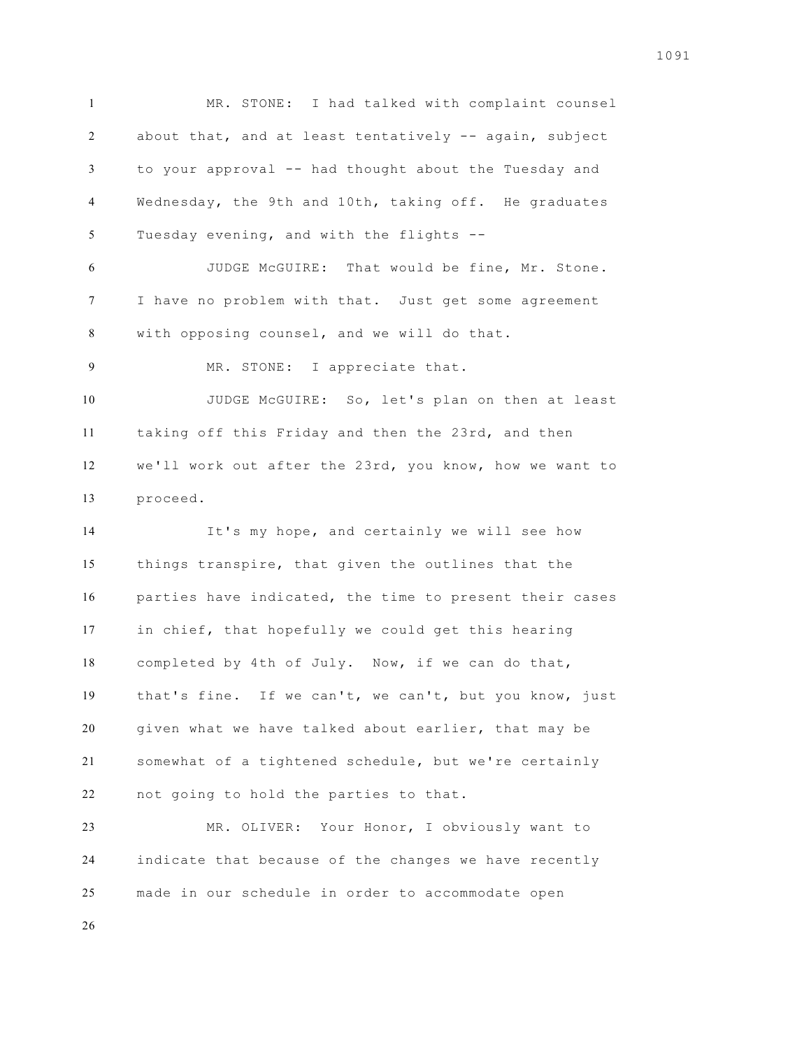MR. STONE: I had talked with complaint counsel about that, and at least tentatively -- again, subject to your approval -- had thought about the Tuesday and Wednesday, the 9th and 10th, taking off. He graduates Tuesday evening, and with the flights -- JUDGE McGUIRE: That would be fine, Mr. Stone. I have no problem with that. Just get some agreement with opposing counsel, and we will do that. MR. STONE: I appreciate that. JUDGE McGUIRE: So, let's plan on then at least taking off this Friday and then the 23rd, and then we'll work out after the 23rd, you know, how we want to proceed. It's my hope, and certainly we will see how things transpire, that given the outlines that the parties have indicated, the time to present their cases in chief, that hopefully we could get this hearing completed by 4th of July. Now, if we can do that, that's fine. If we can't, we can't, but you know, just given what we have talked about earlier, that may be somewhat of a tightened schedule, but we're certainly not going to hold the parties to that.

 MR. OLIVER: Your Honor, I obviously want to indicate that because of the changes we have recently made in our schedule in order to accommodate open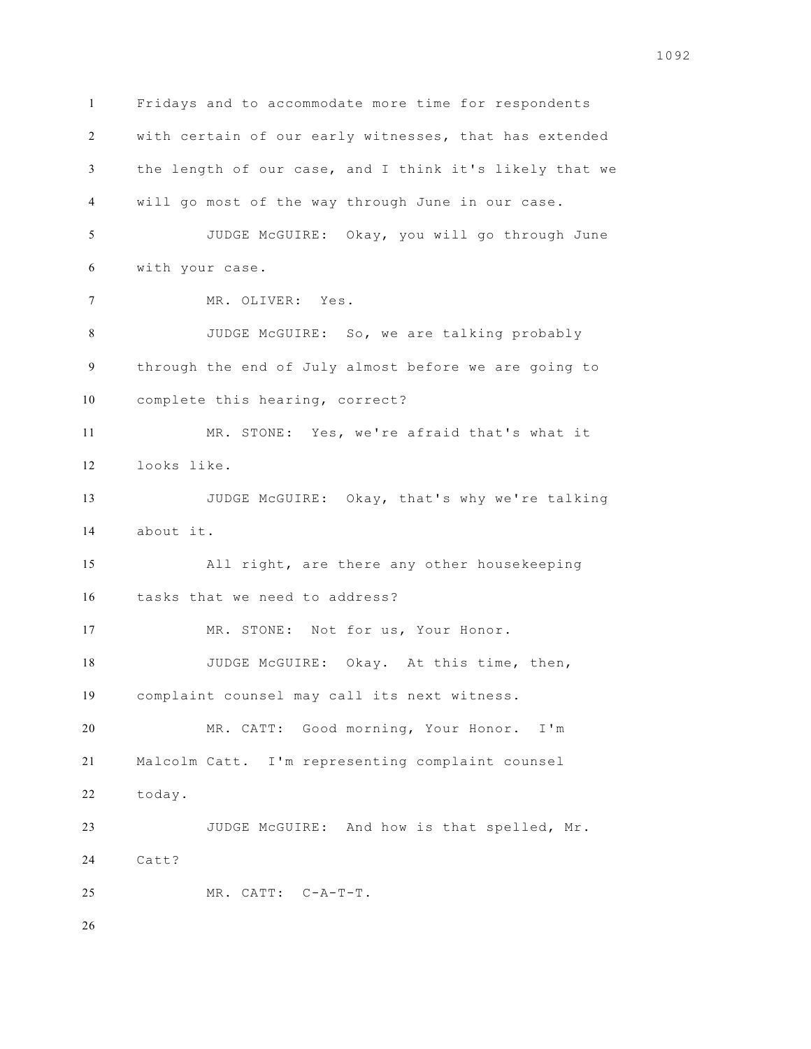Fridays and to accommodate more time for respondents with certain of our early witnesses, that has extended the length of our case, and I think it's likely that we will go most of the way through June in our case. JUDGE McGUIRE: Okay, you will go through June with your case. MR. OLIVER: Yes. JUDGE McGUIRE: So, we are talking probably through the end of July almost before we are going to complete this hearing, correct? MR. STONE: Yes, we're afraid that's what it looks like. JUDGE McGUIRE: Okay, that's why we're talking about it. All right, are there any other housekeeping tasks that we need to address? 17 MR. STONE: Not for us, Your Honor. 18 JUDGE McGUIRE: Okay. At this time, then, complaint counsel may call its next witness. MR. CATT: Good morning, Your Honor. I'm Malcolm Catt. I'm representing complaint counsel today. JUDGE McGUIRE: And how is that spelled, Mr. Catt? MR. CATT: C-A-T-T.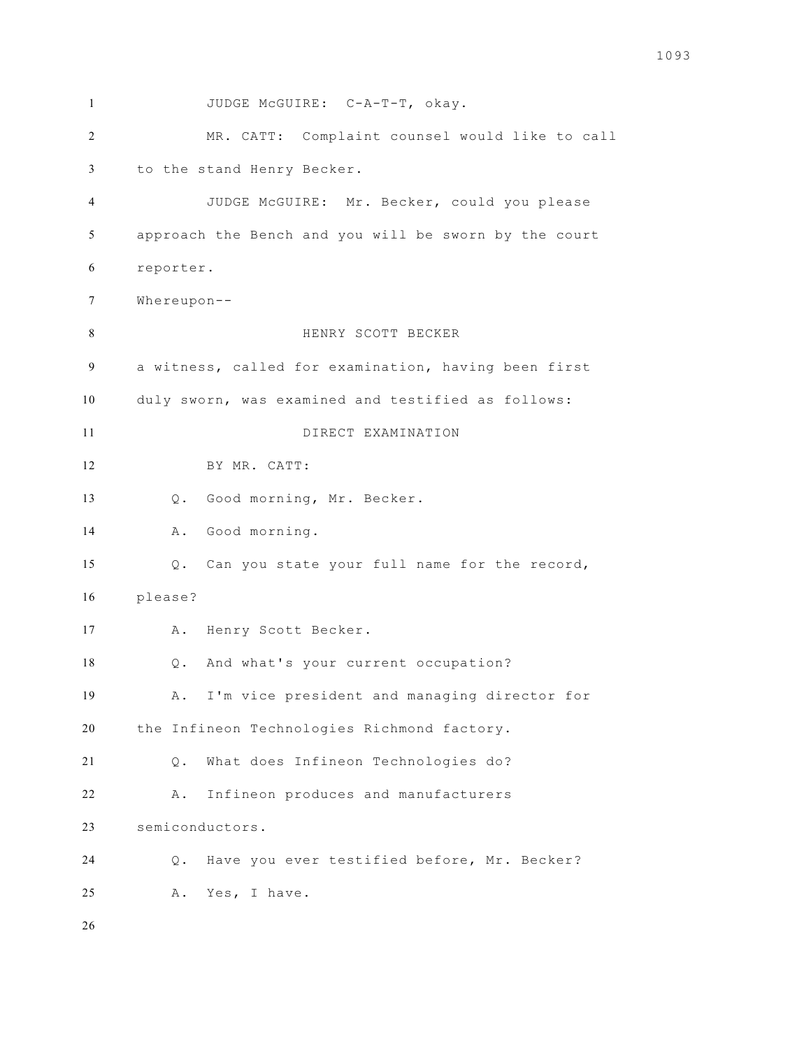1 JUDGE McGUIRE: C-A-T-T, okay. MR. CATT: Complaint counsel would like to call to the stand Henry Becker. JUDGE McGUIRE: Mr. Becker, could you please approach the Bench and you will be sworn by the court reporter. Whereupon-- HENRY SCOTT BECKER a witness, called for examination, having been first duly sworn, was examined and testified as follows: DIRECT EXAMINATION BY MR. CATT: Q. Good morning, Mr. Becker. A. Good morning. Q. Can you state your full name for the record, please? A. Henry Scott Becker. Q. And what's your current occupation? A. I'm vice president and managing director for the Infineon Technologies Richmond factory. Q. What does Infineon Technologies do? A. Infineon produces and manufacturers semiconductors. Q. Have you ever testified before, Mr. Becker? A. Yes, I have.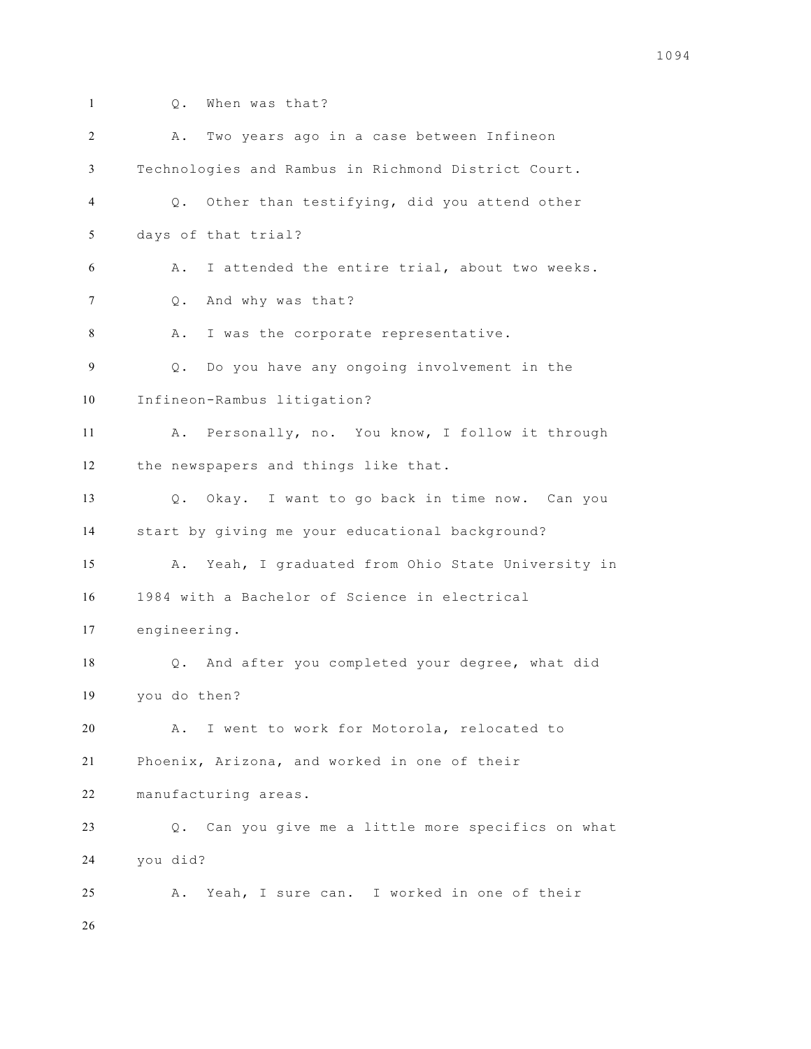- 
- Q. When was that?

| 2  | Two years ago in a case between Infineon<br>Α.                 |
|----|----------------------------------------------------------------|
| 3  | Technologies and Rambus in Richmond District Court.            |
| 4  | Q. Other than testifying, did you attend other                 |
| 5  | days of that trial?                                            |
| 6  | I attended the entire trial, about two weeks.<br>Α.            |
| 7  | And why was that?<br>$\circ$ .                                 |
| 8  | I was the corporate representative.<br>Α.                      |
| 9  | Do you have any ongoing involvement in the<br>$Q$ .            |
| 10 | Infineon-Rambus litigation?                                    |
| 11 | A. Personally, no. You know, I follow it through               |
| 12 | the newspapers and things like that.                           |
| 13 | Q. Okay. I want to go back in time now. Can you                |
| 14 | start by giving me your educational background?                |
| 15 | Yeah, I graduated from Ohio State University in<br>Α.          |
| 16 | 1984 with a Bachelor of Science in electrical                  |
| 17 | engineering.                                                   |
| 18 | And after you completed your degree, what did<br>$Q_{\bullet}$ |
| 19 | you do then?                                                   |
| 20 | I went to work for Motorola, relocated to<br>Α.                |
| 21 | Phoenix, Arizona, and worked in one of their                   |
| 22 | manufacturing areas.                                           |
| 23 | Q. Can you give me a little more specifics on what             |
| 24 | you did?                                                       |
| 25 | Yeah, I sure can. I worked in one of their<br>Α.               |
| 26 |                                                                |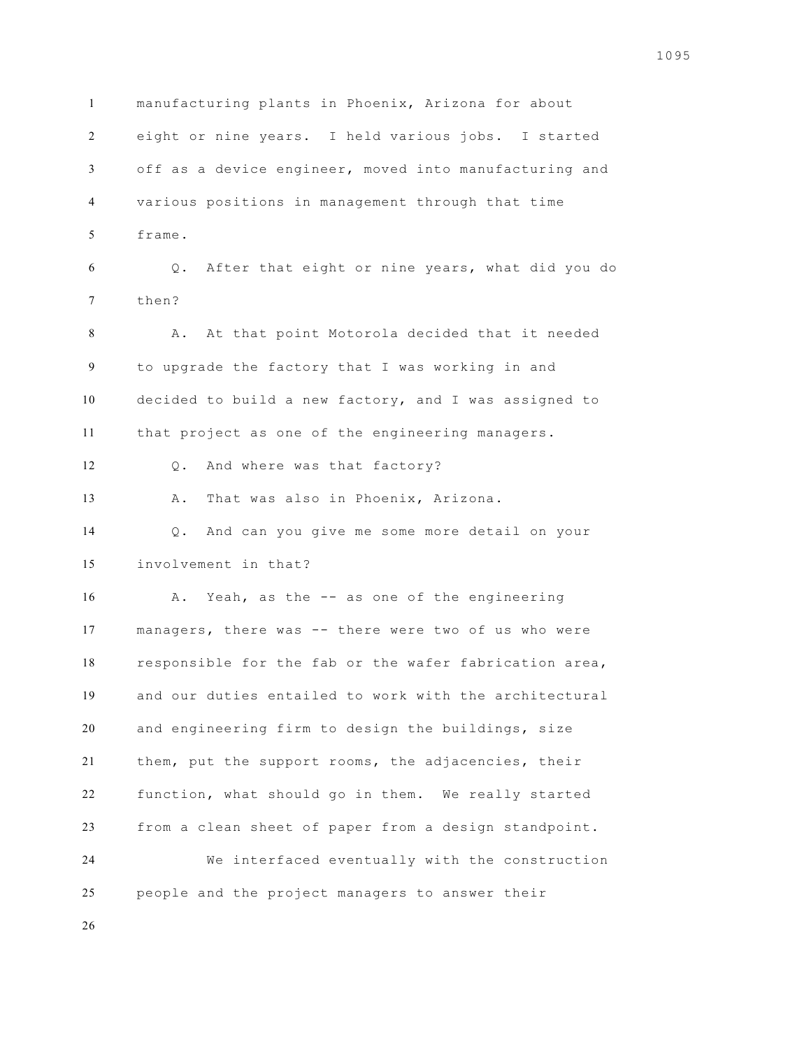manufacturing plants in Phoenix, Arizona for about eight or nine years. I held various jobs. I started off as a device engineer, moved into manufacturing and various positions in management through that time frame. Q. After that eight or nine years, what did you do then? A. At that point Motorola decided that it needed to upgrade the factory that I was working in and decided to build a new factory, and I was assigned to that project as one of the engineering managers. Q. And where was that factory? A. That was also in Phoenix, Arizona. Q. And can you give me some more detail on your involvement in that? A. Yeah, as the -- as one of the engineering managers, there was -- there were two of us who were responsible for the fab or the wafer fabrication area, and our duties entailed to work with the architectural and engineering firm to design the buildings, size them, put the support rooms, the adjacencies, their function, what should go in them. We really started from a clean sheet of paper from a design standpoint. We interfaced eventually with the construction people and the project managers to answer their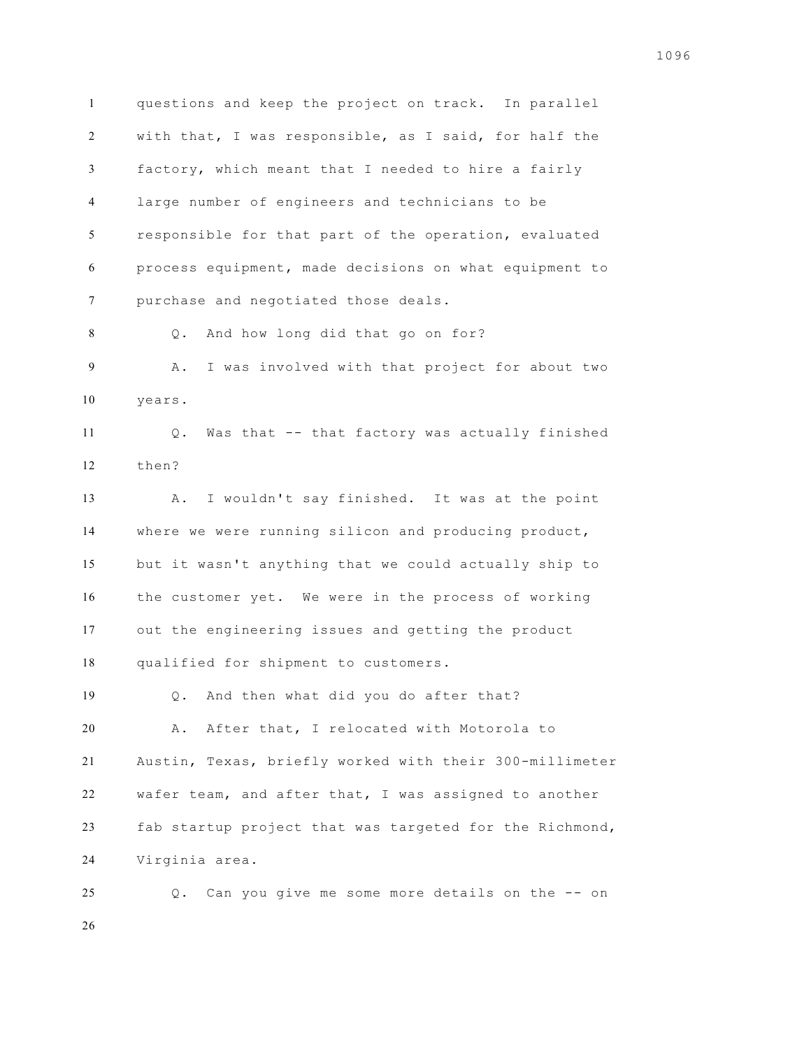questions and keep the project on track. In parallel with that, I was responsible, as I said, for half the factory, which meant that I needed to hire a fairly large number of engineers and technicians to be responsible for that part of the operation, evaluated process equipment, made decisions on what equipment to purchase and negotiated those deals. Q. And how long did that go on for? A. I was involved with that project for about two years. Q. Was that -- that factory was actually finished then? A. I wouldn't say finished. It was at the point where we were running silicon and producing product, but it wasn't anything that we could actually ship to the customer yet. We were in the process of working out the engineering issues and getting the product qualified for shipment to customers. Q. And then what did you do after that? A. After that, I relocated with Motorola to Austin, Texas, briefly worked with their 300-millimeter wafer team, and after that, I was assigned to another fab startup project that was targeted for the Richmond, Virginia area. Q. Can you give me some more details on the -- on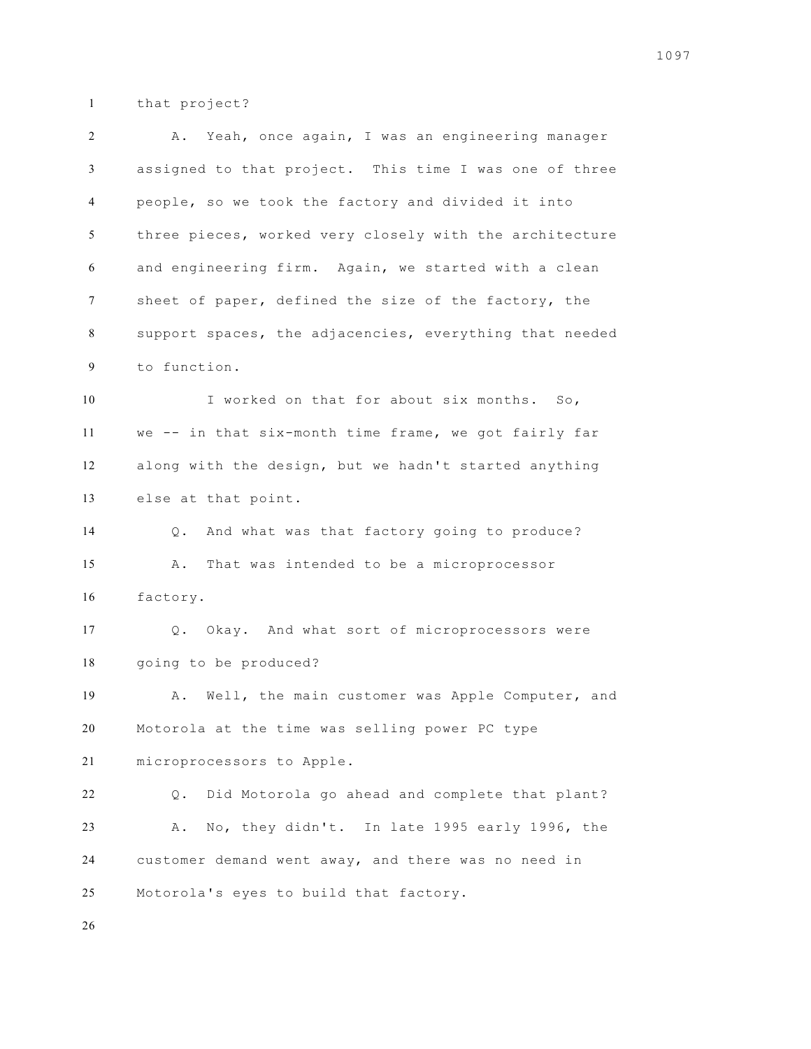that project?

| $\overline{c}$ | A. Yeah, once again, I was an engineering manager       |
|----------------|---------------------------------------------------------|
| 3              | assigned to that project. This time I was one of three  |
| 4              | people, so we took the factory and divided it into      |
| 5              | three pieces, worked very closely with the architecture |
| 6              | and engineering firm. Again, we started with a clean    |
| 7              | sheet of paper, defined the size of the factory, the    |
| 8              | support spaces, the adjacencies, everything that needed |
| 9              | to function.                                            |
| 10             | I worked on that for about six months. So,              |
| 11             | we -- in that six-month time frame, we got fairly far   |
| 12             | along with the design, but we hadn't started anything   |
| 13             | else at that point.                                     |
| 14             | And what was that factory going to produce?<br>$Q$ .    |
| 15             | That was intended to be a microprocessor<br>Α.          |
| 16             | factory.                                                |
| 17             | Q. Okay. And what sort of microprocessors were          |
| 18             | going to be produced?                                   |
| 19             | Well, the main customer was Apple Computer, and<br>Α.   |
| 20             | Motorola at the time was selling power PC type          |
| 21             | microprocessors to Apple.                               |
| 22             | Did Motorola go ahead and complete that plant?<br>$Q$ . |
| 23             | No, they didn't. In late 1995 early 1996, the<br>Α.     |
| 24             | customer demand went away, and there was no need in     |
| 25             | Motorola's eyes to build that factory.                  |
| 26             |                                                         |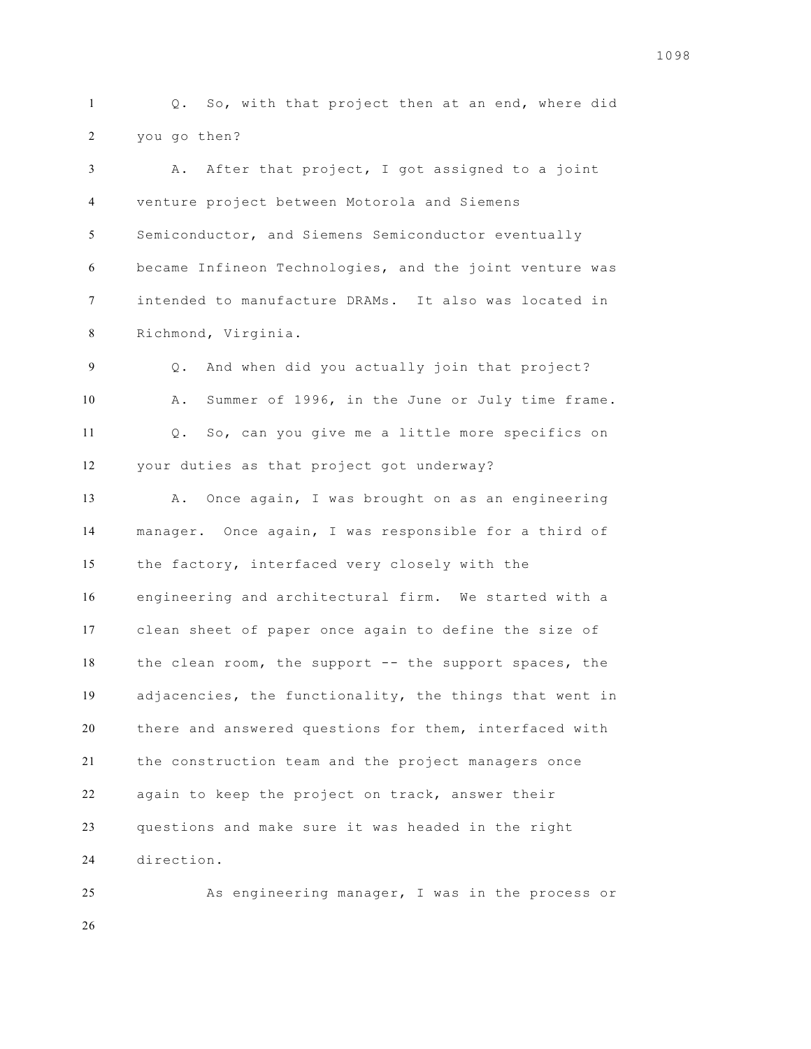Q. So, with that project then at an end, where did you go then?

 A. After that project, I got assigned to a joint venture project between Motorola and Siemens Semiconductor, and Siemens Semiconductor eventually became Infineon Technologies, and the joint venture was intended to manufacture DRAMs. It also was located in Richmond, Virginia.

 Q. And when did you actually join that project? A. Summer of 1996, in the June or July time frame. Q. So, can you give me a little more specifics on your duties as that project got underway?

 A. Once again, I was brought on as an engineering manager. Once again, I was responsible for a third of the factory, interfaced very closely with the engineering and architectural firm. We started with a clean sheet of paper once again to define the size of the clean room, the support -- the support spaces, the adjacencies, the functionality, the things that went in there and answered questions for them, interfaced with the construction team and the project managers once again to keep the project on track, answer their questions and make sure it was headed in the right direction.

 As engineering manager, I was in the process or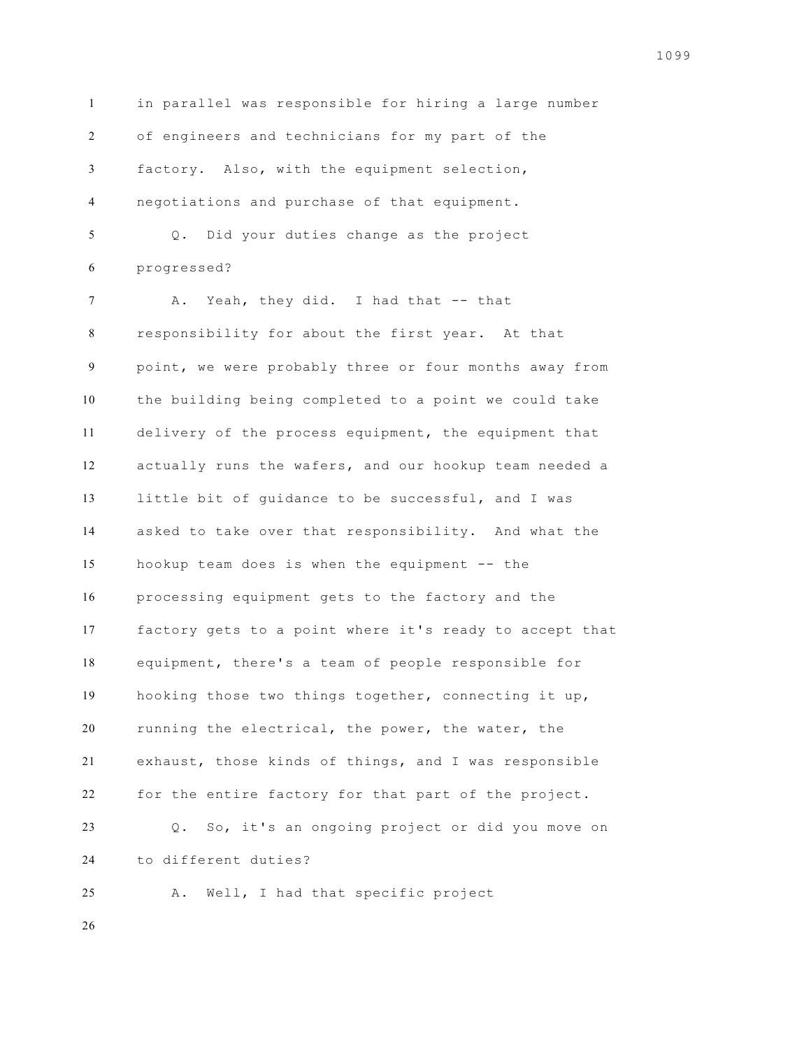in parallel was responsible for hiring a large number of engineers and technicians for my part of the factory. Also, with the equipment selection, negotiations and purchase of that equipment. Q. Did your duties change as the project progressed? A. Yeah, they did. I had that -- that responsibility for about the first year. At that point, we were probably three or four months away from the building being completed to a point we could take

 delivery of the process equipment, the equipment that actually runs the wafers, and our hookup team needed a little bit of guidance to be successful, and I was asked to take over that responsibility. And what the hookup team does is when the equipment -- the processing equipment gets to the factory and the factory gets to a point where it's ready to accept that equipment, there's a team of people responsible for hooking those two things together, connecting it up, running the electrical, the power, the water, the exhaust, those kinds of things, and I was responsible for the entire factory for that part of the project. Q. So, it's an ongoing project or did you move on to different duties?

A. Well, I had that specific project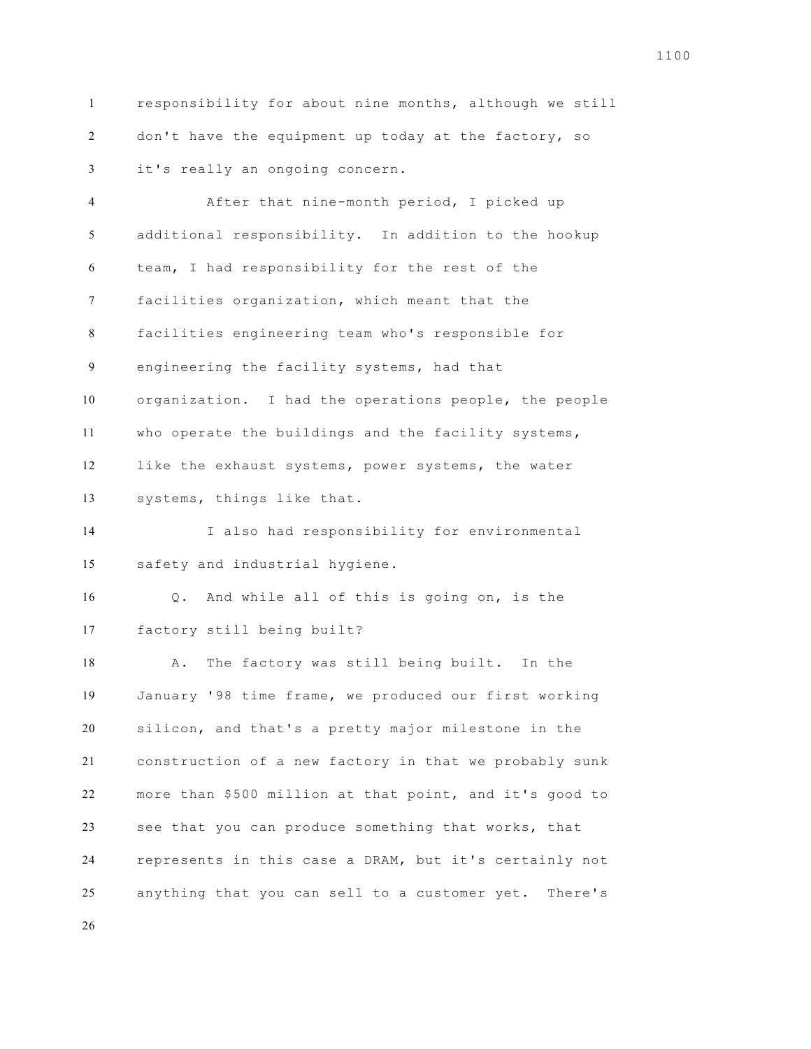responsibility for about nine months, although we still 2 don't have the equipment up today at the factory, so it's really an ongoing concern.

 After that nine-month period, I picked up additional responsibility. In addition to the hookup team, I had responsibility for the rest of the facilities organization, which meant that the facilities engineering team who's responsible for engineering the facility systems, had that organization. I had the operations people, the people who operate the buildings and the facility systems, like the exhaust systems, power systems, the water systems, things like that. I also had responsibility for environmental safety and industrial hygiene. Q. And while all of this is going on, is the factory still being built? A. The factory was still being built. In the January '98 time frame, we produced our first working silicon, and that's a pretty major milestone in the construction of a new factory in that we probably sunk more than \$500 million at that point, and it's good to see that you can produce something that works, that represents in this case a DRAM, but it's certainly not anything that you can sell to a customer yet. There's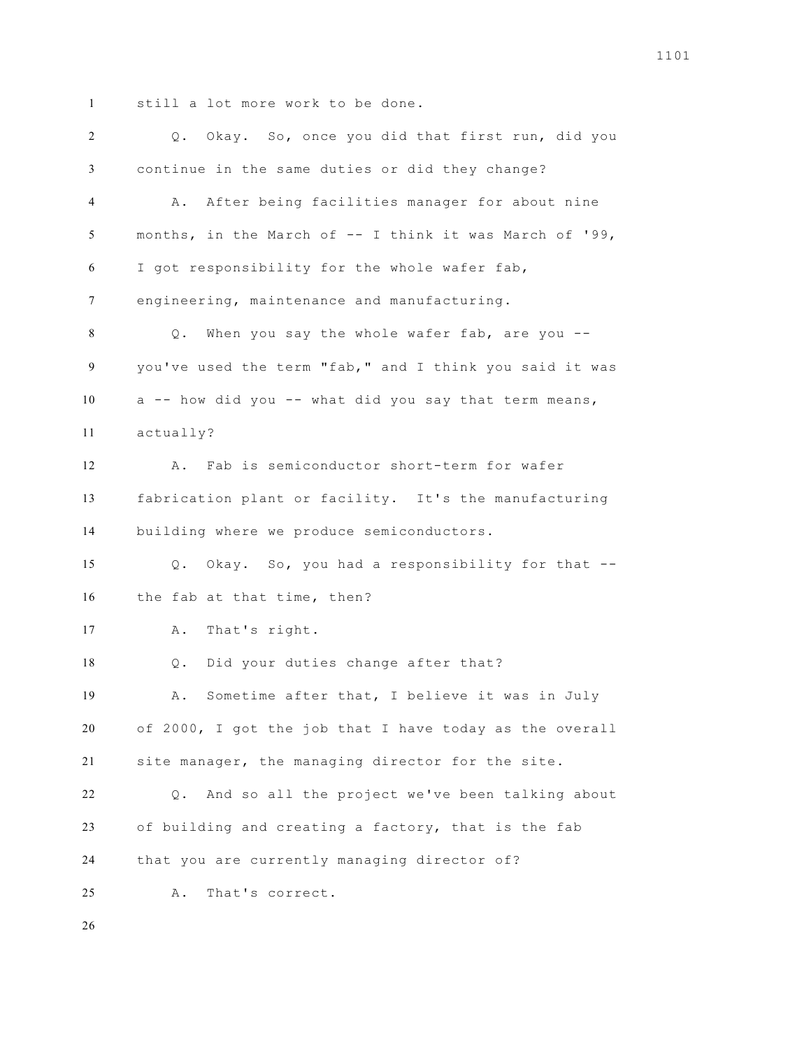still a lot more work to be done.

 Q. Okay. So, once you did that first run, did you continue in the same duties or did they change? A. After being facilities manager for about nine months, in the March of -- I think it was March of '99, I got responsibility for the whole wafer fab, engineering, maintenance and manufacturing. Q. When you say the whole wafer fab, are you -- you've used the term "fab," and I think you said it was a -- how did you -- what did you say that term means, actually? A. Fab is semiconductor short-term for wafer fabrication plant or facility. It's the manufacturing building where we produce semiconductors. Q. Okay. So, you had a responsibility for that -- the fab at that time, then? A. That's right. Q. Did your duties change after that? A. Sometime after that, I believe it was in July of 2000, I got the job that I have today as the overall site manager, the managing director for the site. Q. And so all the project we've been talking about of building and creating a factory, that is the fab that you are currently managing director of? A. That's correct.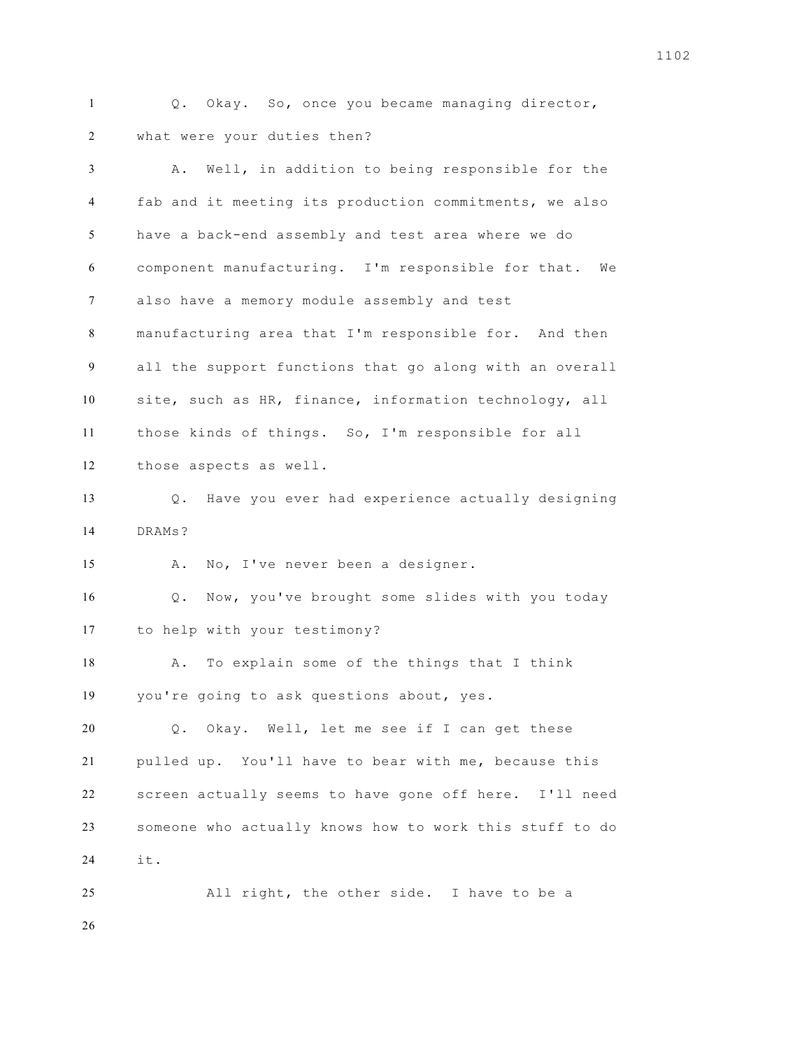Q. Okay. So, once you became managing director, what were your duties then?

| 3              | Well, in addition to being responsible for the<br>Α.    |
|----------------|---------------------------------------------------------|
| $\overline{4}$ | fab and it meeting its production commitments, we also  |
| 5              | have a back-end assembly and test area where we do      |
| 6              | component manufacturing. I'm responsible for that. We   |
| 7              | also have a memory module assembly and test             |
| 8              | manufacturing area that I'm responsible for. And then   |
| 9              | all the support functions that go along with an overall |
| 10             | site, such as HR, finance, information technology, all  |
| 11             | those kinds of things. So, I'm responsible for all      |
| 12             | those aspects as well.                                  |
| 13             | Have you ever had experience actually designing<br>Q.   |
| 14             | DRAMs?                                                  |
| 15             | No, I've never been a designer.<br>Α.                   |
| 16             | Q. Now, you've brought some slides with you today       |
| 17             | to help with your testimony?                            |
| 18             | To explain some of the things that I think<br>Α.        |
| 19             | you're going to ask questions about, yes.               |
| 20             | $Q$ .<br>Okay. Well, let me see if I can get these      |
| 21             | pulled up. You'll have to bear with me, because this    |
| 22             | screen actually seems to have gone off here. I'll need  |
| 23             | someone who actually knows how to work this stuff to do |
| 24             | it.                                                     |
| 25             | All right, the other side. I have to be a               |
| 26             |                                                         |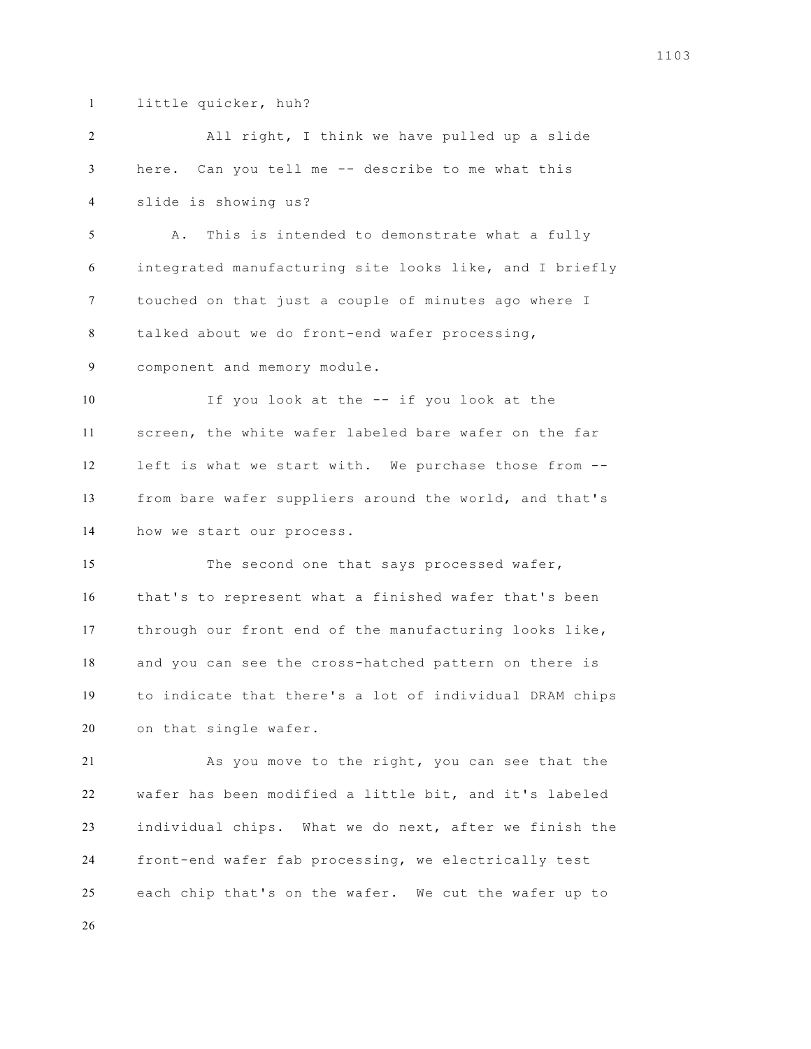little quicker, huh?

 All right, I think we have pulled up a slide here. Can you tell me -- describe to me what this slide is showing us? A. This is intended to demonstrate what a fully integrated manufacturing site looks like, and I briefly touched on that just a couple of minutes ago where I talked about we do front-end wafer processing, component and memory module. 10 If you look at the -- if you look at the screen, the white wafer labeled bare wafer on the far left is what we start with. We purchase those from -- from bare wafer suppliers around the world, and that's how we start our process. 15 The second one that says processed wafer, that's to represent what a finished wafer that's been through our front end of the manufacturing looks like, and you can see the cross-hatched pattern on there is to indicate that there's a lot of individual DRAM chips on that single wafer. As you move to the right, you can see that the wafer has been modified a little bit, and it's labeled individual chips. What we do next, after we finish the front-end wafer fab processing, we electrically test each chip that's on the wafer. We cut the wafer up to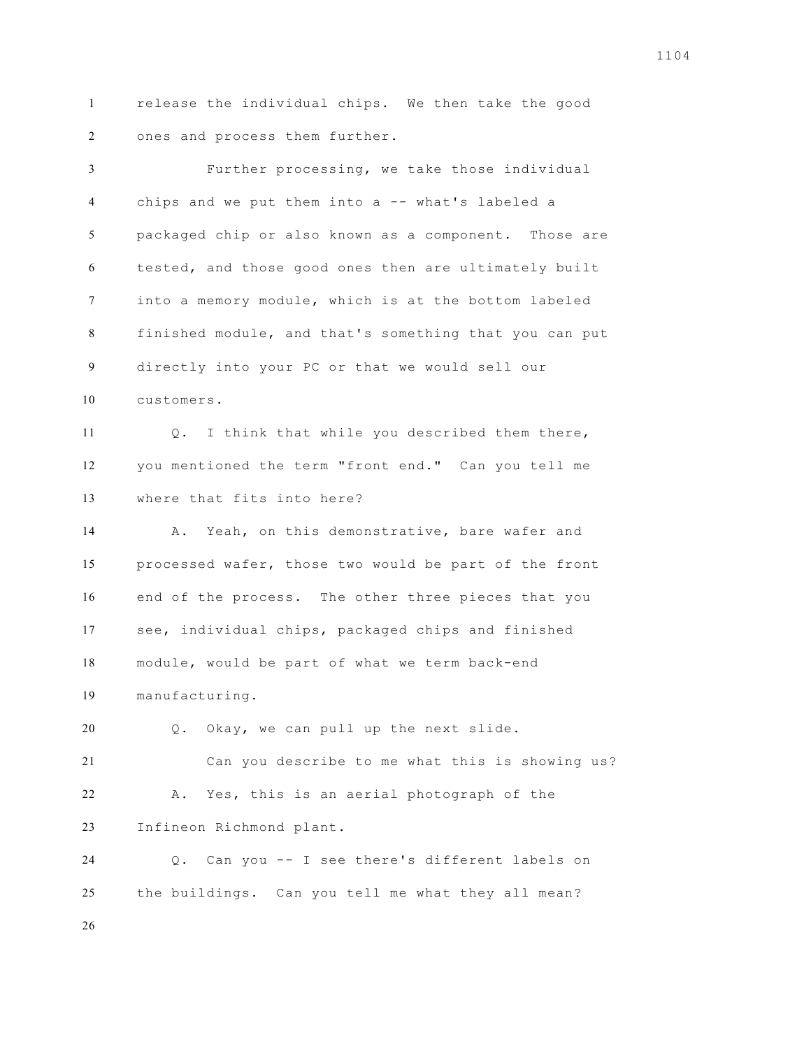release the individual chips. We then take the good ones and process them further.

 Further processing, we take those individual chips and we put them into a -- what's labeled a packaged chip or also known as a component. Those are tested, and those good ones then are ultimately built into a memory module, which is at the bottom labeled finished module, and that's something that you can put directly into your PC or that we would sell our customers.

 Q. I think that while you described them there, you mentioned the term "front end." Can you tell me where that fits into here?

 A. Yeah, on this demonstrative, bare wafer and processed wafer, those two would be part of the front end of the process. The other three pieces that you see, individual chips, packaged chips and finished module, would be part of what we term back-end manufacturing.

Q. Okay, we can pull up the next slide.

 Can you describe to me what this is showing us? A. Yes, this is an aerial photograph of the Infineon Richmond plant.

 Q. Can you -- I see there's different labels on the buildings. Can you tell me what they all mean?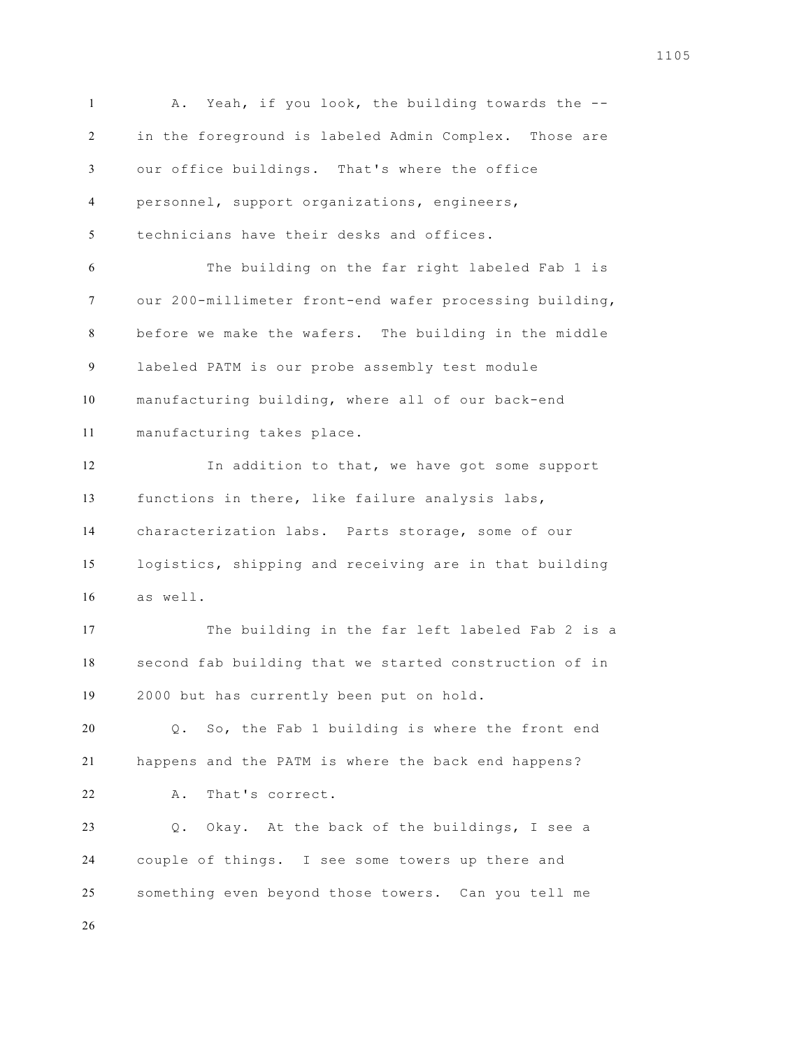A. Yeah, if you look, the building towards the -- in the foreground is labeled Admin Complex. Those are our office buildings. That's where the office personnel, support organizations, engineers, technicians have their desks and offices. The building on the far right labeled Fab 1 is our 200-millimeter front-end wafer processing building, before we make the wafers. The building in the middle labeled PATM is our probe assembly test module manufacturing building, where all of our back-end manufacturing takes place. In addition to that, we have got some support functions in there, like failure analysis labs, characterization labs. Parts storage, some of our logistics, shipping and receiving are in that building as well. The building in the far left labeled Fab 2 is a second fab building that we started construction of in 2000 but has currently been put on hold. Q. So, the Fab 1 building is where the front end happens and the PATM is where the back end happens? A. That's correct. Q. Okay. At the back of the buildings, I see a couple of things. I see some towers up there and something even beyond those towers. Can you tell me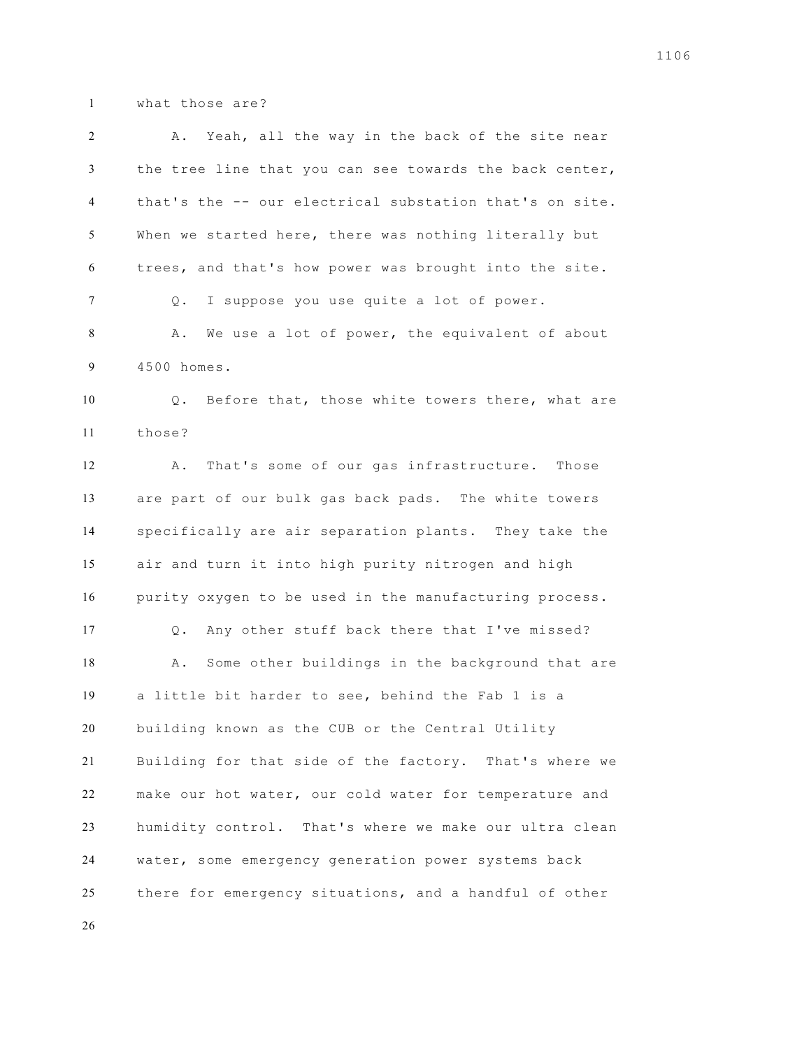what those are?

| 2  | Yeah, all the way in the back of the site near<br>Α.    |
|----|---------------------------------------------------------|
| 3  | the tree line that you can see towards the back center, |
| 4  | that's the -- our electrical substation that's on site. |
| 5  | When we started here, there was nothing literally but   |
| 6  | trees, and that's how power was brought into the site.  |
| 7  | I suppose you use quite a lot of power.<br>Q.           |
| 8  | We use a lot of power, the equivalent of about<br>Α.    |
| 9  | 4500 homes.                                             |
| 10 | Before that, those white towers there, what are<br>Q.   |
| 11 | those?                                                  |
| 12 | That's some of our gas infrastructure. Those<br>Α.      |
| 13 | are part of our bulk gas back pads. The white towers    |
| 14 | specifically are air separation plants. They take the   |
| 15 | air and turn it into high purity nitrogen and high      |
| 16 | purity oxygen to be used in the manufacturing process.  |
| 17 | Any other stuff back there that I've missed?<br>Q.      |
| 18 | Some other buildings in the background that are<br>Α.   |
| 19 | a little bit harder to see, behind the Fab 1 is a       |
| 20 | building known as the CUB or the Central Utility        |
| 21 | Building for that side of the factory. That's where we  |
| 22 | make our hot water, our cold water for temperature and  |
| 23 | humidity control. That's where we make our ultra clean  |
| 24 | water, some emergency generation power systems back     |
| 25 | there for emergency situations, and a handful of other  |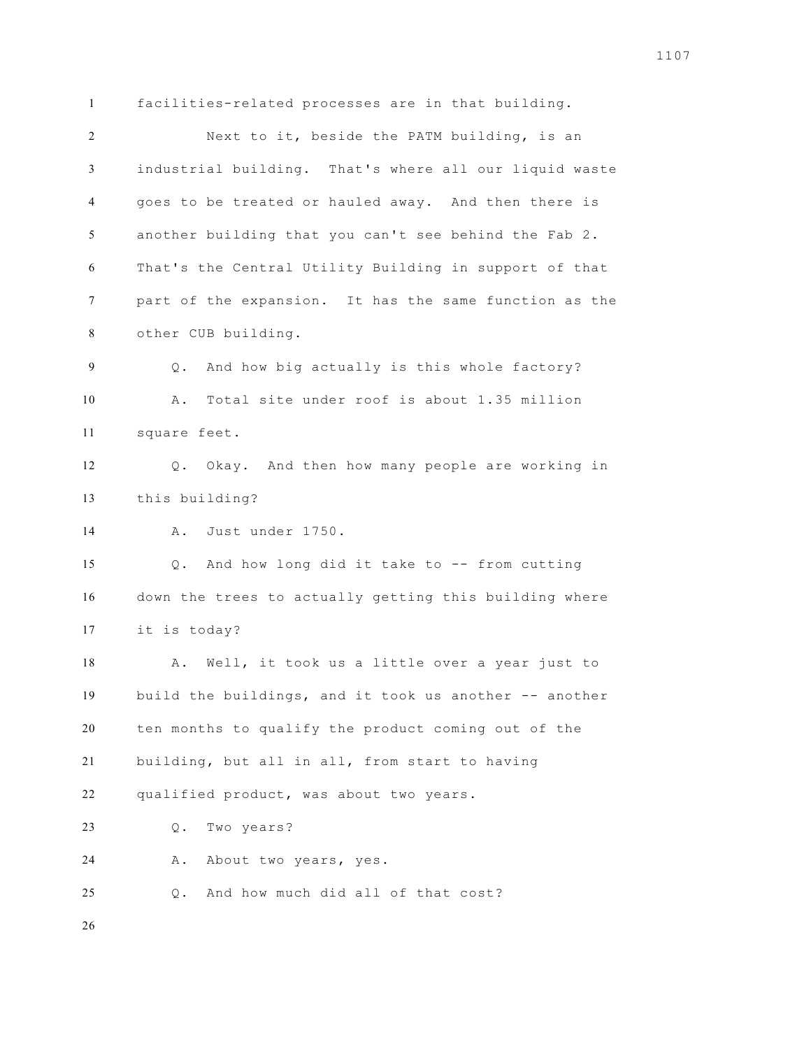facilities-related processes are in that building. Next to it, beside the PATM building, is an industrial building. That's where all our liquid waste goes to be treated or hauled away. And then there is another building that you can't see behind the Fab 2. That's the Central Utility Building in support of that part of the expansion. It has the same function as the other CUB building. Q. And how big actually is this whole factory? A. Total site under roof is about 1.35 million square feet. Q. Okay. And then how many people are working in this building? A. Just under 1750. Q. And how long did it take to -- from cutting down the trees to actually getting this building where it is today? A. Well, it took us a little over a year just to build the buildings, and it took us another -- another ten months to qualify the product coming out of the building, but all in all, from start to having qualified product, was about two years. Q. Two years? A. About two years, yes. Q. And how much did all of that cost?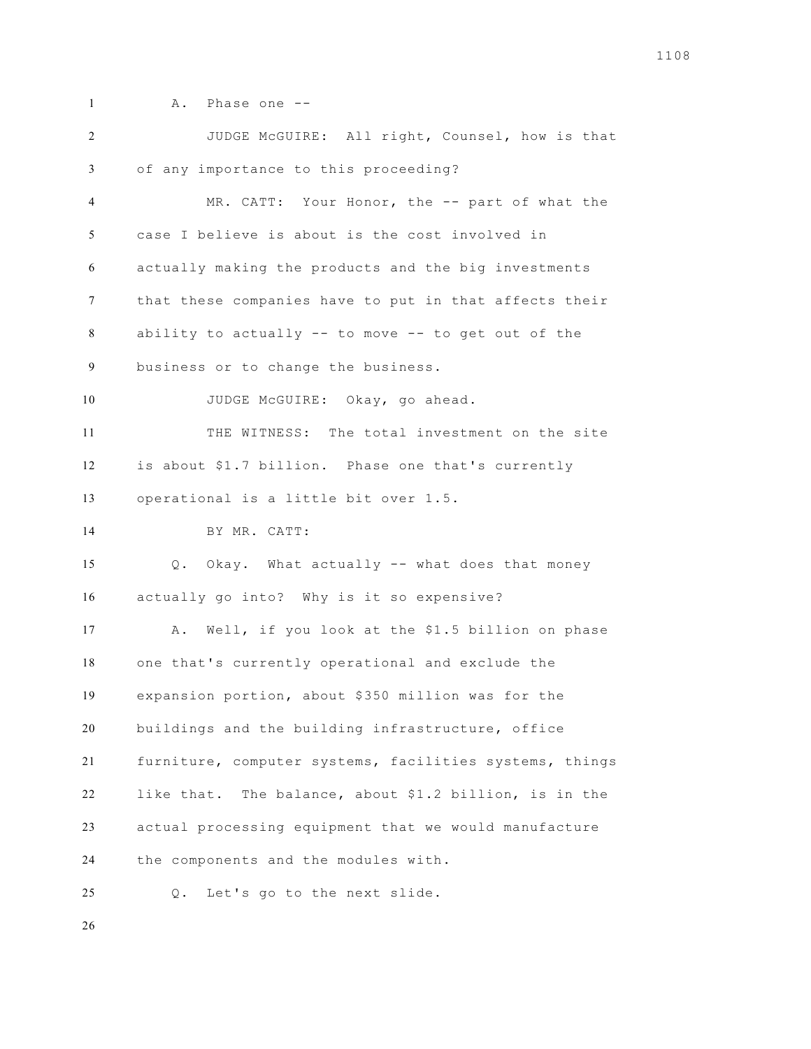- 
- 1 A. Phase one --

 JUDGE McGUIRE: All right, Counsel, how is that of any importance to this proceeding? MR. CATT: Your Honor, the -- part of what the case I believe is about is the cost involved in actually making the products and the big investments that these companies have to put in that affects their ability to actually -- to move -- to get out of the business or to change the business. JUDGE McGUIRE: Okay, go ahead. THE WITNESS: The total investment on the site is about \$1.7 billion. Phase one that's currently operational is a little bit over 1.5. BY MR. CATT: Q. Okay. What actually -- what does that money actually go into? Why is it so expensive? A. Well, if you look at the \$1.5 billion on phase one that's currently operational and exclude the expansion portion, about \$350 million was for the buildings and the building infrastructure, office furniture, computer systems, facilities systems, things like that. The balance, about \$1.2 billion, is in the actual processing equipment that we would manufacture the components and the modules with. Q. Let's go to the next slide.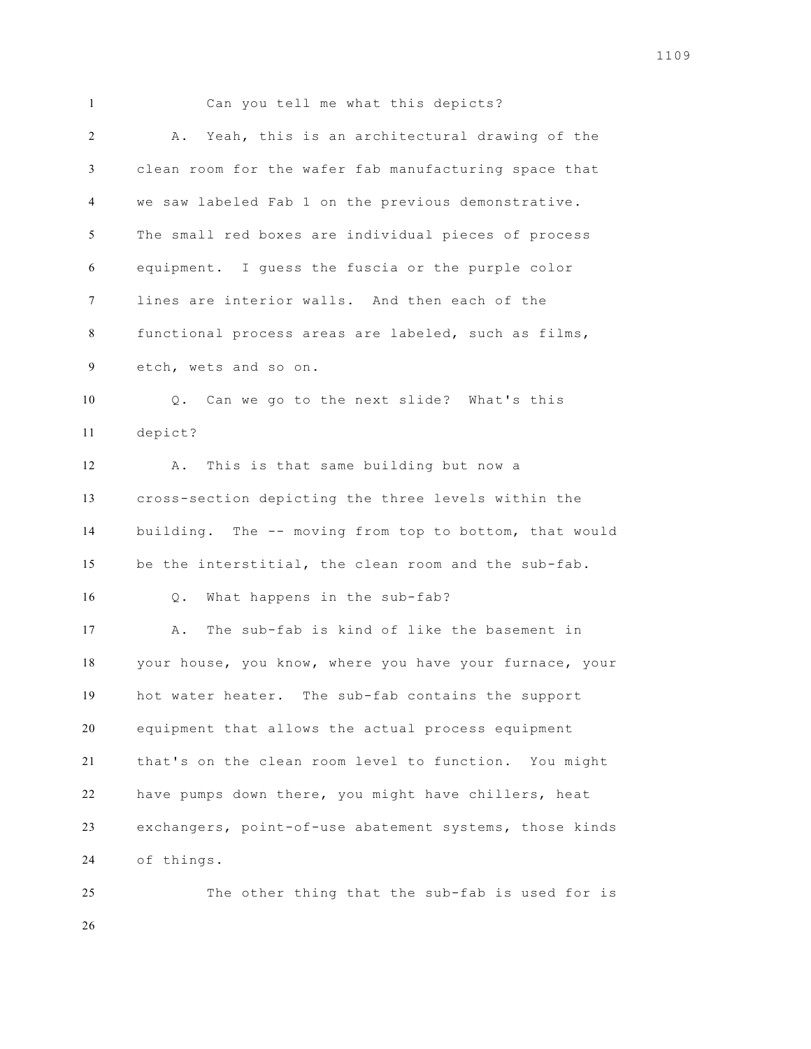Can you tell me what this depicts? A. Yeah, this is an architectural drawing of the clean room for the wafer fab manufacturing space that we saw labeled Fab 1 on the previous demonstrative. The small red boxes are individual pieces of process equipment. I guess the fuscia or the purple color lines are interior walls. And then each of the functional process areas are labeled, such as films, etch, wets and so on. Q. Can we go to the next slide? What's this depict? A. This is that same building but now a cross-section depicting the three levels within the building. The -- moving from top to bottom, that would be the interstitial, the clean room and the sub-fab. Q. What happens in the sub-fab? A. The sub-fab is kind of like the basement in your house, you know, where you have your furnace, your hot water heater. The sub-fab contains the support equipment that allows the actual process equipment that's on the clean room level to function. You might have pumps down there, you might have chillers, heat exchangers, point-of-use abatement systems, those kinds of things. The other thing that the sub-fab is used for is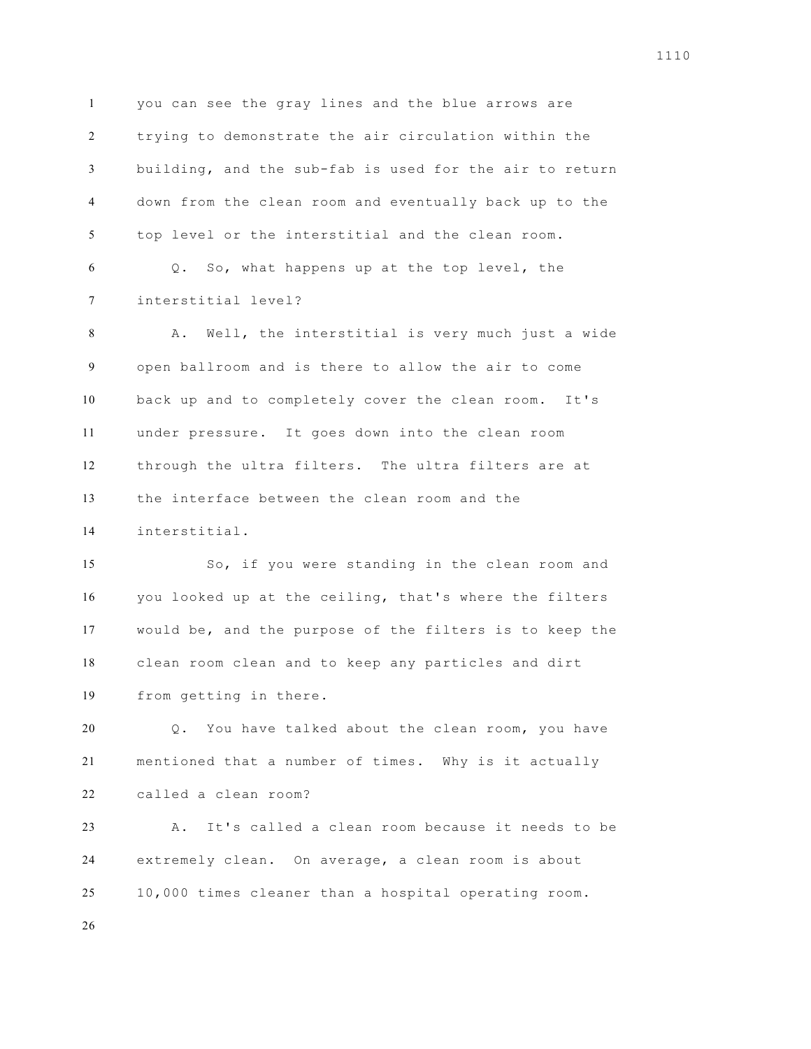you can see the gray lines and the blue arrows are trying to demonstrate the air circulation within the building, and the sub-fab is used for the air to return down from the clean room and eventually back up to the top level or the interstitial and the clean room. Q. So, what happens up at the top level, the interstitial level? A. Well, the interstitial is very much just a wide open ballroom and is there to allow the air to come back up and to completely cover the clean room. It's under pressure. It goes down into the clean room through the ultra filters. The ultra filters are at the interface between the clean room and the interstitial. So, if you were standing in the clean room and you looked up at the ceiling, that's where the filters would be, and the purpose of the filters is to keep the clean room clean and to keep any particles and dirt from getting in there.

 Q. You have talked about the clean room, you have mentioned that a number of times. Why is it actually called a clean room?

 A. It's called a clean room because it needs to be extremely clean. On average, a clean room is about 10,000 times cleaner than a hospital operating room.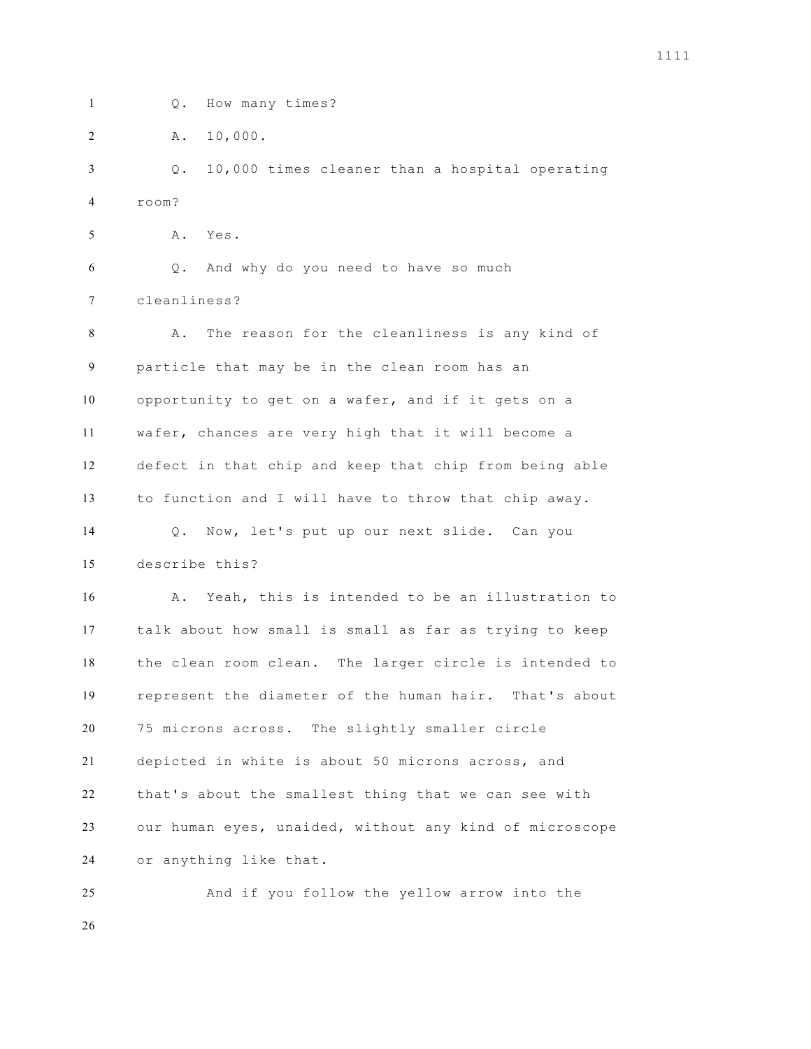Q. How many times?

A. 10,000.

 Q. 10,000 times cleaner than a hospital operating room?

A. Yes.

 Q. And why do you need to have so much cleanliness?

 A. The reason for the cleanliness is any kind of particle that may be in the clean room has an opportunity to get on a wafer, and if it gets on a wafer, chances are very high that it will become a defect in that chip and keep that chip from being able to function and I will have to throw that chip away. Q. Now, let's put up our next slide. Can you describe this?

 A. Yeah, this is intended to be an illustration to talk about how small is small as far as trying to keep the clean room clean. The larger circle is intended to represent the diameter of the human hair. That's about 75 microns across. The slightly smaller circle depicted in white is about 50 microns across, and that's about the smallest thing that we can see with our human eyes, unaided, without any kind of microscope or anything like that.

 And if you follow the yellow arrow into the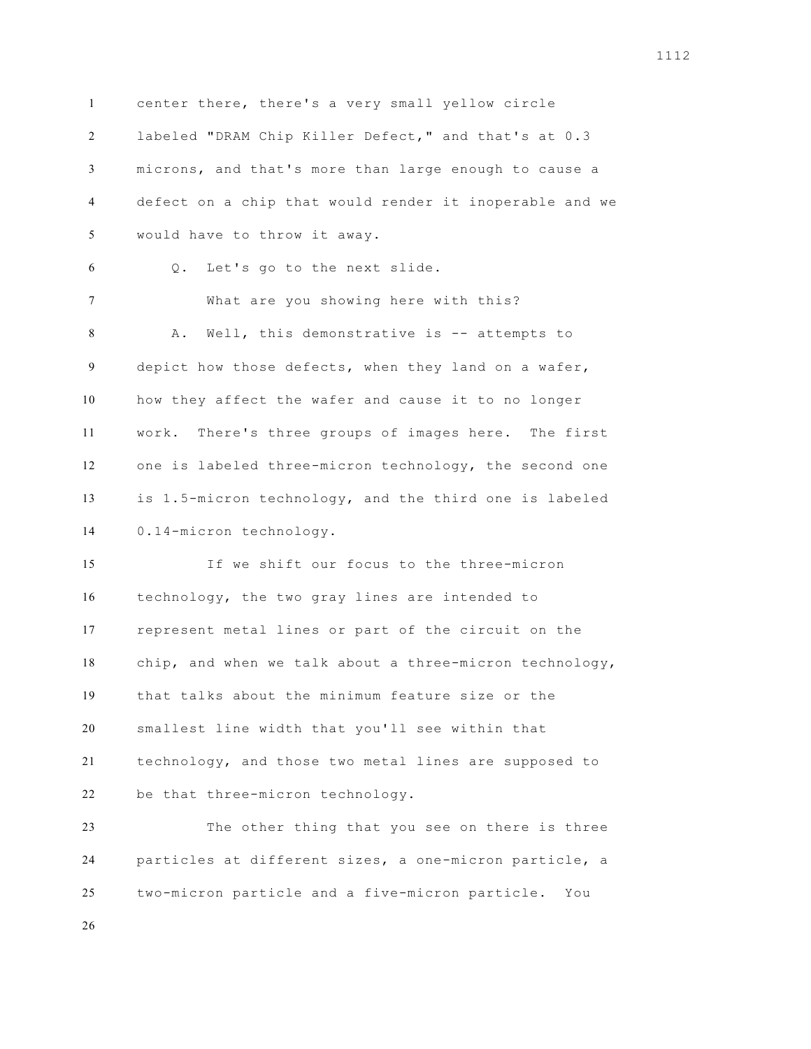center there, there's a very small yellow circle labeled "DRAM Chip Killer Defect," and that's at 0.3 microns, and that's more than large enough to cause a defect on a chip that would render it inoperable and we would have to throw it away. Q. Let's go to the next slide. What are you showing here with this? 8 A. Well, this demonstrative is -- attempts to depict how those defects, when they land on a wafer, how they affect the wafer and cause it to no longer work. There's three groups of images here. The first one is labeled three-micron technology, the second one is 1.5-micron technology, and the third one is labeled 0.14-micron technology. If we shift our focus to the three-micron technology, the two gray lines are intended to represent metal lines or part of the circuit on the chip, and when we talk about a three-micron technology, that talks about the minimum feature size or the smallest line width that you'll see within that technology, and those two metal lines are supposed to be that three-micron technology. The other thing that you see on there is three particles at different sizes, a one-micron particle, a

two-micron particle and a five-micron particle. You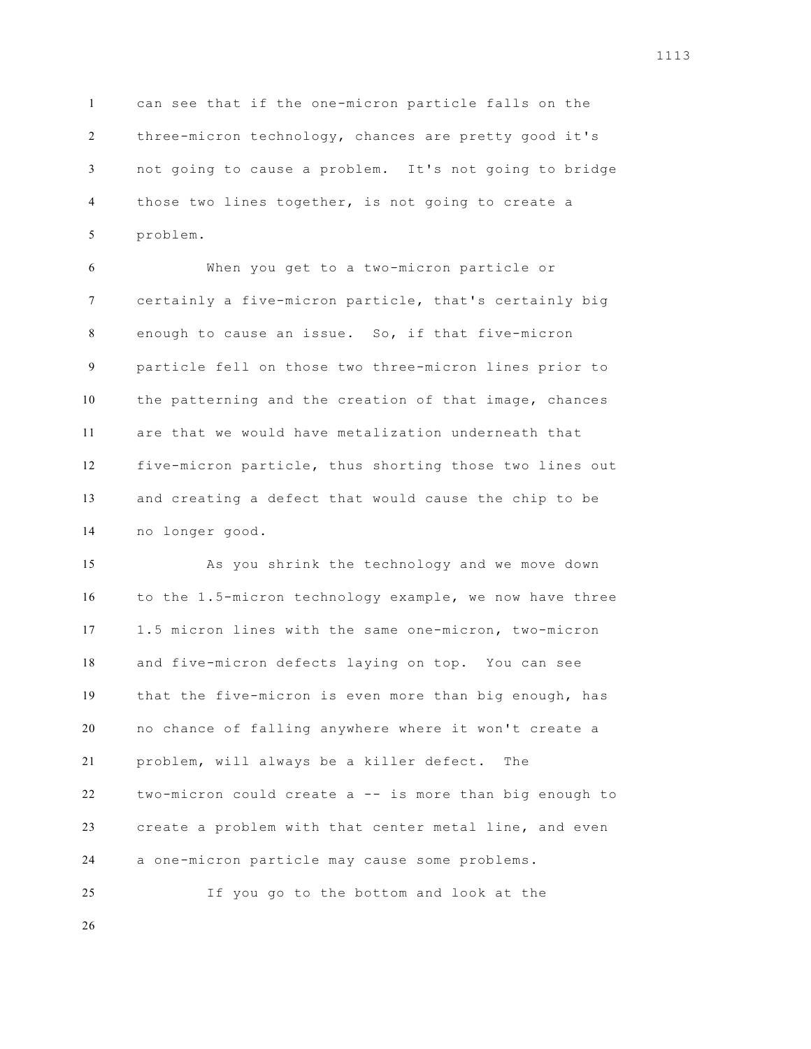can see that if the one-micron particle falls on the three-micron technology, chances are pretty good it's not going to cause a problem. It's not going to bridge those two lines together, is not going to create a problem.

 When you get to a two-micron particle or certainly a five-micron particle, that's certainly big enough to cause an issue. So, if that five-micron particle fell on those two three-micron lines prior to the patterning and the creation of that image, chances are that we would have metalization underneath that five-micron particle, thus shorting those two lines out and creating a defect that would cause the chip to be no longer good.

 As you shrink the technology and we move down to the 1.5-micron technology example, we now have three 1.5 micron lines with the same one-micron, two-micron and five-micron defects laying on top. You can see that the five-micron is even more than big enough, has no chance of falling anywhere where it won't create a problem, will always be a killer defect. The two-micron could create a -- is more than big enough to create a problem with that center metal line, and even a one-micron particle may cause some problems.

If you go to the bottom and look at the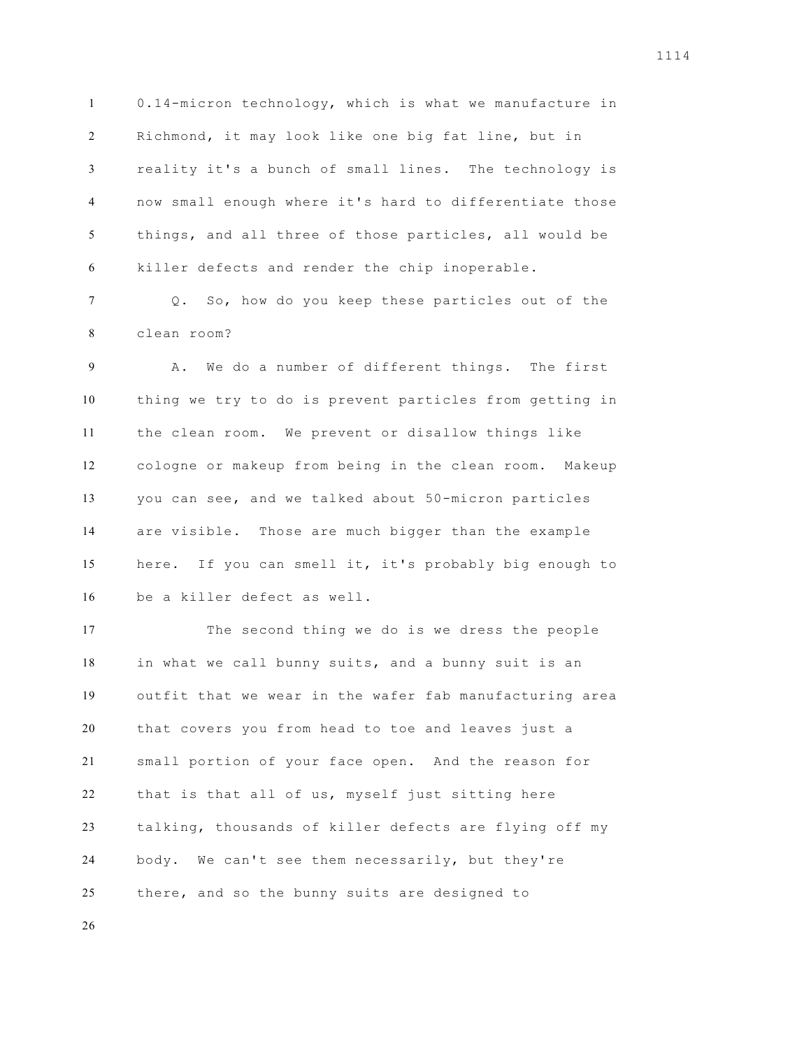0.14-micron technology, which is what we manufacture in Richmond, it may look like one big fat line, but in reality it's a bunch of small lines. The technology is now small enough where it's hard to differentiate those things, and all three of those particles, all would be killer defects and render the chip inoperable.

 Q. So, how do you keep these particles out of the clean room?

 A. We do a number of different things. The first thing we try to do is prevent particles from getting in the clean room. We prevent or disallow things like cologne or makeup from being in the clean room. Makeup you can see, and we talked about 50-micron particles are visible. Those are much bigger than the example here. If you can smell it, it's probably big enough to be a killer defect as well.

 The second thing we do is we dress the people in what we call bunny suits, and a bunny suit is an outfit that we wear in the wafer fab manufacturing area that covers you from head to toe and leaves just a small portion of your face open. And the reason for that is that all of us, myself just sitting here talking, thousands of killer defects are flying off my body. We can't see them necessarily, but they're there, and so the bunny suits are designed to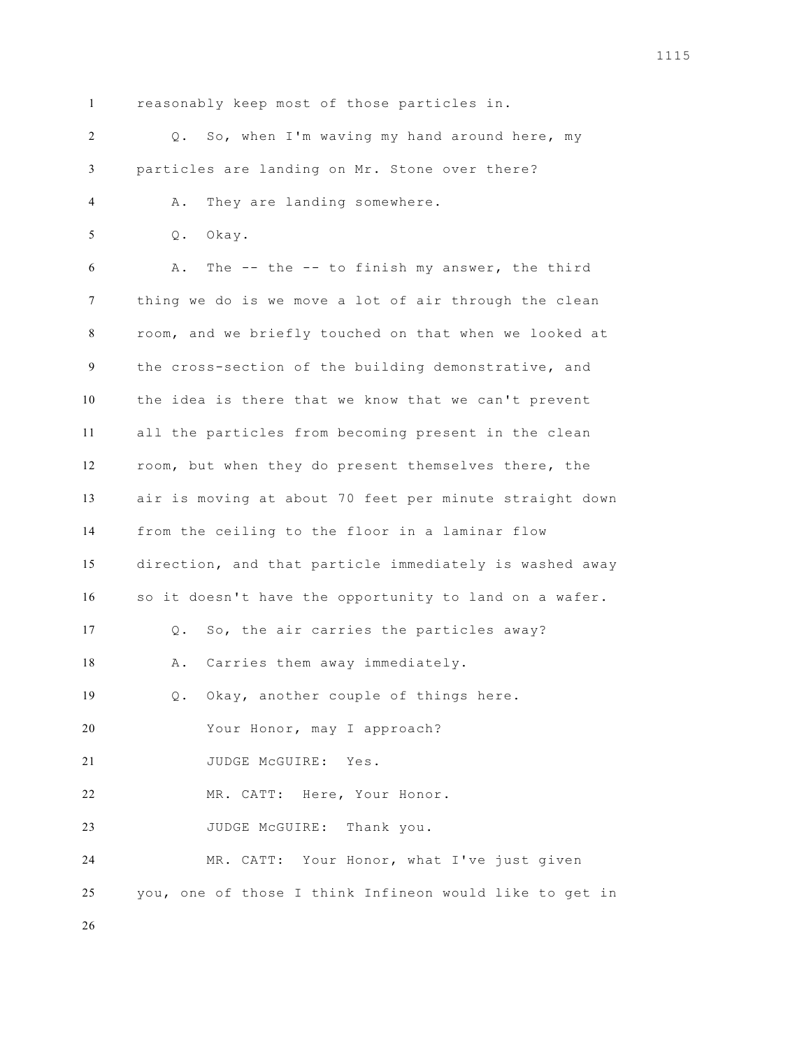reasonably keep most of those particles in.

 Q. So, when I'm waving my hand around here, my particles are landing on Mr. Stone over there? A. They are landing somewhere. Q. Okay. A. The -- the -- to finish my answer, the third thing we do is we move a lot of air through the clean room, and we briefly touched on that when we looked at the cross-section of the building demonstrative, and the idea is there that we know that we can't prevent all the particles from becoming present in the clean room, but when they do present themselves there, the air is moving at about 70 feet per minute straight down from the ceiling to the floor in a laminar flow direction, and that particle immediately is washed away so it doesn't have the opportunity to land on a wafer. Q. So, the air carries the particles away? 18 A. Carries them away immediately. Q. Okay, another couple of things here. Your Honor, may I approach? 21 JUDGE McGUIRE: Yes. MR. CATT: Here, Your Honor. 23 JUDGE McGUIRE: Thank you. MR. CATT: Your Honor, what I've just given you, one of those I think Infineon would like to get in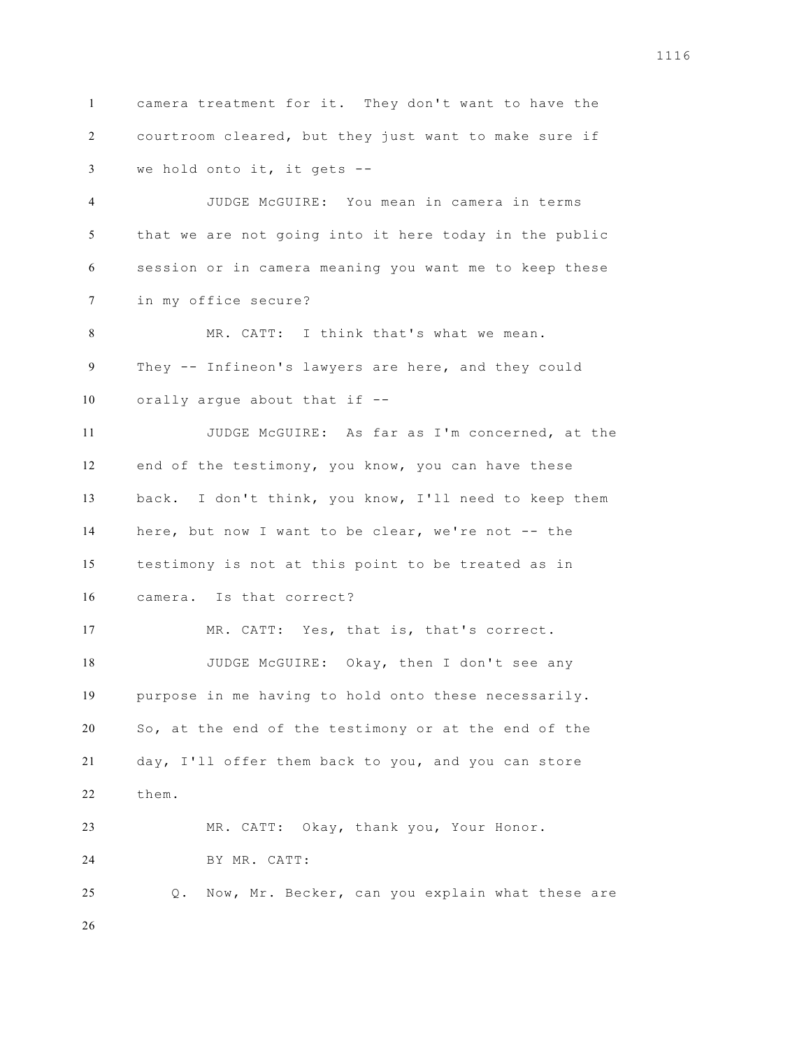camera treatment for it. They don't want to have the courtroom cleared, but they just want to make sure if we hold onto it, it gets -- JUDGE McGUIRE: You mean in camera in terms that we are not going into it here today in the public session or in camera meaning you want me to keep these in my office secure? MR. CATT: I think that's what we mean. They -- Infineon's lawyers are here, and they could orally argue about that if -- JUDGE McGUIRE: As far as I'm concerned, at the end of the testimony, you know, you can have these back. I don't think, you know, I'll need to keep them here, but now I want to be clear, we're not -- the testimony is not at this point to be treated as in camera. Is that correct? MR. CATT: Yes, that is, that's correct. 18 JUDGE McGUIRE: Okay, then I don't see any purpose in me having to hold onto these necessarily. So, at the end of the testimony or at the end of the day, I'll offer them back to you, and you can store them. MR. CATT: Okay, thank you, Your Honor. BY MR. CATT: Q. Now, Mr. Becker, can you explain what these are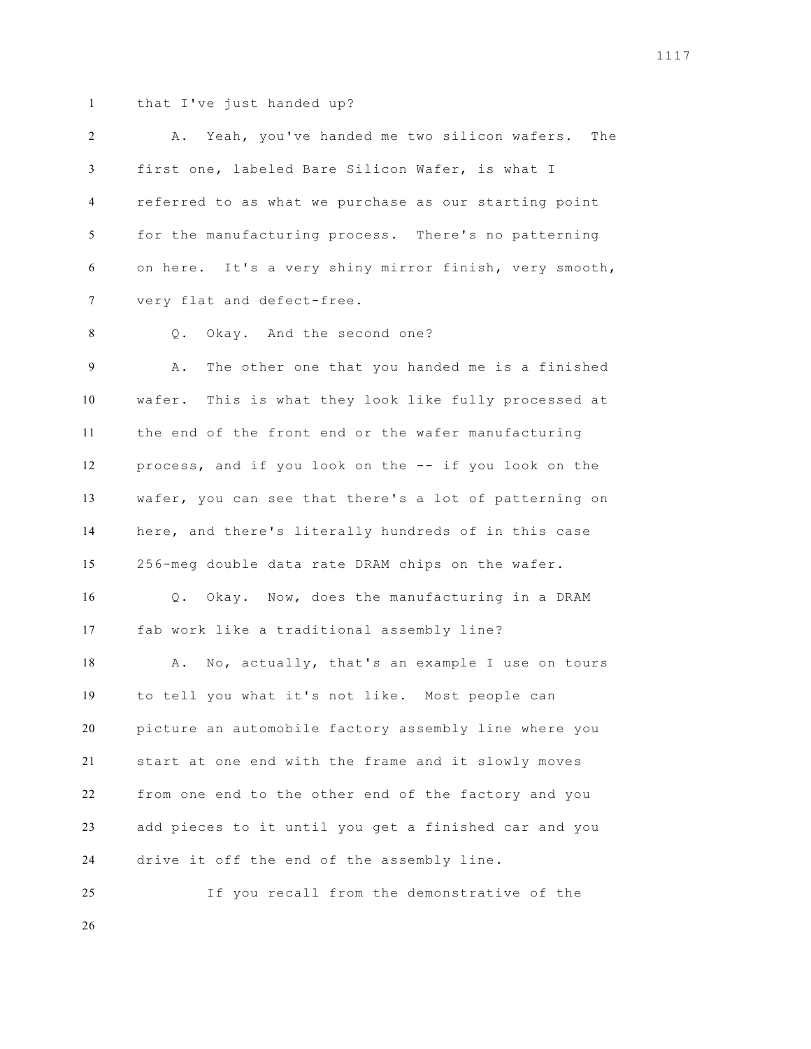that I've just handed up?

 A. Yeah, you've handed me two silicon wafers. The first one, labeled Bare Silicon Wafer, is what I referred to as what we purchase as our starting point for the manufacturing process. There's no patterning on here. It's a very shiny mirror finish, very smooth, very flat and defect-free.

8 Q. Okay. And the second one?

 A. The other one that you handed me is a finished wafer. This is what they look like fully processed at the end of the front end or the wafer manufacturing process, and if you look on the -- if you look on the wafer, you can see that there's a lot of patterning on here, and there's literally hundreds of in this case 256-meg double data rate DRAM chips on the wafer. Q. Okay. Now, does the manufacturing in a DRAM fab work like a traditional assembly line? 18 A. No, actually, that's an example I use on tours to tell you what it's not like. Most people can picture an automobile factory assembly line where you start at one end with the frame and it slowly moves from one end to the other end of the factory and you add pieces to it until you get a finished car and you drive it off the end of the assembly line.

If you recall from the demonstrative of the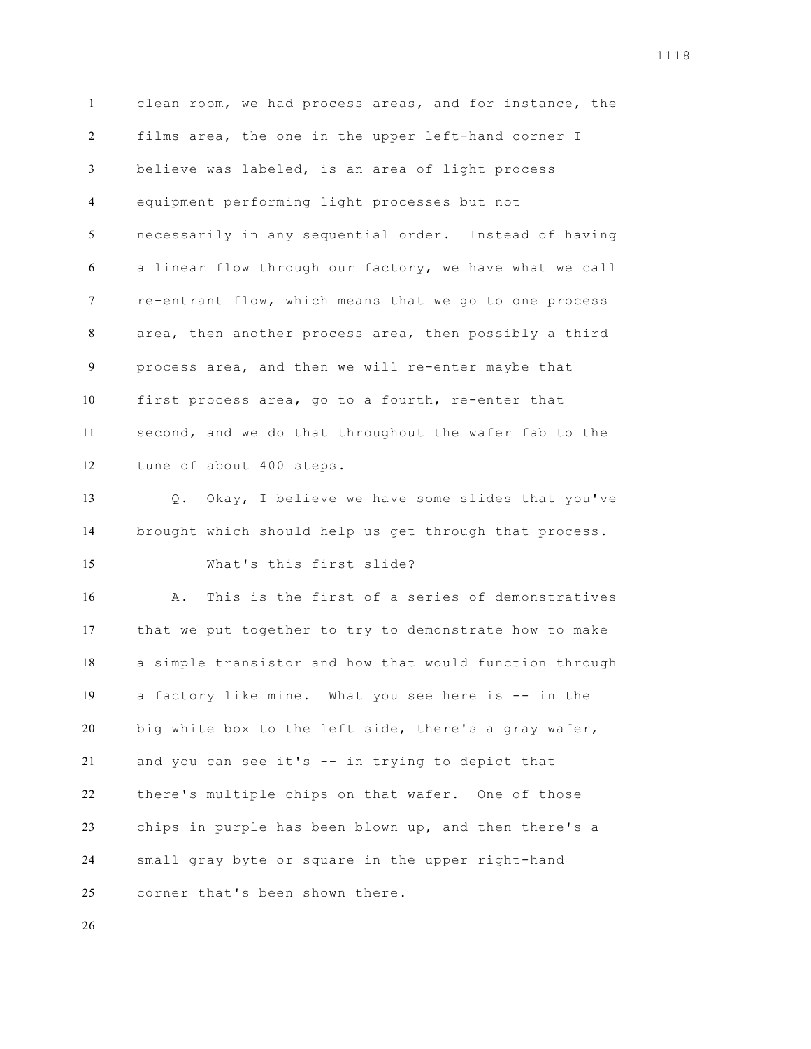clean room, we had process areas, and for instance, the films area, the one in the upper left-hand corner I believe was labeled, is an area of light process equipment performing light processes but not necessarily in any sequential order. Instead of having a linear flow through our factory, we have what we call re-entrant flow, which means that we go to one process area, then another process area, then possibly a third process area, and then we will re-enter maybe that first process area, go to a fourth, re-enter that second, and we do that throughout the wafer fab to the tune of about 400 steps. Q. Okay, I believe we have some slides that you've brought which should help us get through that process. What's this first slide? A. This is the first of a series of demonstratives that we put together to try to demonstrate how to make a simple transistor and how that would function through a factory like mine. What you see here is -- in the big white box to the left side, there's a gray wafer, and you can see it's -- in trying to depict that there's multiple chips on that wafer. One of those chips in purple has been blown up, and then there's a small gray byte or square in the upper right-hand corner that's been shown there.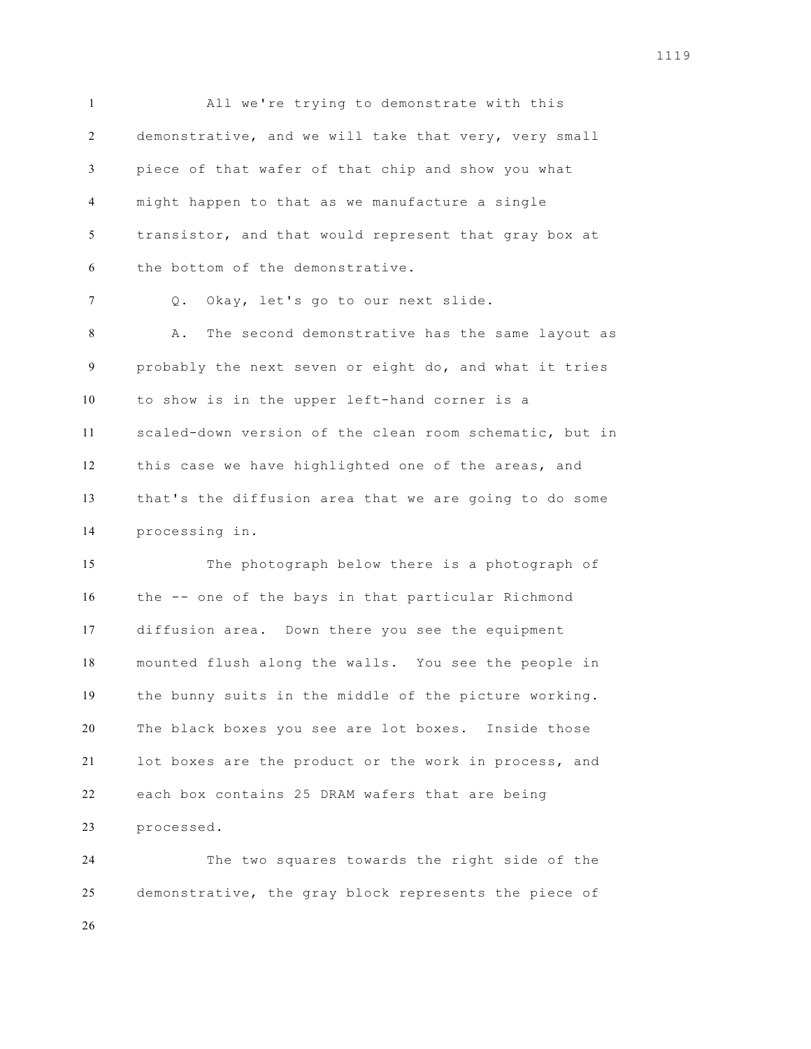All we're trying to demonstrate with this demonstrative, and we will take that very, very small piece of that wafer of that chip and show you what might happen to that as we manufacture a single transistor, and that would represent that gray box at the bottom of the demonstrative.

Q. Okay, let's go to our next slide.

 A. The second demonstrative has the same layout as probably the next seven or eight do, and what it tries to show is in the upper left-hand corner is a scaled-down version of the clean room schematic, but in this case we have highlighted one of the areas, and that's the diffusion area that we are going to do some processing in.

 The photograph below there is a photograph of the -- one of the bays in that particular Richmond diffusion area. Down there you see the equipment mounted flush along the walls. You see the people in the bunny suits in the middle of the picture working. The black boxes you see are lot boxes. Inside those lot boxes are the product or the work in process, and each box contains 25 DRAM wafers that are being processed.

 The two squares towards the right side of the demonstrative, the gray block represents the piece of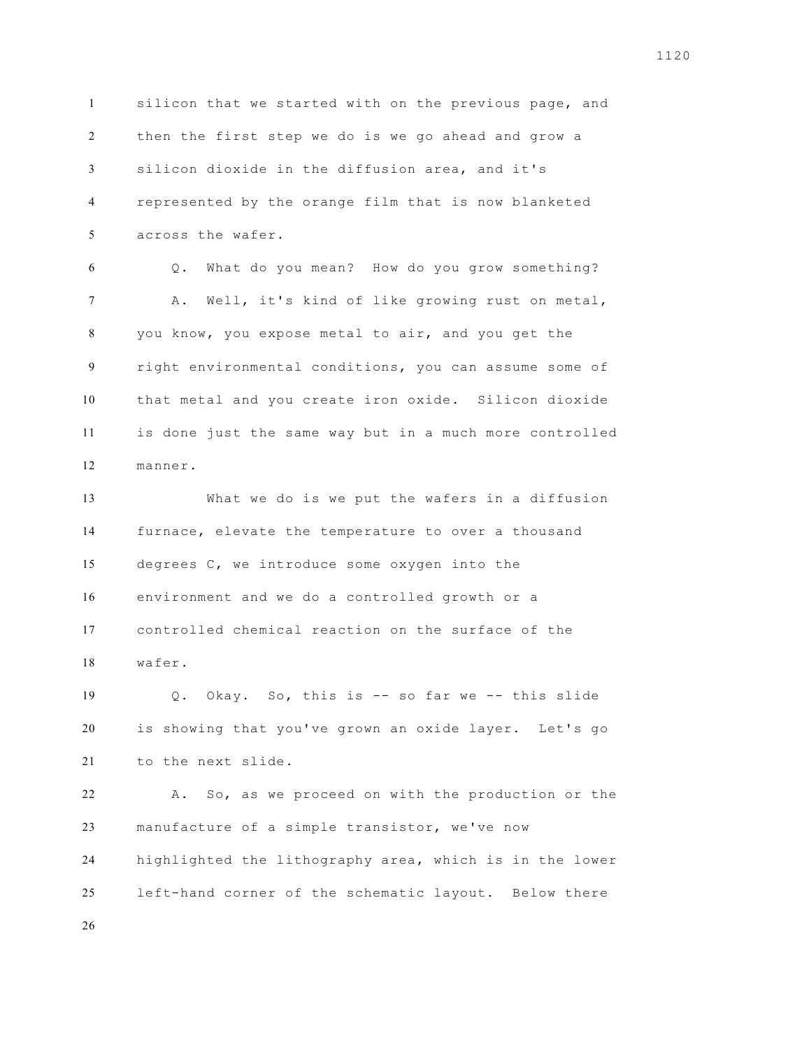silicon that we started with on the previous page, and then the first step we do is we go ahead and grow a silicon dioxide in the diffusion area, and it's represented by the orange film that is now blanketed across the wafer. Q. What do you mean? How do you grow something? A. Well, it's kind of like growing rust on metal, you know, you expose metal to air, and you get the right environmental conditions, you can assume some of that metal and you create iron oxide. Silicon dioxide is done just the same way but in a much more controlled manner. What we do is we put the wafers in a diffusion furnace, elevate the temperature to over a thousand degrees C, we introduce some oxygen into the environment and we do a controlled growth or a controlled chemical reaction on the surface of the wafer. Q. Okay. So, this is -- so far we -- this slide is showing that you've grown an oxide layer. Let's go to the next slide. A. So, as we proceed on with the production or the manufacture of a simple transistor, we've now highlighted the lithography area, which is in the lower left-hand corner of the schematic layout. Below there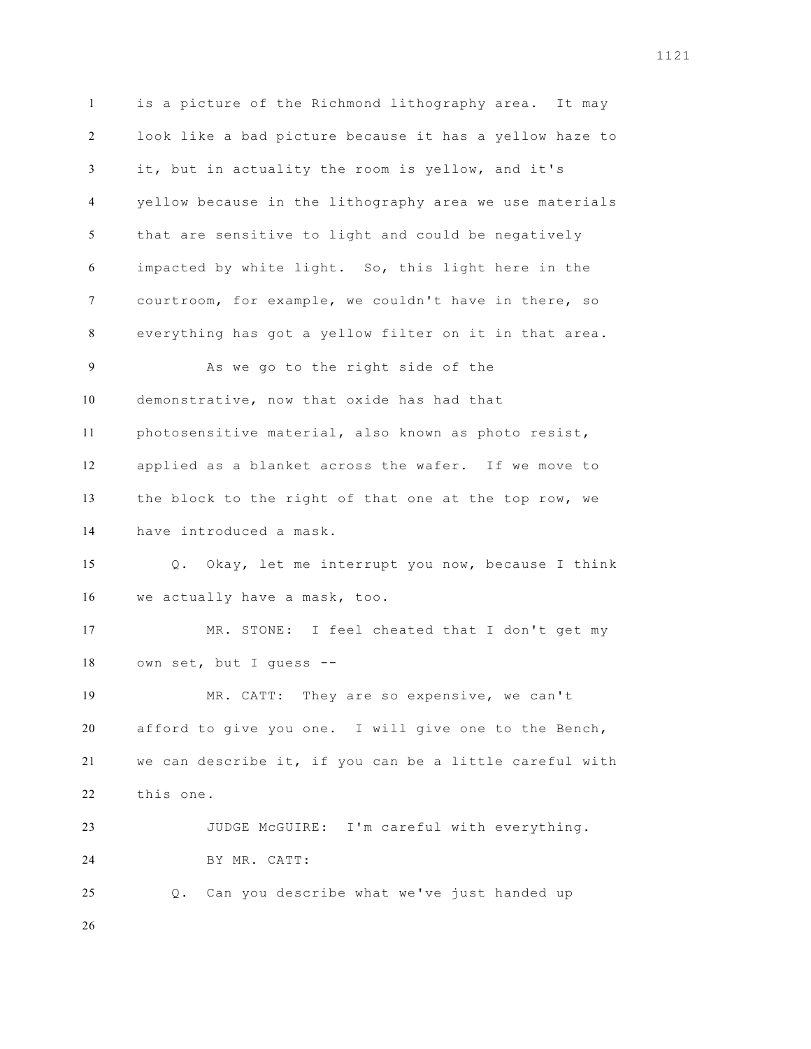is a picture of the Richmond lithography area. It may look like a bad picture because it has a yellow haze to it, but in actuality the room is yellow, and it's yellow because in the lithography area we use materials that are sensitive to light and could be negatively impacted by white light. So, this light here in the courtroom, for example, we couldn't have in there, so everything has got a yellow filter on it in that area. As we go to the right side of the demonstrative, now that oxide has had that photosensitive material, also known as photo resist, applied as a blanket across the wafer. If we move to the block to the right of that one at the top row, we have introduced a mask. Q. Okay, let me interrupt you now, because I think we actually have a mask, too. MR. STONE: I feel cheated that I don't get my own set, but I guess -- MR. CATT: They are so expensive, we can't afford to give you one. I will give one to the Bench, we can describe it, if you can be a little careful with this one. JUDGE McGUIRE: I'm careful with everything. BY MR. CATT: Q. Can you describe what we've just handed up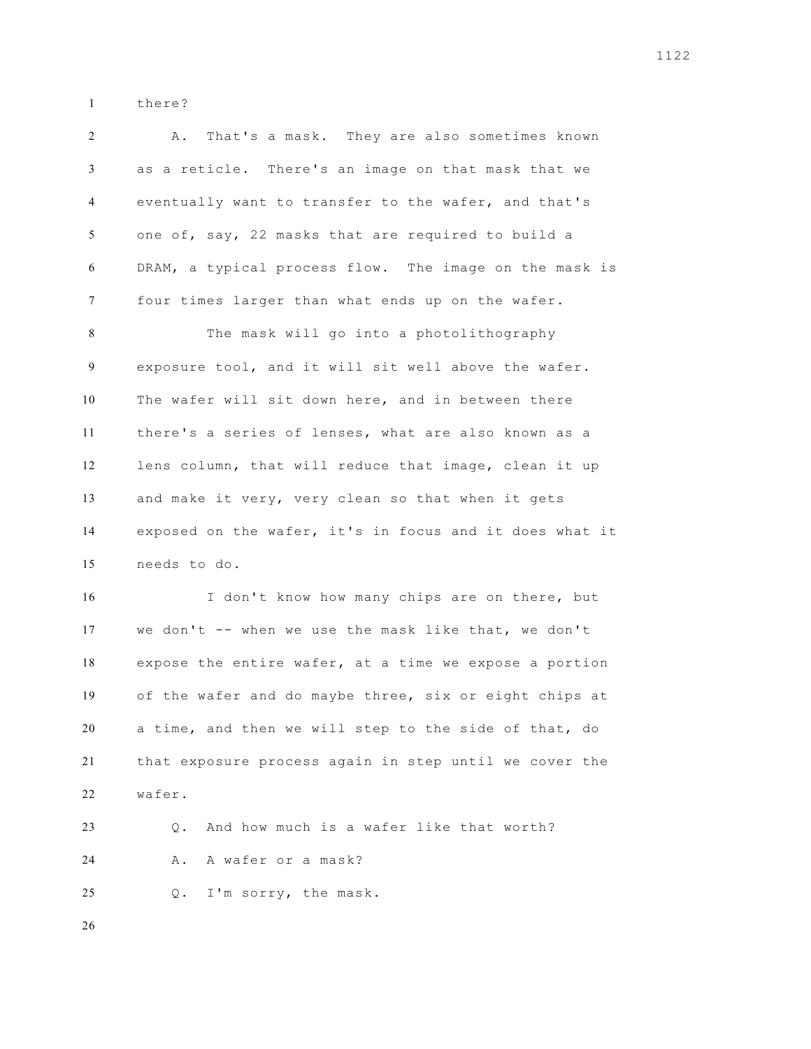there?

| 2      | That's a mask. They are also sometimes known<br>Α.      |
|--------|---------------------------------------------------------|
| 3      | as a reticle. There's an image on that mask that we     |
| 4      | eventually want to transfer to the wafer, and that's    |
| 5      | one of, say, 22 masks that are required to build a      |
| 6      | DRAM, a typical process flow. The image on the mask is  |
| $\tau$ | four times larger than what ends up on the wafer.       |
| 8      | The mask will go into a photolithography                |
| 9      | exposure tool, and it will sit well above the wafer.    |
| 10     | The wafer will sit down here, and in between there      |
| 11     | there's a series of lenses, what are also known as a    |
| 12     | lens column, that will reduce that image, clean it up   |
| 13     | and make it very, very clean so that when it gets       |
| 14     | exposed on the wafer, it's in focus and it does what it |
| 15     | needs to do.                                            |
| 16     | I don't know how many chips are on there, but           |
| 17     | we don't -- when we use the mask like that, we don't    |
| 18     | expose the entire wafer, at a time we expose a portion  |
| 19     | of the wafer and do maybe three, six or eight chips at  |
| 20     | a time, and then we will step to the side of that, do   |
| 21     | that exposure process again in step until we cover the  |
| 22     | wafer.                                                  |
| 23     | And how much is a wafer like that worth?<br>Q.          |
| 24     | A wafer or a mask?<br>Α.                                |
|        |                                                         |

Q. I'm sorry, the mask.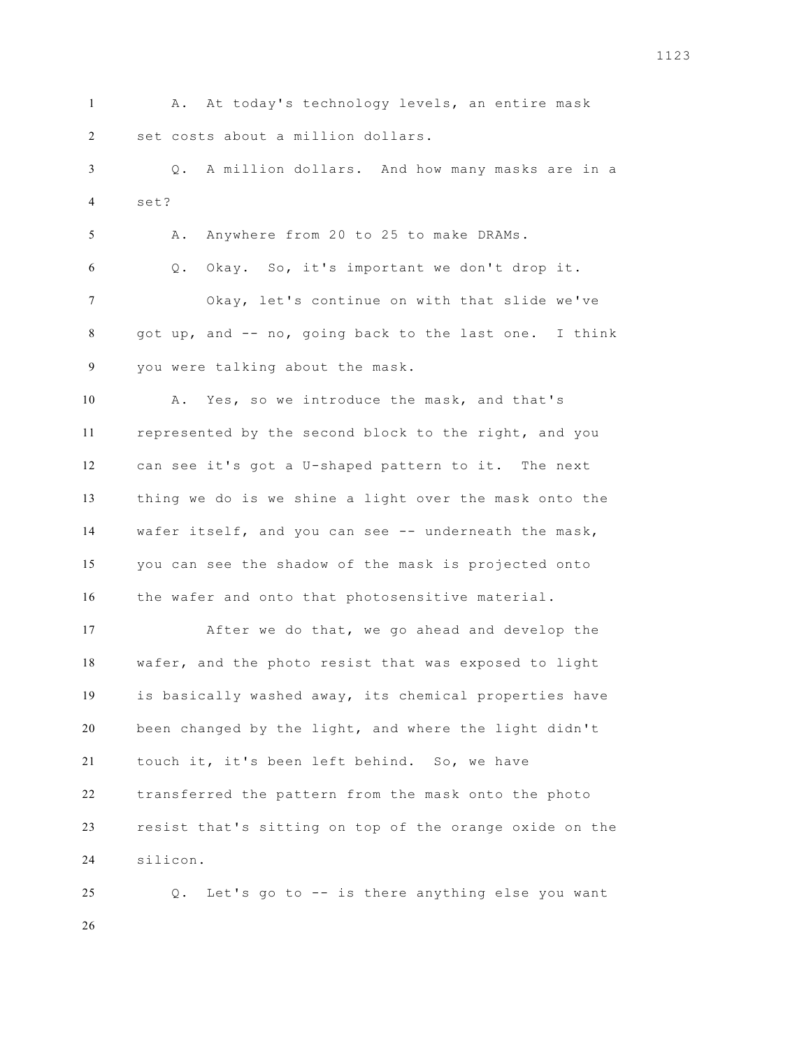A. At today's technology levels, an entire mask set costs about a million dollars.

 Q. A million dollars. And how many masks are in a set?

A. Anywhere from 20 to 25 to make DRAMs.

 Q. Okay. So, it's important we don't drop it. Okay, let's continue on with that slide we've got up, and -- no, going back to the last one. I think you were talking about the mask.

 A. Yes, so we introduce the mask, and that's represented by the second block to the right, and you can see it's got a U-shaped pattern to it. The next thing we do is we shine a light over the mask onto the wafer itself, and you can see -- underneath the mask, you can see the shadow of the mask is projected onto the wafer and onto that photosensitive material.

 After we do that, we go ahead and develop the wafer, and the photo resist that was exposed to light is basically washed away, its chemical properties have been changed by the light, and where the light didn't touch it, it's been left behind. So, we have transferred the pattern from the mask onto the photo resist that's sitting on top of the orange oxide on the silicon.

 Q. Let's go to -- is there anything else you want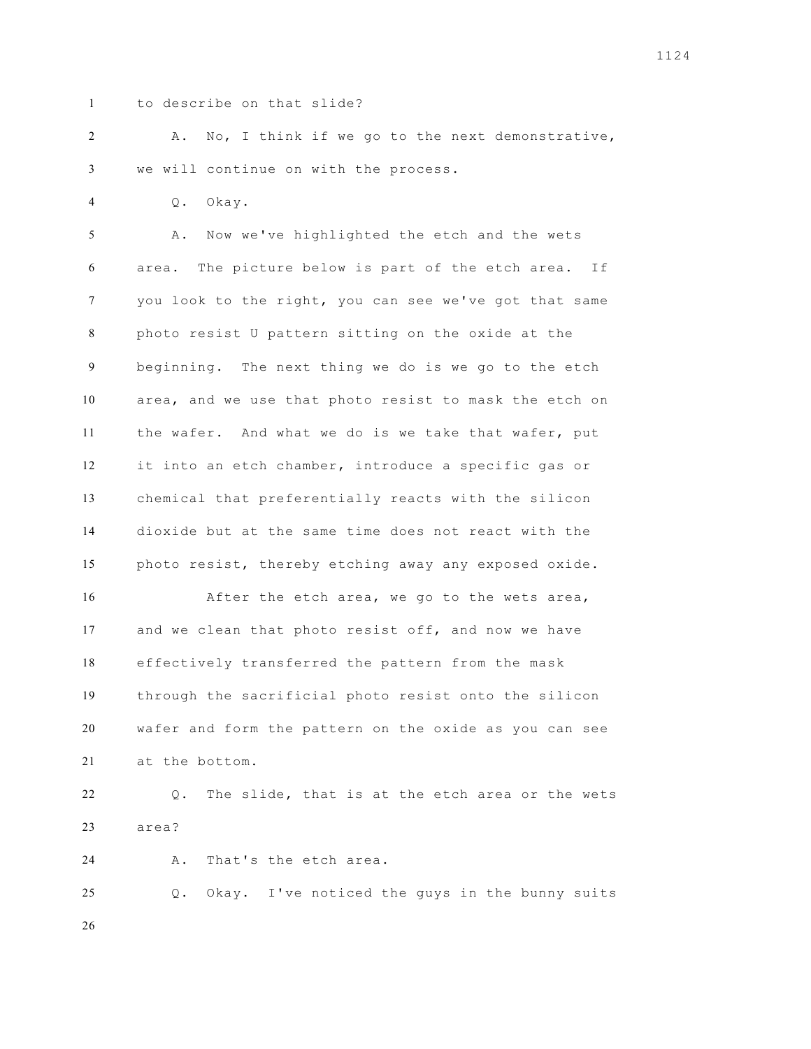to describe on that slide?

 A. No, I think if we go to the next demonstrative, we will continue on with the process.

Q. Okay.

 A. Now we've highlighted the etch and the wets area. The picture below is part of the etch area. If you look to the right, you can see we've got that same photo resist U pattern sitting on the oxide at the beginning. The next thing we do is we go to the etch area, and we use that photo resist to mask the etch on the wafer. And what we do is we take that wafer, put it into an etch chamber, introduce a specific gas or chemical that preferentially reacts with the silicon dioxide but at the same time does not react with the photo resist, thereby etching away any exposed oxide. After the etch area, we go to the wets area, and we clean that photo resist off, and now we have effectively transferred the pattern from the mask through the sacrificial photo resist onto the silicon wafer and form the pattern on the oxide as you can see at the bottom.

 Q. The slide, that is at the etch area or the wets area?

A. That's the etch area.

 Q. Okay. I've noticed the guys in the bunny suits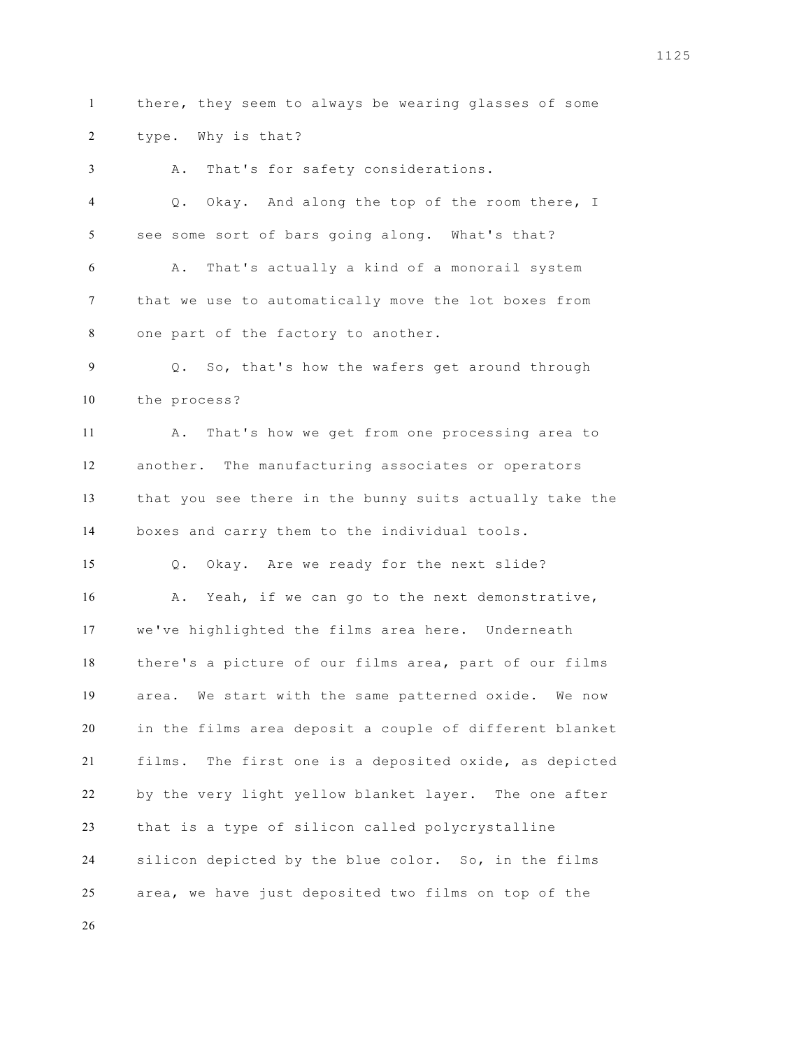there, they seem to always be wearing glasses of some type. Why is that?

 A. That's for safety considerations. Q. Okay. And along the top of the room there, I see some sort of bars going along. What's that? A. That's actually a kind of a monorail system that we use to automatically move the lot boxes from one part of the factory to another. Q. So, that's how the wafers get around through the process? A. That's how we get from one processing area to another. The manufacturing associates or operators that you see there in the bunny suits actually take the boxes and carry them to the individual tools. Q. Okay. Are we ready for the next slide? 16 A. Yeah, if we can go to the next demonstrative, we've highlighted the films area here. Underneath there's a picture of our films area, part of our films area. We start with the same patterned oxide. We now in the films area deposit a couple of different blanket films. The first one is a deposited oxide, as depicted by the very light yellow blanket layer. The one after that is a type of silicon called polycrystalline silicon depicted by the blue color. So, in the films area, we have just deposited two films on top of the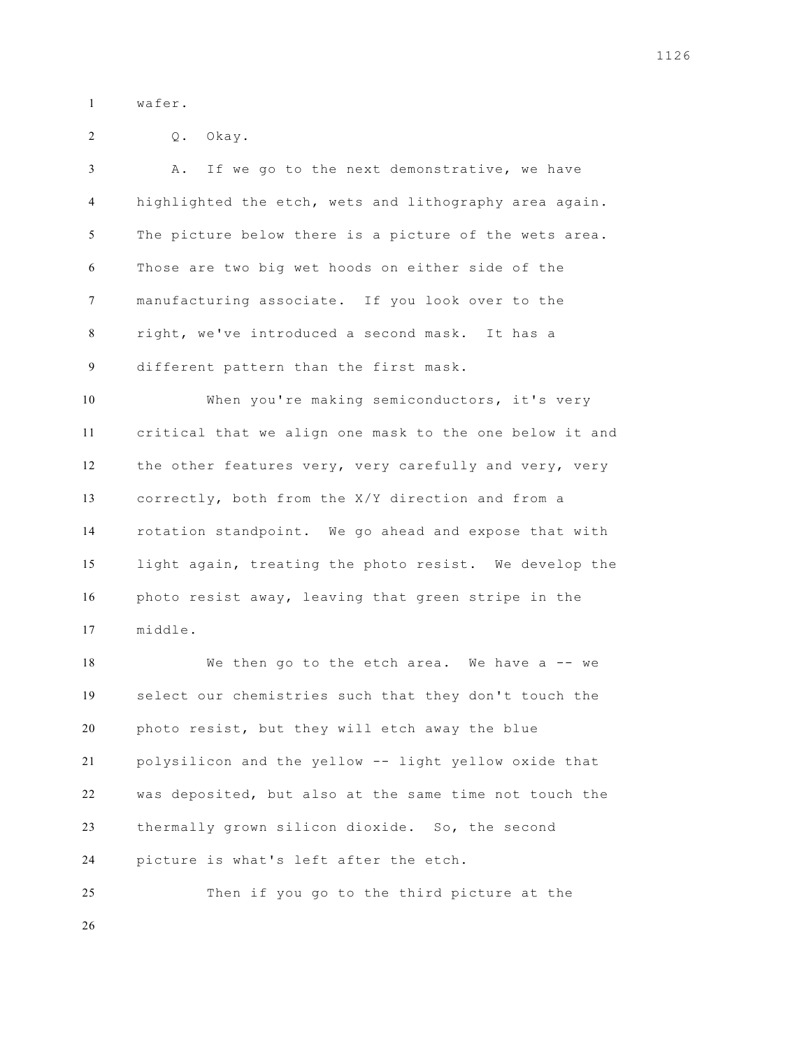wafer.

|  | Okay. |
|--|-------|
|  |       |

 A. If we go to the next demonstrative, we have highlighted the etch, wets and lithography area again. The picture below there is a picture of the wets area. Those are two big wet hoods on either side of the manufacturing associate. If you look over to the right, we've introduced a second mask. It has a different pattern than the first mask.

 When you're making semiconductors, it's very critical that we align one mask to the one below it and the other features very, very carefully and very, very correctly, both from the X/Y direction and from a rotation standpoint. We go ahead and expose that with light again, treating the photo resist. We develop the photo resist away, leaving that green stripe in the middle.

18 We then go to the etch area. We have a -- we select our chemistries such that they don't touch the photo resist, but they will etch away the blue polysilicon and the yellow -- light yellow oxide that was deposited, but also at the same time not touch the thermally grown silicon dioxide. So, the second picture is what's left after the etch.

 Then if you go to the third picture at the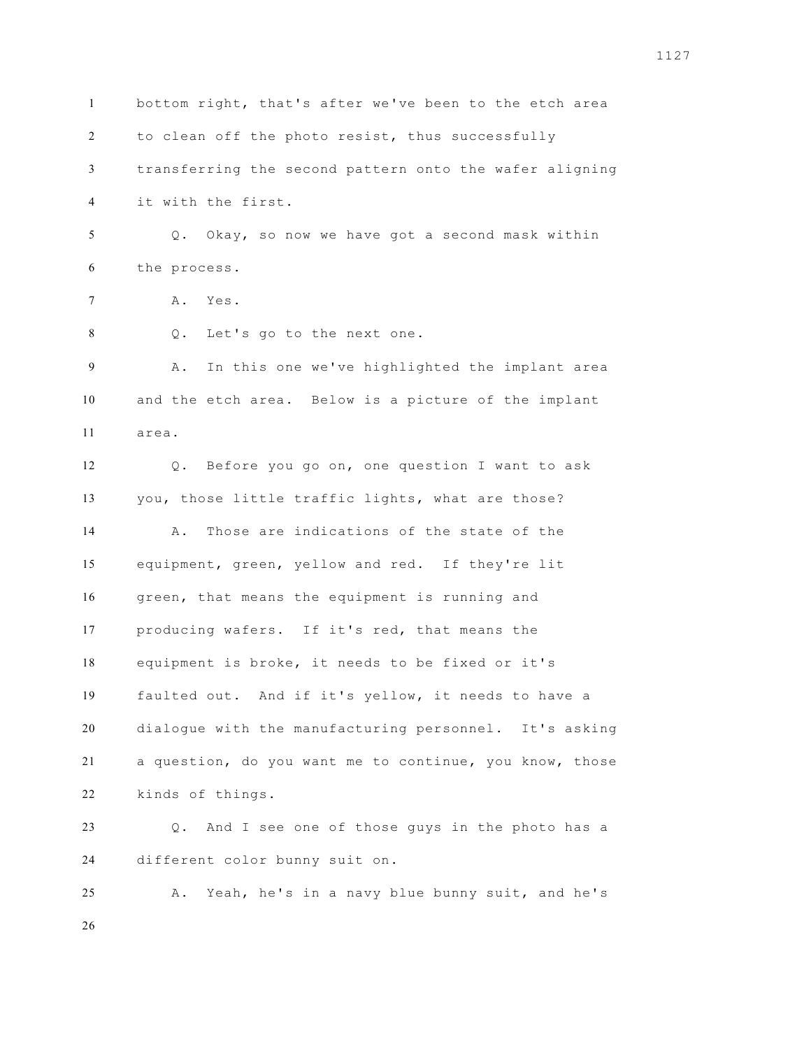bottom right, that's after we've been to the etch area to clean off the photo resist, thus successfully transferring the second pattern onto the wafer aligning it with the first. Q. Okay, so now we have got a second mask within the process. A. Yes. Q. Let's go to the next one. A. In this one we've highlighted the implant area and the etch area. Below is a picture of the implant area. Q. Before you go on, one question I want to ask you, those little traffic lights, what are those? A. Those are indications of the state of the equipment, green, yellow and red. If they're lit green, that means the equipment is running and producing wafers. If it's red, that means the equipment is broke, it needs to be fixed or it's faulted out. And if it's yellow, it needs to have a dialogue with the manufacturing personnel. It's asking a question, do you want me to continue, you know, those kinds of things. Q. And I see one of those guys in the photo has a different color bunny suit on. A. Yeah, he's in a navy blue bunny suit, and he's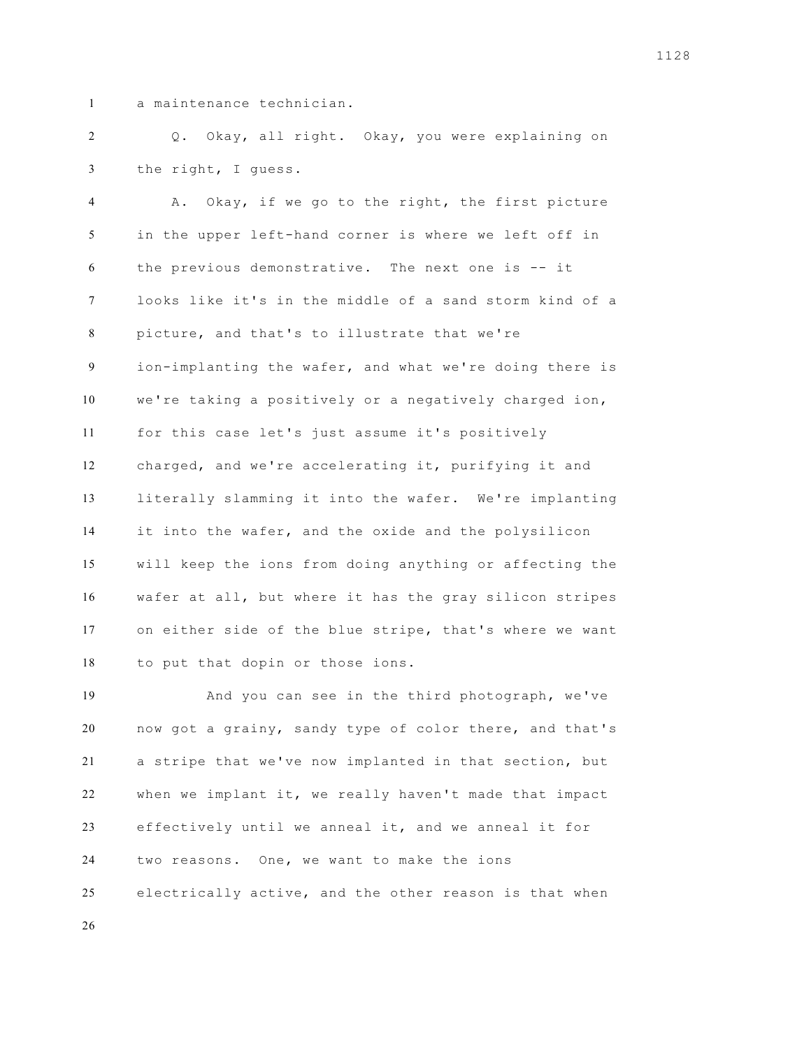a maintenance technician.

 Q. Okay, all right. Okay, you were explaining on the right, I guess.

 A. Okay, if we go to the right, the first picture in the upper left-hand corner is where we left off in the previous demonstrative. The next one is -- it looks like it's in the middle of a sand storm kind of a picture, and that's to illustrate that we're ion-implanting the wafer, and what we're doing there is we're taking a positively or a negatively charged ion, for this case let's just assume it's positively charged, and we're accelerating it, purifying it and literally slamming it into the wafer. We're implanting it into the wafer, and the oxide and the polysilicon will keep the ions from doing anything or affecting the wafer at all, but where it has the gray silicon stripes on either side of the blue stripe, that's where we want to put that dopin or those ions.

 And you can see in the third photograph, we've now got a grainy, sandy type of color there, and that's a stripe that we've now implanted in that section, but when we implant it, we really haven't made that impact effectively until we anneal it, and we anneal it for two reasons. One, we want to make the ions electrically active, and the other reason is that when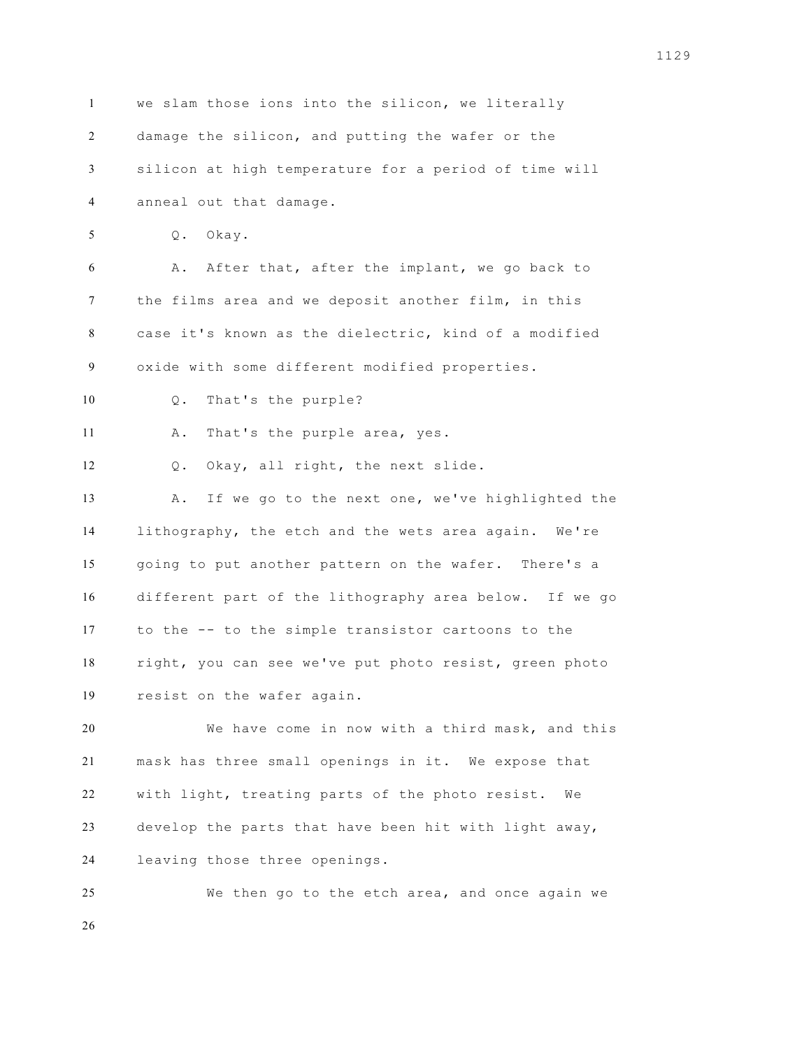we slam those ions into the silicon, we literally damage the silicon, and putting the wafer or the silicon at high temperature for a period of time will anneal out that damage. Q. Okay. A. After that, after the implant, we go back to the films area and we deposit another film, in this case it's known as the dielectric, kind of a modified oxide with some different modified properties. Q. That's the purple? A. That's the purple area, yes. Q. Okay, all right, the next slide. A. If we go to the next one, we've highlighted the lithography, the etch and the wets area again. We're going to put another pattern on the wafer. There's a different part of the lithography area below. If we go to the -- to the simple transistor cartoons to the right, you can see we've put photo resist, green photo resist on the wafer again. We have come in now with a third mask, and this mask has three small openings in it. We expose that with light, treating parts of the photo resist. We develop the parts that have been hit with light away, leaving those three openings. We then go to the etch area, and once again we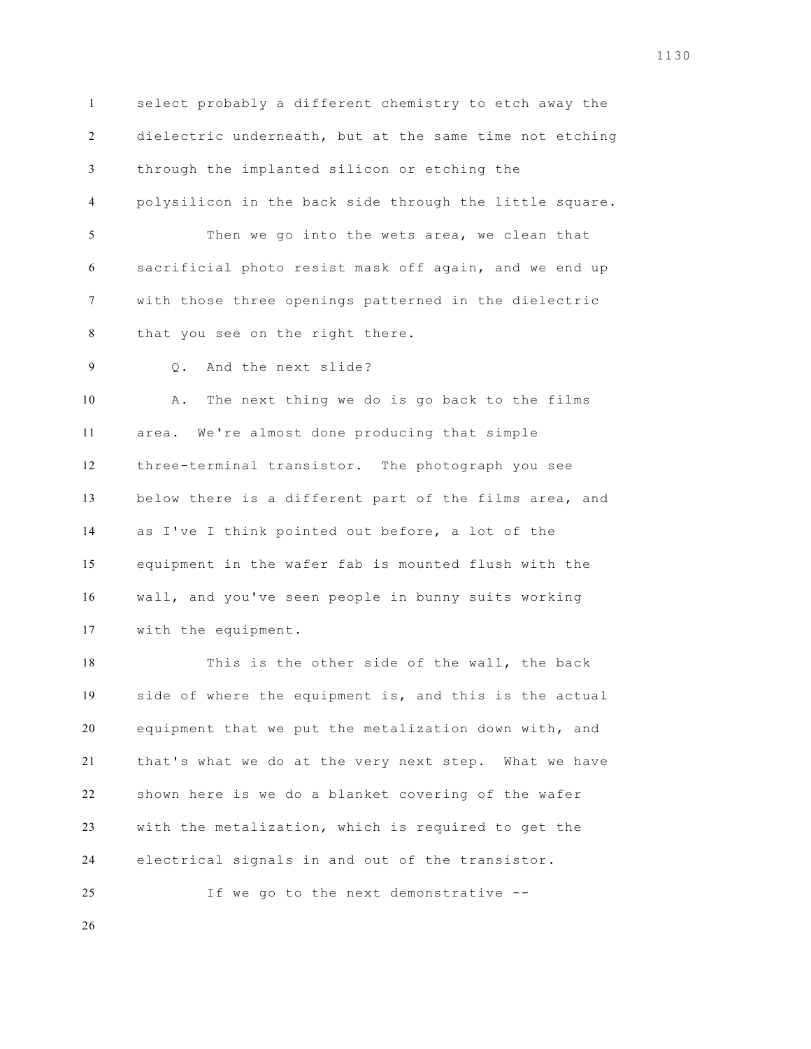select probably a different chemistry to etch away the dielectric underneath, but at the same time not etching through the implanted silicon or etching the polysilicon in the back side through the little square. Then we go into the wets area, we clean that sacrificial photo resist mask off again, and we end up with those three openings patterned in the dielectric that you see on the right there. Q. And the next slide? A. The next thing we do is go back to the films area. We're almost done producing that simple three-terminal transistor. The photograph you see below there is a different part of the films area, and as I've I think pointed out before, a lot of the equipment in the wafer fab is mounted flush with the wall, and you've seen people in bunny suits working with the equipment. This is the other side of the wall, the back

 side of where the equipment is, and this is the actual equipment that we put the metalization down with, and that's what we do at the very next step. What we have shown here is we do a blanket covering of the wafer with the metalization, which is required to get the electrical signals in and out of the transistor.

If we go to the next demonstrative --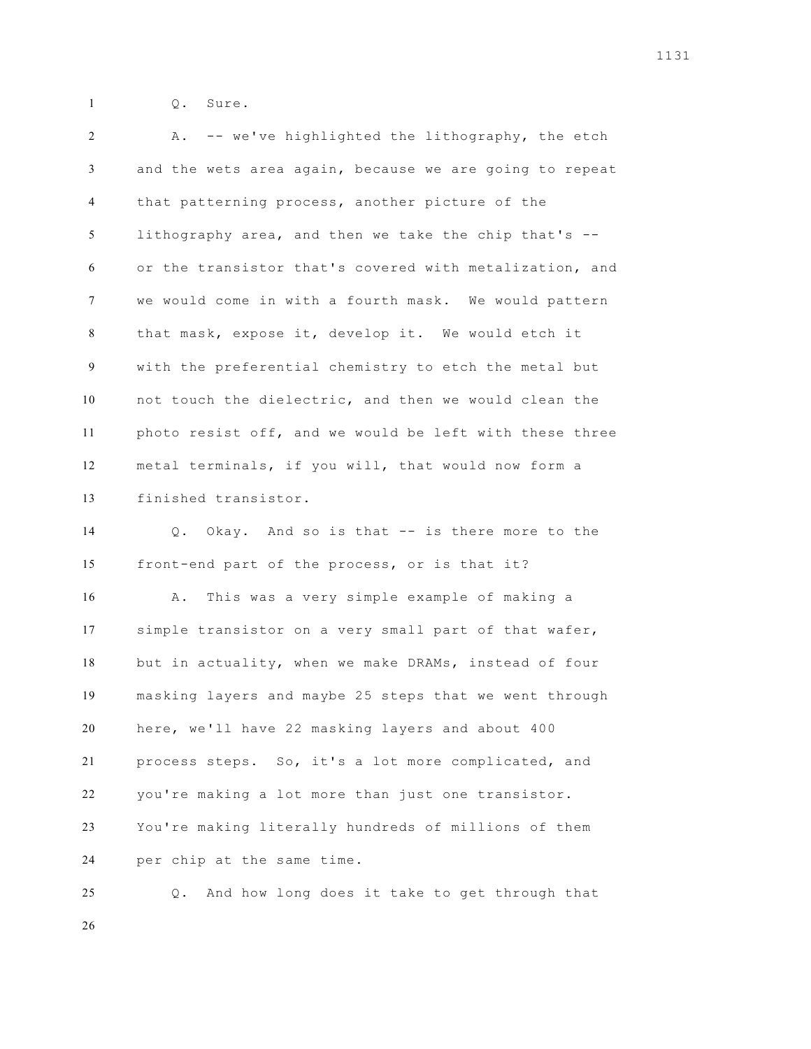Q. Sure.

| $\overline{c}$ | -- we've highlighted the lithography, the etch<br>Α.    |
|----------------|---------------------------------------------------------|
| 3              | and the wets area again, because we are going to repeat |
| 4              | that patterning process, another picture of the         |
| 5              | lithography area, and then we take the chip that's --   |
| 6              | or the transistor that's covered with metalization, and |
| 7              | we would come in with a fourth mask. We would pattern   |
| 8              | that mask, expose it, develop it. We would etch it      |
| 9              | with the preferential chemistry to etch the metal but   |
| 10             | not touch the dielectric, and then we would clean the   |
| 11             | photo resist off, and we would be left with these three |
| 12             | metal terminals, if you will, that would now form a     |
| 13             | finished transistor.                                    |
| 14             | Okay. And so is that -- is there more to the<br>$Q$ .   |
| 15             | front-end part of the process, or is that it?           |
| 16             | This was a very simple example of making a<br>Α.        |
| 17             | simple transistor on a very small part of that wafer,   |
| 18             | but in actuality, when we make DRAMs, instead of four   |
| 19             | masking layers and maybe 25 steps that we went through  |
| 20             | here, we'll have 22 masking layers and about 400        |
| 21             | process steps. So, it's a lot more complicated, and     |
| 22             | you're making a lot more than just one transistor.      |
| 23             | You're making literally hundreds of millions of them    |
| 24             | per chip at the same time.                              |
| 25             | And how long does it take to get through that<br>Q.     |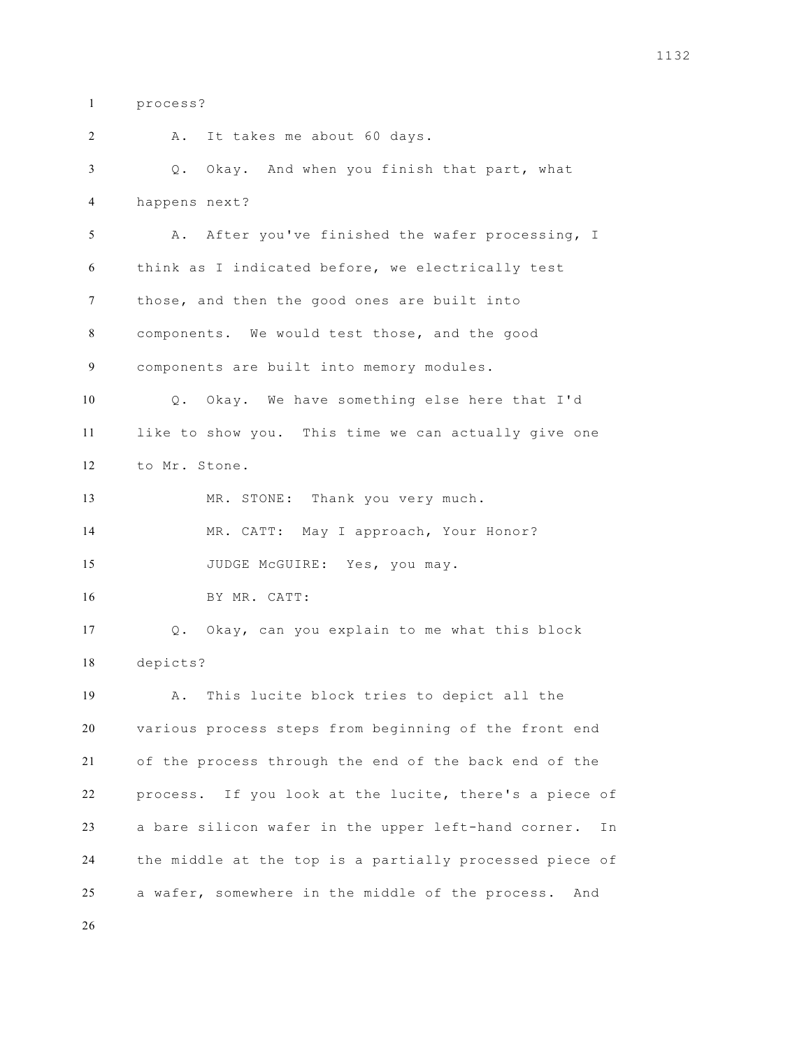process?

 A. It takes me about 60 days. Q. Okay. And when you finish that part, what happens next? A. After you've finished the wafer processing, I think as I indicated before, we electrically test those, and then the good ones are built into components. We would test those, and the good components are built into memory modules. Q. Okay. We have something else here that I'd like to show you. This time we can actually give one to Mr. Stone. MR. STONE: Thank you very much. MR. CATT: May I approach, Your Honor? 15 JUDGE McGUIRE: Yes, you may. BY MR. CATT: Q. Okay, can you explain to me what this block depicts? A. This lucite block tries to depict all the various process steps from beginning of the front end of the process through the end of the back end of the process. If you look at the lucite, there's a piece of a bare silicon wafer in the upper left-hand corner. In the middle at the top is a partially processed piece of a wafer, somewhere in the middle of the process. And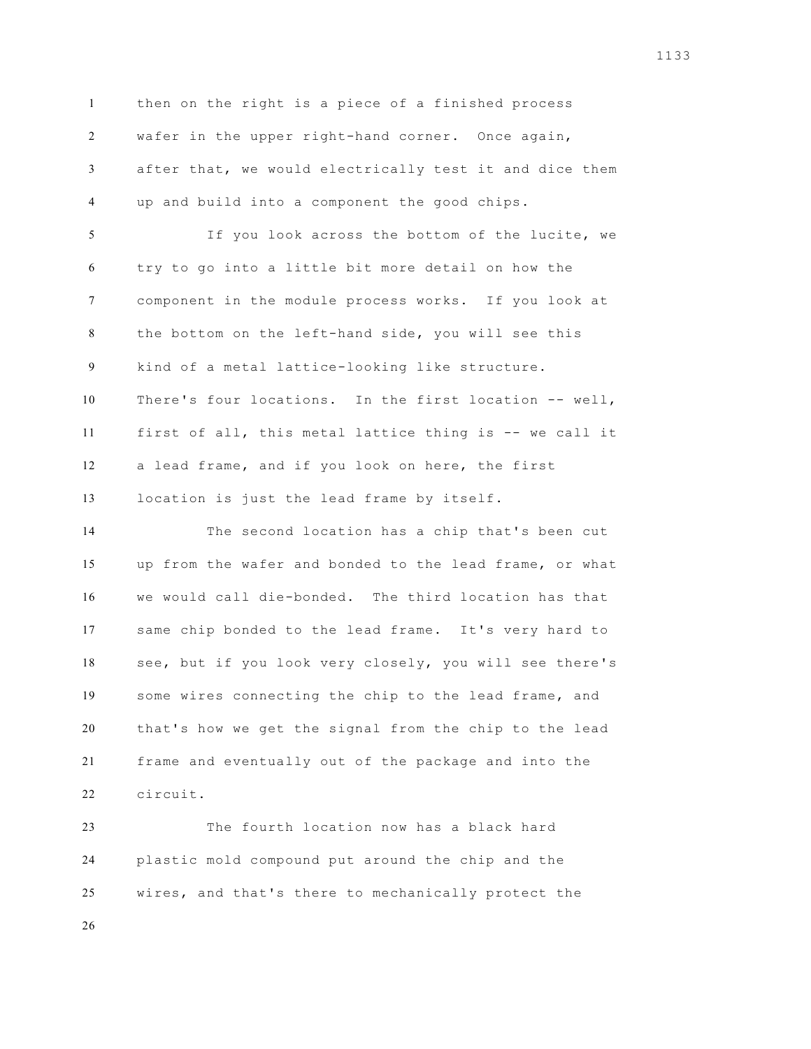then on the right is a piece of a finished process wafer in the upper right-hand corner. Once again, after that, we would electrically test it and dice them up and build into a component the good chips. If you look across the bottom of the lucite, we try to go into a little bit more detail on how the

 component in the module process works. If you look at the bottom on the left-hand side, you will see this kind of a metal lattice-looking like structure. There's four locations. In the first location -- well, first of all, this metal lattice thing is -- we call it a lead frame, and if you look on here, the first location is just the lead frame by itself.

 The second location has a chip that's been cut up from the wafer and bonded to the lead frame, or what we would call die-bonded. The third location has that same chip bonded to the lead frame. It's very hard to see, but if you look very closely, you will see there's some wires connecting the chip to the lead frame, and that's how we get the signal from the chip to the lead frame and eventually out of the package and into the circuit.

 The fourth location now has a black hard plastic mold compound put around the chip and the wires, and that's there to mechanically protect the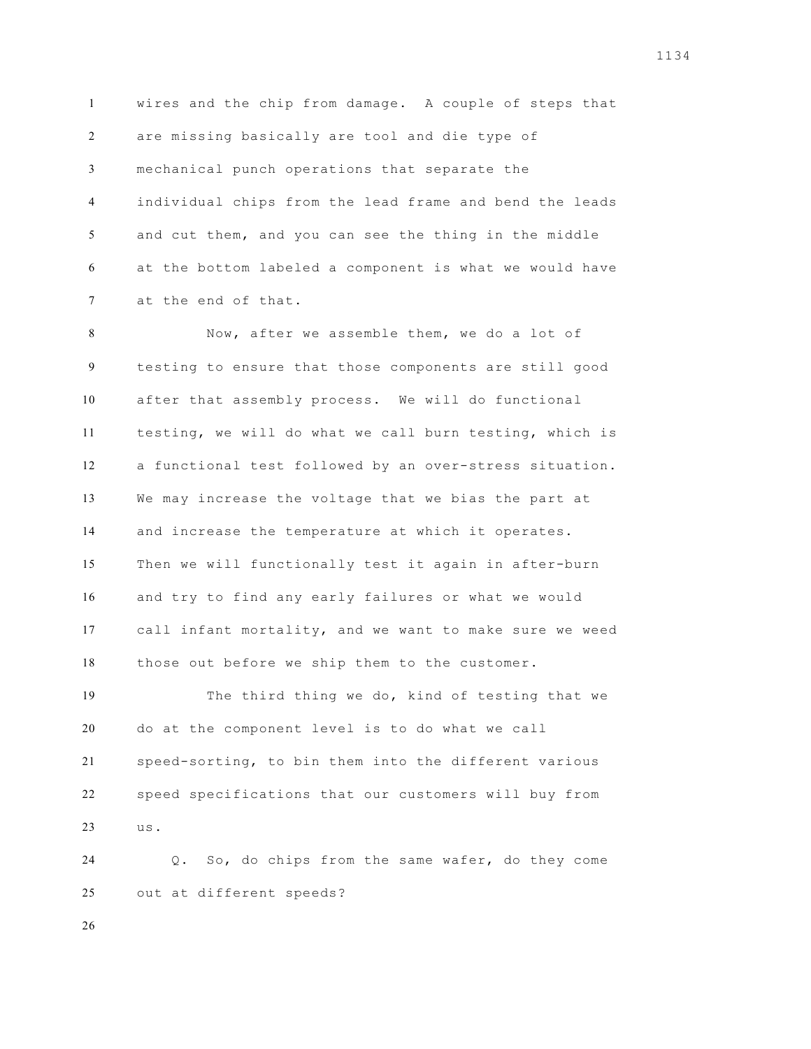wires and the chip from damage. A couple of steps that are missing basically are tool and die type of mechanical punch operations that separate the individual chips from the lead frame and bend the leads and cut them, and you can see the thing in the middle at the bottom labeled a component is what we would have at the end of that.

 Now, after we assemble them, we do a lot of testing to ensure that those components are still good after that assembly process. We will do functional testing, we will do what we call burn testing, which is a functional test followed by an over-stress situation. We may increase the voltage that we bias the part at and increase the temperature at which it operates. Then we will functionally test it again in after-burn and try to find any early failures or what we would call infant mortality, and we want to make sure we weed those out before we ship them to the customer.

 The third thing we do, kind of testing that we do at the component level is to do what we call speed-sorting, to bin them into the different various speed specifications that our customers will buy from us.

 Q. So, do chips from the same wafer, do they come out at different speeds?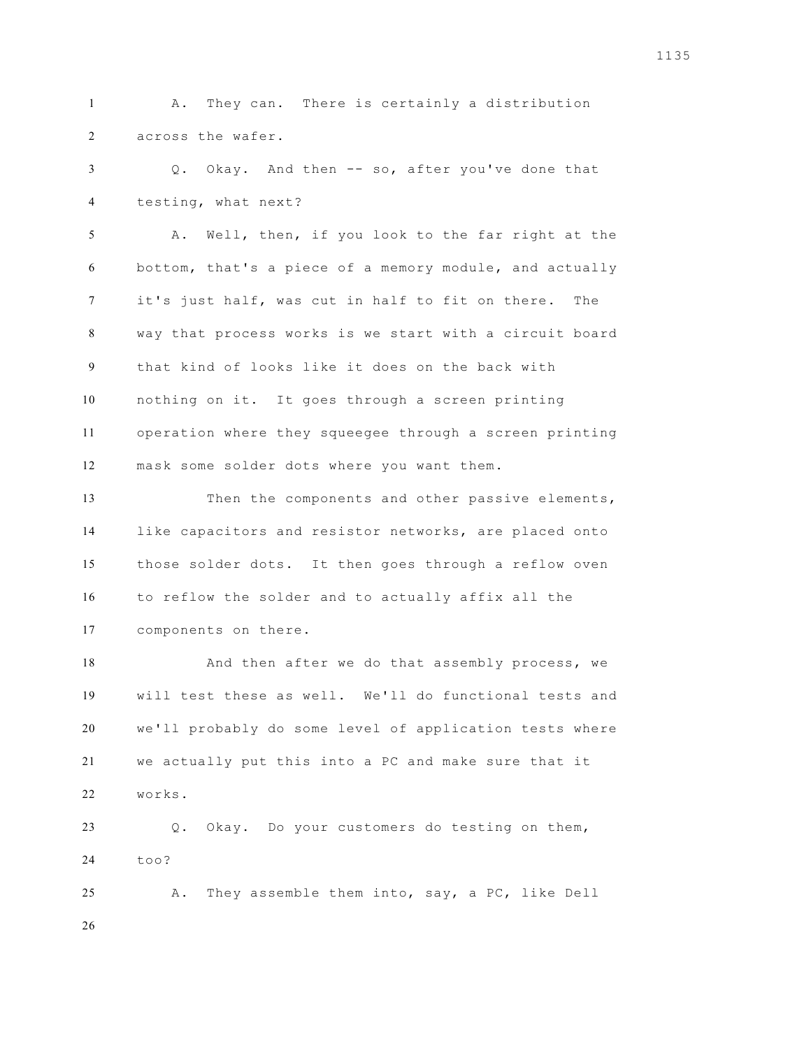A. They can. There is certainly a distribution across the wafer.

 Q. Okay. And then -- so, after you've done that testing, what next?

 A. Well, then, if you look to the far right at the bottom, that's a piece of a memory module, and actually it's just half, was cut in half to fit on there. The way that process works is we start with a circuit board that kind of looks like it does on the back with nothing on it. It goes through a screen printing operation where they squeegee through a screen printing mask some solder dots where you want them.

 Then the components and other passive elements, like capacitors and resistor networks, are placed onto those solder dots. It then goes through a reflow oven to reflow the solder and to actually affix all the components on there.

 And then after we do that assembly process, we will test these as well. We'll do functional tests and we'll probably do some level of application tests where we actually put this into a PC and make sure that it works. Q. Okay. Do your customers do testing on them,

too?

 A. They assemble them into, say, a PC, like Dell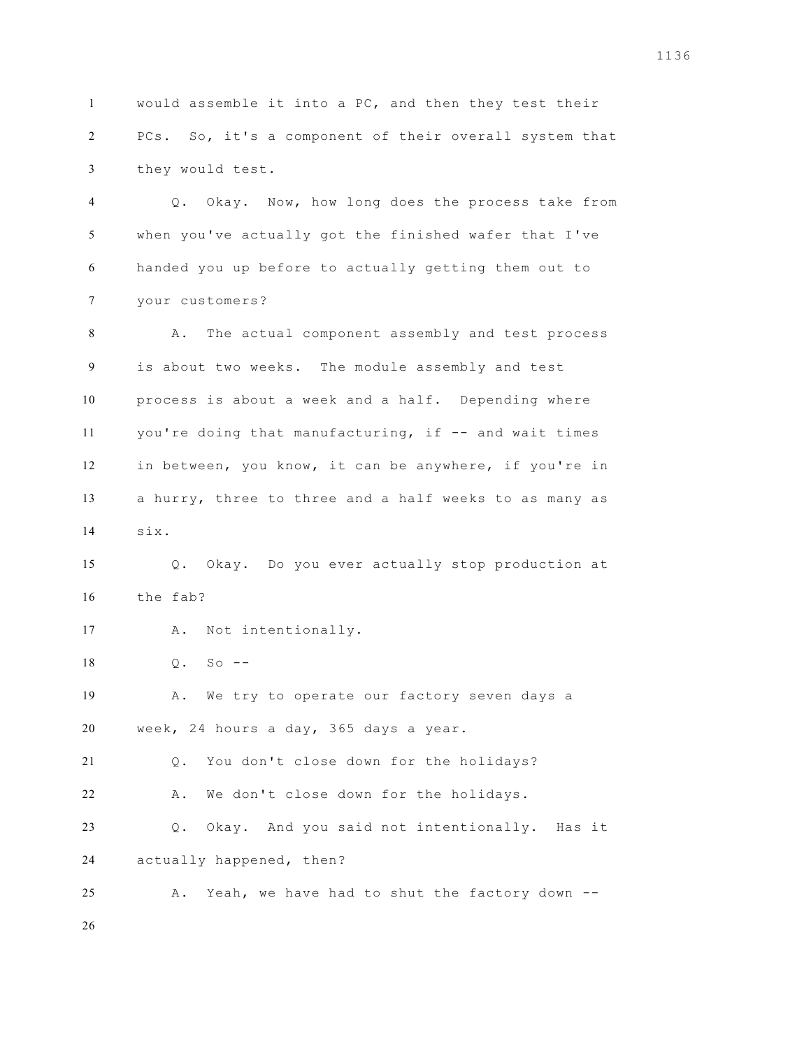would assemble it into a PC, and then they test their PCs. So, it's a component of their overall system that they would test. Q. Okay. Now, how long does the process take from when you've actually got the finished wafer that I've handed you up before to actually getting them out to your customers? A. The actual component assembly and test process is about two weeks. The module assembly and test process is about a week and a half. Depending where you're doing that manufacturing, if -- and wait times in between, you know, it can be anywhere, if you're in a hurry, three to three and a half weeks to as many as six. Q. Okay. Do you ever actually stop production at the fab? A. Not intentionally. Q. So -- A. We try to operate our factory seven days a week, 24 hours a day, 365 days a year. Q. You don't close down for the holidays? A. We don't close down for the holidays.

 Q. Okay. And you said not intentionally. Has it actually happened, then?

A. Yeah, we have had to shut the factory down --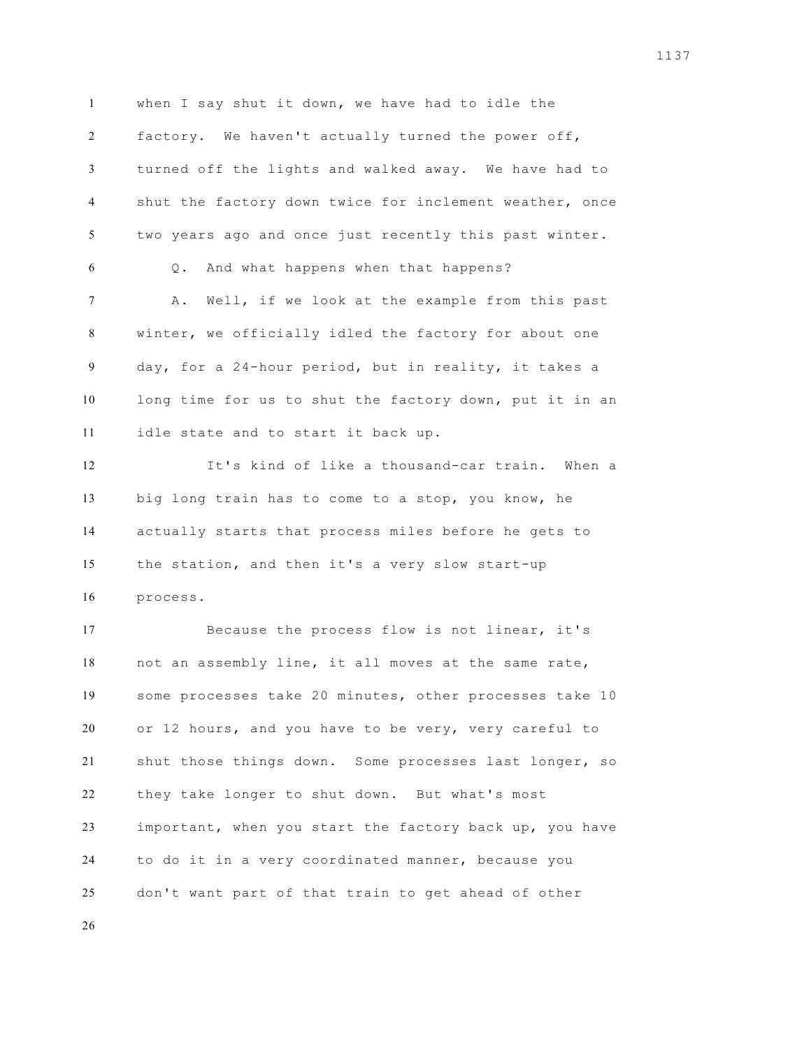when I say shut it down, we have had to idle the factory. We haven't actually turned the power off, turned off the lights and walked away. We have had to shut the factory down twice for inclement weather, once two years ago and once just recently this past winter. Q. And what happens when that happens? A. Well, if we look at the example from this past winter, we officially idled the factory for about one day, for a 24-hour period, but in reality, it takes a long time for us to shut the factory down, put it in an idle state and to start it back up. It's kind of like a thousand-car train. When a big long train has to come to a stop, you know, he actually starts that process miles before he gets to the station, and then it's a very slow start-up process. Because the process flow is not linear, it's not an assembly line, it all moves at the same rate, some processes take 20 minutes, other processes take 10 or 12 hours, and you have to be very, very careful to shut those things down. Some processes last longer, so they take longer to shut down. But what's most important, when you start the factory back up, you have to do it in a very coordinated manner, because you don't want part of that train to get ahead of other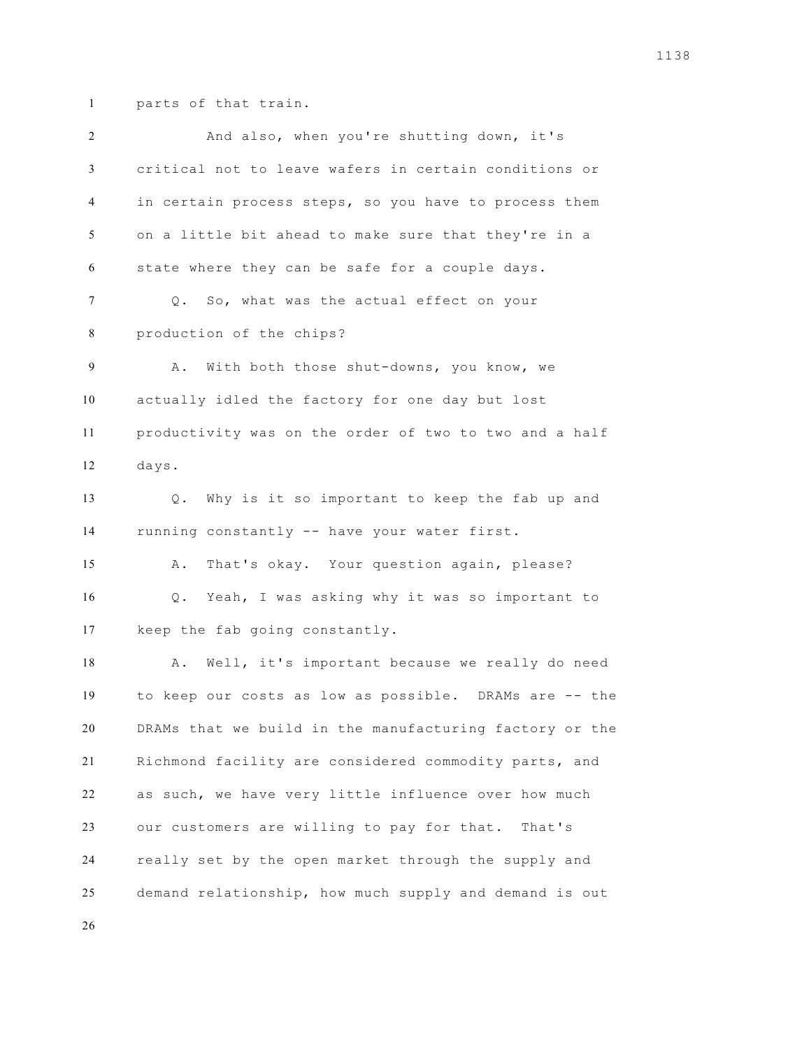parts of that train.

| 2              | And also, when you're shutting down, it's               |
|----------------|---------------------------------------------------------|
| 3              | critical not to leave wafers in certain conditions or   |
| $\overline{4}$ | in certain process steps, so you have to process them   |
| 5              | on a little bit ahead to make sure that they're in a    |
| 6              | state where they can be safe for a couple days.         |
| 7              | Q. So, what was the actual effect on your               |
| 8              | production of the chips?                                |
| 9              | With both those shut-downs, you know, we<br>Α.          |
| 10             | actually idled the factory for one day but lost         |
| 11             | productivity was on the order of two to two and a half  |
| 12             | days.                                                   |
| 13             | Why is it so important to keep the fab up and<br>$Q$ .  |
| 14             | running constantly -- have your water first.            |
| 15             | That's okay. Your question again, please?<br>Α.         |
| 16             | Yeah, I was asking why it was so important to<br>$Q$ .  |
| 17             | keep the fab going constantly.                          |
| 18             | Well, it's important because we really do need<br>Α.    |
| 19             | to keep our costs as low as possible. DRAMs are -- the  |
| 20             | DRAMs that we build in the manufacturing factory or the |
| 21             | Richmond facility are considered commodity parts, and   |
| 22             | as such, we have very little influence over how much    |
| 23             | our customers are willing to pay for that. That's       |
| 24             | really set by the open market through the supply and    |
| 25             | demand relationship, how much supply and demand is out  |
|                |                                                         |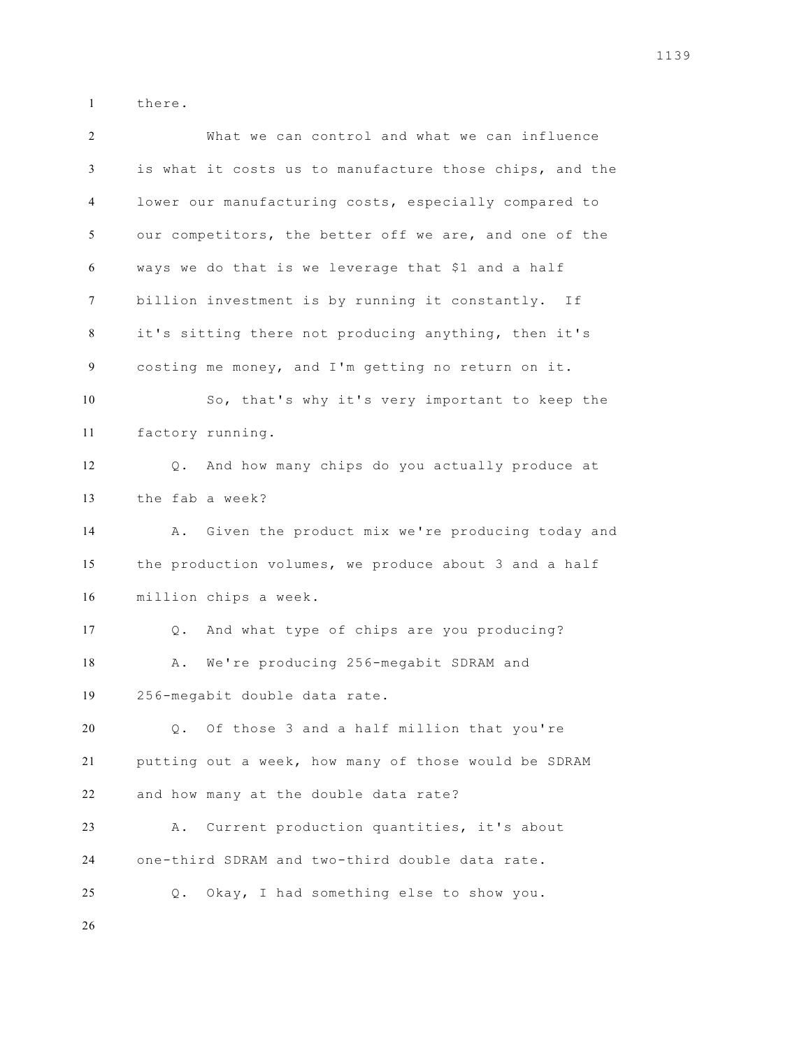there.

 What we can control and what we can influence is what it costs us to manufacture those chips, and the lower our manufacturing costs, especially compared to our competitors, the better off we are, and one of the ways we do that is we leverage that \$1 and a half billion investment is by running it constantly. If it's sitting there not producing anything, then it's costing me money, and I'm getting no return on it. So, that's why it's very important to keep the factory running. Q. And how many chips do you actually produce at the fab a week? A. Given the product mix we're producing today and the production volumes, we produce about 3 and a half million chips a week. Q. And what type of chips are you producing? 18 A. We're producing 256-megabit SDRAM and 256-megabit double data rate. Q. Of those 3 and a half million that you're putting out a week, how many of those would be SDRAM and how many at the double data rate? A. Current production quantities, it's about one-third SDRAM and two-third double data rate. Q. Okay, I had something else to show you.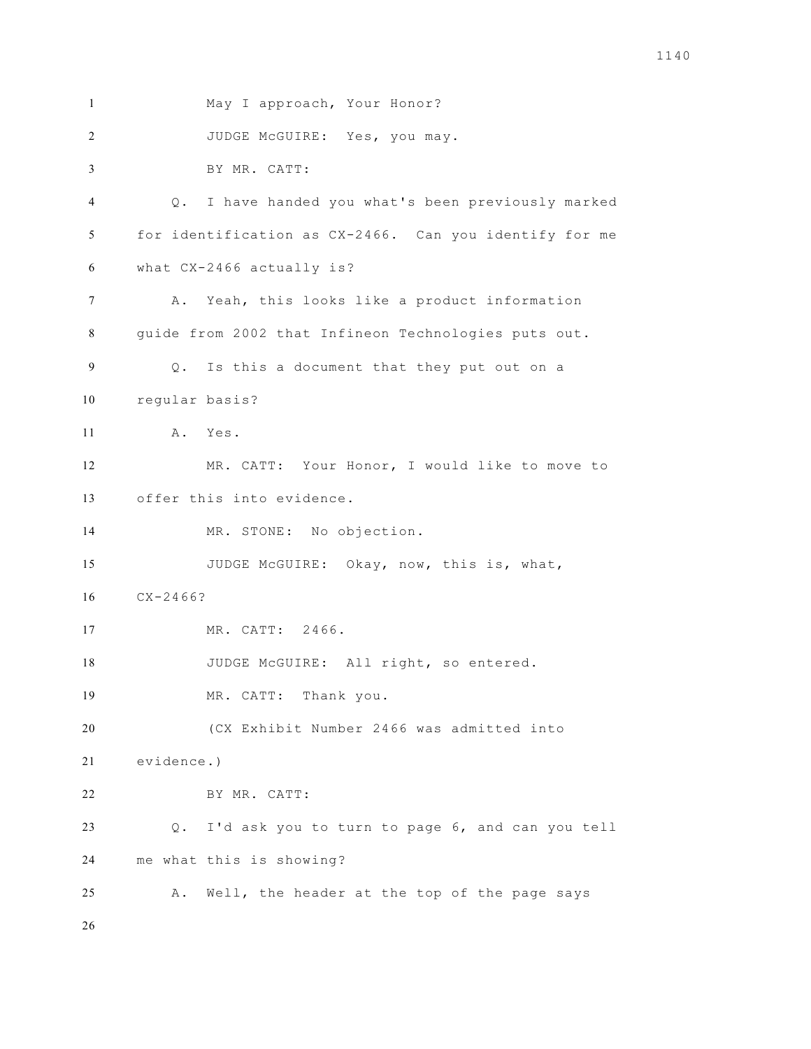```
1 May I approach, Your Honor? 
2 JUDGE McGUIRE: Yes, you may. 
3 BY MR. CATT:
4 Q. I have handed you what's been previously marked 
5 for identification as CX-2466. Can you identify for me 
6 what CX-2466 actually is? 
7 A. Yeah, this looks like a product information 
8 guide from 2002 that Infineon Technologies puts out. 
9 Q. Is this a document that they put out on a 
10 regular basis? 
11 A. Yes. 
12 MR. CATT: Your Honor, I would like to move to 
13 offer this into evidence. 
14 MR. STONE: No objection. 
15 JUDGE McGUIRE: Okay, now, this is, what,
16 CX-2466? 
17 MR. CATT: 2466. 
18 JUDGE McGUIRE: All right, so entered.
19 MR. CATT: Thank you. 
20 (CX Exhibit Number 2466 was admitted into 
21 evidence.) 
22 BY MR. CATT:
23 Q. I'd ask you to turn to page 6, and can you tell 
24 me what this is showing? 
25 A. Well, the header at the top of the page says 
26
```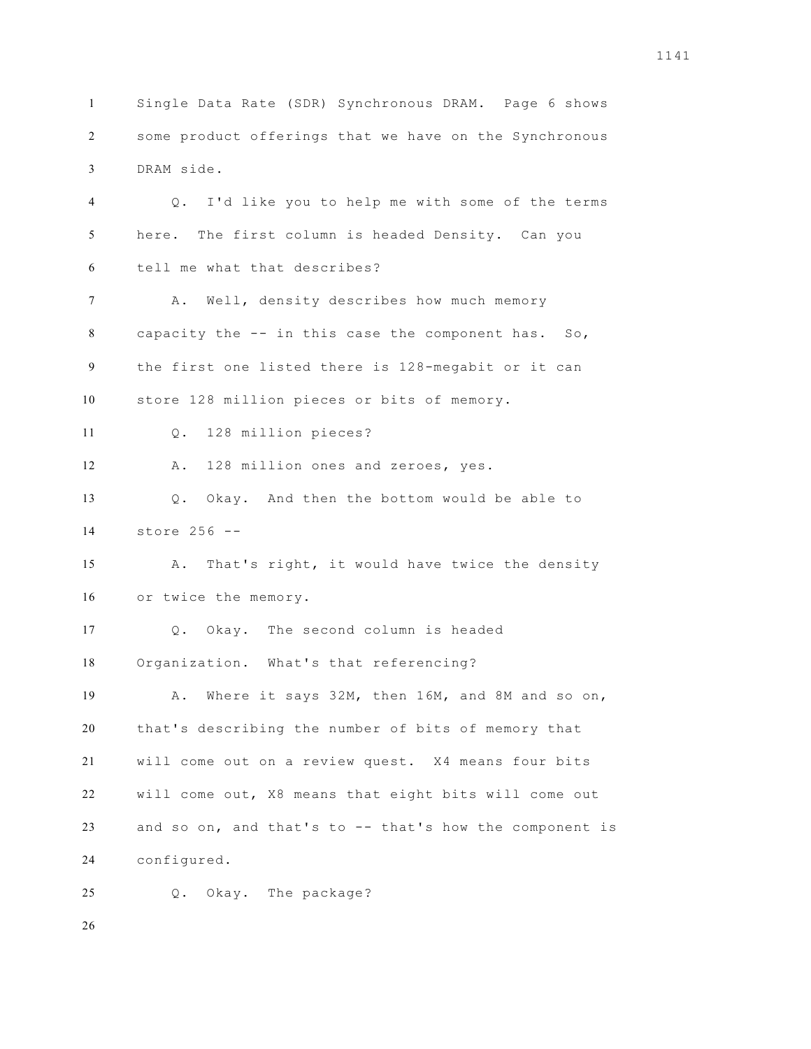Single Data Rate (SDR) Synchronous DRAM. Page 6 shows some product offerings that we have on the Synchronous DRAM side.

 Q. I'd like you to help me with some of the terms here. The first column is headed Density. Can you tell me what that describes? 7 A. Well, density describes how much memory capacity the -- in this case the component has. So, the first one listed there is 128-megabit or it can store 128 million pieces or bits of memory. Q. 128 million pieces? A. 128 million ones and zeroes, yes. Q. Okay. And then the bottom would be able to store 256 -- 15 A. That's right, it would have twice the density or twice the memory. Q. Okay. The second column is headed Organization. What's that referencing? A. Where it says 32M, then 16M, and 8M and so on, that's describing the number of bits of memory that will come out on a review quest. X4 means four bits will come out, X8 means that eight bits will come out and so on, and that's to -- that's how the component is configured. Q. Okay. The package?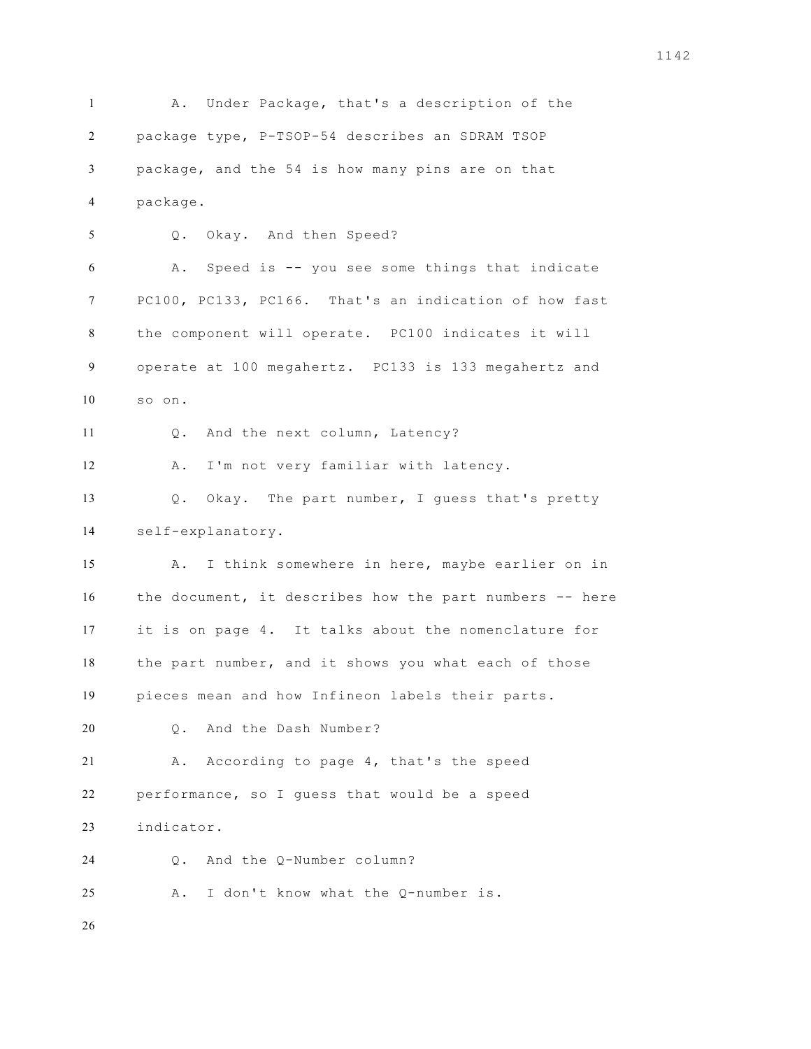A. Under Package, that's a description of the package type, P-TSOP-54 describes an SDRAM TSOP package, and the 54 is how many pins are on that package. Q. Okay. And then Speed? A. Speed is -- you see some things that indicate PC100, PC133, PC166. That's an indication of how fast the component will operate. PC100 indicates it will operate at 100 megahertz. PC133 is 133 megahertz and so on. 11 0. And the next column, Latency? A. I'm not very familiar with latency. Q. Okay. The part number, I guess that's pretty self-explanatory. A. I think somewhere in here, maybe earlier on in the document, it describes how the part numbers -- here it is on page 4. It talks about the nomenclature for the part number, and it shows you what each of those pieces mean and how Infineon labels their parts. 20 0. And the Dash Number? A. According to page 4, that's the speed performance, so I guess that would be a speed indicator. Q. And the Q-Number column? A. I don't know what the Q-number is.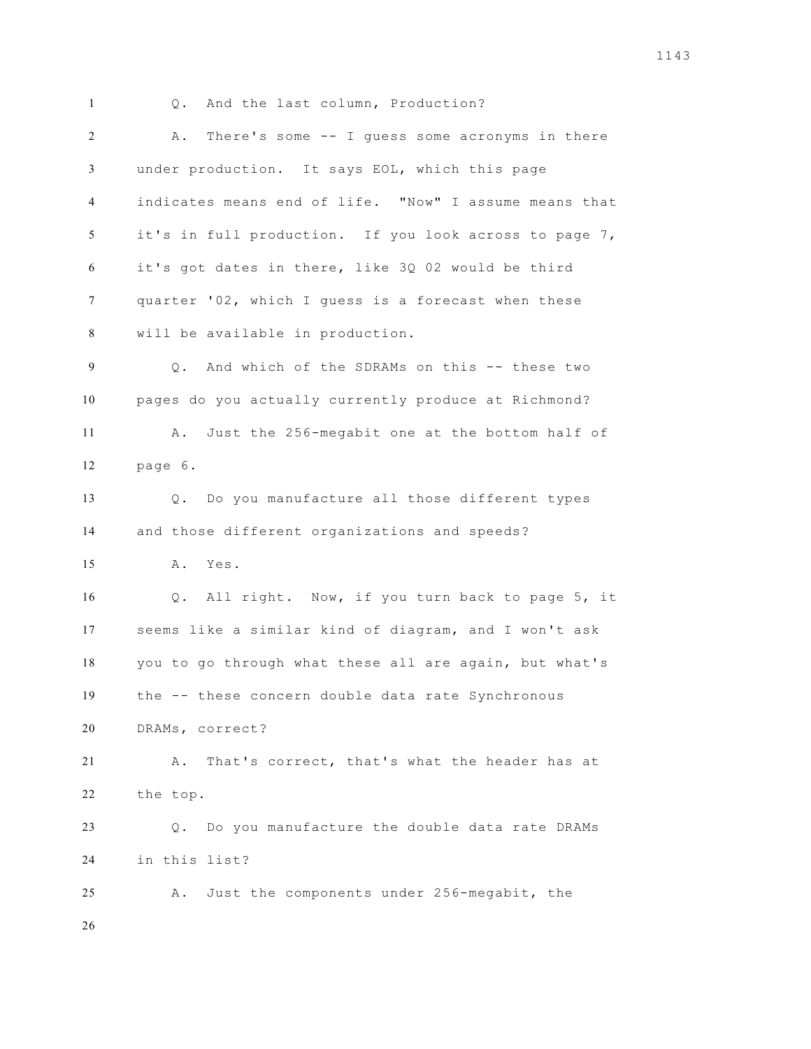1 Q. And the last column, Production? A. There's some -- I guess some acronyms in there under production. It says EOL, which this page indicates means end of life. "Now" I assume means that it's in full production. If you look across to page 7, it's got dates in there, like 3Q 02 would be third quarter '02, which I guess is a forecast when these will be available in production. Q. And which of the SDRAMs on this -- these two pages do you actually currently produce at Richmond? A. Just the 256-megabit one at the bottom half of page 6. Q. Do you manufacture all those different types and those different organizations and speeds? A. Yes. Q. All right. Now, if you turn back to page 5, it seems like a similar kind of diagram, and I won't ask you to go through what these all are again, but what's the -- these concern double data rate Synchronous DRAMs, correct? A. That's correct, that's what the header has at the top. Q. Do you manufacture the double data rate DRAMs in this list? A. Just the components under 256-megabit, the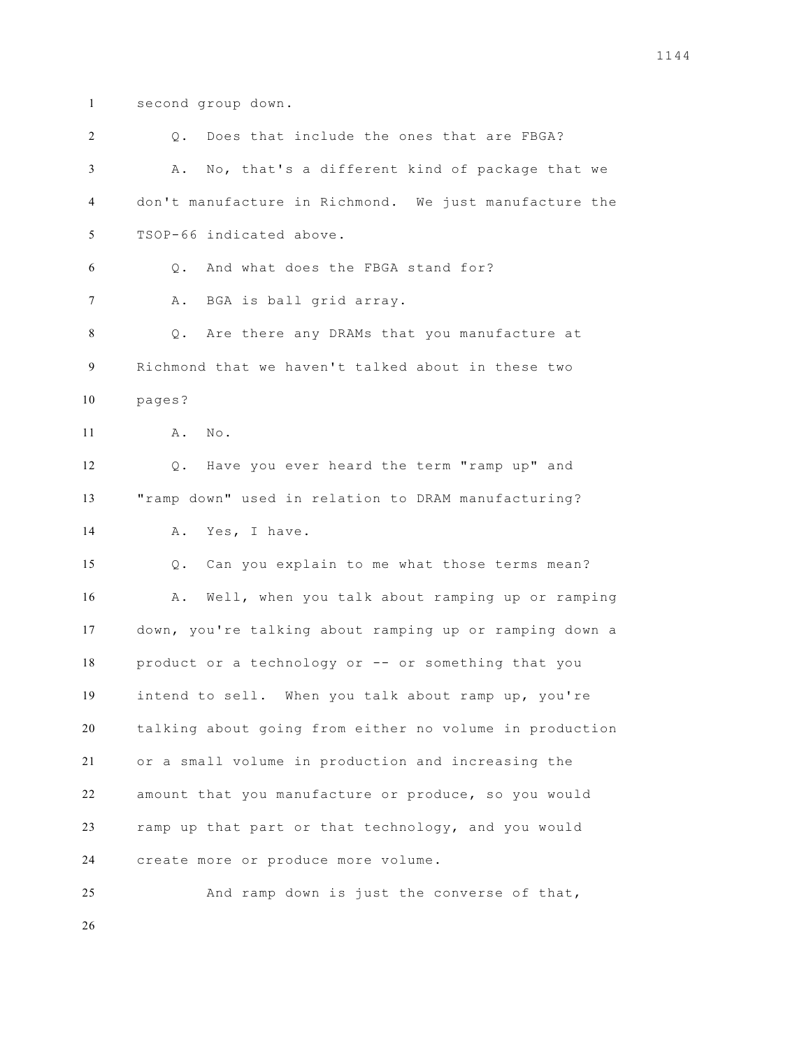second group down.

| 2  | Does that include the ones that are FBGA?<br>Q.              |
|----|--------------------------------------------------------------|
| 3  | No, that's a different kind of package that we<br>Α.         |
| 4  | don't manufacture in Richmond. We just manufacture the       |
| 5  | TSOP-66 indicated above.                                     |
| 6  | And what does the FBGA stand for?<br>Q.                      |
| 7  | Α.<br>BGA is ball grid array.                                |
| 8  | Are there any DRAMs that you manufacture at<br>Q.            |
| 9  | Richmond that we haven't talked about in these two           |
| 10 | pages?                                                       |
| 11 | Α.<br>No.                                                    |
| 12 | Have you ever heard the term "ramp up" and<br>$\mathsf{Q}$ . |
| 13 | "ramp down" used in relation to DRAM manufacturing?          |
| 14 | Yes, I have.<br>Α.                                           |
| 15 | Can you explain to me what those terms mean?<br>Q.           |
| 16 | Well, when you talk about ramping up or ramping<br>Α.        |
| 17 | down, you're talking about ramping up or ramping down a      |
| 18 | product or a technology or -- or something that you          |
| 19 | intend to sell. When you talk about ramp up, you're          |
| 20 | talking about going from either no volume in production      |
| 21 | or a small volume in production and increasing the           |
| 22 | amount that you manufacture or produce, so you would         |
| 23 | ramp up that part or that technology, and you would          |
| 24 | create more or produce more volume.                          |
| 25 | And ramp down is just the converse of that,                  |
|    |                                                              |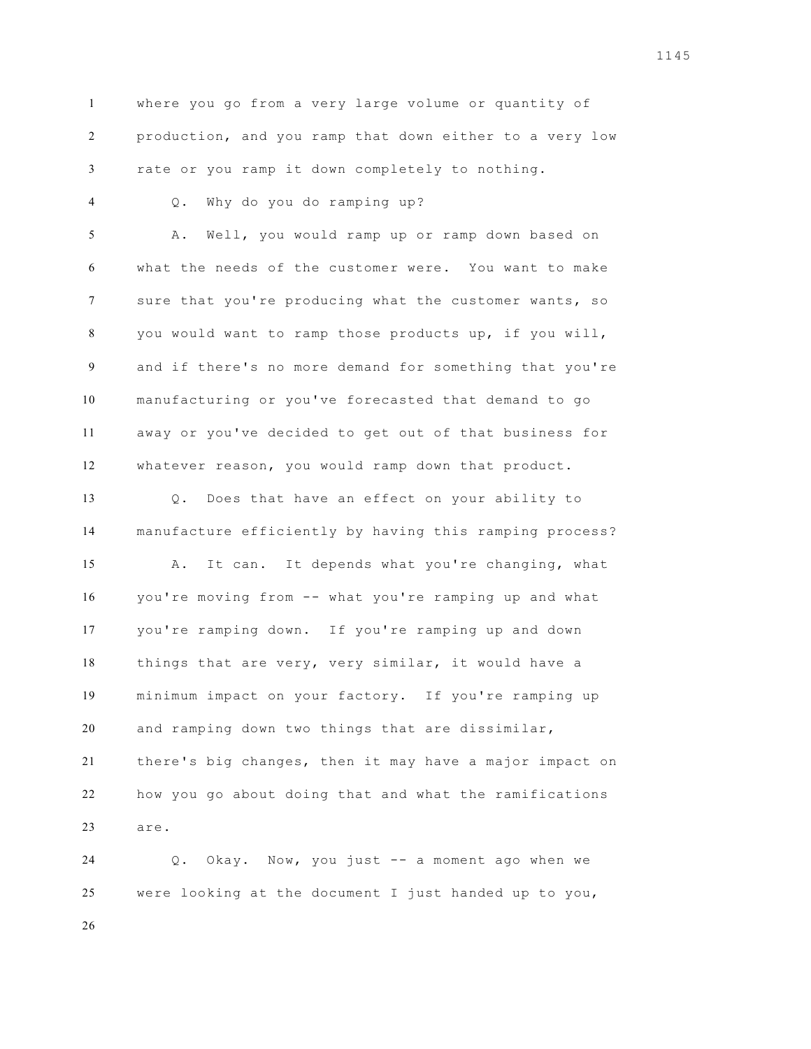where you go from a very large volume or quantity of production, and you ramp that down either to a very low rate or you ramp it down completely to nothing.

Q. Why do you do ramping up?

 A. Well, you would ramp up or ramp down based on what the needs of the customer were. You want to make sure that you're producing what the customer wants, so you would want to ramp those products up, if you will, and if there's no more demand for something that you're manufacturing or you've forecasted that demand to go away or you've decided to get out of that business for whatever reason, you would ramp down that product.

 Q. Does that have an effect on your ability to manufacture efficiently by having this ramping process? A. It can. It depends what you're changing, what you're moving from -- what you're ramping up and what you're ramping down. If you're ramping up and down things that are very, very similar, it would have a minimum impact on your factory. If you're ramping up and ramping down two things that are dissimilar, there's big changes, then it may have a major impact on how you go about doing that and what the ramifications are.

 Q. Okay. Now, you just -- a moment ago when we were looking at the document I just handed up to you,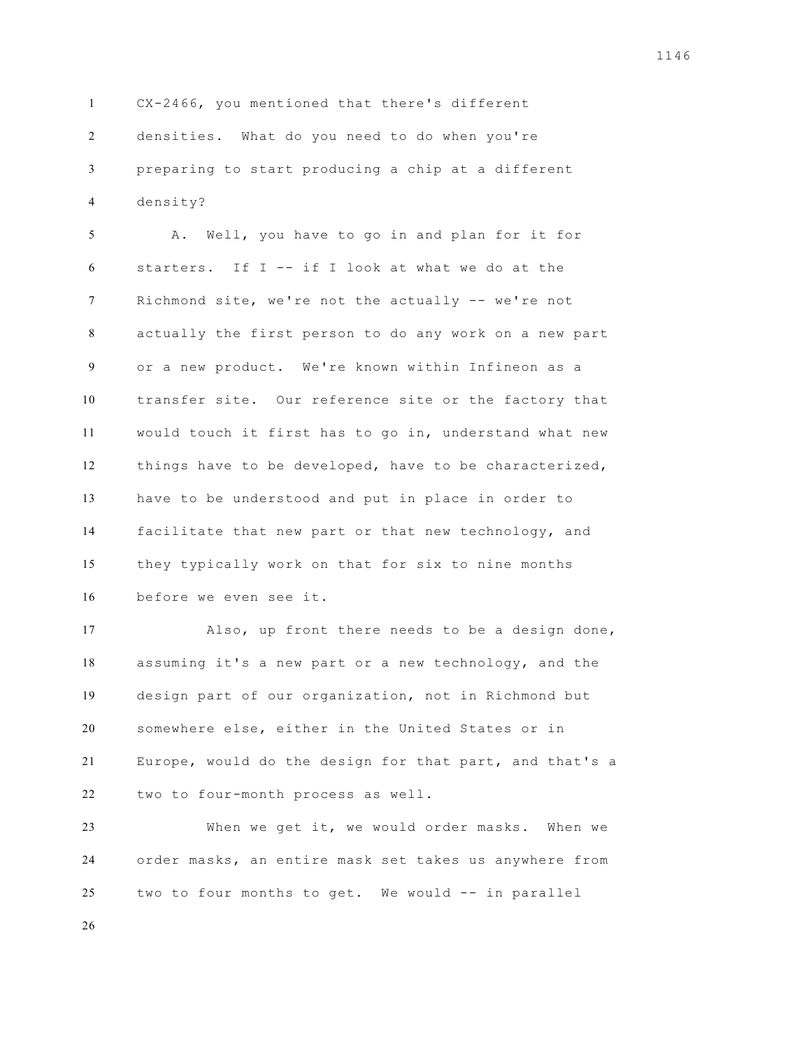CX-2466, you mentioned that there's different densities. What do you need to do when you're preparing to start producing a chip at a different density?

 A. Well, you have to go in and plan for it for 6 starters. If  $I - -$  if I look at what we do at the Richmond site, we're not the actually -- we're not actually the first person to do any work on a new part or a new product. We're known within Infineon as a transfer site. Our reference site or the factory that would touch it first has to go in, understand what new things have to be developed, have to be characterized, have to be understood and put in place in order to facilitate that new part or that new technology, and they typically work on that for six to nine months before we even see it.

 Also, up front there needs to be a design done, assuming it's a new part or a new technology, and the design part of our organization, not in Richmond but somewhere else, either in the United States or in Europe, would do the design for that part, and that's a two to four-month process as well.

 When we get it, we would order masks. When we order masks, an entire mask set takes us anywhere from two to four months to get. We would -- in parallel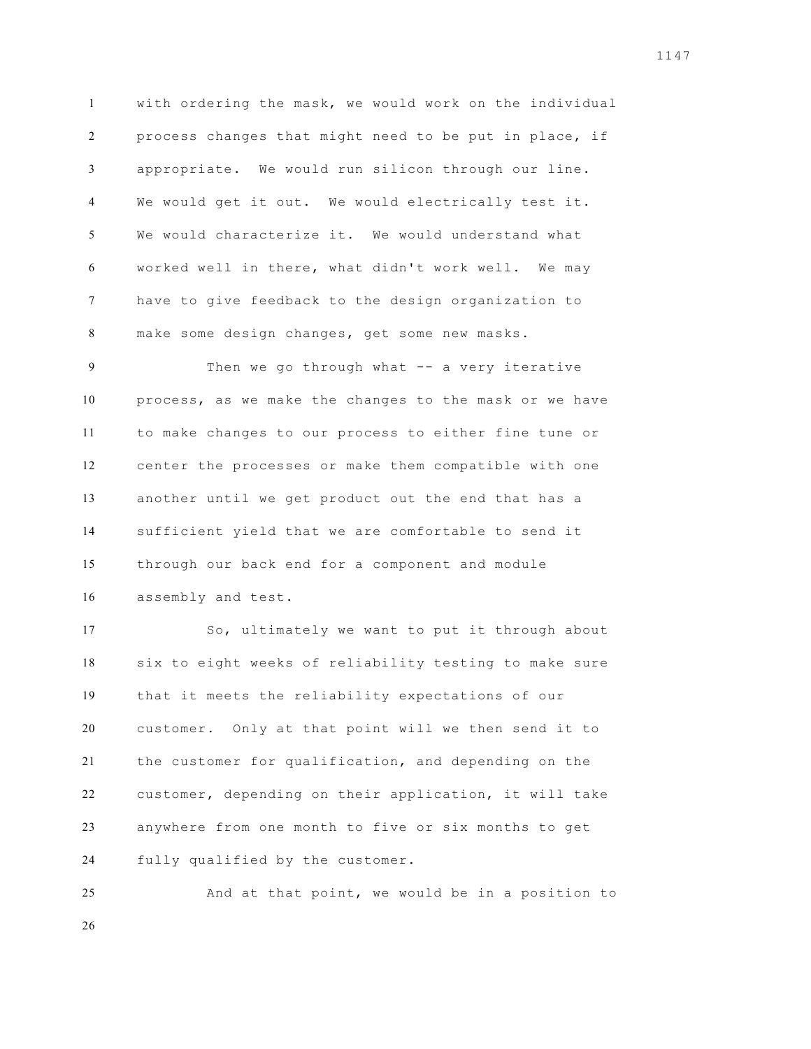with ordering the mask, we would work on the individual process changes that might need to be put in place, if appropriate. We would run silicon through our line. We would get it out. We would electrically test it. We would characterize it. We would understand what worked well in there, what didn't work well. We may have to give feedback to the design organization to make some design changes, get some new masks.

 Then we go through what -- a very iterative process, as we make the changes to the mask or we have to make changes to our process to either fine tune or center the processes or make them compatible with one another until we get product out the end that has a sufficient yield that we are comfortable to send it through our back end for a component and module assembly and test.

 So, ultimately we want to put it through about six to eight weeks of reliability testing to make sure that it meets the reliability expectations of our customer. Only at that point will we then send it to the customer for qualification, and depending on the customer, depending on their application, it will take anywhere from one month to five or six months to get fully qualified by the customer.

 And at that point, we would be in a position to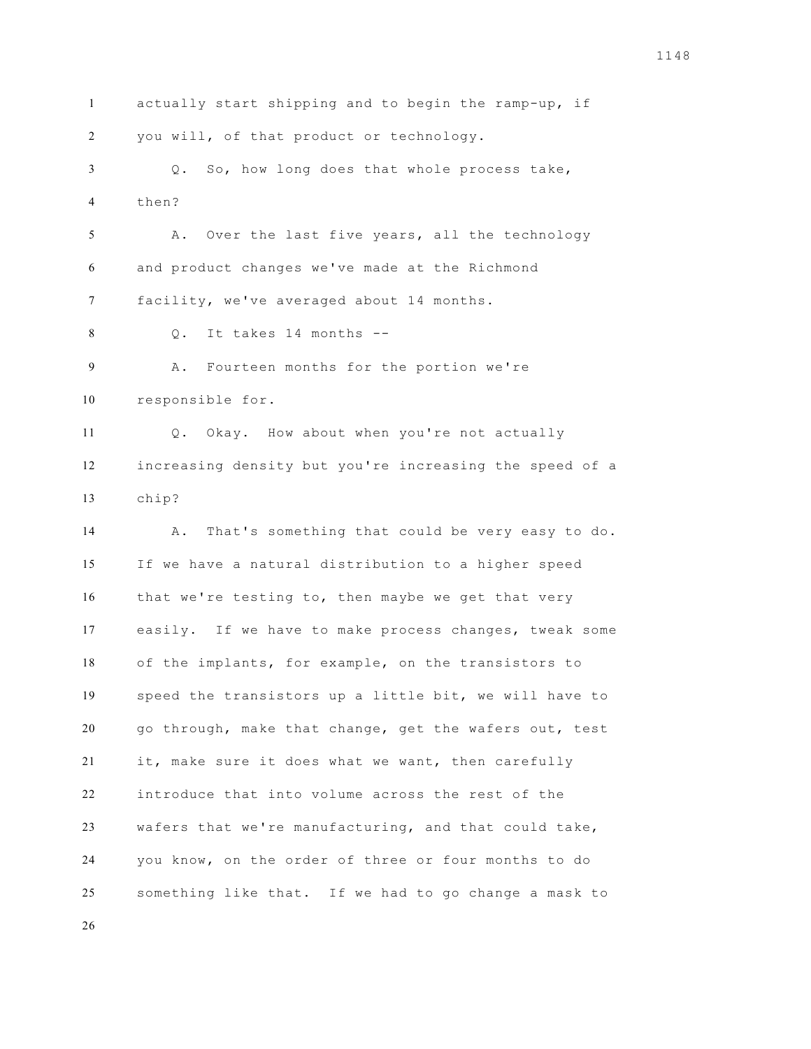actually start shipping and to begin the ramp-up, if you will, of that product or technology. Q. So, how long does that whole process take, then? A. Over the last five years, all the technology and product changes we've made at the Richmond facility, we've averaged about 14 months. Q. It takes 14 months -- A. Fourteen months for the portion we're responsible for. Q. Okay. How about when you're not actually increasing density but you're increasing the speed of a chip? A. That's something that could be very easy to do. If we have a natural distribution to a higher speed that we're testing to, then maybe we get that very easily. If we have to make process changes, tweak some of the implants, for example, on the transistors to speed the transistors up a little bit, we will have to go through, make that change, get the wafers out, test it, make sure it does what we want, then carefully introduce that into volume across the rest of the wafers that we're manufacturing, and that could take, you know, on the order of three or four months to do something like that. If we had to go change a mask to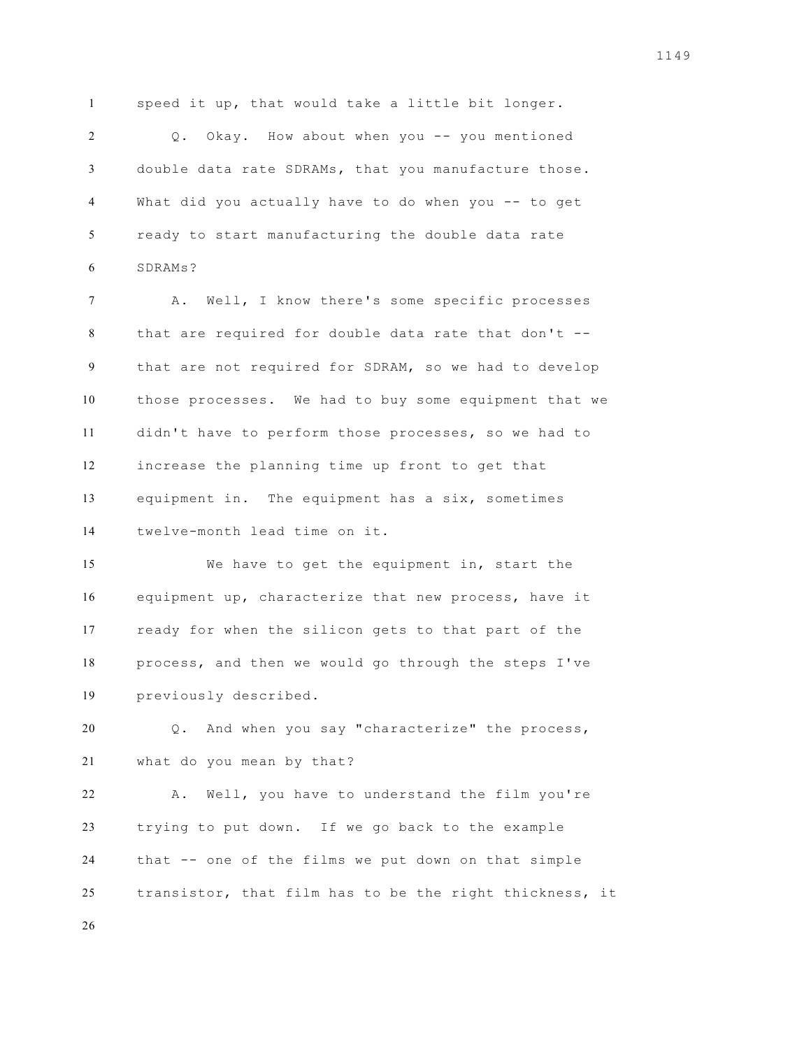speed it up, that would take a little bit longer.

2 0. Okay. How about when you -- you mentioned double data rate SDRAMs, that you manufacture those. What did you actually have to do when you -- to get ready to start manufacturing the double data rate SDRAMs?

 A. Well, I know there's some specific processes that are required for double data rate that don't -- that are not required for SDRAM, so we had to develop those processes. We had to buy some equipment that we didn't have to perform those processes, so we had to increase the planning time up front to get that equipment in. The equipment has a six, sometimes twelve-month lead time on it.

 We have to get the equipment in, start the equipment up, characterize that new process, have it ready for when the silicon gets to that part of the process, and then we would go through the steps I've previously described.

 Q. And when you say "characterize" the process, what do you mean by that?

 A. Well, you have to understand the film you're trying to put down. If we go back to the example that -- one of the films we put down on that simple transistor, that film has to be the right thickness, it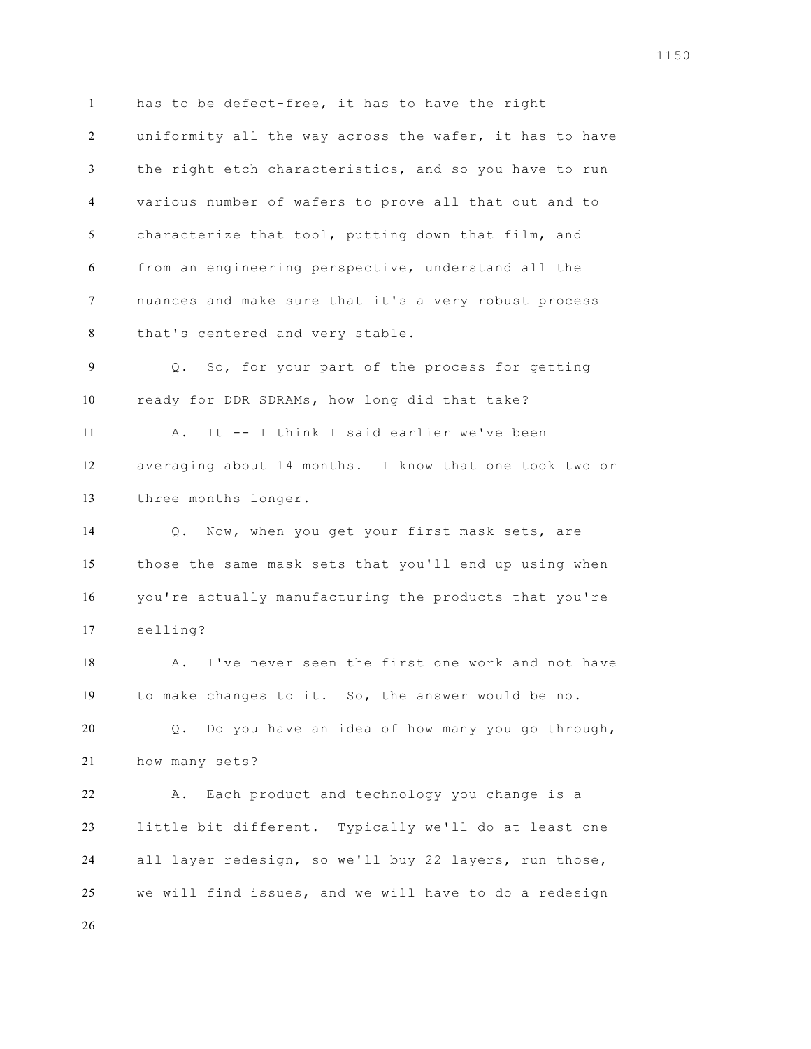has to be defect-free, it has to have the right uniformity all the way across the wafer, it has to have the right etch characteristics, and so you have to run various number of wafers to prove all that out and to characterize that tool, putting down that film, and from an engineering perspective, understand all the nuances and make sure that it's a very robust process that's centered and very stable. Q. So, for your part of the process for getting

 ready for DDR SDRAMs, how long did that take? A. It -- I think I said earlier we've been averaging about 14 months. I know that one took two or

three months longer.

 Q. Now, when you get your first mask sets, are those the same mask sets that you'll end up using when you're actually manufacturing the products that you're selling?

18 A. I've never seen the first one work and not have to make changes to it. So, the answer would be no.

 Q. Do you have an idea of how many you go through, how many sets?

 A. Each product and technology you change is a little bit different. Typically we'll do at least one all layer redesign, so we'll buy 22 layers, run those, we will find issues, and we will have to do a redesign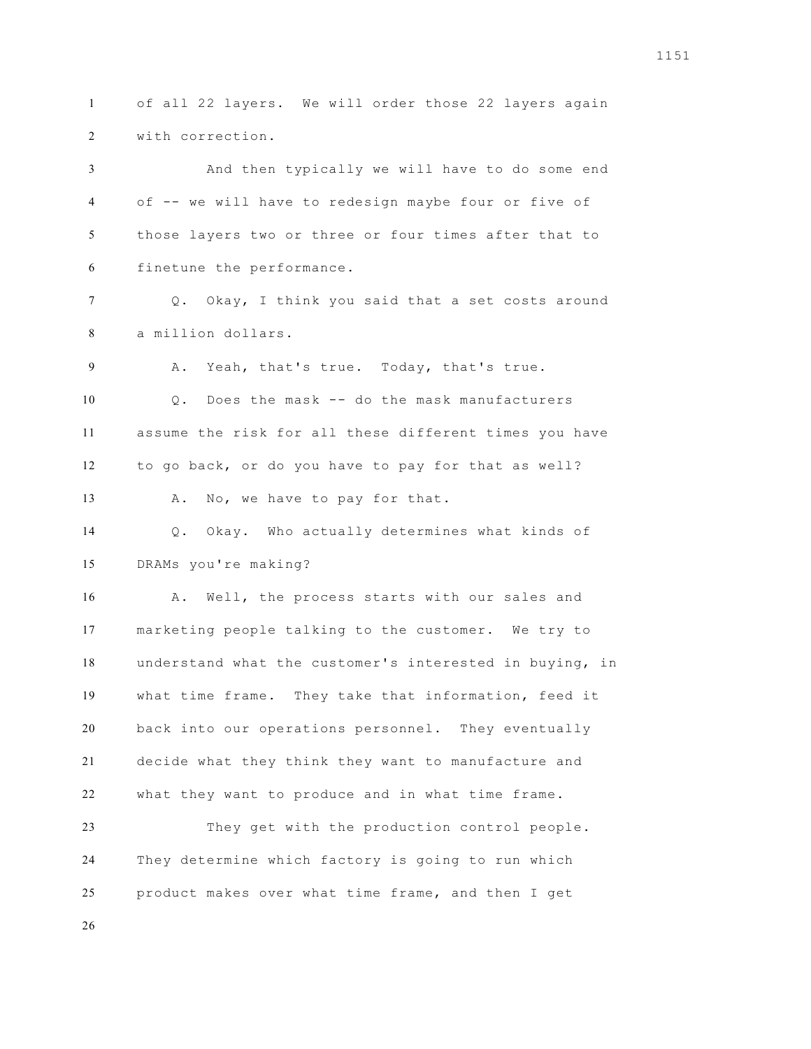of all 22 layers. We will order those 22 layers again with correction.

 And then typically we will have to do some end of -- we will have to redesign maybe four or five of those layers two or three or four times after that to finetune the performance. Q. Okay, I think you said that a set costs around a million dollars. A. Yeah, that's true. Today, that's true. Q. Does the mask -- do the mask manufacturers assume the risk for all these different times you have to go back, or do you have to pay for that as well? 13 A. No, we have to pay for that. Q. Okay. Who actually determines what kinds of DRAMs you're making? A. Well, the process starts with our sales and marketing people talking to the customer. We try to understand what the customer's interested in buying, in what time frame. They take that information, feed it back into our operations personnel. They eventually decide what they think they want to manufacture and what they want to produce and in what time frame.

 They get with the production control people. They determine which factory is going to run which product makes over what time frame, and then I get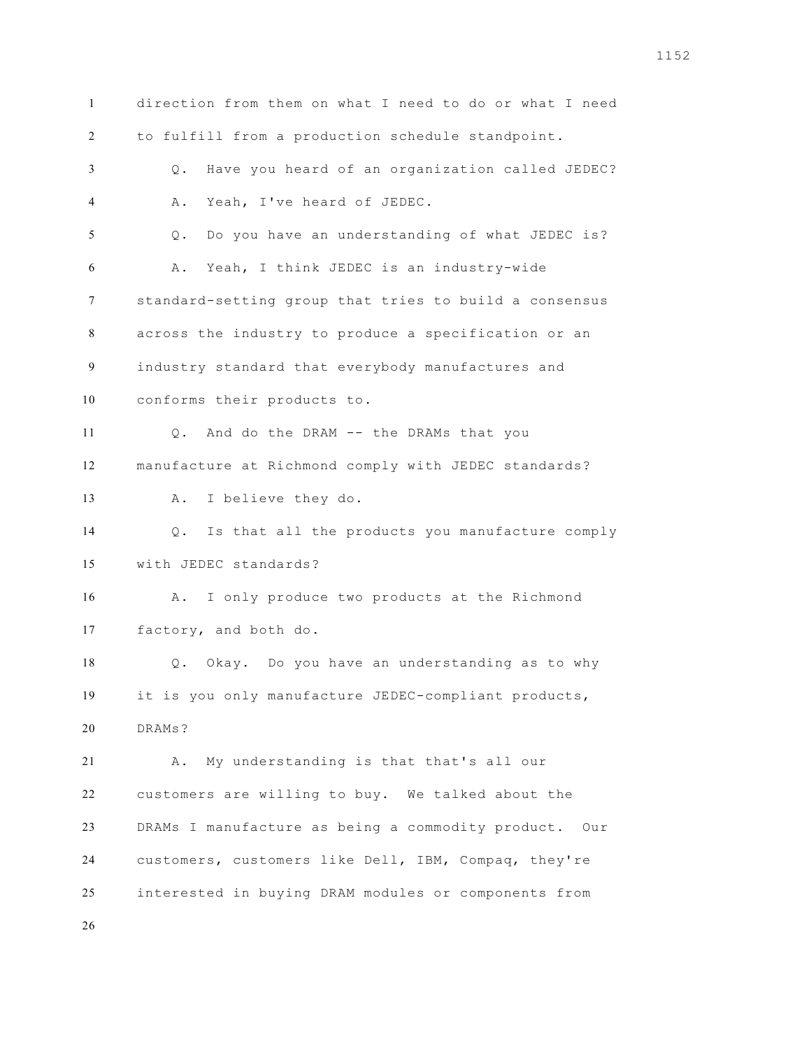direction from them on what I need to do or what I need to fulfill from a production schedule standpoint. Q. Have you heard of an organization called JEDEC? A. Yeah, I've heard of JEDEC. Q. Do you have an understanding of what JEDEC is? A. Yeah, I think JEDEC is an industry-wide standard-setting group that tries to build a consensus across the industry to produce a specification or an industry standard that everybody manufactures and conforms their products to. Q. And do the DRAM -- the DRAMs that you manufacture at Richmond comply with JEDEC standards? A. I believe they do. Q. Is that all the products you manufacture comply with JEDEC standards? A. I only produce two products at the Richmond factory, and both do. Q. Okay. Do you have an understanding as to why it is you only manufacture JEDEC-compliant products, DRAMs? A. My understanding is that that's all our customers are willing to buy. We talked about the DRAMs I manufacture as being a commodity product. Our customers, customers like Dell, IBM, Compaq, they're interested in buying DRAM modules or components from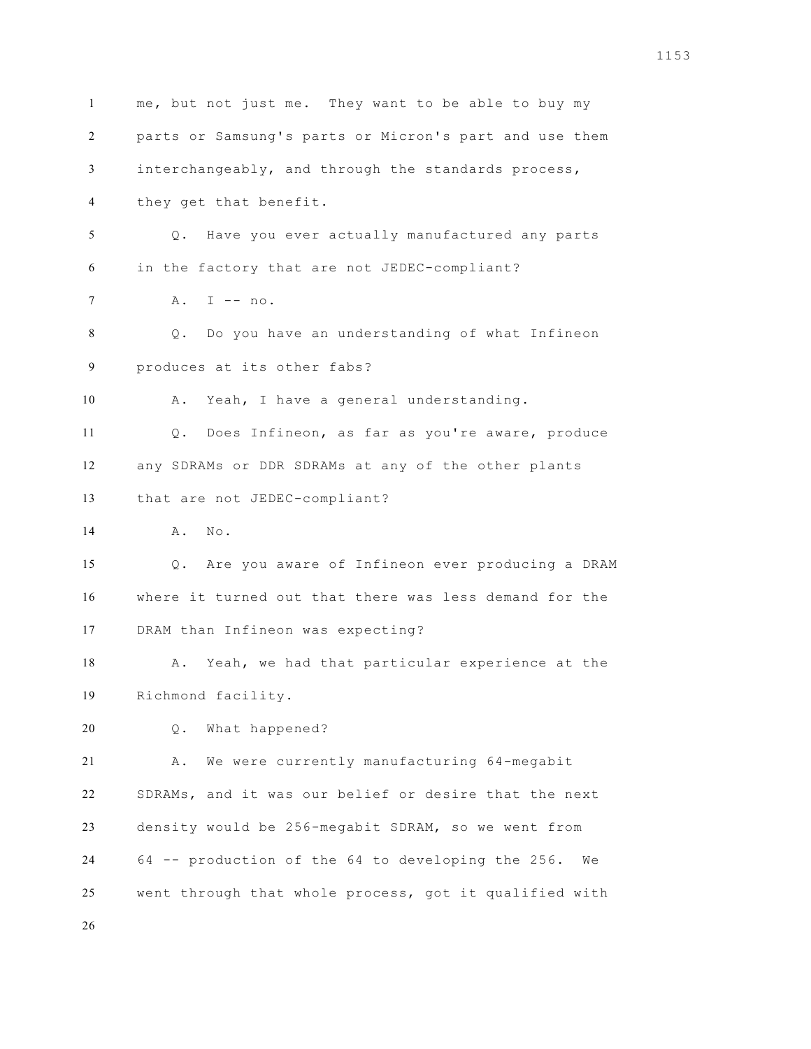me, but not just me. They want to be able to buy my parts or Samsung's parts or Micron's part and use them interchangeably, and through the standards process, they get that benefit. Q. Have you ever actually manufactured any parts in the factory that are not JEDEC-compliant? A. I -- no. Q. Do you have an understanding of what Infineon produces at its other fabs? A. Yeah, I have a general understanding. Q. Does Infineon, as far as you're aware, produce any SDRAMs or DDR SDRAMs at any of the other plants that are not JEDEC-compliant? 14 A. No. Q. Are you aware of Infineon ever producing a DRAM where it turned out that there was less demand for the DRAM than Infineon was expecting? 18 A. Yeah, we had that particular experience at the Richmond facility. Q. What happened? A. We were currently manufacturing 64-megabit SDRAMs, and it was our belief or desire that the next density would be 256-megabit SDRAM, so we went from 64 -- production of the 64 to developing the 256. We went through that whole process, got it qualified with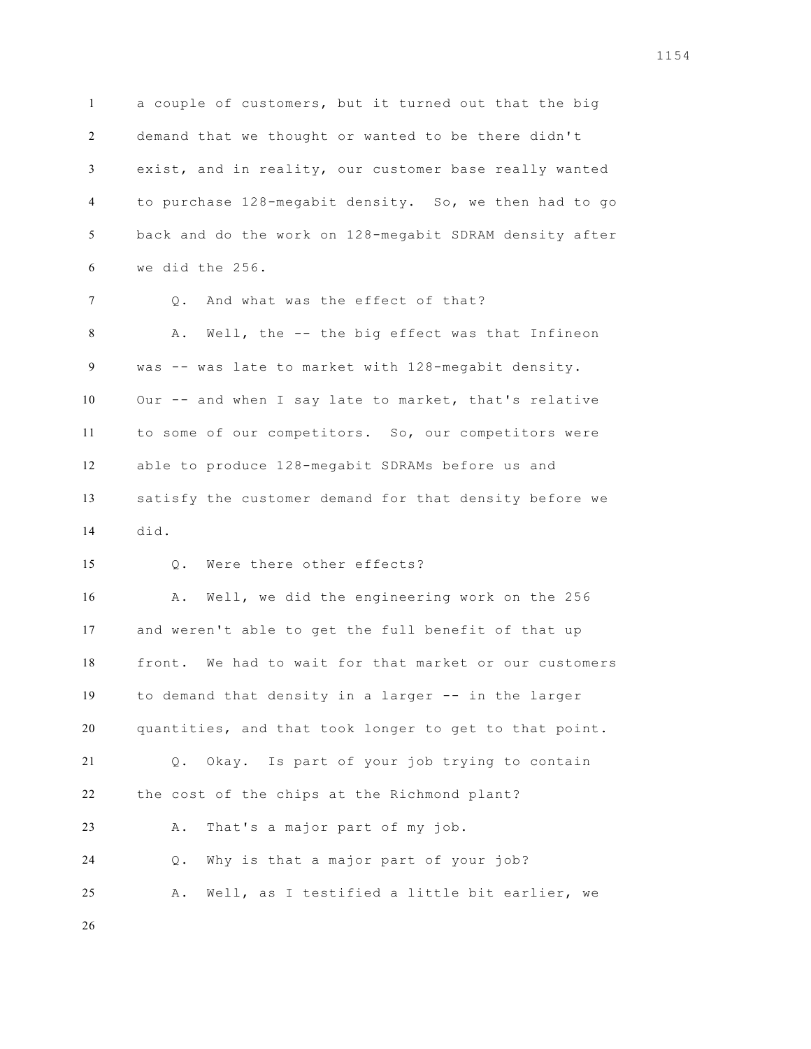a couple of customers, but it turned out that the big demand that we thought or wanted to be there didn't exist, and in reality, our customer base really wanted to purchase 128-megabit density. So, we then had to go back and do the work on 128-megabit SDRAM density after we did the 256.

 Q. And what was the effect of that? A. Well, the -- the big effect was that Infineon was -- was late to market with 128-megabit density. Our -- and when I say late to market, that's relative to some of our competitors. So, our competitors were able to produce 128-megabit SDRAMs before us and satisfy the customer demand for that density before we did.

Q. Were there other effects?

 A. Well, we did the engineering work on the 256 and weren't able to get the full benefit of that up front. We had to wait for that market or our customers to demand that density in a larger -- in the larger quantities, and that took longer to get to that point. Q. Okay. Is part of your job trying to contain the cost of the chips at the Richmond plant? A. That's a major part of my job. Q. Why is that a major part of your job? A. Well, as I testified a little bit earlier, we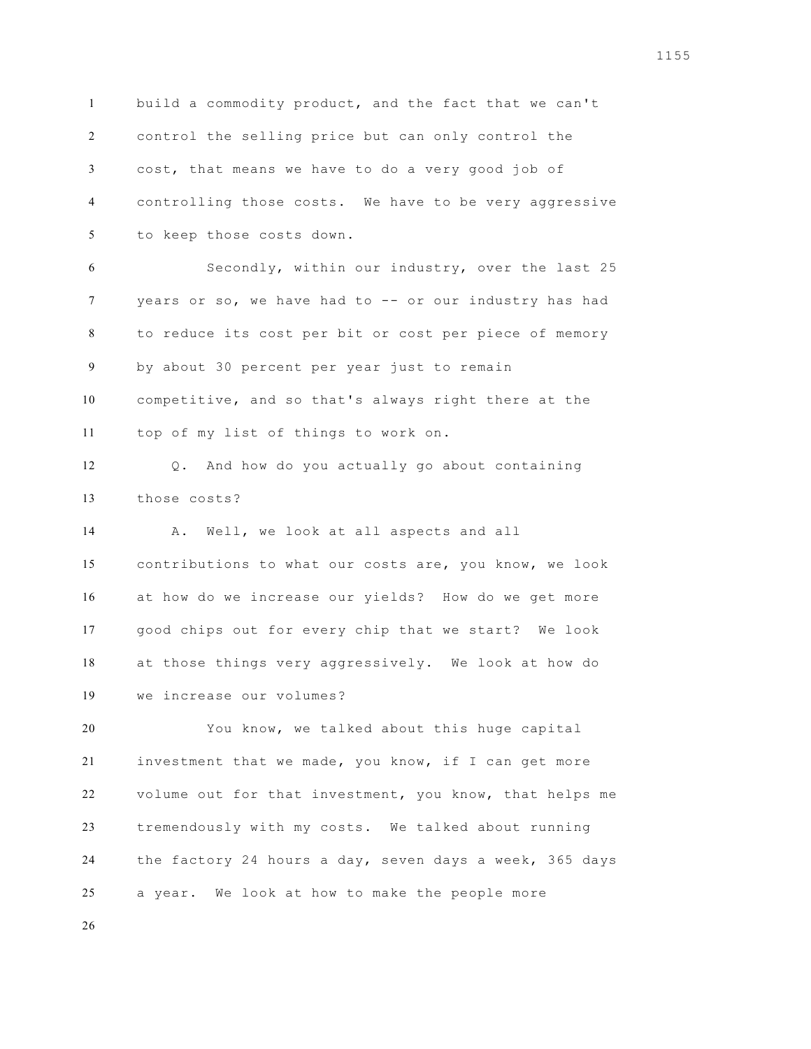build a commodity product, and the fact that we can't control the selling price but can only control the cost, that means we have to do a very good job of controlling those costs. We have to be very aggressive to keep those costs down. Secondly, within our industry, over the last 25 years or so, we have had to -- or our industry has had to reduce its cost per bit or cost per piece of memory by about 30 percent per year just to remain competitive, and so that's always right there at the top of my list of things to work on. Q. And how do you actually go about containing those costs? A. Well, we look at all aspects and all contributions to what our costs are, you know, we look at how do we increase our yields? How do we get more good chips out for every chip that we start? We look at those things very aggressively. We look at how do we increase our volumes? You know, we talked about this huge capital investment that we made, you know, if I can get more volume out for that investment, you know, that helps me tremendously with my costs. We talked about running the factory 24 hours a day, seven days a week, 365 days a year. We look at how to make the people more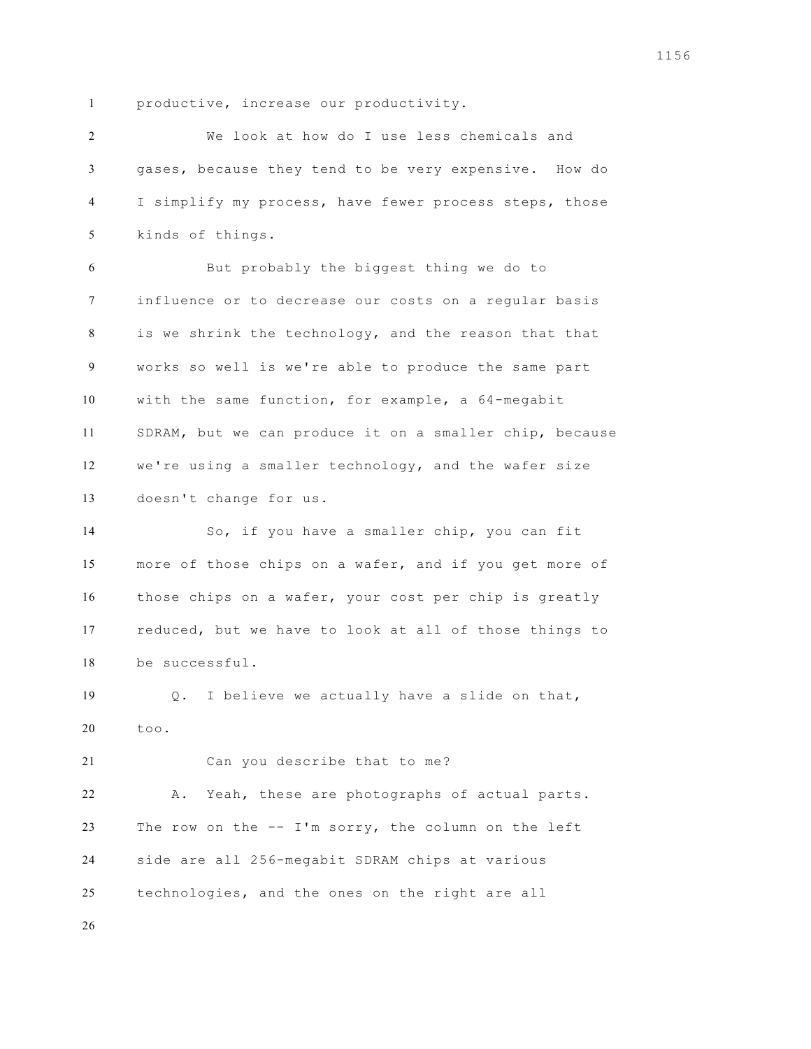productive, increase our productivity.

 We look at how do I use less chemicals and gases, because they tend to be very expensive. How do I simplify my process, have fewer process steps, those kinds of things. But probably the biggest thing we do to influence or to decrease our costs on a regular basis is we shrink the technology, and the reason that that works so well is we're able to produce the same part with the same function, for example, a 64-megabit SDRAM, but we can produce it on a smaller chip, because we're using a smaller technology, and the wafer size doesn't change for us. So, if you have a smaller chip, you can fit more of those chips on a wafer, and if you get more of those chips on a wafer, your cost per chip is greatly reduced, but we have to look at all of those things to be successful. Q. I believe we actually have a slide on that, too. Can you describe that to me? A. Yeah, these are photographs of actual parts. The row on the -- I'm sorry, the column on the left side are all 256-megabit SDRAM chips at various technologies, and the ones on the right are all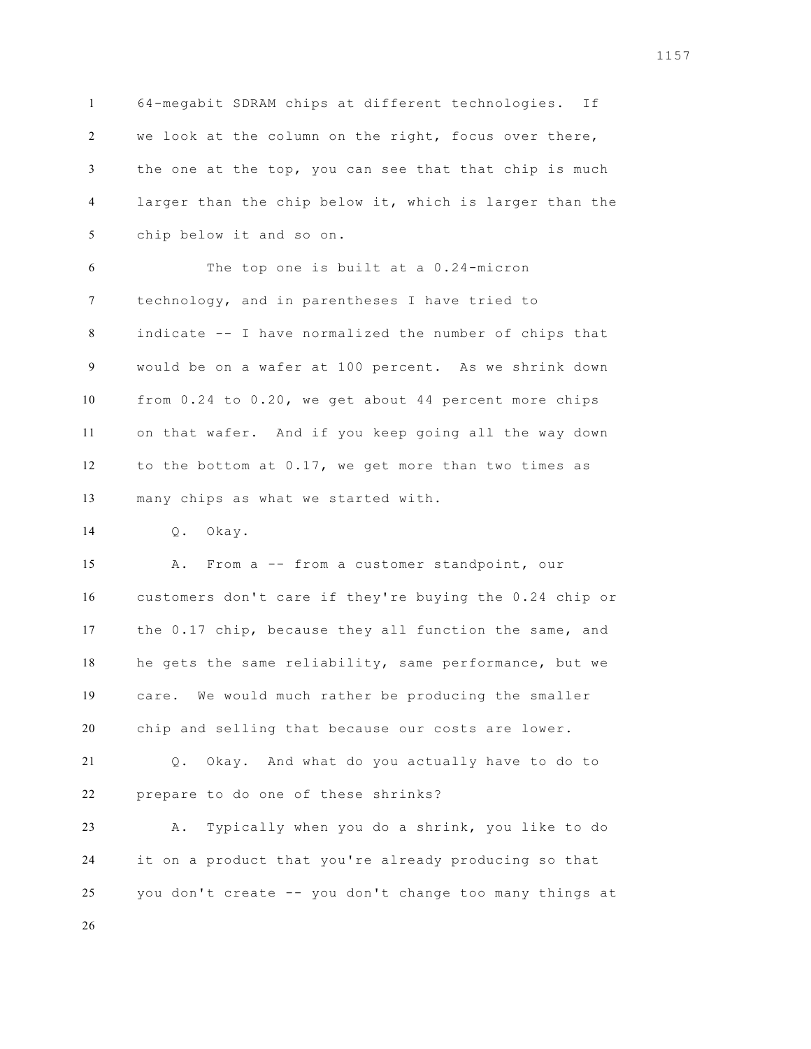64-megabit SDRAM chips at different technologies. If we look at the column on the right, focus over there, the one at the top, you can see that that chip is much larger than the chip below it, which is larger than the chip below it and so on.

 The top one is built at a 0.24-micron technology, and in parentheses I have tried to indicate -- I have normalized the number of chips that would be on a wafer at 100 percent. As we shrink down from 0.24 to 0.20, we get about 44 percent more chips on that wafer. And if you keep going all the way down to the bottom at 0.17, we get more than two times as many chips as what we started with.

Q. Okay.

 A. From a -- from a customer standpoint, our customers don't care if they're buying the 0.24 chip or the 0.17 chip, because they all function the same, and he gets the same reliability, same performance, but we care. We would much rather be producing the smaller chip and selling that because our costs are lower.

 Q. Okay. And what do you actually have to do to prepare to do one of these shrinks?

 A. Typically when you do a shrink, you like to do it on a product that you're already producing so that you don't create -- you don't change too many things at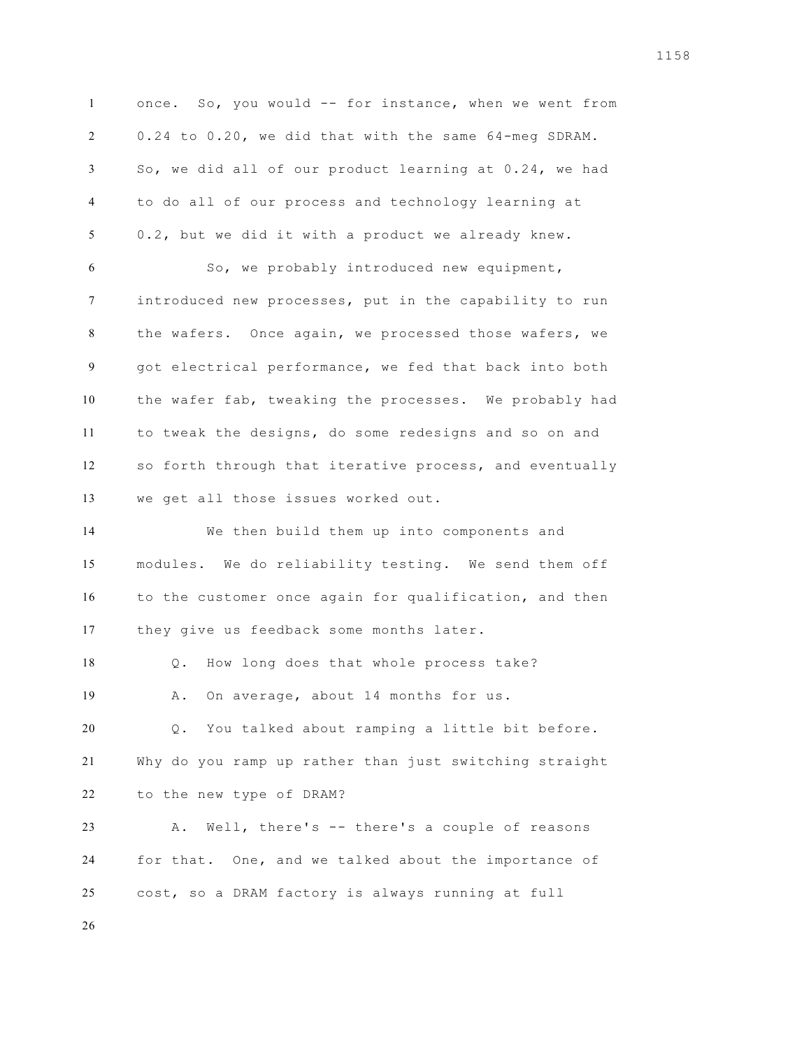once. So, you would -- for instance, when we went from 0.24 to 0.20, we did that with the same 64-meg SDRAM. So, we did all of our product learning at 0.24, we had to do all of our process and technology learning at 0.2, but we did it with a product we already knew. So, we probably introduced new equipment, introduced new processes, put in the capability to run the wafers. Once again, we processed those wafers, we got electrical performance, we fed that back into both the wafer fab, tweaking the processes. We probably had to tweak the designs, do some redesigns and so on and so forth through that iterative process, and eventually we get all those issues worked out. We then build them up into components and modules. We do reliability testing. We send them off to the customer once again for qualification, and then they give us feedback some months later. Q. How long does that whole process take? A. On average, about 14 months for us. Q. You talked about ramping a little bit before. Why do you ramp up rather than just switching straight to the new type of DRAM? A. Well, there's -- there's a couple of reasons for that. One, and we talked about the importance of cost, so a DRAM factory is always running at full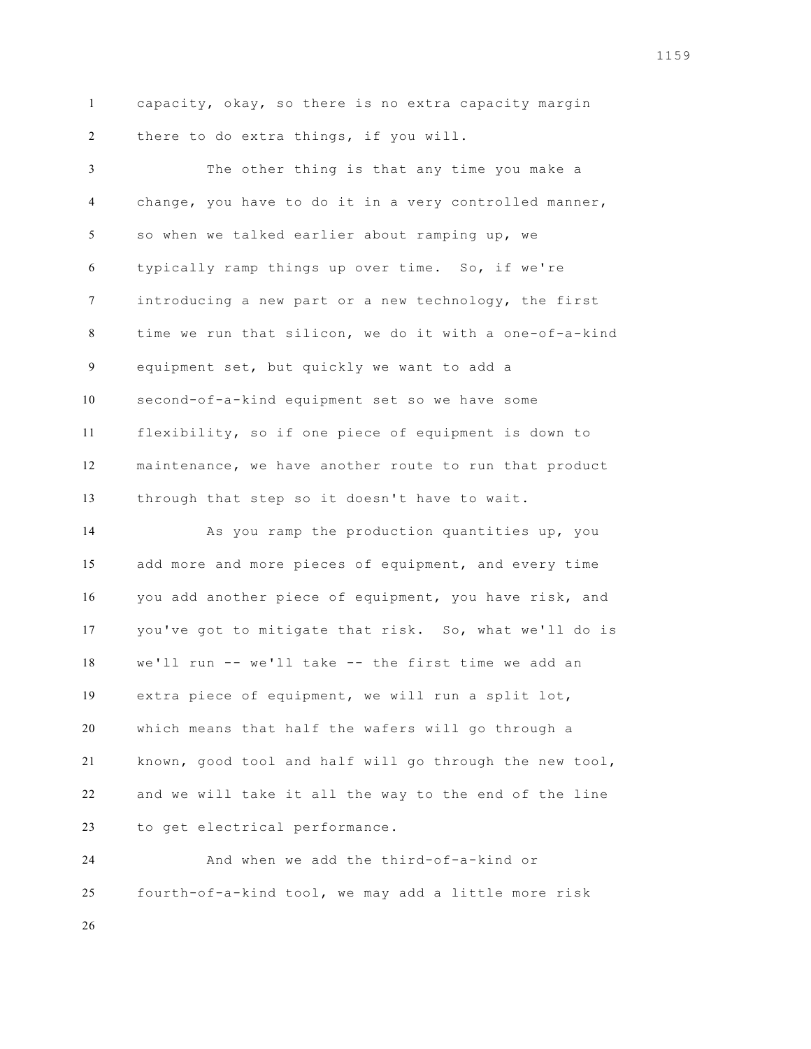capacity, okay, so there is no extra capacity margin there to do extra things, if you will.

 The other thing is that any time you make a change, you have to do it in a very controlled manner, so when we talked earlier about ramping up, we typically ramp things up over time. So, if we're introducing a new part or a new technology, the first time we run that silicon, we do it with a one-of-a-kind equipment set, but quickly we want to add a second-of-a-kind equipment set so we have some flexibility, so if one piece of equipment is down to maintenance, we have another route to run that product through that step so it doesn't have to wait.

 As you ramp the production quantities up, you add more and more pieces of equipment, and every time you add another piece of equipment, you have risk, and you've got to mitigate that risk. So, what we'll do is we'll run -- we'll take -- the first time we add an extra piece of equipment, we will run a split lot, which means that half the wafers will go through a known, good tool and half will go through the new tool, and we will take it all the way to the end of the line to get electrical performance.

 And when we add the third-of-a-kind or fourth-of-a-kind tool, we may add a little more risk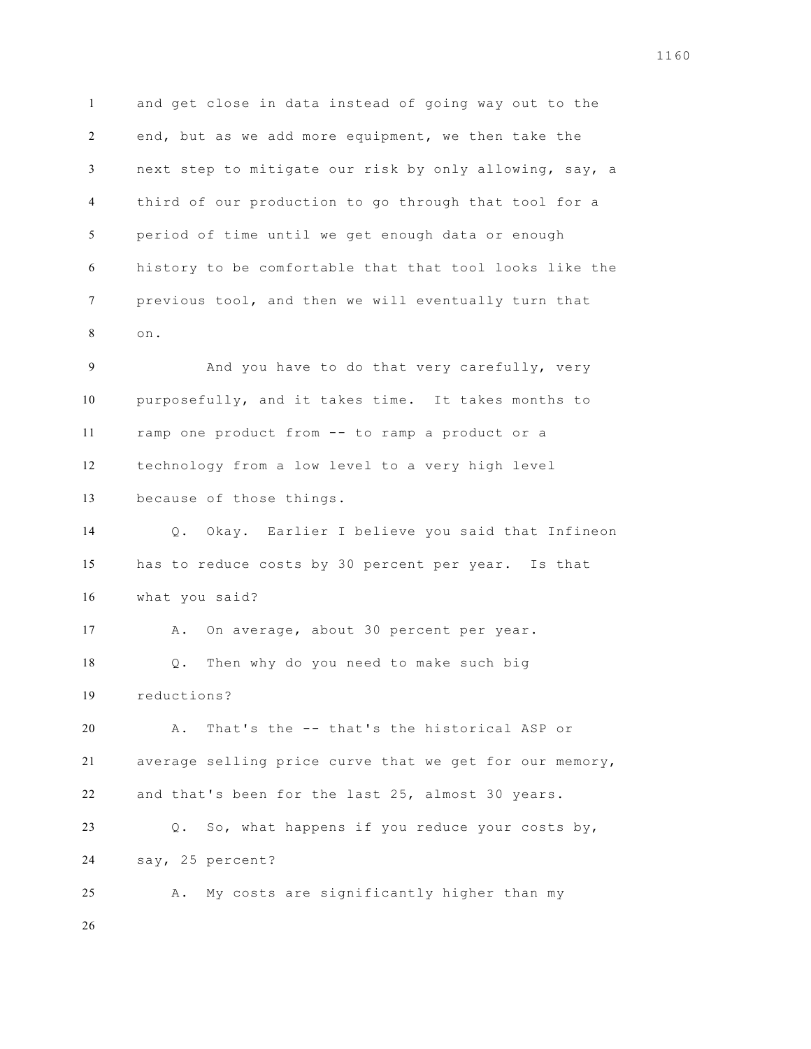and get close in data instead of going way out to the end, but as we add more equipment, we then take the next step to mitigate our risk by only allowing, say, a third of our production to go through that tool for a period of time until we get enough data or enough history to be comfortable that that tool looks like the previous tool, and then we will eventually turn that on.

 And you have to do that very carefully, very purposefully, and it takes time. It takes months to ramp one product from -- to ramp a product or a technology from a low level to a very high level because of those things.

 Q. Okay. Earlier I believe you said that Infineon has to reduce costs by 30 percent per year. Is that what you said?

17 A. On average, about 30 percent per year. Q. Then why do you need to make such big reductions?

 A. That's the -- that's the historical ASP or average selling price curve that we get for our memory, and that's been for the last 25, almost 30 years.

 Q. So, what happens if you reduce your costs by, say, 25 percent?

A. My costs are significantly higher than my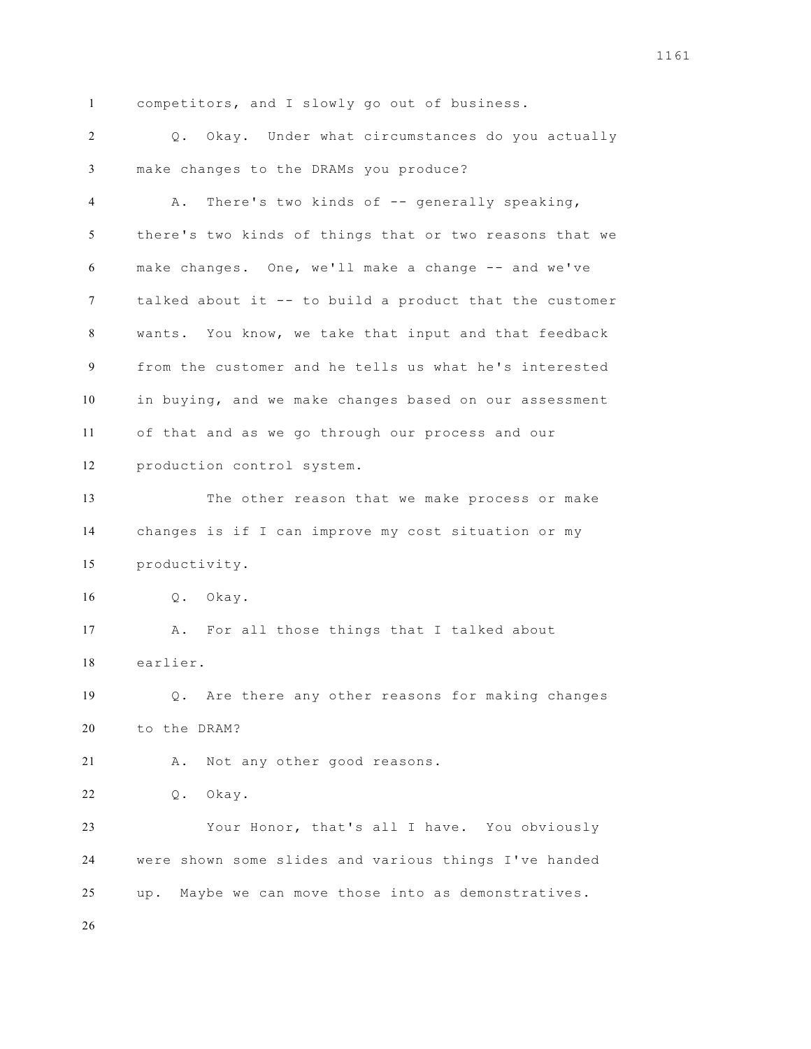competitors, and I slowly go out of business.

 Q. Okay. Under what circumstances do you actually make changes to the DRAMs you produce?

 A. There's two kinds of -- generally speaking, there's two kinds of things that or two reasons that we make changes. One, we'll make a change -- and we've talked about it -- to build a product that the customer wants. You know, we take that input and that feedback from the customer and he tells us what he's interested in buying, and we make changes based on our assessment of that and as we go through our process and our production control system.

 The other reason that we make process or make changes is if I can improve my cost situation or my productivity.

Q. Okay.

 A. For all those things that I talked about earlier.

 Q. Are there any other reasons for making changes to the DRAM?

A. Not any other good reasons.

Q. Okay.

 Your Honor, that's all I have. You obviously were shown some slides and various things I've handed up. Maybe we can move those into as demonstratives.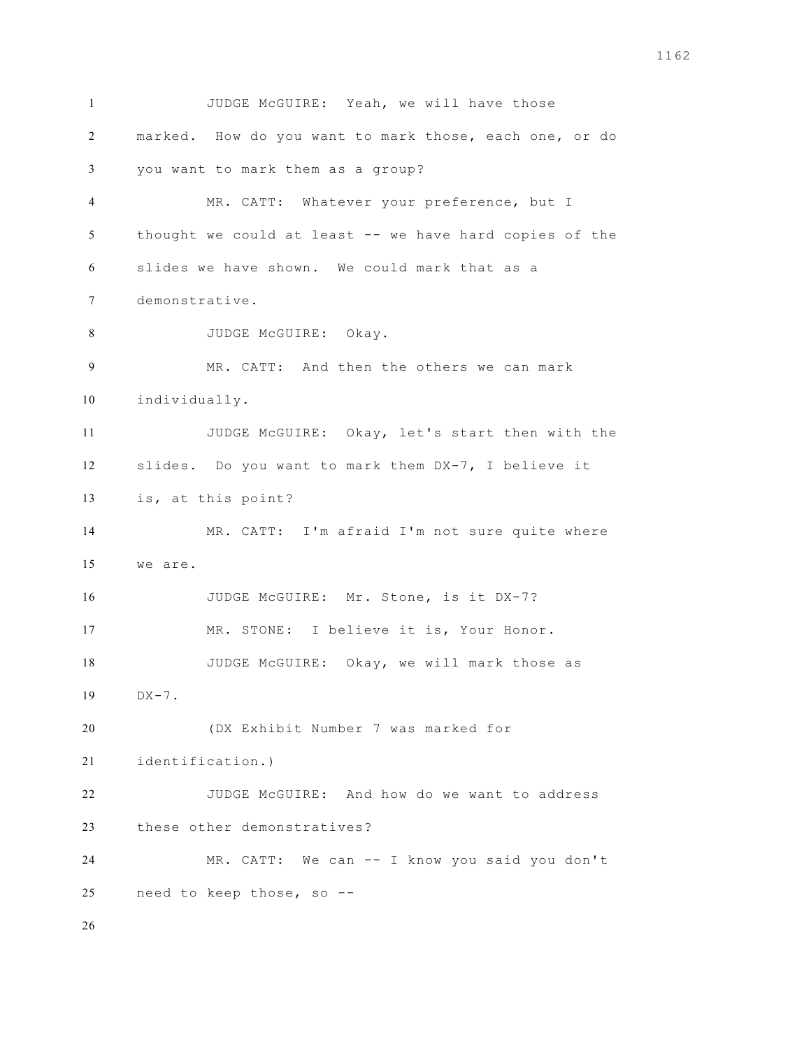JUDGE McGUIRE: Yeah, we will have those marked. How do you want to mark those, each one, or do you want to mark them as a group? MR. CATT: Whatever your preference, but I thought we could at least -- we have hard copies of the slides we have shown. We could mark that as a demonstrative. 8 JUDGE McGUIRE: Okay. MR. CATT: And then the others we can mark individually. JUDGE McGUIRE: Okay, let's start then with the slides. Do you want to mark them DX-7, I believe it is, at this point? MR. CATT: I'm afraid I'm not sure quite where we are. JUDGE McGUIRE: Mr. Stone, is it DX-7? MR. STONE: I believe it is, Your Honor. JUDGE McGUIRE: Okay, we will mark those as DX-7. (DX Exhibit Number 7 was marked for identification.) JUDGE McGUIRE: And how do we want to address these other demonstratives? MR. CATT: We can -- I know you said you don't need to keep those, so --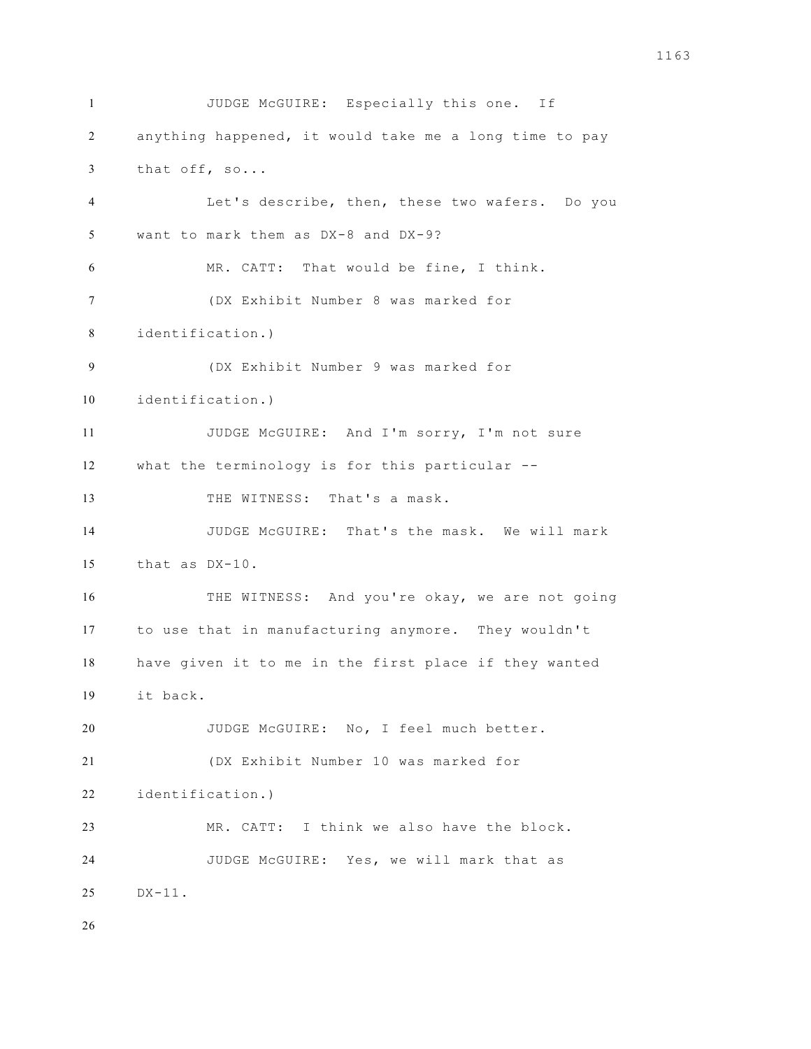JUDGE McGUIRE: Especially this one. If anything happened, it would take me a long time to pay that off, so... Let's describe, then, these two wafers. Do you want to mark them as DX-8 and DX-9? MR. CATT: That would be fine, I think. (DX Exhibit Number 8 was marked for identification.) (DX Exhibit Number 9 was marked for identification.) JUDGE McGUIRE: And I'm sorry, I'm not sure what the terminology is for this particular -- 13 THE WITNESS: That's a mask. JUDGE McGUIRE: That's the mask. We will mark that as DX-10. THE WITNESS: And you're okay, we are not going to use that in manufacturing anymore. They wouldn't have given it to me in the first place if they wanted it back. JUDGE McGUIRE: No, I feel much better. (DX Exhibit Number 10 was marked for identification.) MR. CATT: I think we also have the block. JUDGE McGUIRE: Yes, we will mark that as DX-11.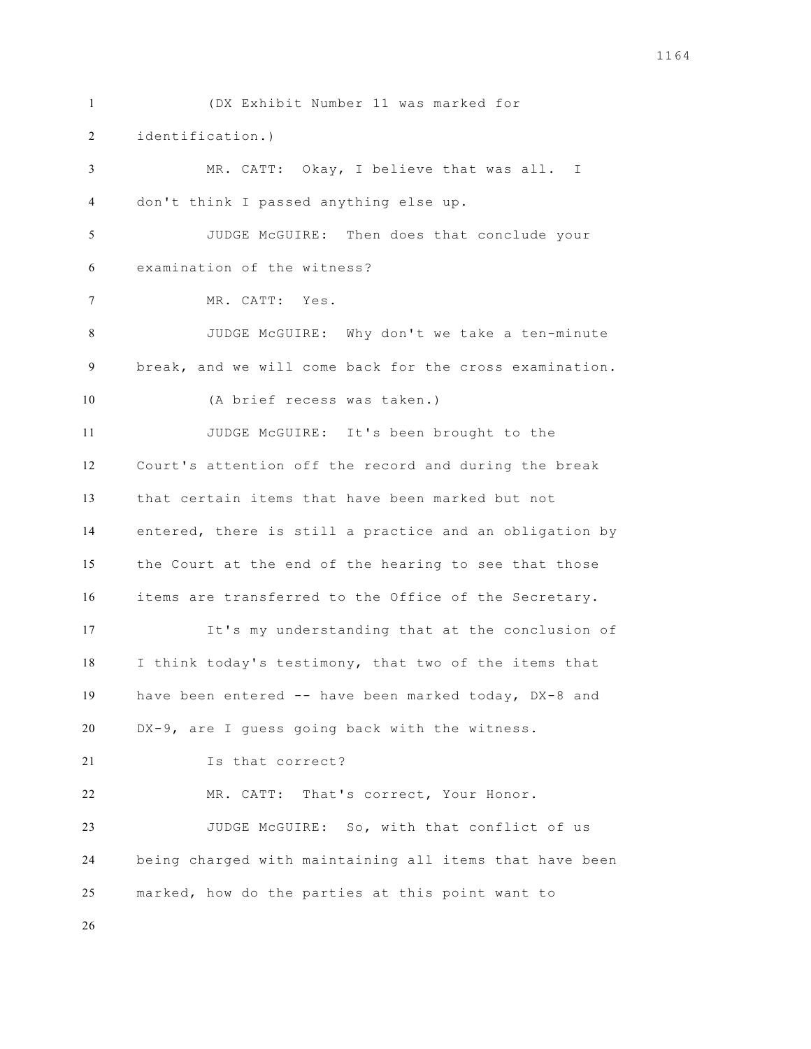(DX Exhibit Number 11 was marked for identification.) MR. CATT: Okay, I believe that was all. I don't think I passed anything else up. JUDGE McGUIRE: Then does that conclude your examination of the witness? MR. CATT: Yes. JUDGE McGUIRE: Why don't we take a ten-minute break, and we will come back for the cross examination. (A brief recess was taken.) JUDGE McGUIRE: It's been brought to the Court's attention off the record and during the break that certain items that have been marked but not entered, there is still a practice and an obligation by the Court at the end of the hearing to see that those items are transferred to the Office of the Secretary. It's my understanding that at the conclusion of I think today's testimony, that two of the items that have been entered -- have been marked today, DX-8 and DX-9, are I guess going back with the witness. 21 Is that correct? MR. CATT: That's correct, Your Honor. JUDGE McGUIRE: So, with that conflict of us being charged with maintaining all items that have been marked, how do the parties at this point want to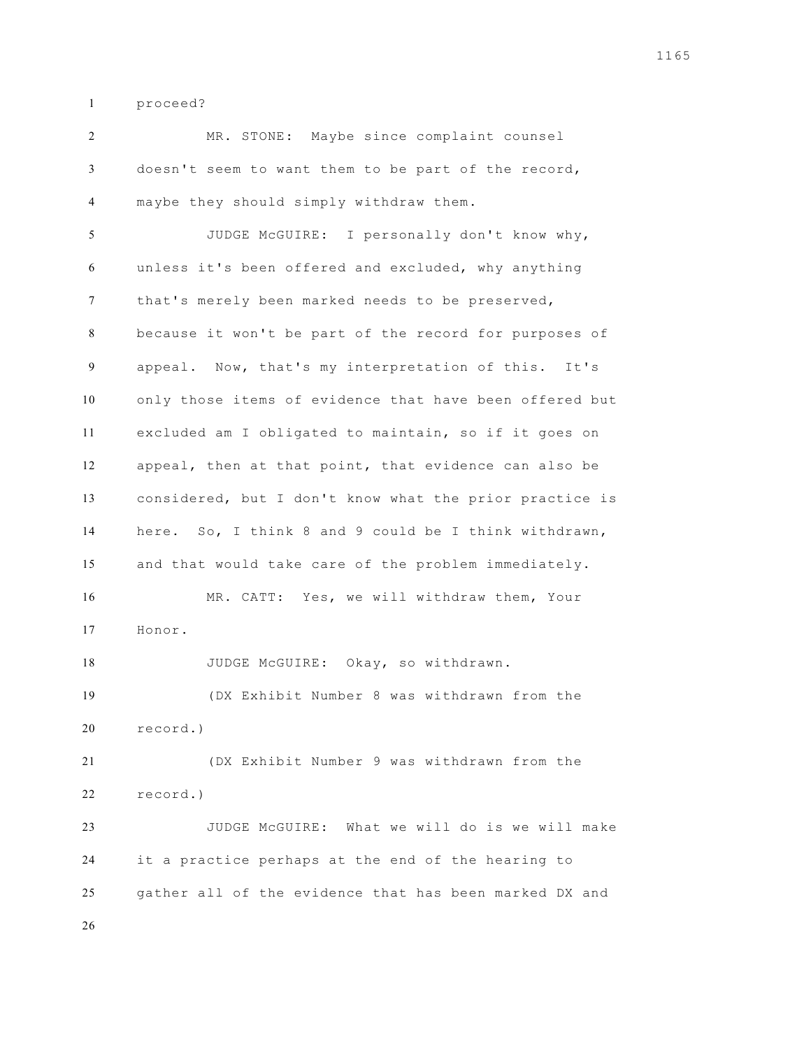proceed?

 MR. STONE: Maybe since complaint counsel doesn't seem to want them to be part of the record, maybe they should simply withdraw them. JUDGE McGUIRE: I personally don't know why, unless it's been offered and excluded, why anything that's merely been marked needs to be preserved, because it won't be part of the record for purposes of appeal. Now, that's my interpretation of this. It's only those items of evidence that have been offered but excluded am I obligated to maintain, so if it goes on appeal, then at that point, that evidence can also be considered, but I don't know what the prior practice is here. So, I think 8 and 9 could be I think withdrawn, and that would take care of the problem immediately. MR. CATT: Yes, we will withdraw them, Your Honor. 18 JUDGE McGUIRE: Okay, so withdrawn. (DX Exhibit Number 8 was withdrawn from the record.) (DX Exhibit Number 9 was withdrawn from the record.) JUDGE McGUIRE: What we will do is we will make it a practice perhaps at the end of the hearing to gather all of the evidence that has been marked DX and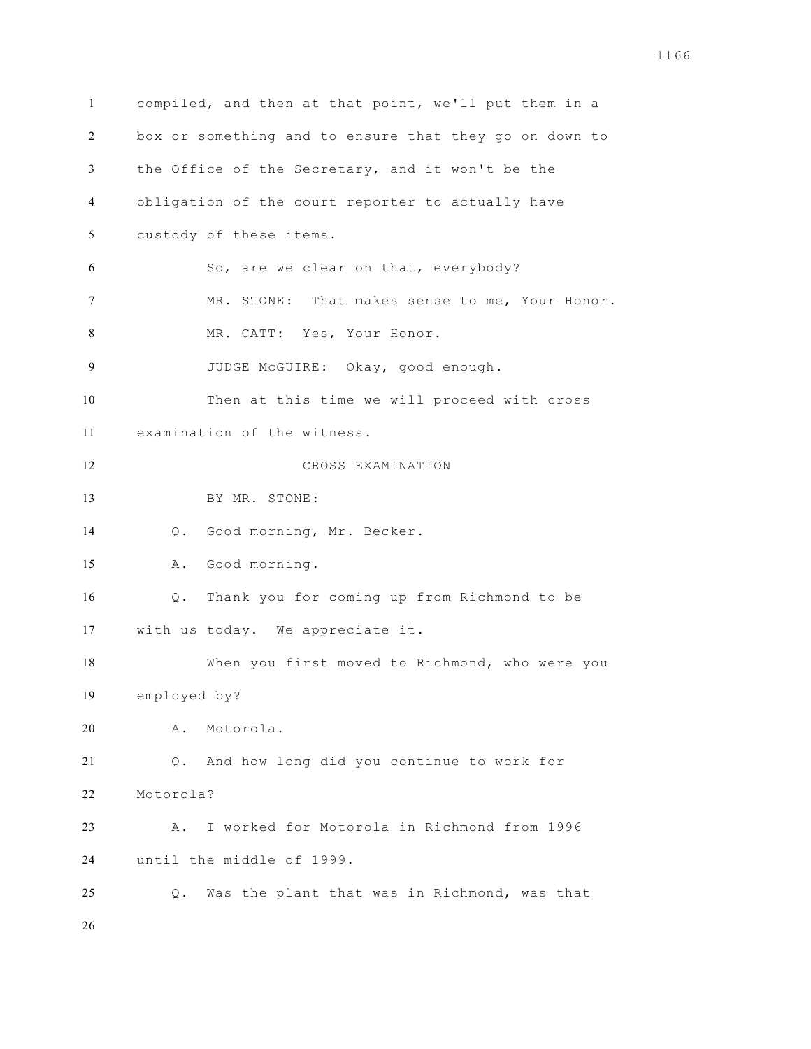compiled, and then at that point, we'll put them in a box or something and to ensure that they go on down to the Office of the Secretary, and it won't be the obligation of the court reporter to actually have custody of these items. So, are we clear on that, everybody? MR. STONE: That makes sense to me, Your Honor. MR. CATT: Yes, Your Honor. JUDGE McGUIRE: Okay, good enough. Then at this time we will proceed with cross examination of the witness. CROSS EXAMINATION BY MR. STONE: Q. Good morning, Mr. Becker. A. Good morning. Q. Thank you for coming up from Richmond to be with us today. We appreciate it. When you first moved to Richmond, who were you employed by? A. Motorola. Q. And how long did you continue to work for Motorola? A. I worked for Motorola in Richmond from 1996 until the middle of 1999. Q. Was the plant that was in Richmond, was that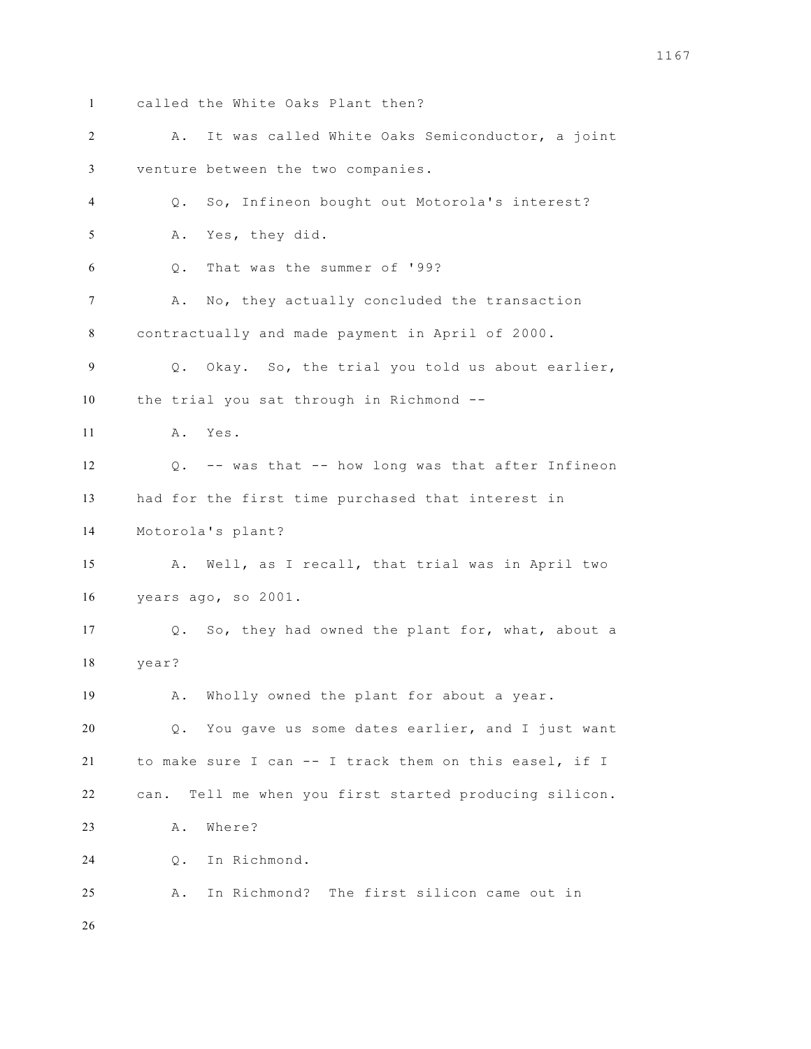called the White Oaks Plant then? A. It was called White Oaks Semiconductor, a joint venture between the two companies. Q. So, Infineon bought out Motorola's interest? A. Yes, they did. Q. That was the summer of '99? A. No, they actually concluded the transaction contractually and made payment in April of 2000. Q. Okay. So, the trial you told us about earlier, the trial you sat through in Richmond -- A. Yes. Q. -- was that -- how long was that after Infineon had for the first time purchased that interest in Motorola's plant? A. Well, as I recall, that trial was in April two years ago, so 2001. Q. So, they had owned the plant for, what, about a year? A. Wholly owned the plant for about a year. Q. You gave us some dates earlier, and I just want to make sure I can -- I track them on this easel, if I can. Tell me when you first started producing silicon. A. Where? Q. In Richmond. A. In Richmond? The first silicon came out in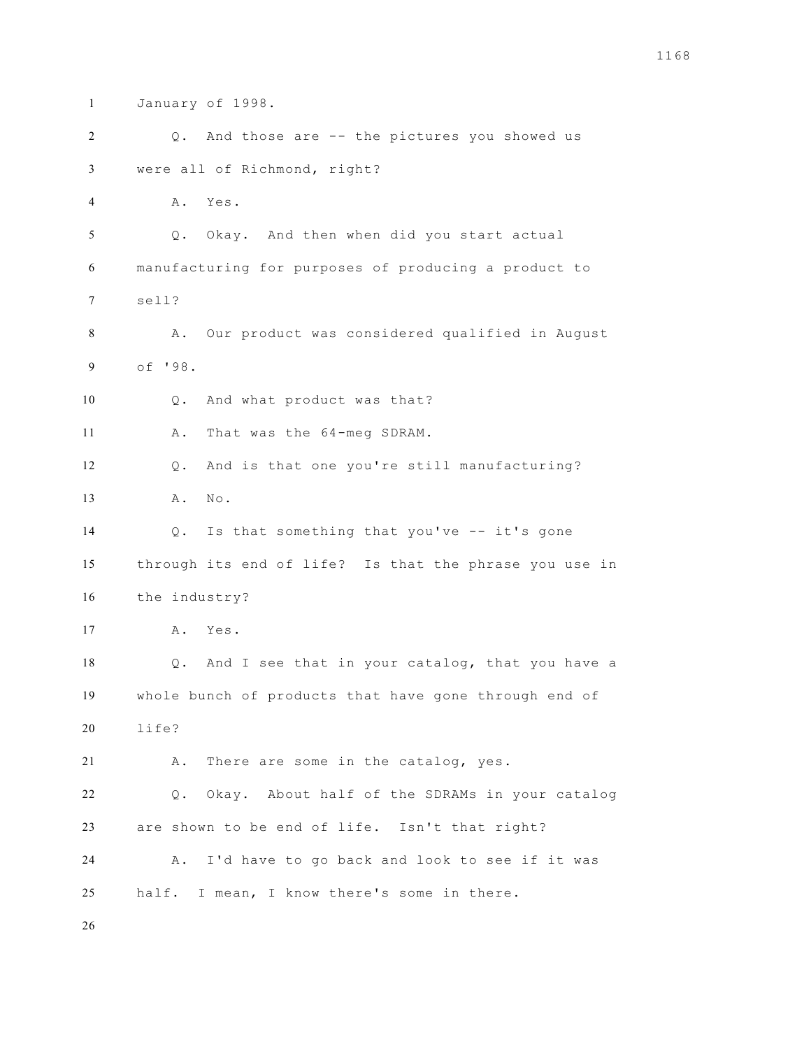January of 1998. Q. And those are -- the pictures you showed us were all of Richmond, right? A. Yes. Q. Okay. And then when did you start actual manufacturing for purposes of producing a product to sell? A. Our product was considered qualified in August of '98. Q. And what product was that? 11 A. That was the 64-meg SDRAM. Q. And is that one you're still manufacturing? 13 A. No. Q. Is that something that you've -- it's gone through its end of life? Is that the phrase you use in the industry? A. Yes. Q. And I see that in your catalog, that you have a whole bunch of products that have gone through end of life? A. There are some in the catalog, yes. Q. Okay. About half of the SDRAMs in your catalog are shown to be end of life. Isn't that right? A. I'd have to go back and look to see if it was half. I mean, I know there's some in there.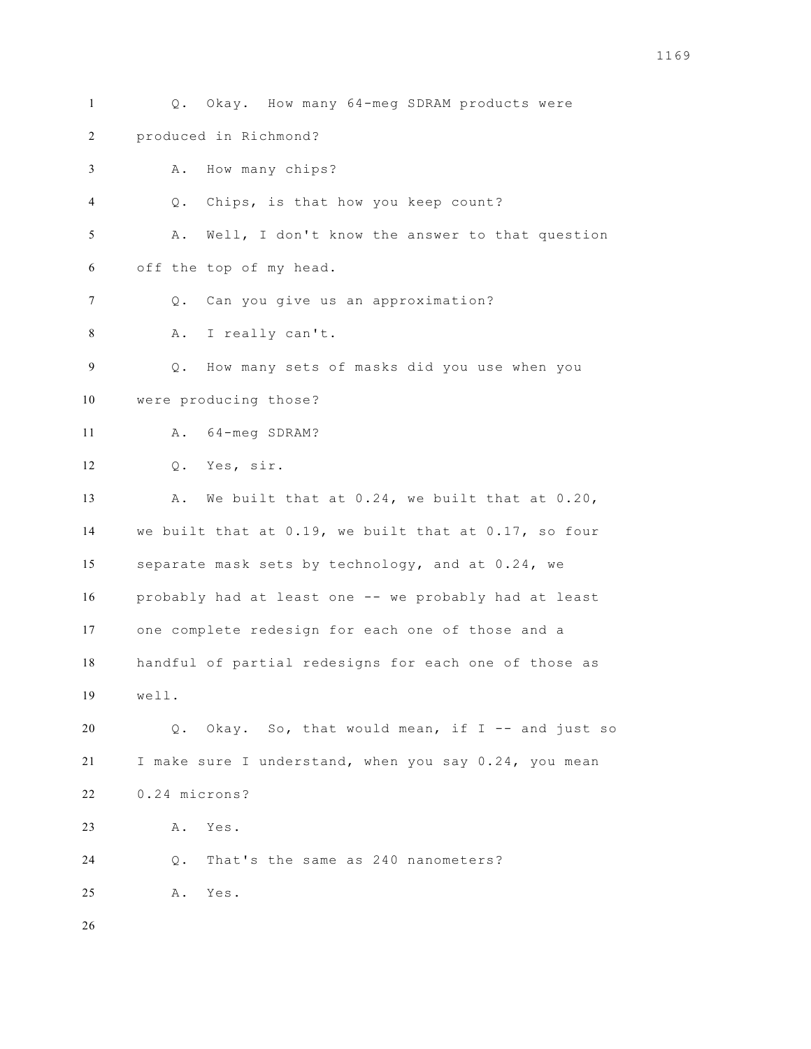Q. Okay. How many 64-meg SDRAM products were produced in Richmond? A. How many chips? Q. Chips, is that how you keep count? A. Well, I don't know the answer to that question off the top of my head. Q. Can you give us an approximation? A. I really can't. Q. How many sets of masks did you use when you were producing those? A. 64-meg SDRAM? Q. Yes, sir. 13 A. We built that at 0.24, we built that at 0.20, we built that at 0.19, we built that at 0.17, so four separate mask sets by technology, and at 0.24, we probably had at least one -- we probably had at least one complete redesign for each one of those and a handful of partial redesigns for each one of those as well. Q. Okay. So, that would mean, if I -- and just so I make sure I understand, when you say 0.24, you mean 0.24 microns? A. Yes. Q. That's the same as 240 nanometers? A. Yes.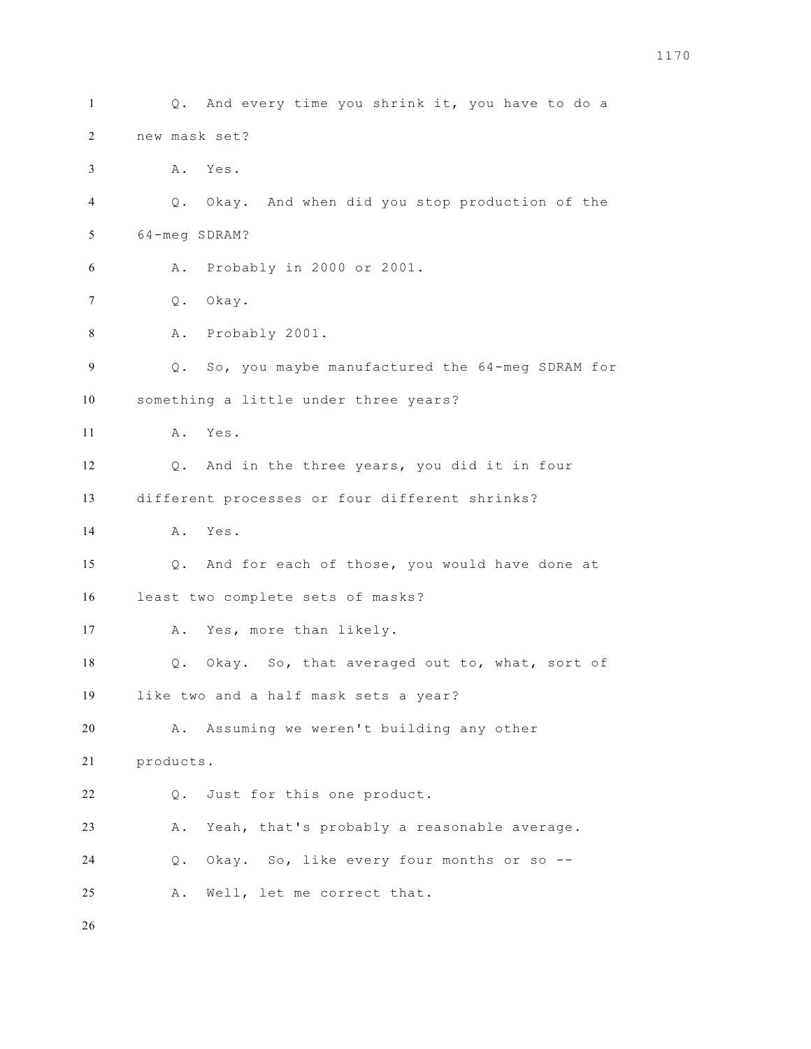Q. And every time you shrink it, you have to do a new mask set? A. Yes. Q. Okay. And when did you stop production of the 64-meg SDRAM? A. Probably in 2000 or 2001. Q. Okay. A. Probably 2001. Q. So, you maybe manufactured the 64-meg SDRAM for something a little under three years? A. Yes. Q. And in the three years, you did it in four different processes or four different shrinks? A. Yes. Q. And for each of those, you would have done at least two complete sets of masks? A. Yes, more than likely. Q. Okay. So, that averaged out to, what, sort of like two and a half mask sets a year? A. Assuming we weren't building any other products. Q. Just for this one product. A. Yeah, that's probably a reasonable average. Q. Okay. So, like every four months or so -- A. Well, let me correct that.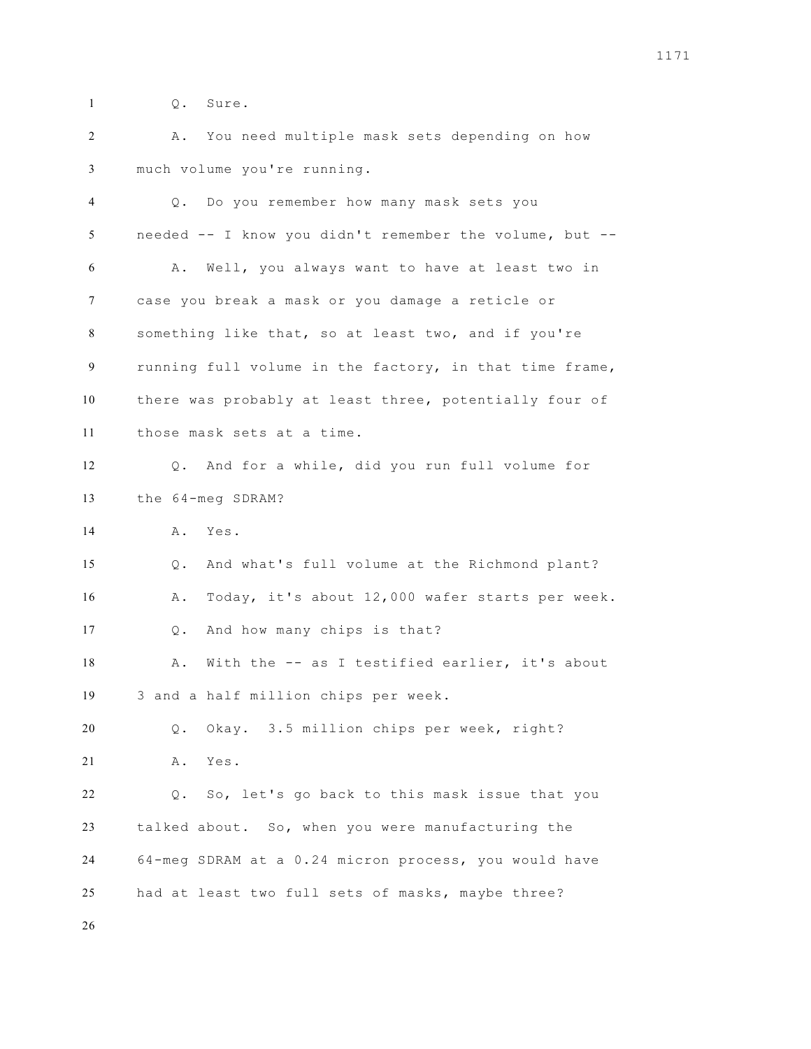Q. Sure.

 A. You need multiple mask sets depending on how much volume you're running.

 Q. Do you remember how many mask sets you needed -- I know you didn't remember the volume, but -- A. Well, you always want to have at least two in case you break a mask or you damage a reticle or something like that, so at least two, and if you're running full volume in the factory, in that time frame, there was probably at least three, potentially four of those mask sets at a time. Q. And for a while, did you run full volume for the 64-meg SDRAM? A. Yes. Q. And what's full volume at the Richmond plant? A. Today, it's about 12,000 wafer starts per week. Q. And how many chips is that? 18 A. With the -- as I testified earlier, it's about 3 and a half million chips per week. Q. Okay. 3.5 million chips per week, right? A. Yes. Q. So, let's go back to this mask issue that you talked about. So, when you were manufacturing the 64-meg SDRAM at a 0.24 micron process, you would have had at least two full sets of masks, maybe three?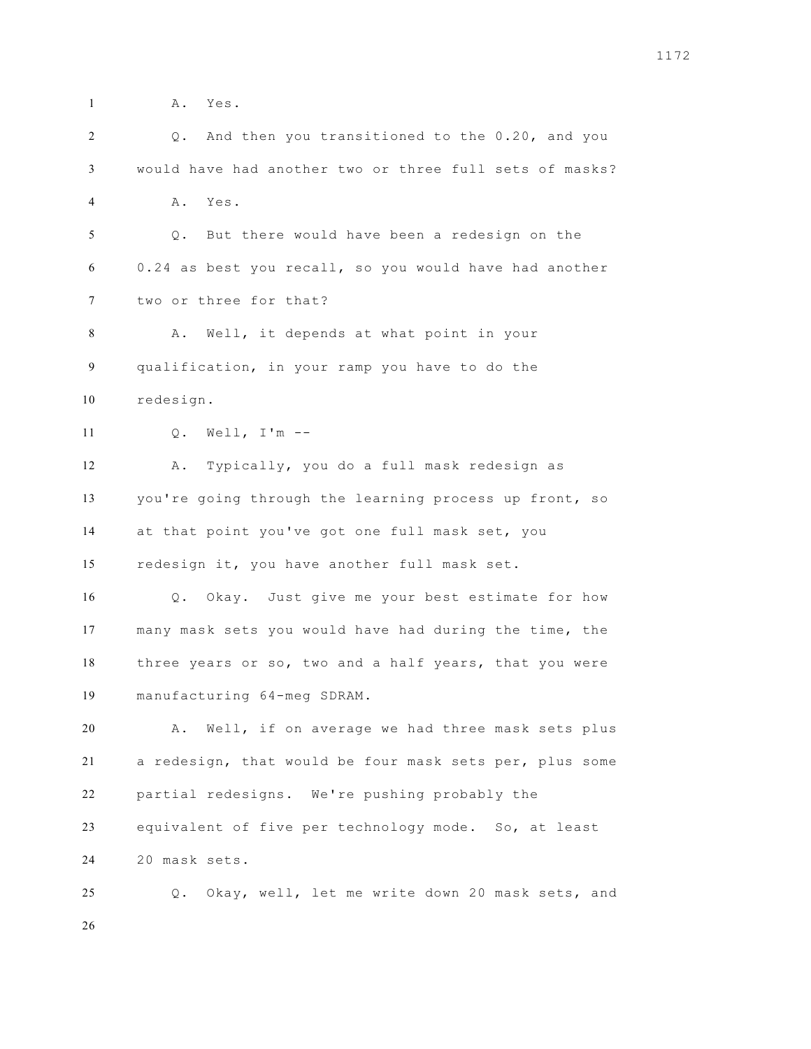**A.** Yes.

| 2  | And then you transitioned to the 0.20, and you<br>Q.    |
|----|---------------------------------------------------------|
| 3  | would have had another two or three full sets of masks? |
| 4  | Α.<br>Yes.                                              |
| 5  | But there would have been a redesign on the<br>Q.       |
| 6  | 0.24 as best you recall, so you would have had another  |
| 7  | two or three for that?                                  |
| 8  | Well, it depends at what point in your<br>Α.            |
| 9  | qualification, in your ramp you have to do the          |
| 10 | redesign.                                               |
| 11 | Well, $I'm --$<br>$Q$ .                                 |
| 12 | Typically, you do a full mask redesign as<br>Α.         |
| 13 | you're going through the learning process up front, so  |
| 14 | at that point you've got one full mask set, you         |
| 15 | redesign it, you have another full mask set.            |
| 16 | Q. Okay. Just give me your best estimate for how        |
| 17 | many mask sets you would have had during the time, the  |
| 18 | three years or so, two and a half years, that you were  |
| 19 | manufacturing 64-meg SDRAM.                             |
| 20 | Well, if on average we had three mask sets plus<br>Α.   |
| 21 | a redesign, that would be four mask sets per, plus some |
| 22 | partial redesigns. We're pushing probably the           |
| 23 | equivalent of five per technology mode. So, at least    |
| 24 | 20 mask sets.                                           |
| 25 | Okay, well, let me write down 20 mask sets, and<br>Q.   |
| 26 |                                                         |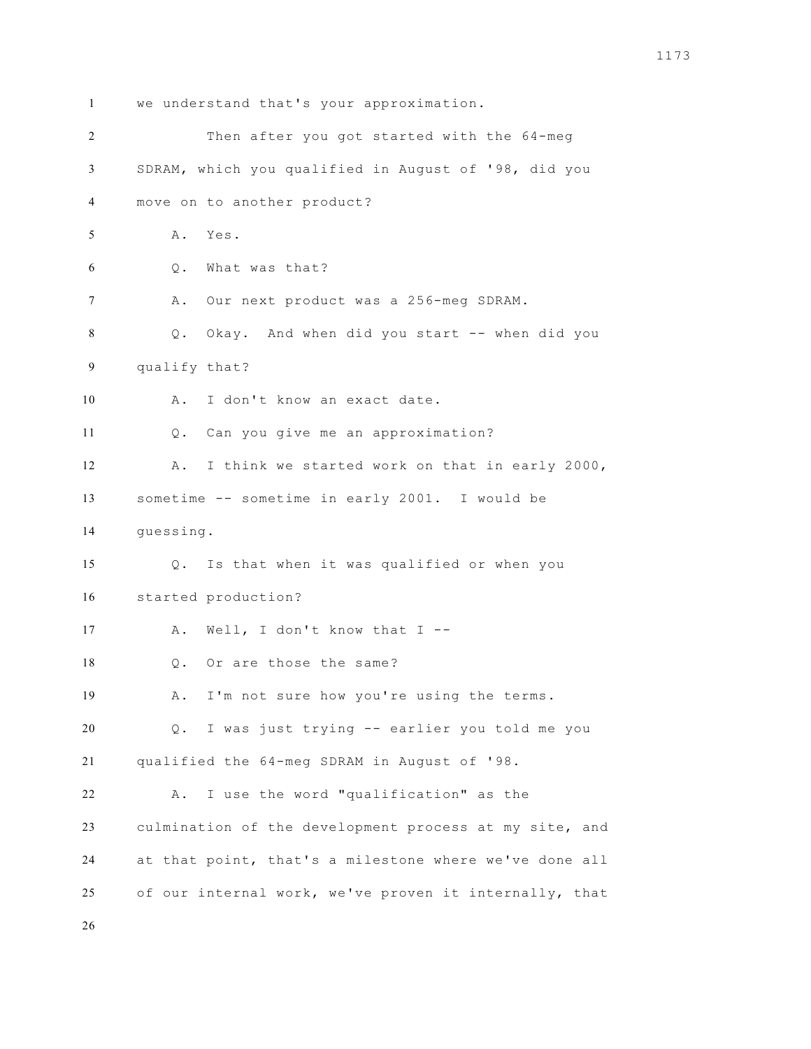we understand that's your approximation. Then after you got started with the 64-meg SDRAM, which you qualified in August of '98, did you move on to another product? A. Yes. Q. What was that? A. Our next product was a 256-meg SDRAM. Q. Okay. And when did you start -- when did you qualify that? A. I don't know an exact date. Q. Can you give me an approximation? A. I think we started work on that in early 2000, sometime -- sometime in early 2001. I would be guessing. Q. Is that when it was qualified or when you started production? A. Well, I don't know that I -- Q. Or are those the same? A. I'm not sure how you're using the terms. Q. I was just trying -- earlier you told me you qualified the 64-meg SDRAM in August of '98. A. I use the word "qualification" as the culmination of the development process at my site, and at that point, that's a milestone where we've done all of our internal work, we've proven it internally, that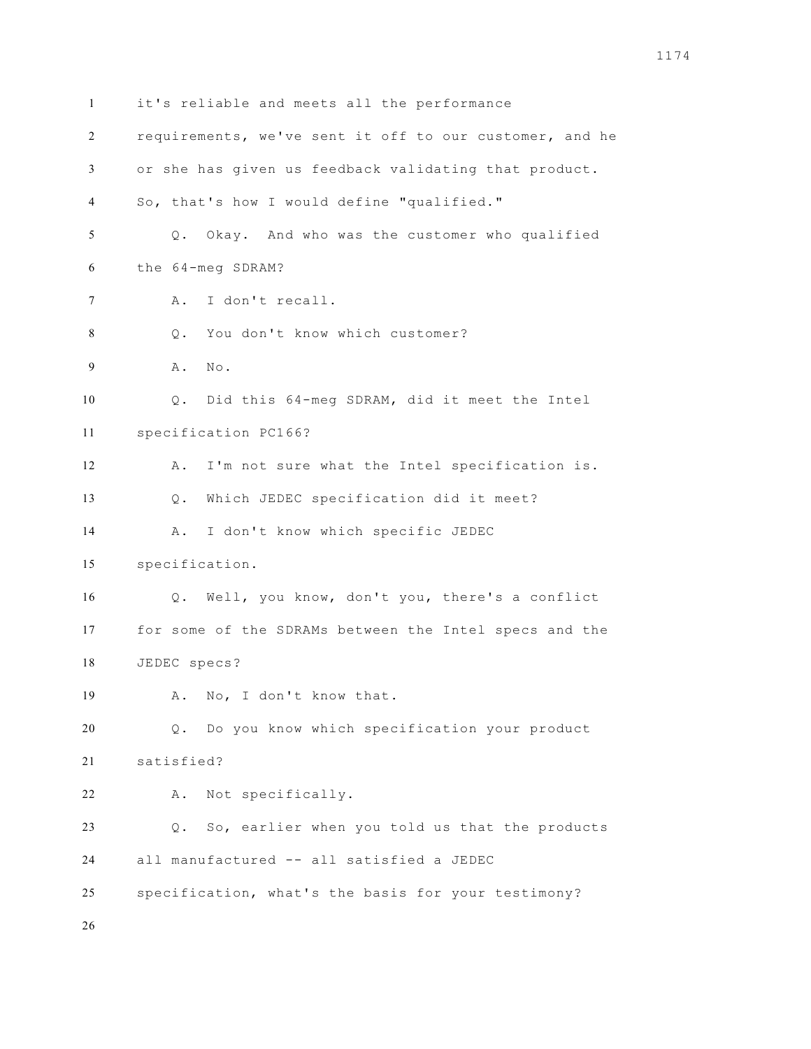it's reliable and meets all the performance requirements, we've sent it off to our customer, and he or she has given us feedback validating that product. So, that's how I would define "qualified." Q. Okay. And who was the customer who qualified the 64-meg SDRAM? A. I don't recall. Q. You don't know which customer? A. No. Q. Did this 64-meg SDRAM, did it meet the Intel specification PC166? A. I'm not sure what the Intel specification is. Q. Which JEDEC specification did it meet? A. I don't know which specific JEDEC specification. Q. Well, you know, don't you, there's a conflict for some of the SDRAMs between the Intel specs and the JEDEC specs? A. No, I don't know that. Q. Do you know which specification your product satisfied? A. Not specifically. Q. So, earlier when you told us that the products all manufactured -- all satisfied a JEDEC specification, what's the basis for your testimony?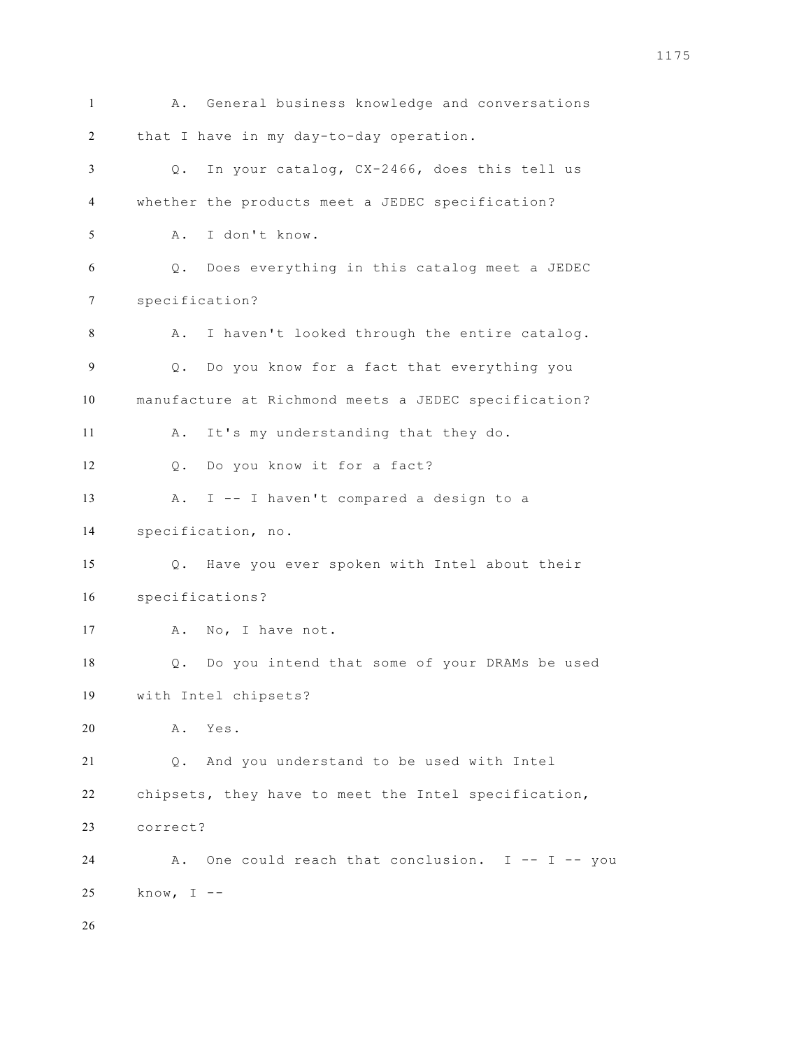A. General business knowledge and conversations that I have in my day-to-day operation. Q. In your catalog, CX-2466, does this tell us whether the products meet a JEDEC specification? A. I don't know. Q. Does everything in this catalog meet a JEDEC specification? A. I haven't looked through the entire catalog. Q. Do you know for a fact that everything you manufacture at Richmond meets a JEDEC specification? A. It's my understanding that they do. 12 0. Do you know it for a fact? A. I -- I haven't compared a design to a specification, no. Q. Have you ever spoken with Intel about their specifications? 17 A. No, I have not. Q. Do you intend that some of your DRAMs be used with Intel chipsets? A. Yes. Q. And you understand to be used with Intel chipsets, they have to meet the Intel specification, correct? A. One could reach that conclusion. I -- I -- you know, I --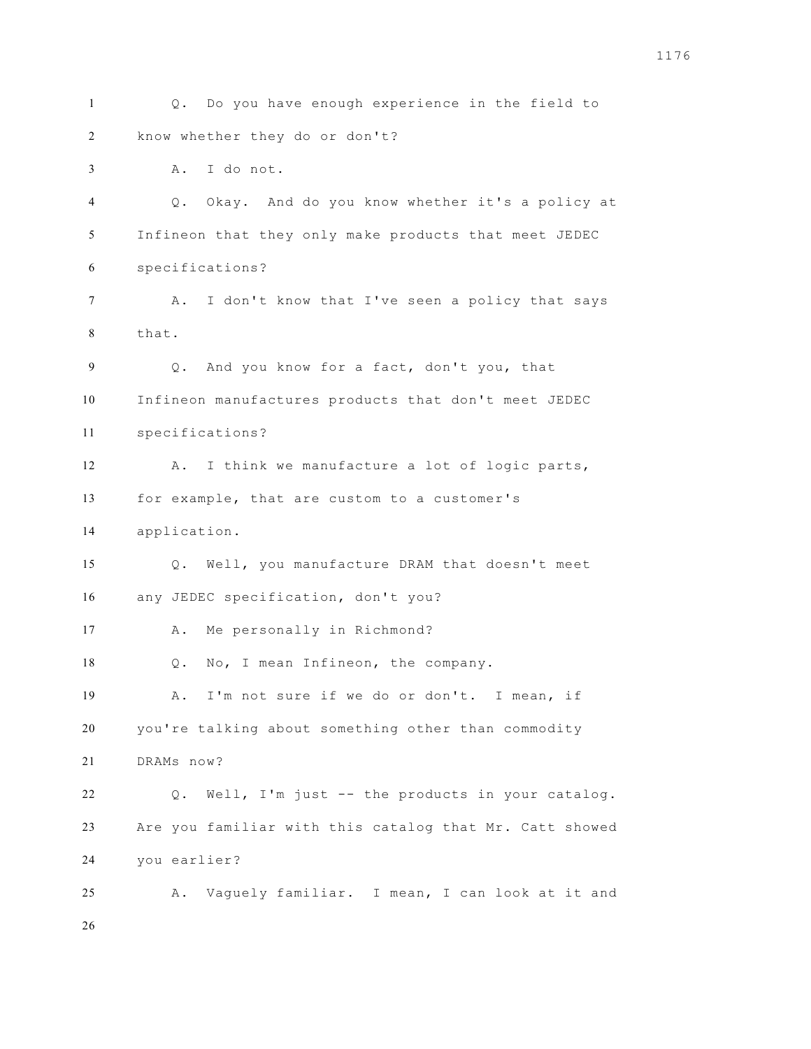Q. Do you have enough experience in the field to know whether they do or don't? A. I do not. Q. Okay. And do you know whether it's a policy at Infineon that they only make products that meet JEDEC specifications? 7 A. I don't know that I've seen a policy that says that. Q. And you know for a fact, don't you, that Infineon manufactures products that don't meet JEDEC specifications? A. I think we manufacture a lot of logic parts, for example, that are custom to a customer's application. Q. Well, you manufacture DRAM that doesn't meet any JEDEC specification, don't you? A. Me personally in Richmond? Q. No, I mean Infineon, the company. A. I'm not sure if we do or don't. I mean, if you're talking about something other than commodity DRAMs now? Q. Well, I'm just -- the products in your catalog. Are you familiar with this catalog that Mr. Catt showed you earlier? A. Vaguely familiar. I mean, I can look at it and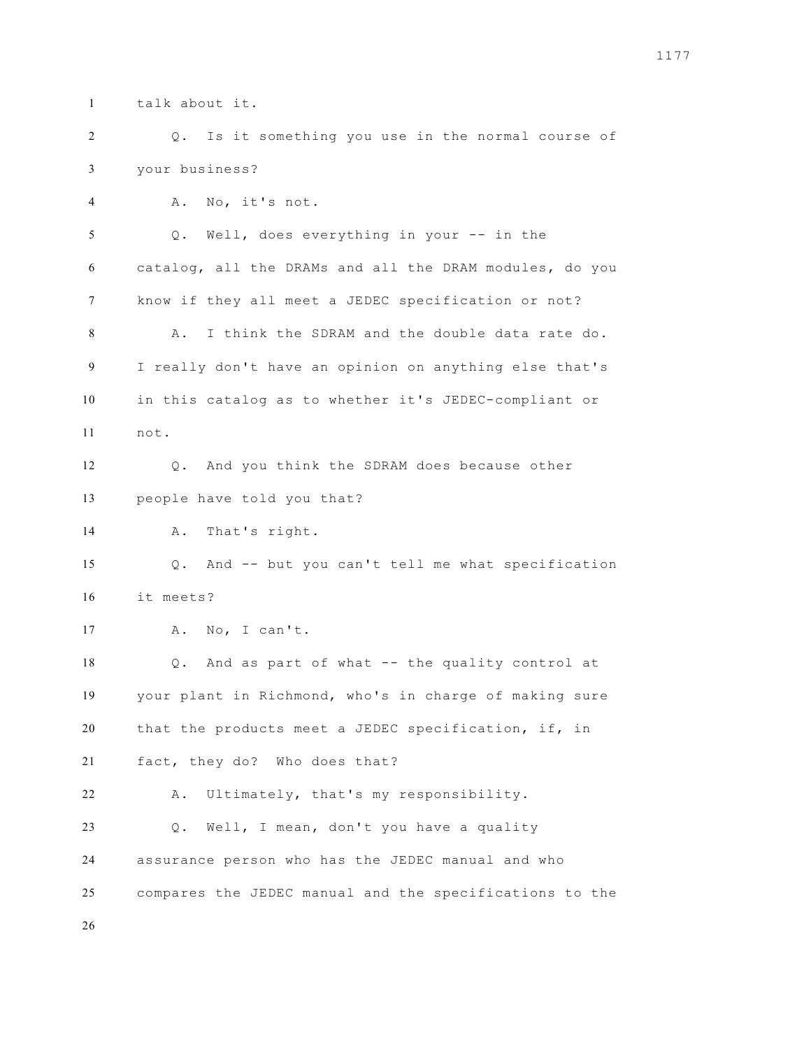talk about it.

 Q. Is it something you use in the normal course of your business?

 A. No, it's not. Q. Well, does everything in your -- in the catalog, all the DRAMs and all the DRAM modules, do you know if they all meet a JEDEC specification or not? A. I think the SDRAM and the double data rate do. I really don't have an opinion on anything else that's in this catalog as to whether it's JEDEC-compliant or not. Q. And you think the SDRAM does because other people have told you that? A. That's right. Q. And -- but you can't tell me what specification it meets? A. No, I can't. Q. And as part of what -- the quality control at your plant in Richmond, who's in charge of making sure that the products meet a JEDEC specification, if, in fact, they do? Who does that? A. Ultimately, that's my responsibility. Q. Well, I mean, don't you have a quality assurance person who has the JEDEC manual and who compares the JEDEC manual and the specifications to the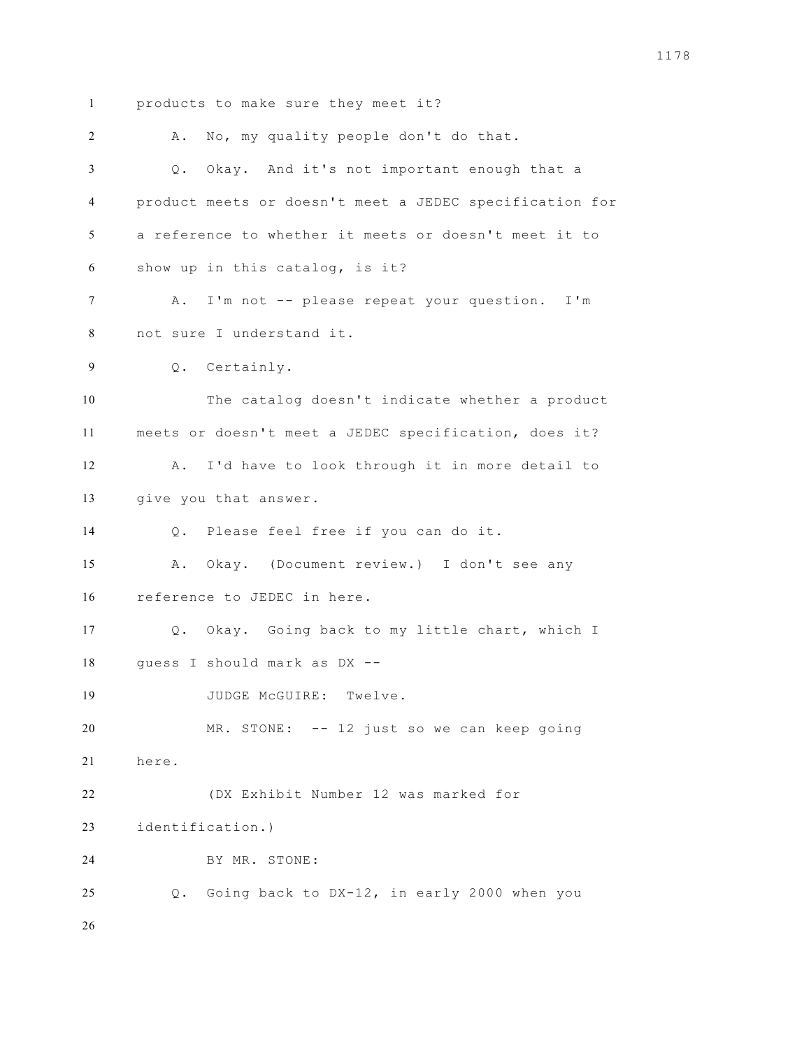products to make sure they meet it? A. No, my quality people don't do that. Q. Okay. And it's not important enough that a product meets or doesn't meet a JEDEC specification for a reference to whether it meets or doesn't meet it to show up in this catalog, is it? A. I'm not -- please repeat your question. I'm not sure I understand it. Q. Certainly. The catalog doesn't indicate whether a product meets or doesn't meet a JEDEC specification, does it? A. I'd have to look through it in more detail to give you that answer. Q. Please feel free if you can do it. A. Okay. (Document review.) I don't see any reference to JEDEC in here. Q. Okay. Going back to my little chart, which I guess I should mark as DX -- 19 JUDGE McGUIRE: Twelve. MR. STONE: -- 12 just so we can keep going here. (DX Exhibit Number 12 was marked for identification.) BY MR. STONE: Q. Going back to DX-12, in early 2000 when you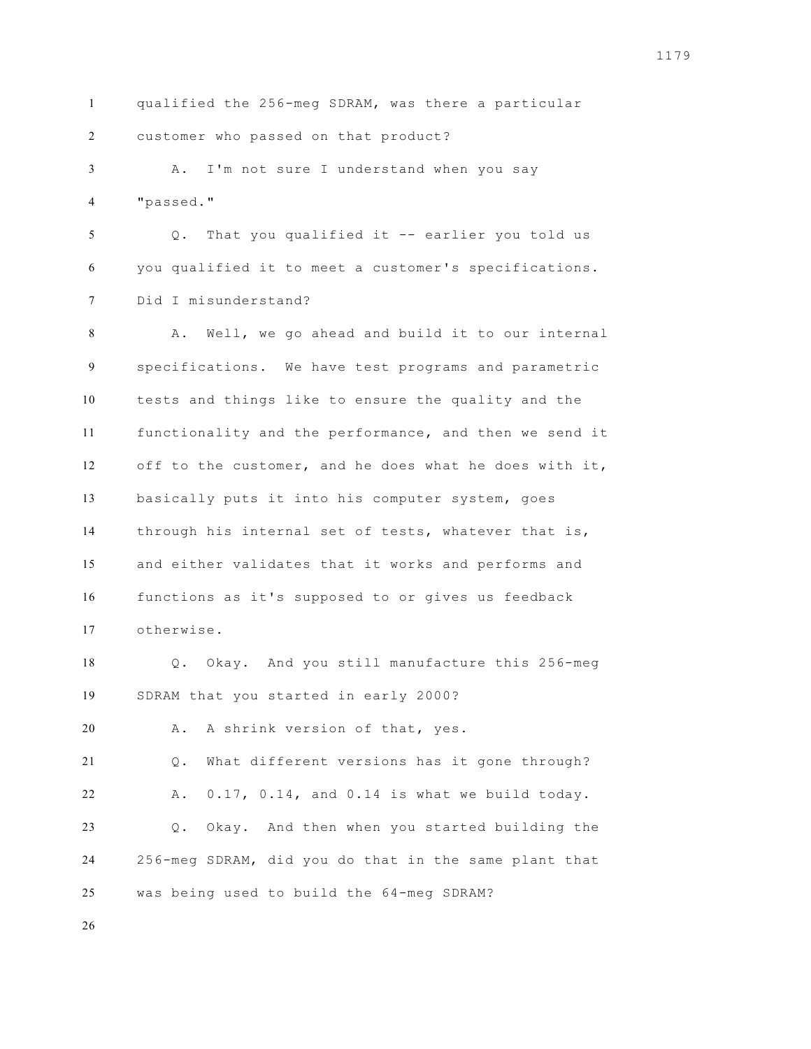qualified the 256-meg SDRAM, was there a particular customer who passed on that product? A. I'm not sure I understand when you say "passed." Q. That you qualified it -- earlier you told us you qualified it to meet a customer's specifications. Did I misunderstand? A. Well, we go ahead and build it to our internal specifications. We have test programs and parametric tests and things like to ensure the quality and the functionality and the performance, and then we send it off to the customer, and he does what he does with it, basically puts it into his computer system, goes through his internal set of tests, whatever that is, and either validates that it works and performs and functions as it's supposed to or gives us feedback otherwise. Q. Okay. And you still manufacture this 256-meg SDRAM that you started in early 2000? A. A shrink version of that, yes. Q. What different versions has it gone through? A. 0.17, 0.14, and 0.14 is what we build today. Q. Okay. And then when you started building the 256-meg SDRAM, did you do that in the same plant that was being used to build the 64-meg SDRAM?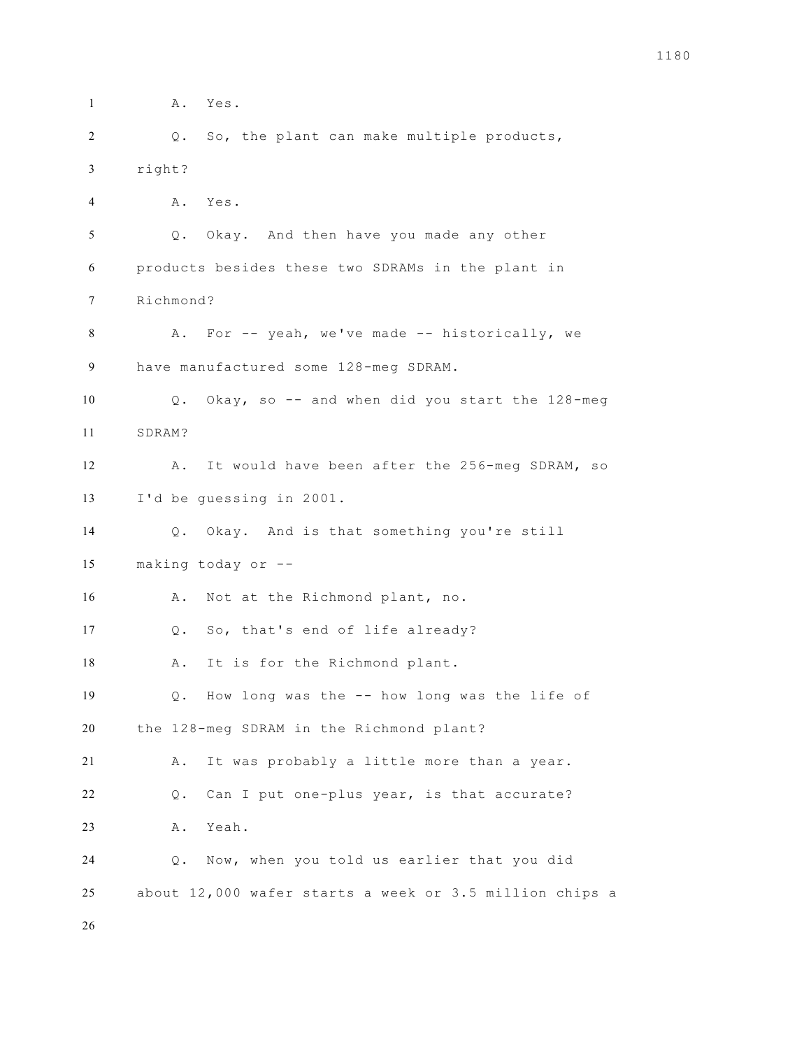**A.** Yes. Q. So, the plant can make multiple products, right? A. Yes. Q. Okay. And then have you made any other products besides these two SDRAMs in the plant in Richmond? 8 A. For -- yeah, we've made -- historically, we have manufactured some 128-meg SDRAM. Q. Okay, so -- and when did you start the 128-meg SDRAM? A. It would have been after the 256-meg SDRAM, so I'd be guessing in 2001. Q. Okay. And is that something you're still making today or -- 16 A. Not at the Richmond plant, no. Q. So, that's end of life already? 18 A. It is for the Richmond plant. Q. How long was the -- how long was the life of the 128-meg SDRAM in the Richmond plant? A. It was probably a little more than a year. Q. Can I put one-plus year, is that accurate? A. Yeah. Q. Now, when you told us earlier that you did about 12,000 wafer starts a week or 3.5 million chips a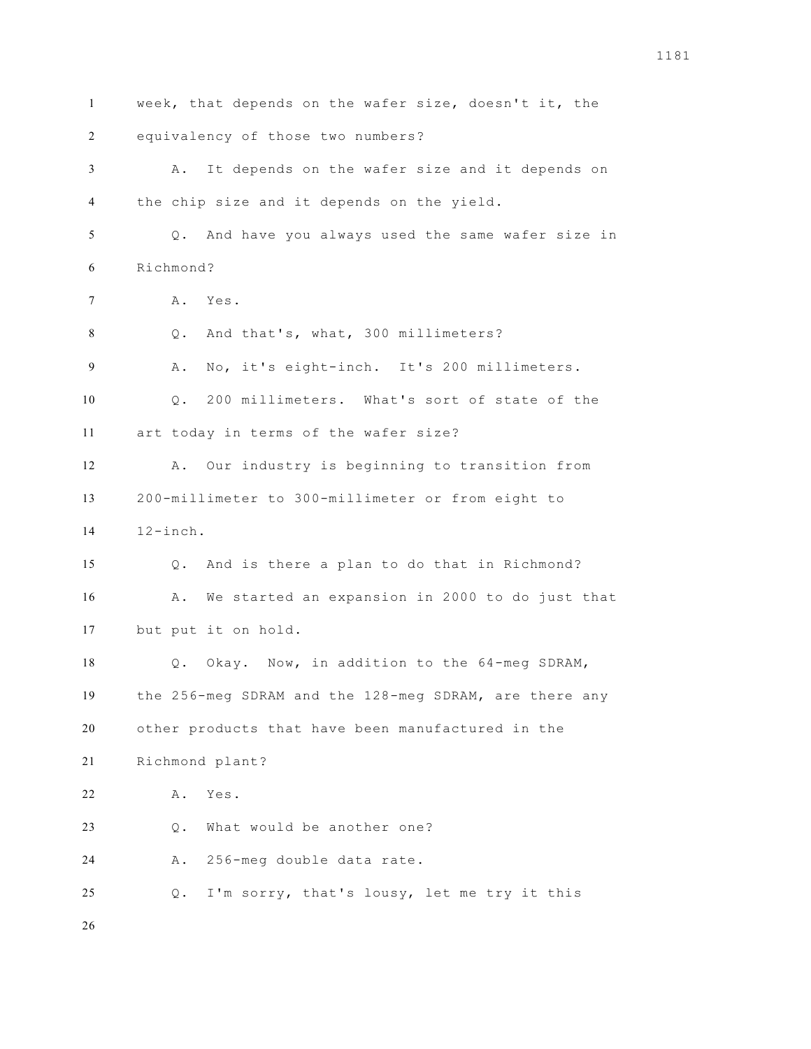week, that depends on the wafer size, doesn't it, the equivalency of those two numbers? A. It depends on the wafer size and it depends on the chip size and it depends on the yield. Q. And have you always used the same wafer size in Richmond? A. Yes. Q. And that's, what, 300 millimeters? A. No, it's eight-inch. It's 200 millimeters. Q. 200 millimeters. What's sort of state of the art today in terms of the wafer size? A. Our industry is beginning to transition from 200-millimeter to 300-millimeter or from eight to 12-inch. Q. And is there a plan to do that in Richmond? A. We started an expansion in 2000 to do just that but put it on hold. Q. Okay. Now, in addition to the 64-meg SDRAM, the 256-meg SDRAM and the 128-meg SDRAM, are there any other products that have been manufactured in the Richmond plant? A. Yes. Q. What would be another one? A. 256-meg double data rate. Q. I'm sorry, that's lousy, let me try it this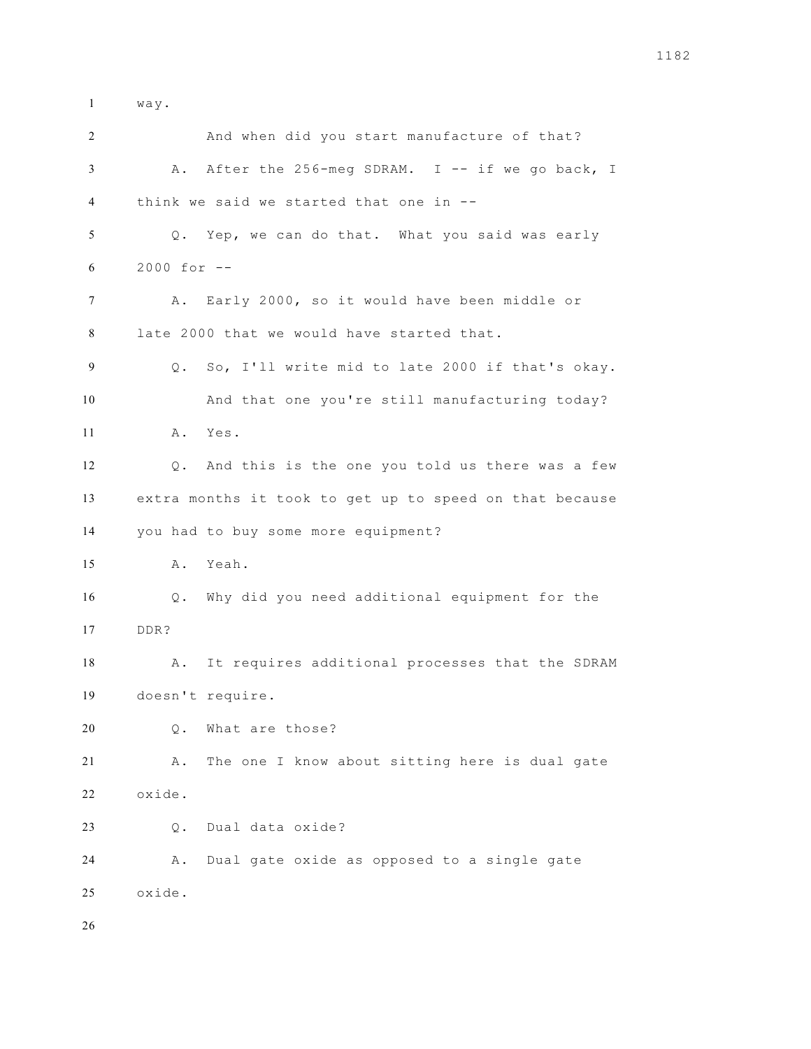way.

| 2  |                | And when did you start manufacture of that?             |
|----|----------------|---------------------------------------------------------|
| 3  |                | A. After the 256-meg SDRAM. I -- if we go back, I       |
| 4  |                | think we said we started that one in --                 |
| 5  |                | Q. Yep, we can do that. What you said was early         |
| 6  | $2000 for -$   |                                                         |
| 7  | Α.             | Early 2000, so it would have been middle or             |
| 8  |                | late 2000 that we would have started that.              |
| 9  |                | Q. So, I'll write mid to late 2000 if that's okay.      |
| 10 |                | And that one you're still manufacturing today?          |
| 11 |                | A. Yes.                                                 |
| 12 | $\mathsf{Q}$ . | And this is the one you told us there was a few         |
| 13 |                | extra months it took to get up to speed on that because |
| 14 |                | you had to buy some more equipment?                     |
| 15 |                | A. Yeah.                                                |
| 16 | Q.             | Why did you need additional equipment for the           |
| 17 | DDR?           |                                                         |
| 18 | Α.             | It requires additional processes that the SDRAM         |
| 19 |                | doesn't require.                                        |
| 20 | $Q$ .          | What are those?                                         |
| 21 | Α.             | The one I know about sitting here is dual gate          |
| 22 | oxide.         |                                                         |
| 23 | $Q$ .          | Dual data oxide?                                        |
| 24 | Α.             | Dual gate oxide as opposed to a single gate             |
| 25 | oxide.         |                                                         |
| 26 |                |                                                         |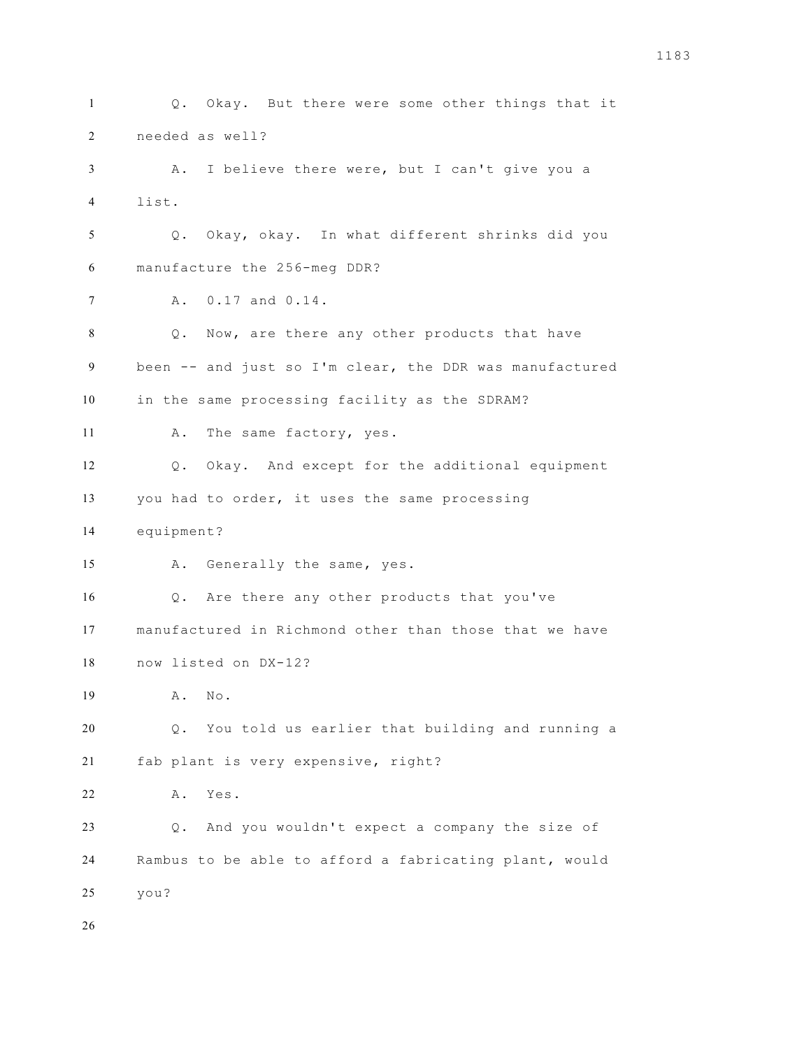Q. Okay. But there were some other things that it needed as well? A. I believe there were, but I can't give you a list. Q. Okay, okay. In what different shrinks did you manufacture the 256-meg DDR? A. 0.17 and 0.14. Q. Now, are there any other products that have been -- and just so I'm clear, the DDR was manufactured in the same processing facility as the SDRAM? 11 A. The same factory, yes. Q. Okay. And except for the additional equipment you had to order, it uses the same processing equipment? A. Generally the same, yes. Q. Are there any other products that you've manufactured in Richmond other than those that we have now listed on DX-12? A. No. Q. You told us earlier that building and running a fab plant is very expensive, right? A. Yes. Q. And you wouldn't expect a company the size of Rambus to be able to afford a fabricating plant, would you?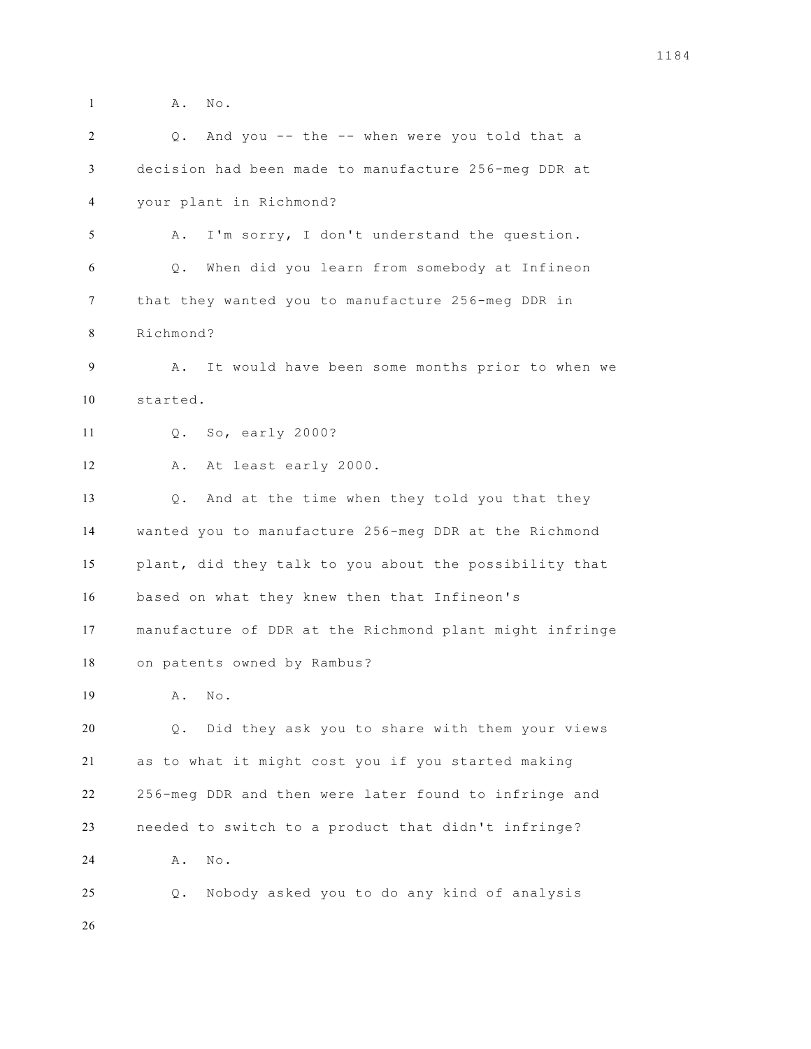A. No. Q. And you -- the -- when were you told that a decision had been made to manufacture 256-meg DDR at your plant in Richmond? A. I'm sorry, I don't understand the question. Q. When did you learn from somebody at Infineon that they wanted you to manufacture 256-meg DDR in Richmond? A. It would have been some months prior to when we started. Q. So, early 2000? A. At least early 2000. Q. And at the time when they told you that they wanted you to manufacture 256-meg DDR at the Richmond plant, did they talk to you about the possibility that based on what they knew then that Infineon's manufacture of DDR at the Richmond plant might infringe on patents owned by Rambus? A. No. Q. Did they ask you to share with them your views as to what it might cost you if you started making 256-meg DDR and then were later found to infringe and needed to switch to a product that didn't infringe? 24 A. No. Q. Nobody asked you to do any kind of analysis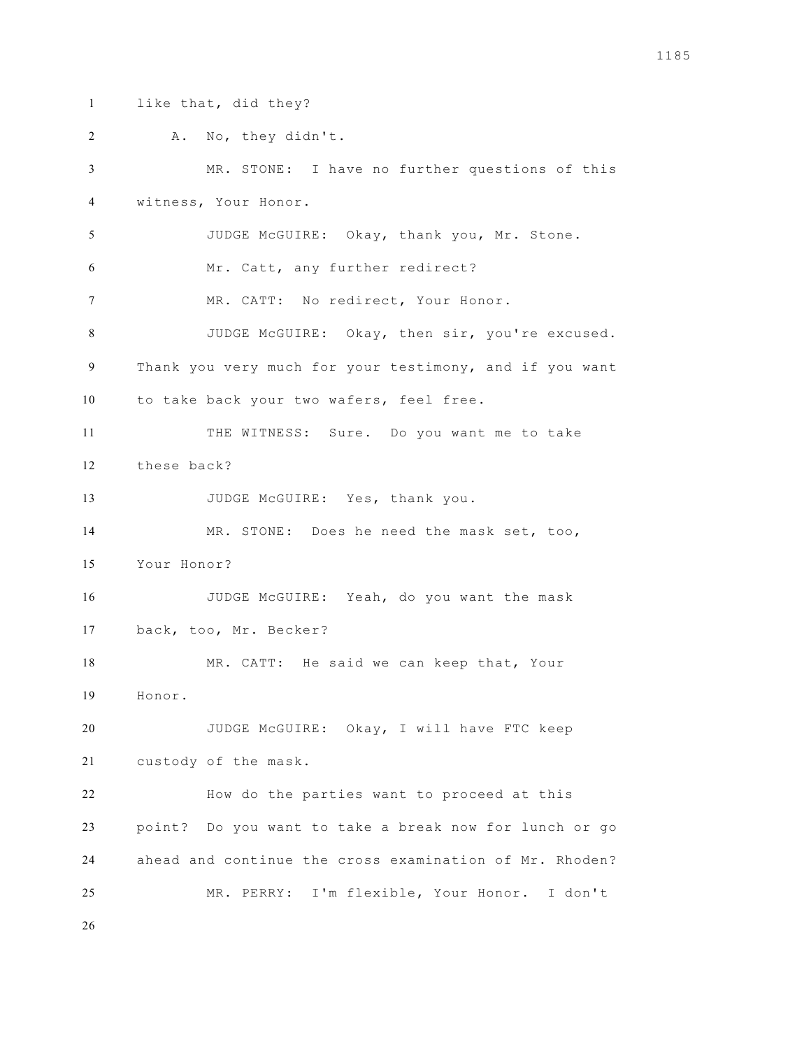like that, did they?

 A. No, they didn't. MR. STONE: I have no further questions of this witness, Your Honor. JUDGE McGUIRE: Okay, thank you, Mr. Stone. Mr. Catt, any further redirect? 7 MR. CATT: No redirect, Your Honor. JUDGE McGUIRE: Okay, then sir, you're excused. Thank you very much for your testimony, and if you want to take back your two wafers, feel free. THE WITNESS: Sure. Do you want me to take these back? 13 JUDGE McGUIRE: Yes, thank you. MR. STONE: Does he need the mask set, too, Your Honor? JUDGE McGUIRE: Yeah, do you want the mask back, too, Mr. Becker? 18 MR. CATT: He said we can keep that, Your Honor. JUDGE McGUIRE: Okay, I will have FTC keep custody of the mask. How do the parties want to proceed at this point? Do you want to take a break now for lunch or go ahead and continue the cross examination of Mr. Rhoden? MR. PERRY: I'm flexible, Your Honor. I don't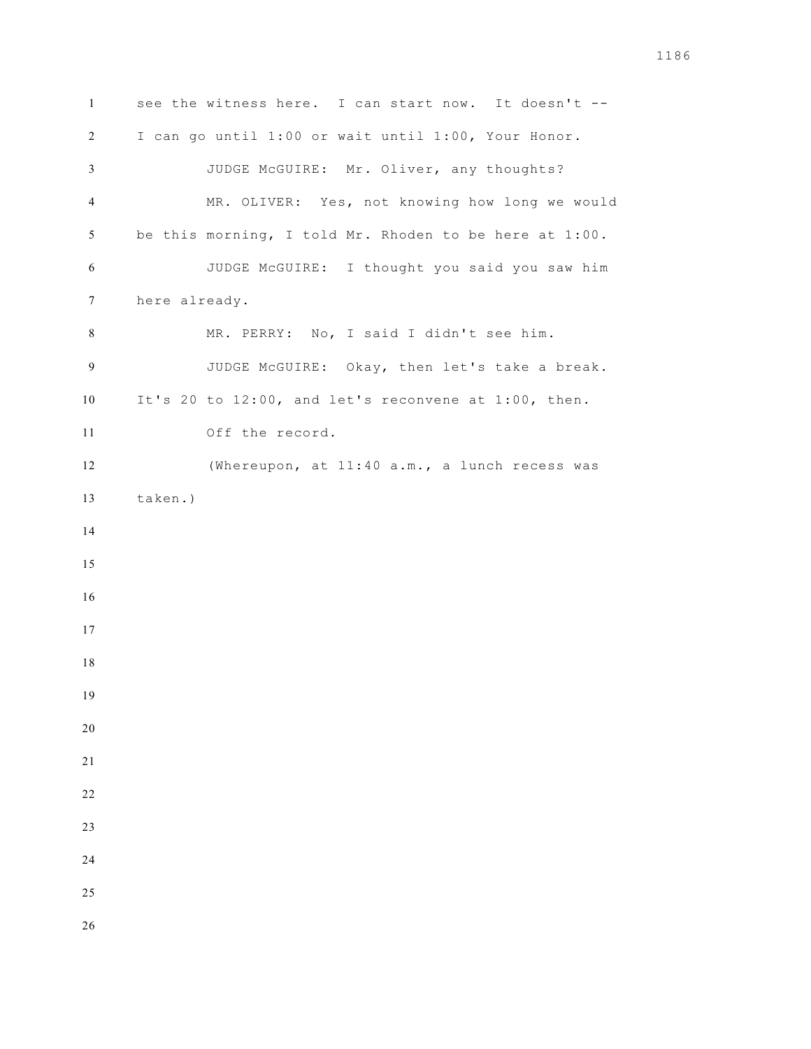see the witness here. I can start now. It doesn't -- I can go until 1:00 or wait until 1:00, Your Honor. JUDGE McGUIRE: Mr. Oliver, any thoughts? MR. OLIVER: Yes, not knowing how long we would be this morning, I told Mr. Rhoden to be here at 1:00. JUDGE McGUIRE: I thought you said you saw him here already. MR. PERRY: No, I said I didn't see him. JUDGE McGUIRE: Okay, then let's take a break. It's 20 to 12:00, and let's reconvene at 1:00, then. Off the record. (Whereupon, at 11:40 a.m., a lunch recess was taken.)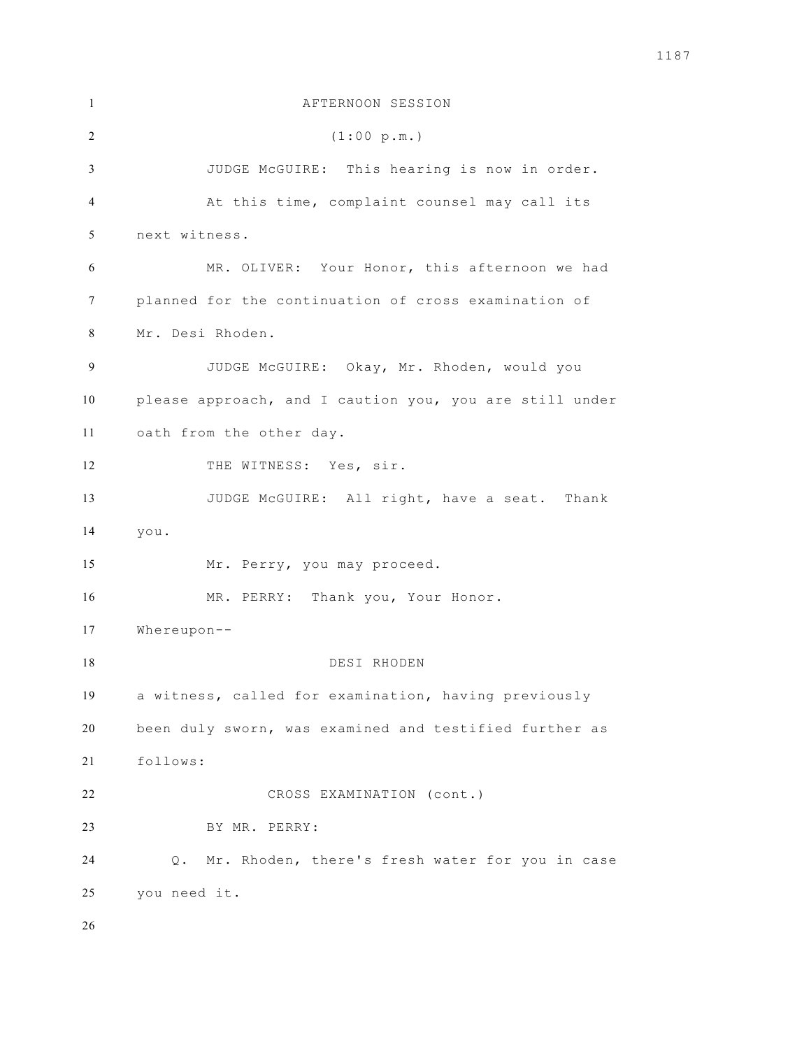| 1  | AFTERNOON SESSION                                       |
|----|---------------------------------------------------------|
| 2  | (1:00 p.m.)                                             |
| 3  | JUDGE McGUIRE: This hearing is now in order.            |
| 4  | At this time, complaint counsel may call its            |
| 5  | next witness.                                           |
| 6  | MR. OLIVER: Your Honor, this afternoon we had           |
| 7  | planned for the continuation of cross examination of    |
| 8  | Mr. Desi Rhoden.                                        |
| 9  | JUDGE McGUIRE: Okay, Mr. Rhoden, would you              |
| 10 | please approach, and I caution you, you are still under |
| 11 | oath from the other day.                                |
| 12 | THE WITNESS: Yes, sir.                                  |
| 13 | JUDGE McGUIRE: All right, have a seat. Thank            |
| 14 | you.                                                    |
| 15 | Mr. Perry, you may proceed.                             |
| 16 | MR. PERRY: Thank you, Your Honor.                       |
| 17 | $When$ - $-$                                            |
| 18 | DESI RHODEN                                             |
| 19 | a witness, called for examination, having previously    |
| 20 | been duly sworn, was examined and testified further as  |
| 21 | follows:                                                |
| 22 | CROSS EXAMINATION (cont.)                               |
| 23 | BY MR. PERRY:                                           |
| 24 | Mr. Rhoden, there's fresh water for you in case<br>Q.   |
| 25 | you need it.                                            |
| 26 |                                                         |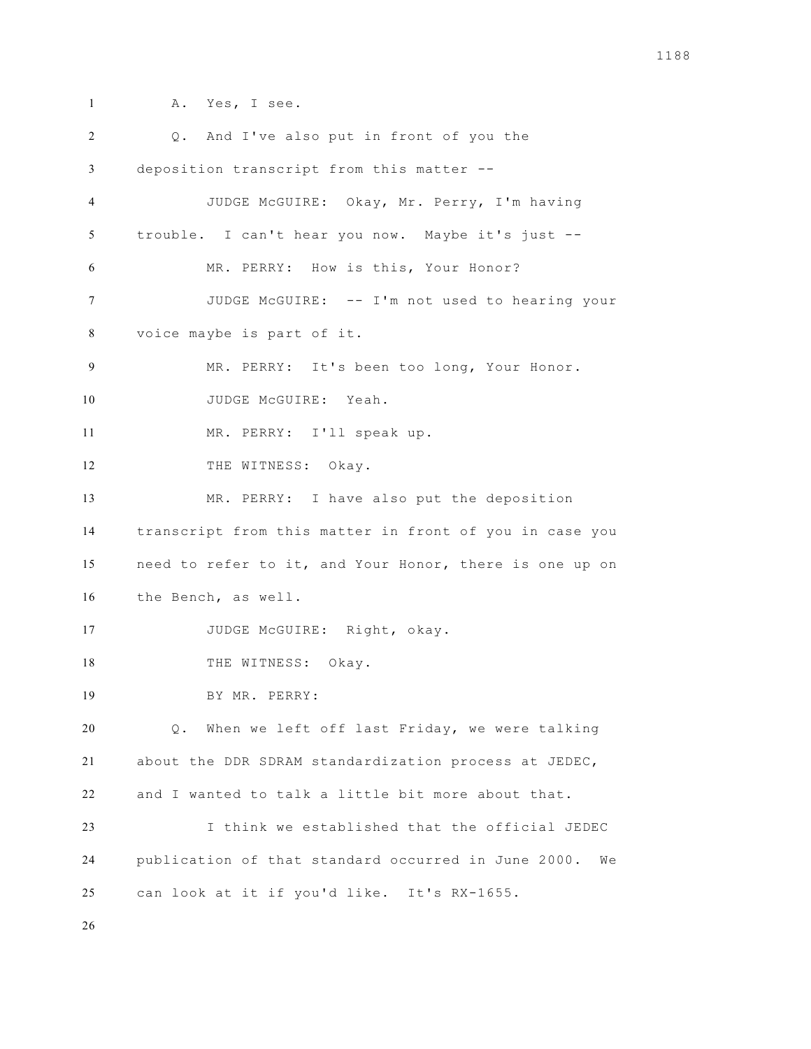A. Yes, I see. Q. And I've also put in front of you the deposition transcript from this matter -- JUDGE McGUIRE: Okay, Mr. Perry, I'm having trouble. I can't hear you now. Maybe it's just -- MR. PERRY: How is this, Your Honor? JUDGE McGUIRE: -- I'm not used to hearing your voice maybe is part of it. MR. PERRY: It's been too long, Your Honor. 10 JUDGE McGUIRE: Yeah. MR. PERRY: I'll speak up. 12 THE WITNESS: Okay. MR. PERRY: I have also put the deposition transcript from this matter in front of you in case you need to refer to it, and Your Honor, there is one up on the Bench, as well. 17 JUDGE McGUIRE: Right, okay. 18 THE WITNESS: Okay. BY MR. PERRY: Q. When we left off last Friday, we were talking about the DDR SDRAM standardization process at JEDEC, and I wanted to talk a little bit more about that. I think we established that the official JEDEC publication of that standard occurred in June 2000. We can look at it if you'd like. It's RX-1655.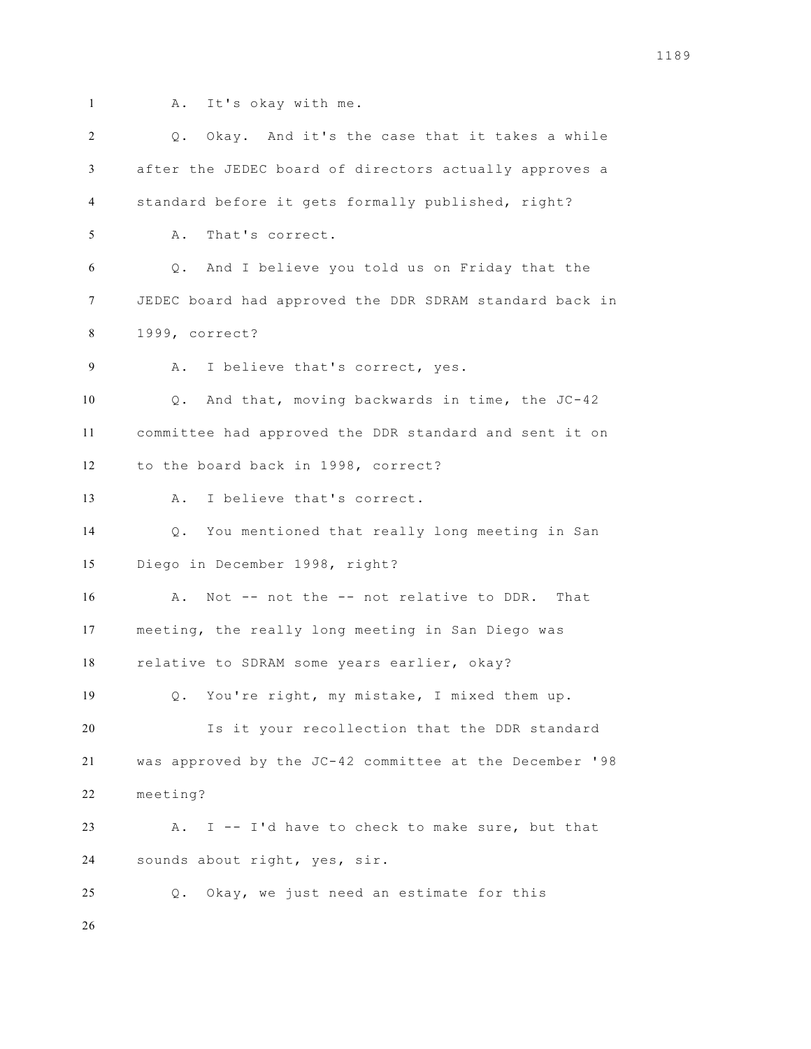- 
- A. It's okay with me.

| 2  | Q. Okay. And it's the case that it takes a while        |
|----|---------------------------------------------------------|
| 3  | after the JEDEC board of directors actually approves a  |
| 4  | standard before it gets formally published, right?      |
| 5  | That's correct.<br>Α.                                   |
| 6  | And I believe you told us on Friday that the<br>Q.      |
| 7  | JEDEC board had approved the DDR SDRAM standard back in |
| 8  | 1999, correct?                                          |
| 9  | I believe that's correct, yes.<br>Α.                    |
| 10 | Q. And that, moving backwards in time, the JC-42        |
| 11 | committee had approved the DDR standard and sent it on  |
| 12 | to the board back in 1998, correct?                     |
| 13 | I believe that's correct.<br>Α.                         |
| 14 | You mentioned that really long meeting in San<br>$Q$ .  |
| 15 | Diego in December 1998, right?                          |
| 16 | Not -- not the -- not relative to DDR. That<br>Α.       |
| 17 | meeting, the really long meeting in San Diego was       |
| 18 | relative to SDRAM some years earlier, okay?             |
| 19 | Q. You're right, my mistake, I mixed them up.           |
| 20 | Is it your recollection that the DDR standard           |
| 21 | was approved by the JC-42 committee at the December '98 |
| 22 | meeting?                                                |
| 23 | I -- I'd have to check to make sure, but that<br>Α.     |
| 24 | sounds about right, yes, sir.                           |
| 25 | Okay, we just need an estimate for this<br>$\circ$ .    |
| 26 |                                                         |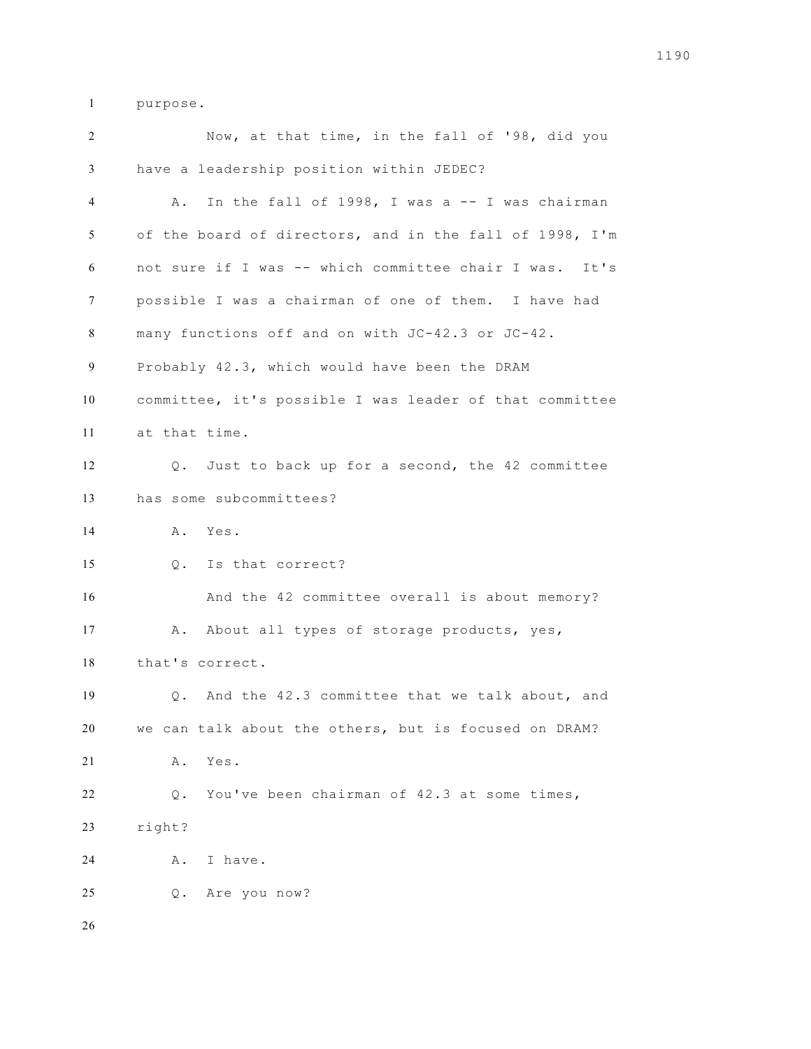purpose.

| 2  | Now, at that time, in the fall of '98, did you          |
|----|---------------------------------------------------------|
| 3  | have a leadership position within JEDEC?                |
| 4  | In the fall of 1998, I was a -- I was chairman<br>Α.    |
| 5  | of the board of directors, and in the fall of 1998, I'm |
| 6  | not sure if I was -- which committee chair I was. It's  |
| 7  | possible I was a chairman of one of them. I have had    |
| 8  | many functions off and on with JC-42.3 or JC-42.        |
| 9  | Probably 42.3, which would have been the DRAM           |
| 10 | committee, it's possible I was leader of that committee |
| 11 | at that time.                                           |
| 12 | Q. Just to back up for a second, the 42 committee       |
| 13 | has some subcommittees?                                 |
| 14 | A. Yes.                                                 |
| 15 | Q. Is that correct?                                     |
| 16 | And the 42 committee overall is about memory?           |
| 17 | About all types of storage products, yes,<br>Α.         |
| 18 | that's correct.                                         |
| 19 | Q. And the 42.3 committee that we talk about, and       |
| 20 | we can talk about the others, but is focused on DRAM?   |
| 21 | Yes.<br>Α.                                              |
| 22 | You've been chairman of 42.3 at some times,<br>$Q$ .    |
| 23 | right?                                                  |
| 24 | I have.<br>Α.                                           |
| 25 | Are you now?<br>Q.                                      |
| 26 |                                                         |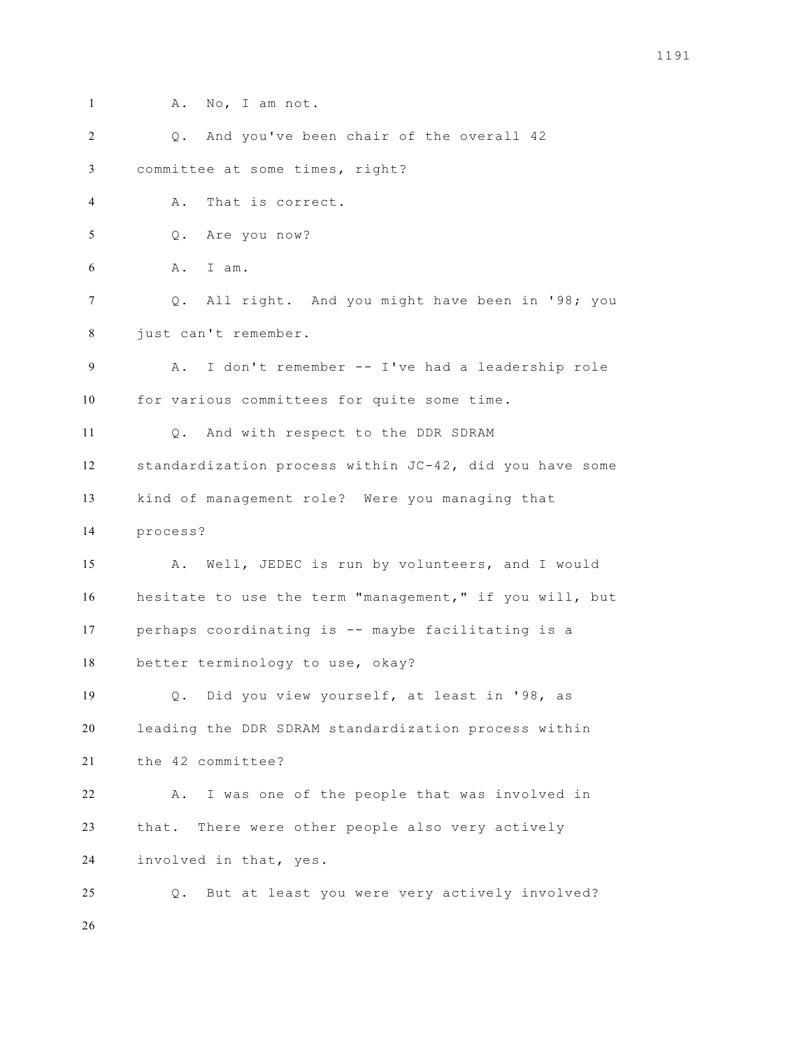- 
- 1 A. No, I am not.

| 2  | Q. And you've been chair of the overall 42              |
|----|---------------------------------------------------------|
| 3  | committee at some times, right?                         |
| 4  | That is correct.<br>Α.                                  |
| 5  | Q. Are you now?                                         |
| 6  | A. I am.                                                |
| 7  | Q. All right. And you might have been in '98; you       |
| 8  | just can't remember.                                    |
| 9  | I don't remember -- I've had a leadership role<br>Α.    |
| 10 | for various committees for quite some time.             |
| 11 | And with respect to the DDR SDRAM<br>Q.                 |
| 12 | standardization process within JC-42, did you have some |
| 13 | kind of management role? Were you managing that         |
| 14 | process?                                                |
| 15 | A. Well, JEDEC is run by volunteers, and I would        |
| 16 | hesitate to use the term "management," if you will, but |
| 17 | perhaps coordinating is -- maybe facilitating is a      |
| 18 | better terminology to use, okay?                        |
| 19 | Did you view yourself, at least in '98, as<br>Q.        |
| 20 | leading the DDR SDRAM standardization process within    |
| 21 | the 42 committee?                                       |
| 22 | I was one of the people that was involved in<br>Α.      |
| 23 | There were other people also very actively<br>that.     |
| 24 | involved in that, yes.                                  |
| 25 | But at least you were very actively involved?<br>Q.     |
| 26 |                                                         |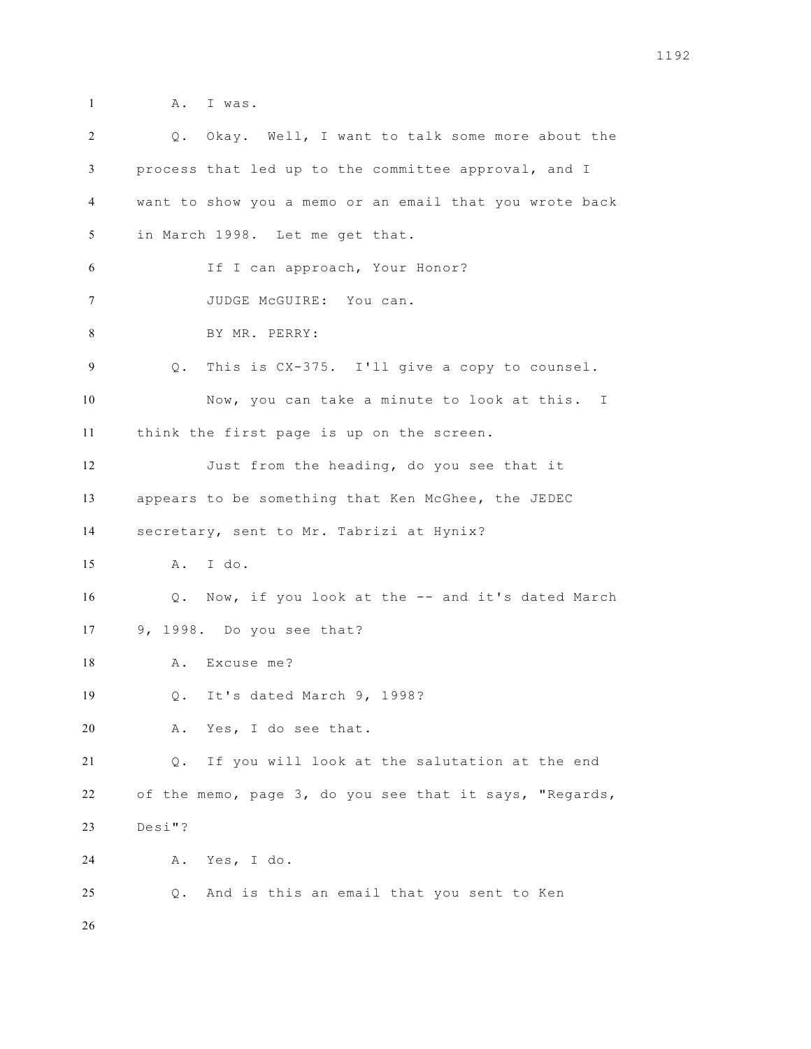- 
- **A.** I was.

| 2              | Q. Okay. Well, I want to talk some more about the          |
|----------------|------------------------------------------------------------|
| 3              | process that led up to the committee approval, and I       |
| $\overline{4}$ | want to show you a memo or an email that you wrote back    |
| 5              | in March 1998. Let me get that.                            |
| 6              | If I can approach, Your Honor?                             |
| 7              | JUDGE McGUIRE: You can.                                    |
| 8              | BY MR. PERRY:                                              |
| 9              | Q. This is CX-375. I'll give a copy to counsel.            |
| 10             | Now, you can take a minute to look at this. I              |
| 11             | think the first page is up on the screen.                  |
| 12             | Just from the heading, do you see that it                  |
| 13             | appears to be something that Ken McGhee, the JEDEC         |
| 14             | secretary, sent to Mr. Tabrizi at Hynix?                   |
| 15             | A. I do.                                                   |
| 16             | Q. Now, if you look at the -- and it's dated March         |
| 17             | 9, 1998. Do you see that?                                  |
| 18             | A. Excuse me?                                              |
| 19             | Q. It's dated March 9, 1998?                               |
| 20             | Yes, I do see that.<br>Α.                                  |
| 21             | If you will look at the salutation at the end<br>Q.        |
| 22             | of the memo, page 3, do you see that it says, "Regards,    |
| 23             | $Desi"$ ?                                                  |
| 24             | Yes, I do.<br>Α.                                           |
| 25             | And is this an email that you sent to Ken<br>$\mathbb Q$ . |
| 26             |                                                            |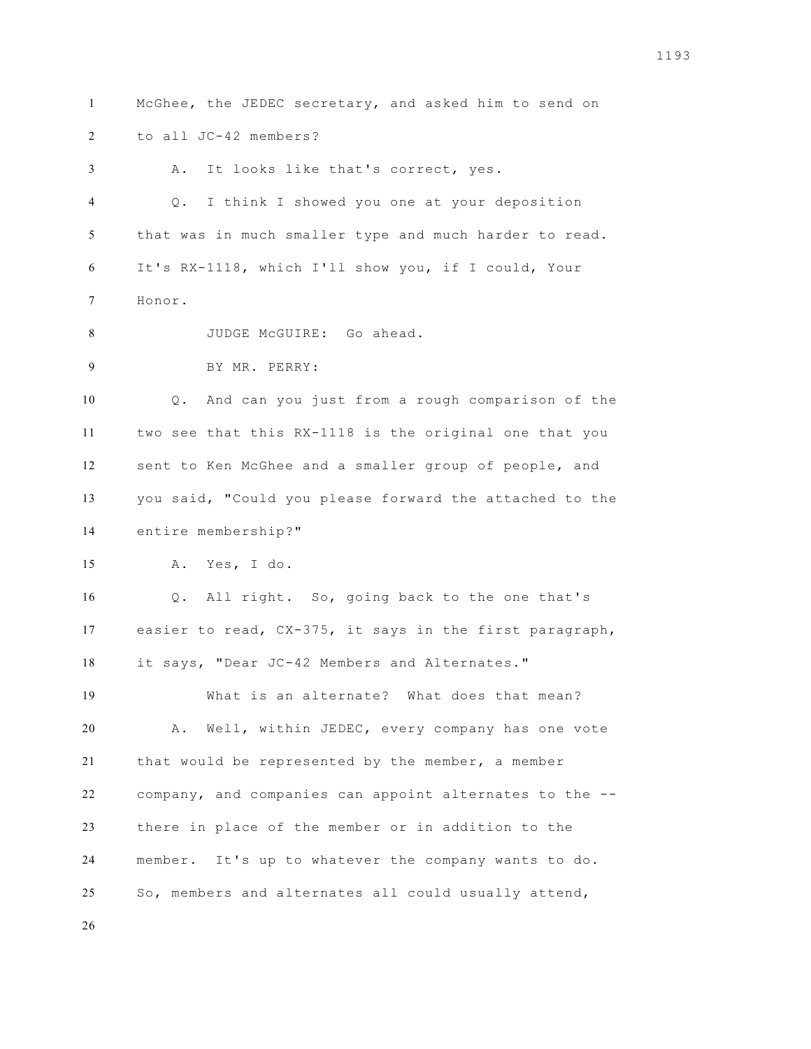McGhee, the JEDEC secretary, and asked him to send on to all JC-42 members? A. It looks like that's correct, yes. Q. I think I showed you one at your deposition that was in much smaller type and much harder to read. It's RX-1118, which I'll show you, if I could, Your Honor. 8 JUDGE McGUIRE: Go ahead. BY MR. PERRY: Q. And can you just from a rough comparison of the two see that this RX-1118 is the original one that you sent to Ken McGhee and a smaller group of people, and you said, "Could you please forward the attached to the entire membership?" A. Yes, I do. Q. All right. So, going back to the one that's easier to read, CX-375, it says in the first paragraph, it says, "Dear JC-42 Members and Alternates." What is an alternate? What does that mean? A. Well, within JEDEC, every company has one vote that would be represented by the member, a member company, and companies can appoint alternates to the -- there in place of the member or in addition to the member. It's up to whatever the company wants to do. So, members and alternates all could usually attend,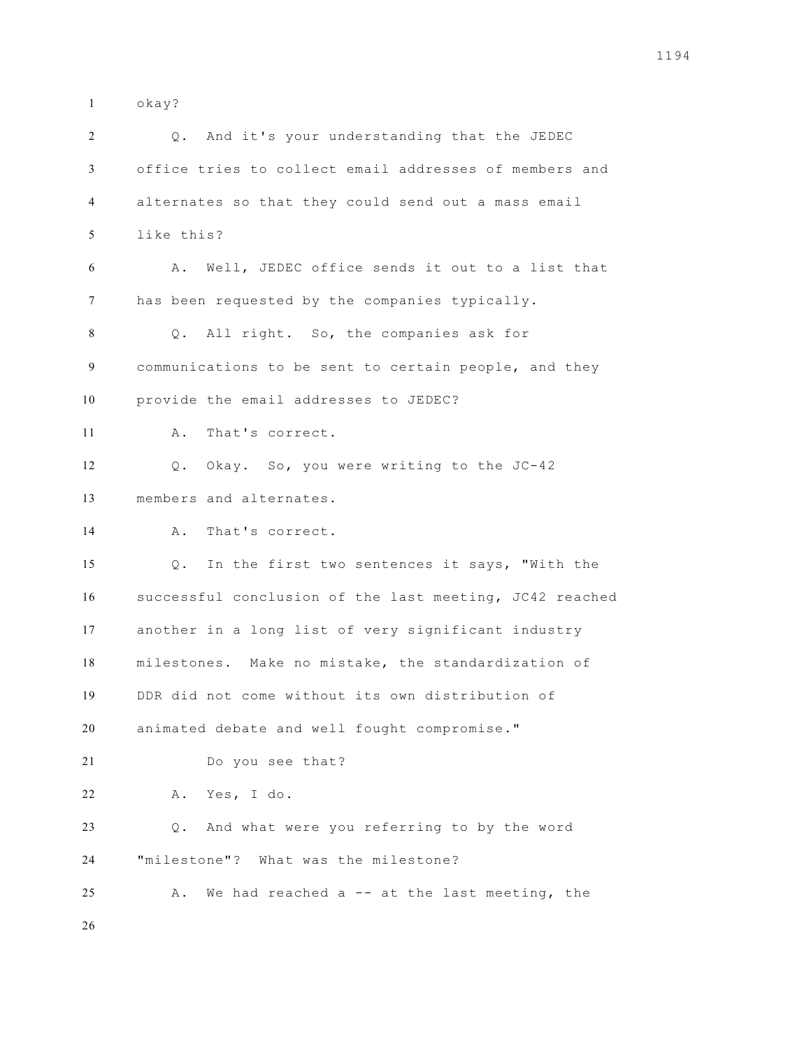okay?

| 2  | Q. And it's your understanding that the JEDEC           |
|----|---------------------------------------------------------|
| 3  | office tries to collect email addresses of members and  |
| 4  | alternates so that they could send out a mass email     |
| 5  | like this?                                              |
| 6  | A. Well, JEDEC office sends it out to a list that       |
| 7  | has been requested by the companies typically.          |
| 8  | All right. So, the companies ask for<br>Q.              |
| 9  | communications to be sent to certain people, and they   |
| 10 | provide the email addresses to JEDEC?                   |
| 11 | That's correct.<br>Α.                                   |
| 12 | Okay. So, you were writing to the JC-42<br>Q.           |
| 13 | members and alternates.                                 |
| 14 | That's correct.<br>Α.                                   |
| 15 | In the first two sentences it says, "With the<br>$Q$ .  |
| 16 | successful conclusion of the last meeting, JC42 reached |
| 17 | another in a long list of very significant industry     |
| 18 | milestones. Make no mistake, the standardization of     |
| 19 | DDR did not come without its own distribution of        |
| 20 | animated debate and well fought compromise."            |
| 21 | Do you see that?                                        |
| 22 | A. Yes, I do.                                           |
| 23 | And what were you referring to by the word<br>Q.        |
| 24 | "milestone"? What was the milestone?                    |
| 25 | A. We had reached a -- at the last meeting, the         |
| 26 |                                                         |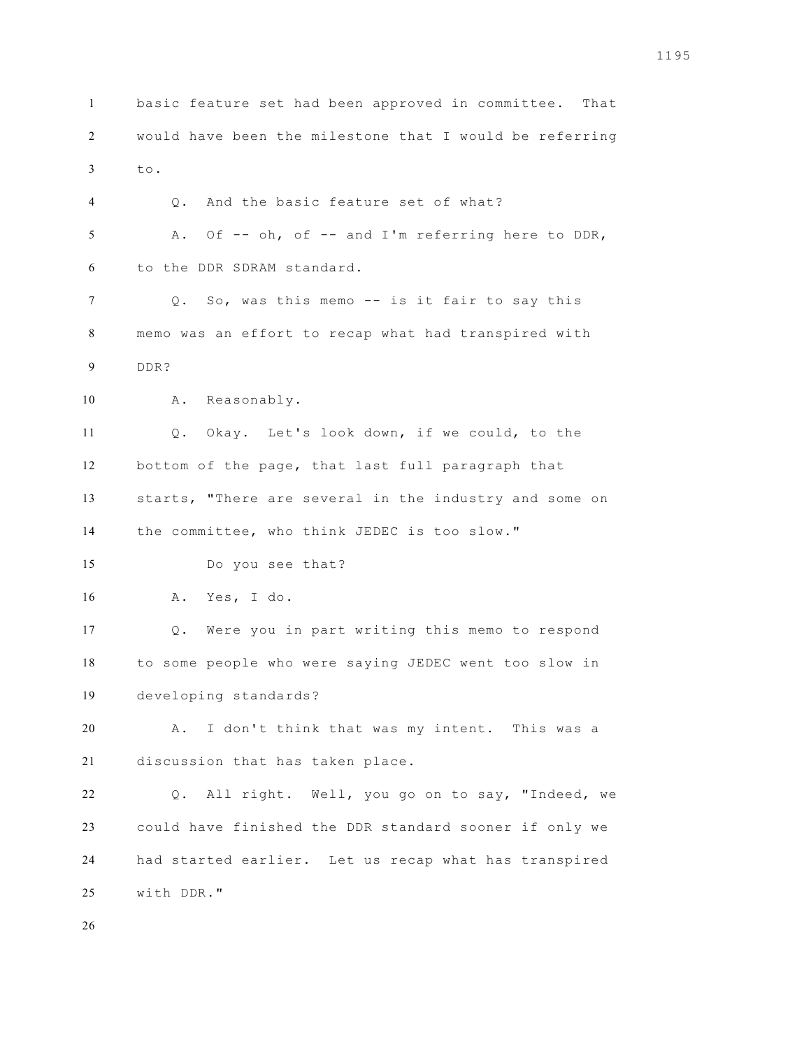basic feature set had been approved in committee. That would have been the milestone that I would be referring to. Q. And the basic feature set of what? A. Of -- oh, of -- and I'm referring here to DDR, to the DDR SDRAM standard. Q. So, was this memo -- is it fair to say this memo was an effort to recap what had transpired with DDR? A. Reasonably. Q. Okay. Let's look down, if we could, to the bottom of the page, that last full paragraph that starts, "There are several in the industry and some on the committee, who think JEDEC is too slow." Do you see that? A. Yes, I do. Q. Were you in part writing this memo to respond to some people who were saying JEDEC went too slow in developing standards? A. I don't think that was my intent. This was a discussion that has taken place. Q. All right. Well, you go on to say, "Indeed, we could have finished the DDR standard sooner if only we had started earlier. Let us recap what has transpired with DDR."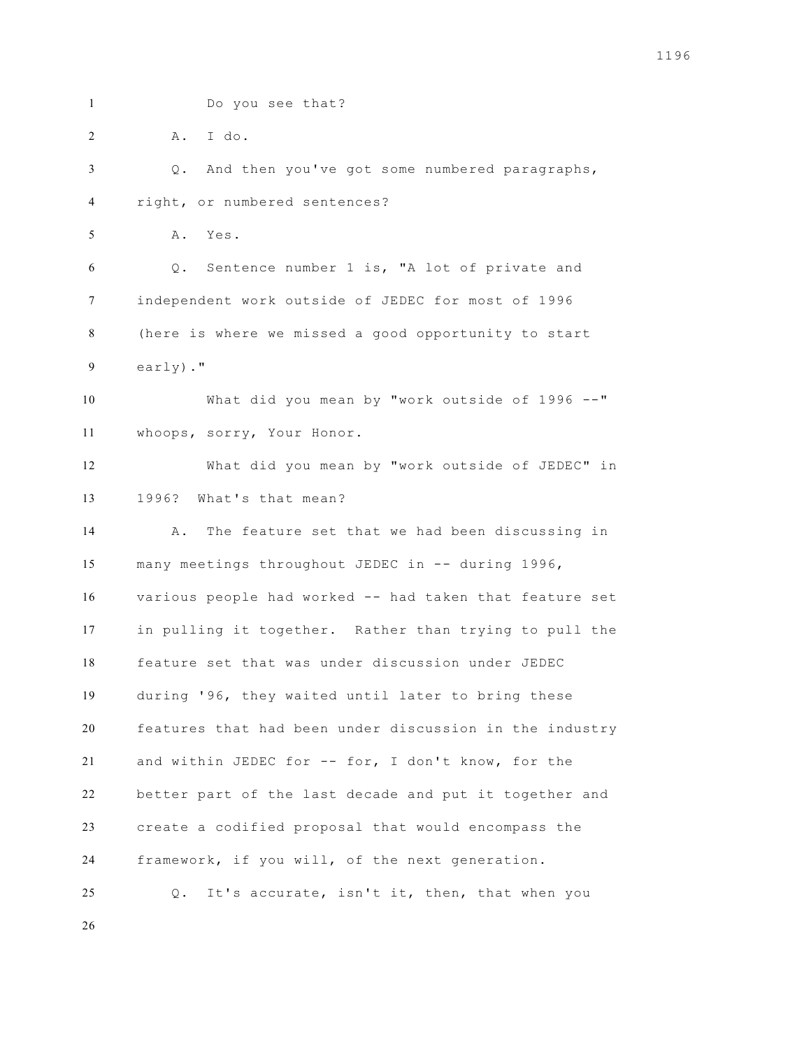Do you see that? A. I do. Q. And then you've got some numbered paragraphs, right, or numbered sentences? A. Yes. Q. Sentence number 1 is, "A lot of private and independent work outside of JEDEC for most of 1996 (here is where we missed a good opportunity to start early)." What did you mean by "work outside of 1996 --" whoops, sorry, Your Honor. What did you mean by "work outside of JEDEC" in 1996? What's that mean? A. The feature set that we had been discussing in many meetings throughout JEDEC in -- during 1996, various people had worked -- had taken that feature set in pulling it together. Rather than trying to pull the feature set that was under discussion under JEDEC during '96, they waited until later to bring these features that had been under discussion in the industry and within JEDEC for -- for, I don't know, for the better part of the last decade and put it together and create a codified proposal that would encompass the framework, if you will, of the next generation. Q. It's accurate, isn't it, then, that when you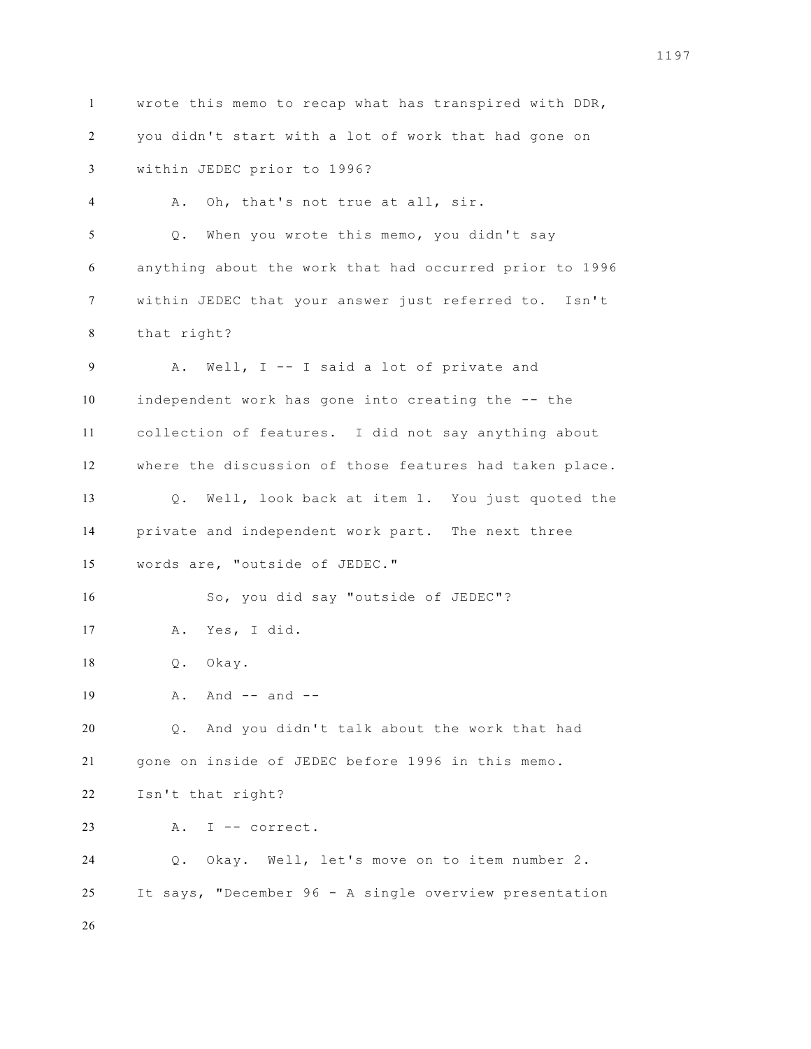wrote this memo to recap what has transpired with DDR, you didn't start with a lot of work that had gone on within JEDEC prior to 1996? A. Oh, that's not true at all, sir. Q. When you wrote this memo, you didn't say anything about the work that had occurred prior to 1996 within JEDEC that your answer just referred to. Isn't that right? A. Well, I -- I said a lot of private and independent work has gone into creating the -- the collection of features. I did not say anything about where the discussion of those features had taken place. Q. Well, look back at item 1. You just quoted the private and independent work part. The next three words are, "outside of JEDEC." So, you did say "outside of JEDEC"? A. Yes, I did. Q. Okay. A. And  $-$  and  $-$  Q. And you didn't talk about the work that had gone on inside of JEDEC before 1996 in this memo. Isn't that right? 23 A. I -- correct. Q. Okay. Well, let's move on to item number 2. It says, "December 96 - A single overview presentation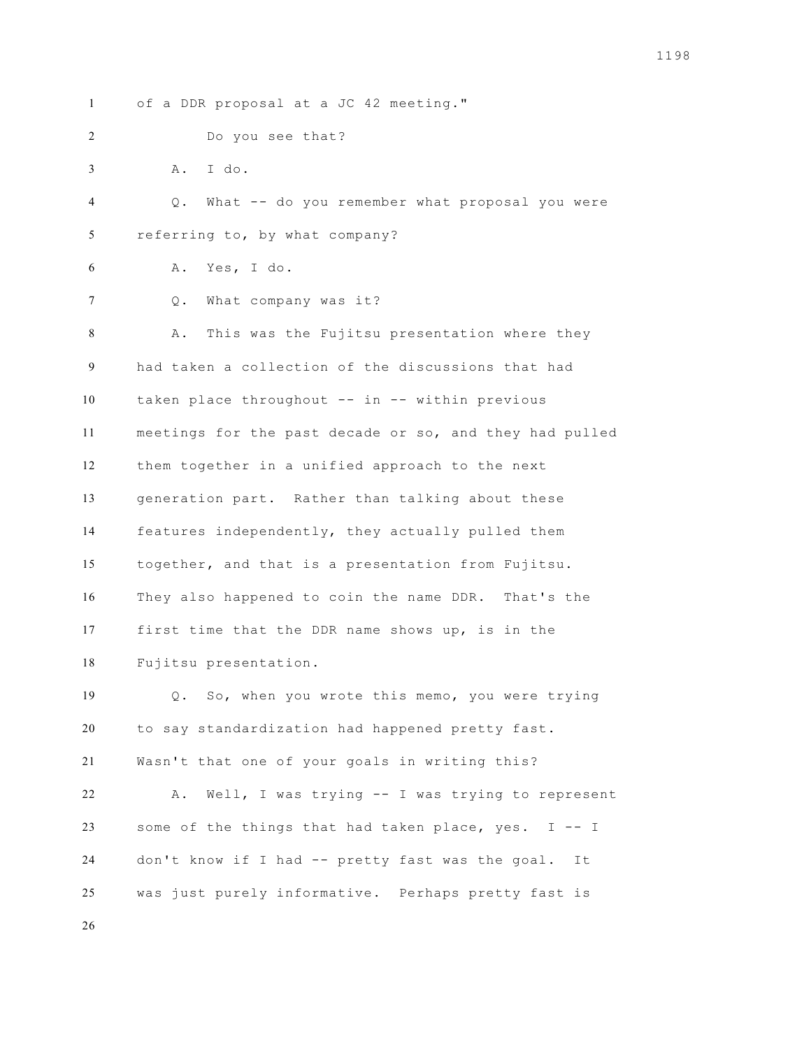of a DDR proposal at a JC 42 meeting." Do you see that? A. I do. Q. What -- do you remember what proposal you were referring to, by what company? A. Yes, I do. 7 Q. What company was it? A. This was the Fujitsu presentation where they had taken a collection of the discussions that had taken place throughout -- in -- within previous meetings for the past decade or so, and they had pulled them together in a unified approach to the next generation part. Rather than talking about these features independently, they actually pulled them together, and that is a presentation from Fujitsu. They also happened to coin the name DDR. That's the first time that the DDR name shows up, is in the Fujitsu presentation. Q. So, when you wrote this memo, you were trying to say standardization had happened pretty fast. Wasn't that one of your goals in writing this? A. Well, I was trying -- I was trying to represent some of the things that had taken place, yes. I -- I don't know if I had -- pretty fast was the goal. It was just purely informative. Perhaps pretty fast is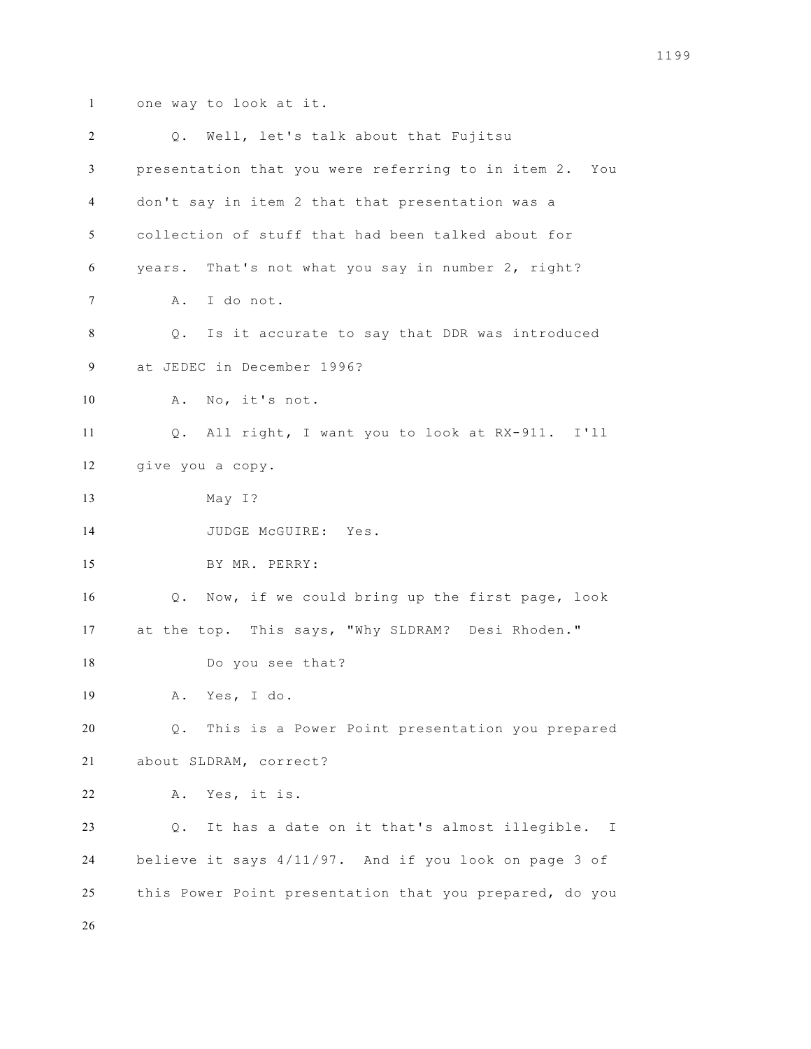one way to look at it.

| 2  | Q. Well, let's talk about that Fujitsu                             |
|----|--------------------------------------------------------------------|
| 3  | presentation that you were referring to in item 2. You             |
| 4  | don't say in item 2 that that presentation was a                   |
| 5  | collection of stuff that had been talked about for                 |
| 6  | years. That's not what you say in number 2, right?                 |
| 7  | A. I do not.                                                       |
| 8  | Is it accurate to say that DDR was introduced<br>$\mathsf{Q}$ .    |
| 9  | at JEDEC in December 1996?                                         |
| 10 | A. No, it's not.                                                   |
| 11 | Q. All right, I want you to look at RX-911. I'll                   |
| 12 | give you a copy.                                                   |
| 13 | May I?                                                             |
| 14 | JUDGE McGUIRE: Yes.                                                |
| 15 | BY MR. PERRY:                                                      |
| 16 | Q. Now, if we could bring up the first page, look                  |
| 17 | at the top. This says, "Why SLDRAM? Desi Rhoden."                  |
| 18 | Do you see that?                                                   |
| 19 | Yes, I do.<br>Α.                                                   |
| 20 | Q. This is a Power Point presentation you prepared                 |
| 21 | about SLDRAM, correct?                                             |
| 22 | Yes, it is.<br>Α.                                                  |
| 23 | It has a date on it that's almost illegible.<br>Q.<br>$\mathbb{I}$ |
| 24 | believe it says 4/11/97. And if you look on page 3 of              |
| 25 | this Power Point presentation that you prepared, do you            |
| 26 |                                                                    |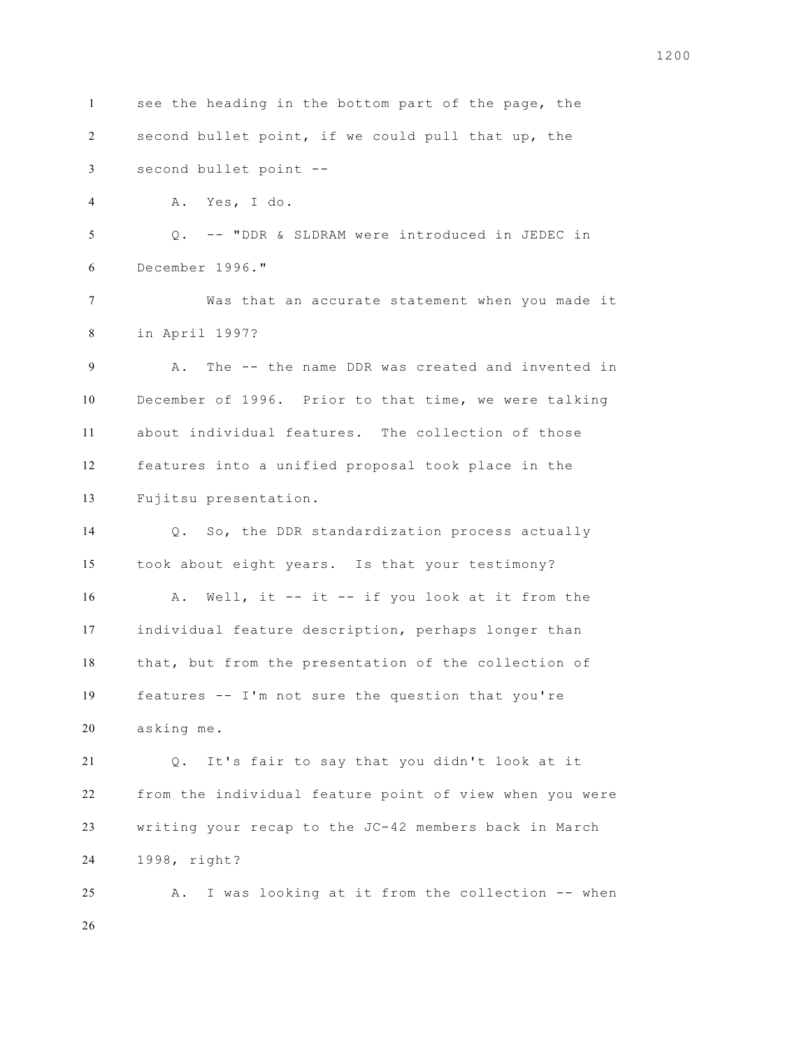see the heading in the bottom part of the page, the second bullet point, if we could pull that up, the second bullet point -- A. Yes, I do. Q. -- "DDR & SLDRAM were introduced in JEDEC in December 1996." Was that an accurate statement when you made it in April 1997? A. The -- the name DDR was created and invented in December of 1996. Prior to that time, we were talking about individual features. The collection of those features into a unified proposal took place in the Fujitsu presentation. Q. So, the DDR standardization process actually took about eight years. Is that your testimony? 16 A. Well, it -- it -- if you look at it from the individual feature description, perhaps longer than that, but from the presentation of the collection of features -- I'm not sure the question that you're asking me. Q. It's fair to say that you didn't look at it from the individual feature point of view when you were writing your recap to the JC-42 members back in March 1998, right? A. I was looking at it from the collection -- when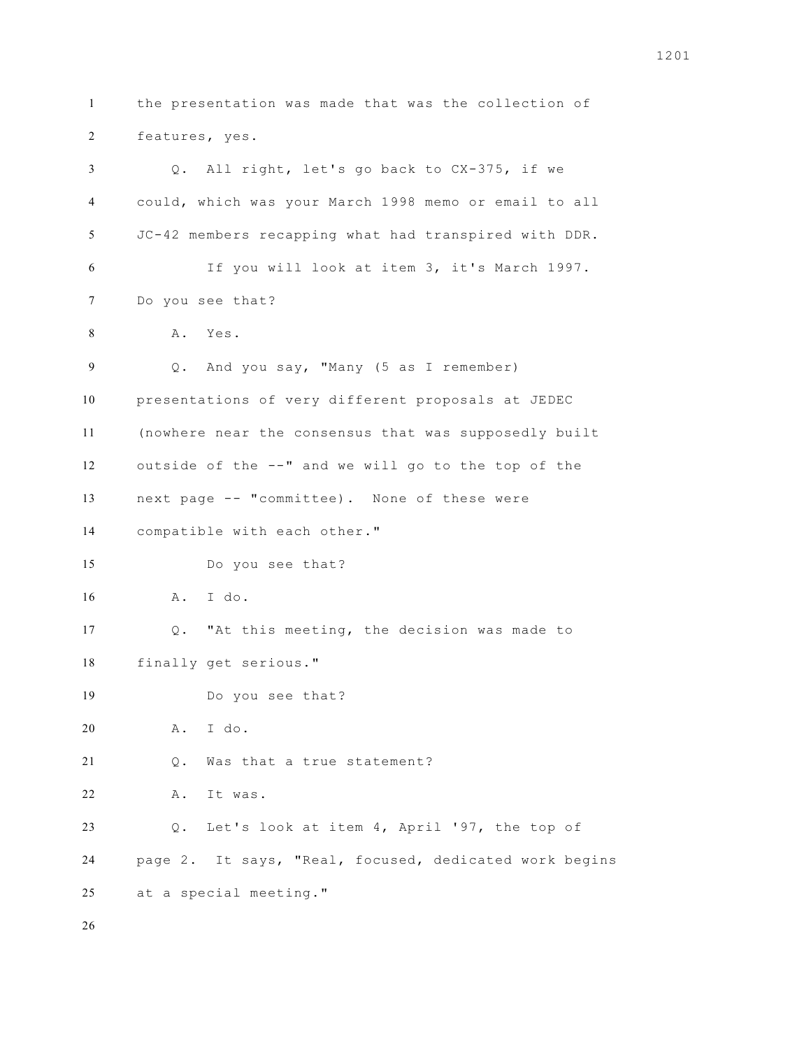the presentation was made that was the collection of features, yes. Q. All right, let's go back to CX-375, if we could, which was your March 1998 memo or email to all JC-42 members recapping what had transpired with DDR. If you will look at item 3, it's March 1997. Do you see that? A. Yes. Q. And you say, "Many (5 as I remember) presentations of very different proposals at JEDEC (nowhere near the consensus that was supposedly built outside of the --" and we will go to the top of the next page -- "committee). None of these were compatible with each other." Do you see that? A. I do. Q. "At this meeting, the decision was made to finally get serious." Do you see that? A. I do. Q. Was that a true statement? A. It was. Q. Let's look at item 4, April '97, the top of page 2. It says, "Real, focused, dedicated work begins at a special meeting."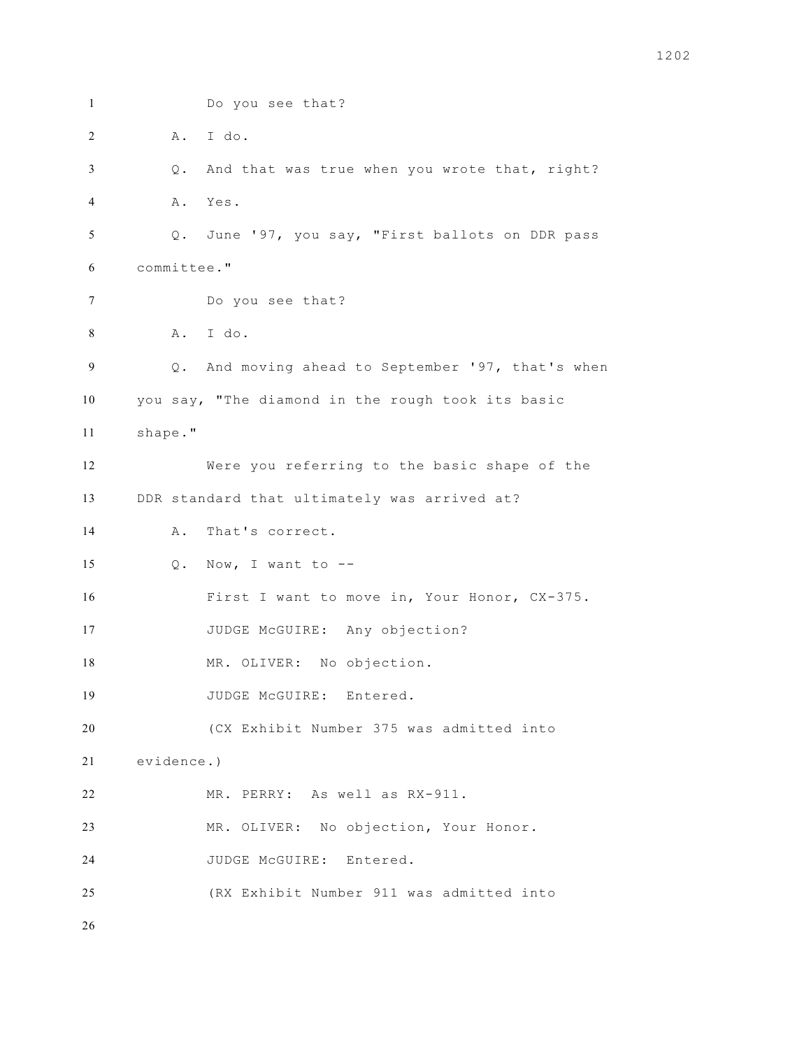Do you see that? A. I do. Q. And that was true when you wrote that, right? A. Yes. Q. June '97, you say, "First ballots on DDR pass committee." Do you see that? A. I do. Q. And moving ahead to September '97, that's when you say, "The diamond in the rough took its basic shape." Were you referring to the basic shape of the DDR standard that ultimately was arrived at? A. That's correct.  $Q. Now, I want to --$  First I want to move in, Your Honor, CX-375. 17 JUDGE McGUIRE: Any objection? 18 MR. OLIVER: No objection. JUDGE McGUIRE: Entered. (CX Exhibit Number 375 was admitted into evidence.) MR. PERRY: As well as RX-911. MR. OLIVER: No objection, Your Honor. JUDGE McGUIRE: Entered. (RX Exhibit Number 911 was admitted into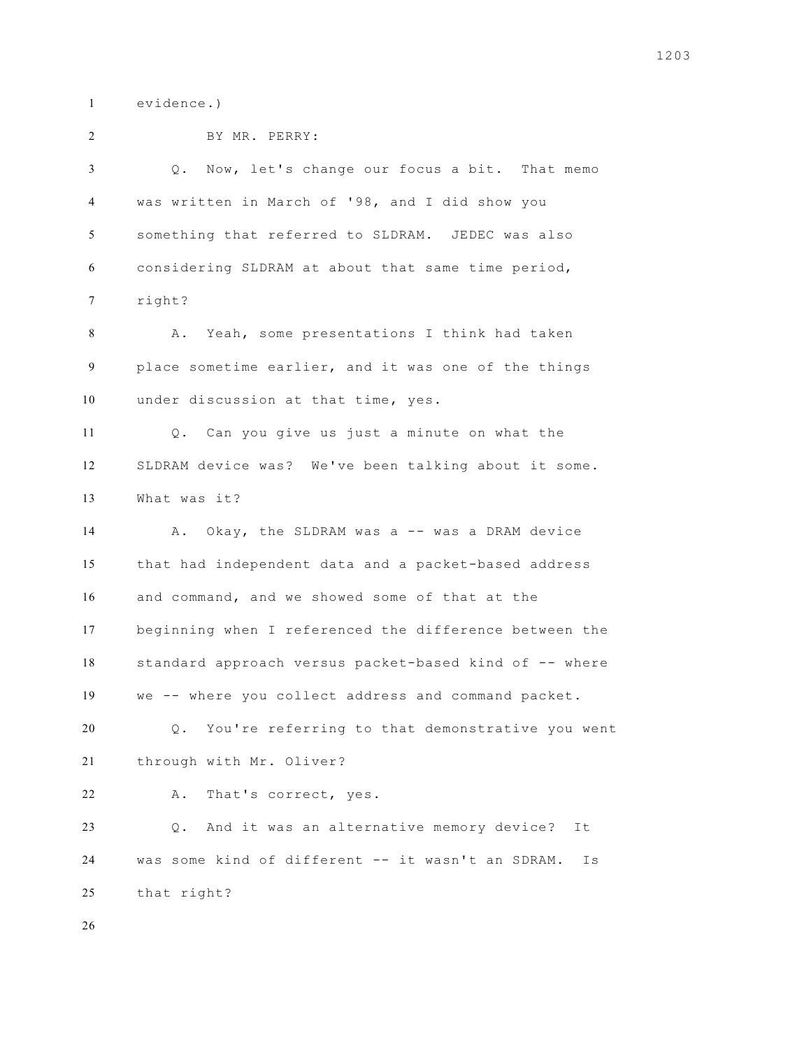evidence.)

| $\overline{c}$ | BY MR. PERRY:                                           |
|----------------|---------------------------------------------------------|
| 3              | Q. Now, let's change our focus a bit. That memo         |
| 4              | was written in March of '98, and I did show you         |
| 5              | something that referred to SLDRAM. JEDEC was also       |
| 6              | considering SLDRAM at about that same time period,      |
| 7              | right?                                                  |
| 8              | A. Yeah, some presentations I think had taken           |
| 9              | place sometime earlier, and it was one of the things    |
| 10             | under discussion at that time, yes.                     |
| 11             | Q. Can you give us just a minute on what the            |
| 12             | SLDRAM device was? We've been talking about it some.    |
| 13             | What was it?                                            |
| 14             | A. Okay, the SLDRAM was a -- was a DRAM device          |
| 15             | that had independent data and a packet-based address    |
| 16             | and command, and we showed some of that at the          |
| 17             | beginning when I referenced the difference between the  |
| 18             | standard approach versus packet-based kind of -- where  |
| 19             | we -- where you collect address and command packet.     |
| 20             | You're referring to that demonstrative you went<br>Q.   |
| 21             | through with Mr. Oliver?                                |
| 22             | That's correct, yes.<br>Α.                              |
| 23             | And it was an alternative memory device?<br>Q.<br>It    |
| 24             | was some kind of different -- it wasn't an SDRAM.<br>Is |
| 25             | that right?                                             |
| 26             |                                                         |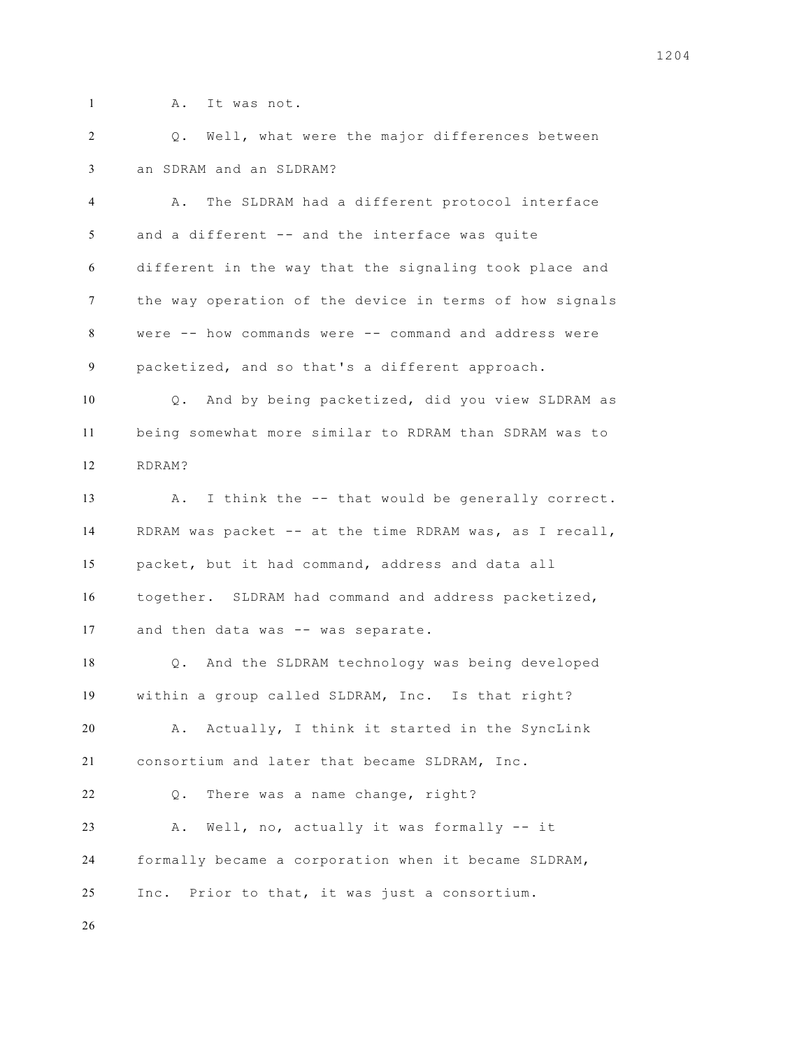A. It was not.

 Q. Well, what were the major differences between an SDRAM and an SLDRAM?

 A. The SLDRAM had a different protocol interface and a different -- and the interface was quite different in the way that the signaling took place and the way operation of the device in terms of how signals were -- how commands were -- command and address were packetized, and so that's a different approach.

 Q. And by being packetized, did you view SLDRAM as being somewhat more similar to RDRAM than SDRAM was to RDRAM?

 A. I think the -- that would be generally correct. RDRAM was packet -- at the time RDRAM was, as I recall, packet, but it had command, address and data all together. SLDRAM had command and address packetized, 17 and then data was -- was separate.

 Q. And the SLDRAM technology was being developed within a group called SLDRAM, Inc. Is that right? A. Actually, I think it started in the SyncLink consortium and later that became SLDRAM, Inc. Q. There was a name change, right? A. Well, no, actually it was formally -- it formally became a corporation when it became SLDRAM, Inc. Prior to that, it was just a consortium.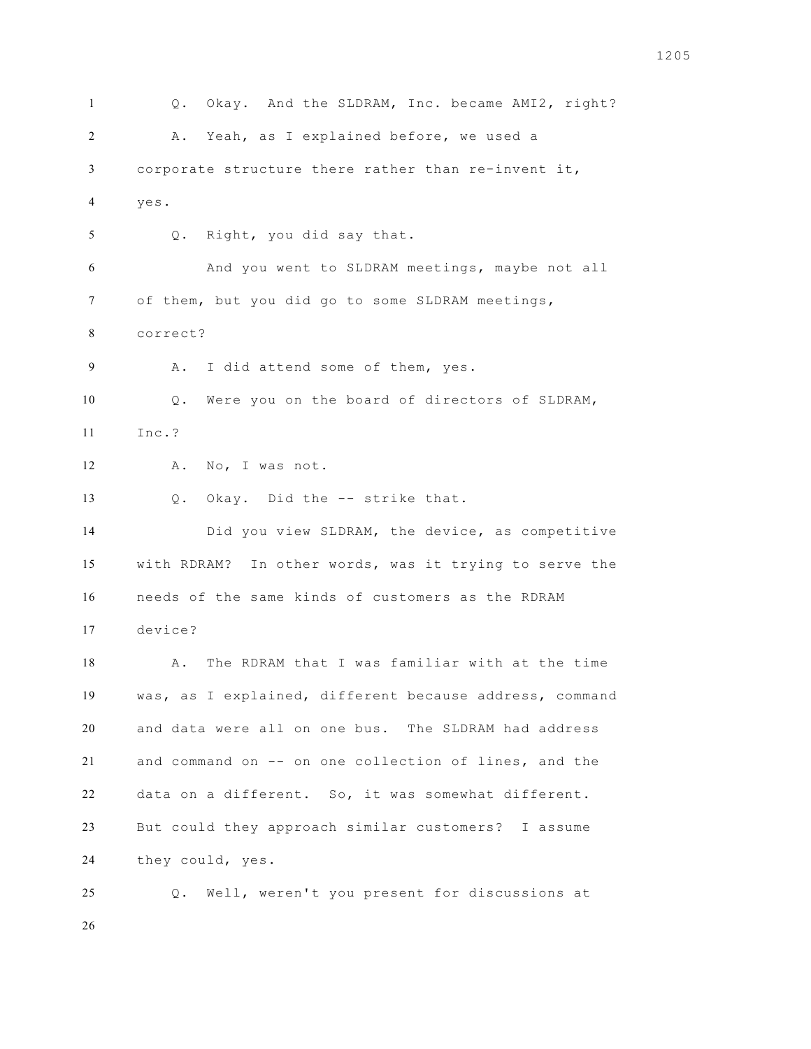Q. Okay. And the SLDRAM, Inc. became AMI2, right? A. Yeah, as I explained before, we used a corporate structure there rather than re-invent it, yes. Q. Right, you did say that. And you went to SLDRAM meetings, maybe not all of them, but you did go to some SLDRAM meetings, correct? 9 A. I did attend some of them, yes. Q. Were you on the board of directors of SLDRAM, Inc.? 12 A. No, I was not. Q. Okay. Did the -- strike that. Did you view SLDRAM, the device, as competitive with RDRAM? In other words, was it trying to serve the needs of the same kinds of customers as the RDRAM device? 18 A. The RDRAM that I was familiar with at the time was, as I explained, different because address, command and data were all on one bus. The SLDRAM had address and command on -- on one collection of lines, and the data on a different. So, it was somewhat different. But could they approach similar customers? I assume they could, yes. Q. Well, weren't you present for discussions at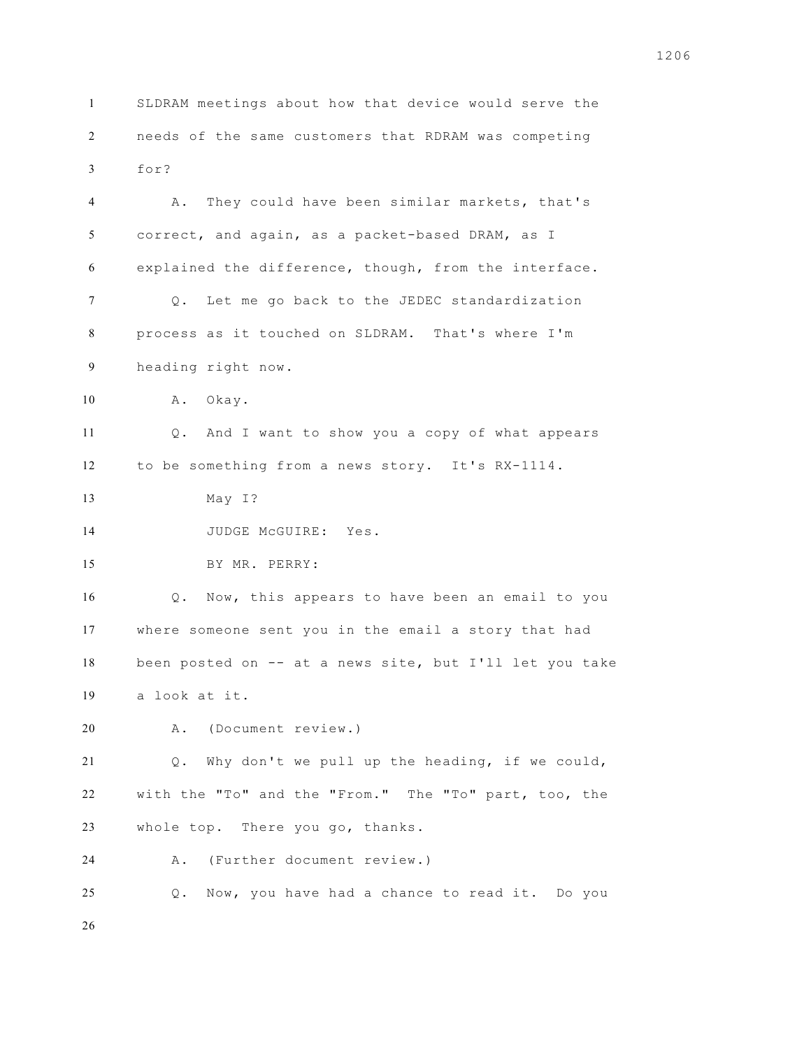SLDRAM meetings about how that device would serve the needs of the same customers that RDRAM was competing for?

 A. They could have been similar markets, that's correct, and again, as a packet-based DRAM, as I explained the difference, though, from the interface. Q. Let me go back to the JEDEC standardization process as it touched on SLDRAM. That's where I'm heading right now. A. Okay. Q. And I want to show you a copy of what appears to be something from a news story. It's RX-1114. May I? 14 JUDGE McGUIRE: Yes. BY MR. PERRY: Q. Now, this appears to have been an email to you where someone sent you in the email a story that had been posted on -- at a news site, but I'll let you take a look at it. A. (Document review.) Q. Why don't we pull up the heading, if we could, with the "To" and the "From." The "To" part, too, the whole top. There you go, thanks. A. (Further document review.) Q. Now, you have had a chance to read it. Do you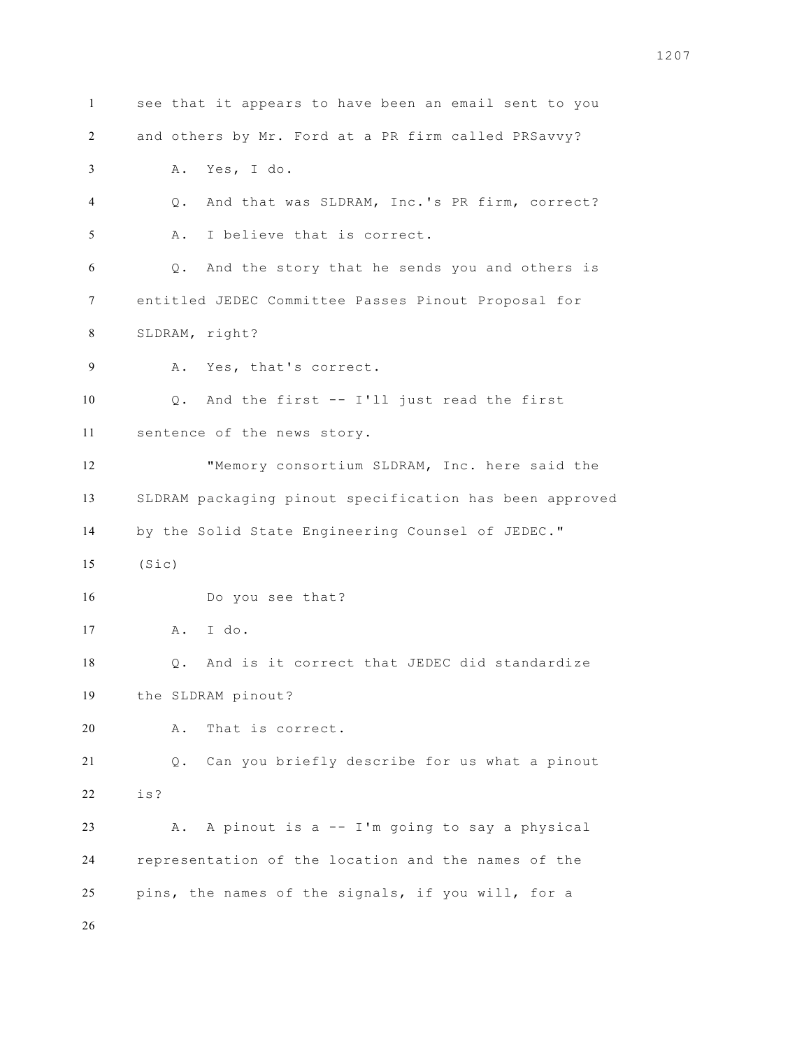see that it appears to have been an email sent to you and others by Mr. Ford at a PR firm called PRSavvy? A. Yes, I do. Q. And that was SLDRAM, Inc.'s PR firm, correct? A. I believe that is correct. Q. And the story that he sends you and others is entitled JEDEC Committee Passes Pinout Proposal for SLDRAM, right? A. Yes, that's correct. Q. And the first -- I'll just read the first sentence of the news story. "Memory consortium SLDRAM, Inc. here said the SLDRAM packaging pinout specification has been approved by the Solid State Engineering Counsel of JEDEC." (Sic) Do you see that? A. I do. Q. And is it correct that JEDEC did standardize the SLDRAM pinout? A. That is correct. Q. Can you briefly describe for us what a pinout is? A. A pinout is a -- I'm going to say a physical representation of the location and the names of the pins, the names of the signals, if you will, for a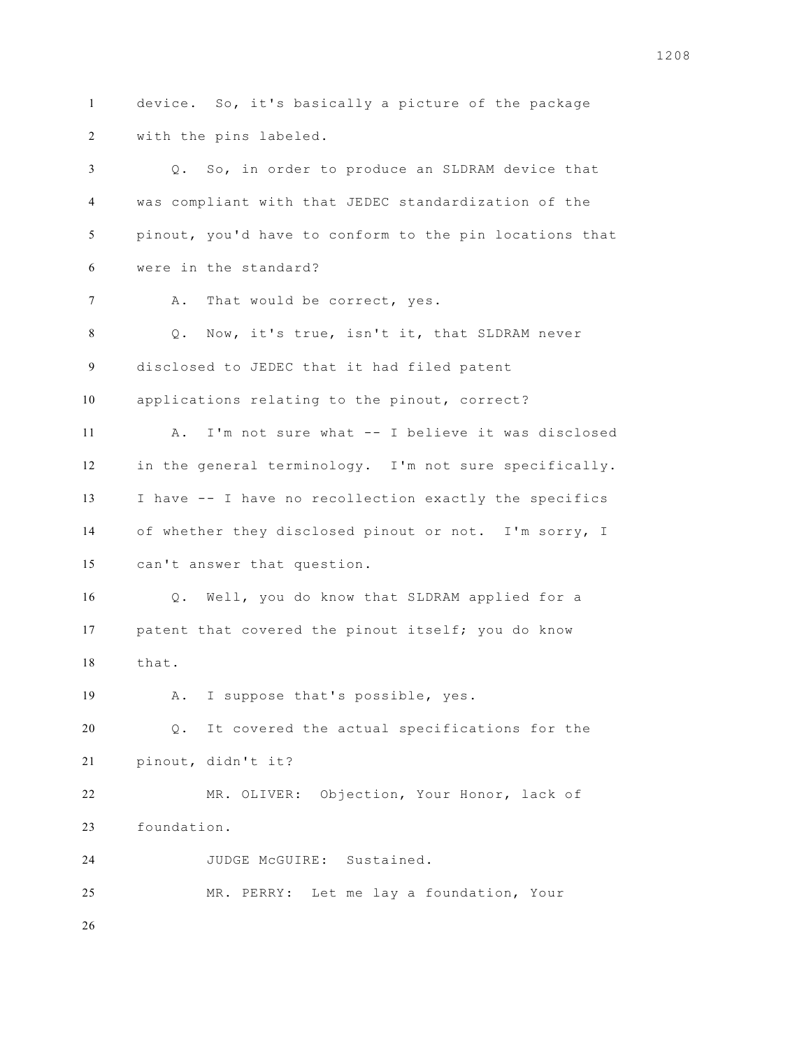device. So, it's basically a picture of the package with the pins labeled. Q. So, in order to produce an SLDRAM device that was compliant with that JEDEC standardization of the pinout, you'd have to conform to the pin locations that were in the standard? 7 A. That would be correct, yes. Q. Now, it's true, isn't it, that SLDRAM never disclosed to JEDEC that it had filed patent applications relating to the pinout, correct? A. I'm not sure what -- I believe it was disclosed in the general terminology. I'm not sure specifically. I have -- I have no recollection exactly the specifics of whether they disclosed pinout or not. I'm sorry, I can't answer that question. Q. Well, you do know that SLDRAM applied for a patent that covered the pinout itself; you do know that. A. I suppose that's possible, yes. Q. It covered the actual specifications for the pinout, didn't it? MR. OLIVER: Objection, Your Honor, lack of foundation. JUDGE McGUIRE: Sustained. MR. PERRY: Let me lay a foundation, Your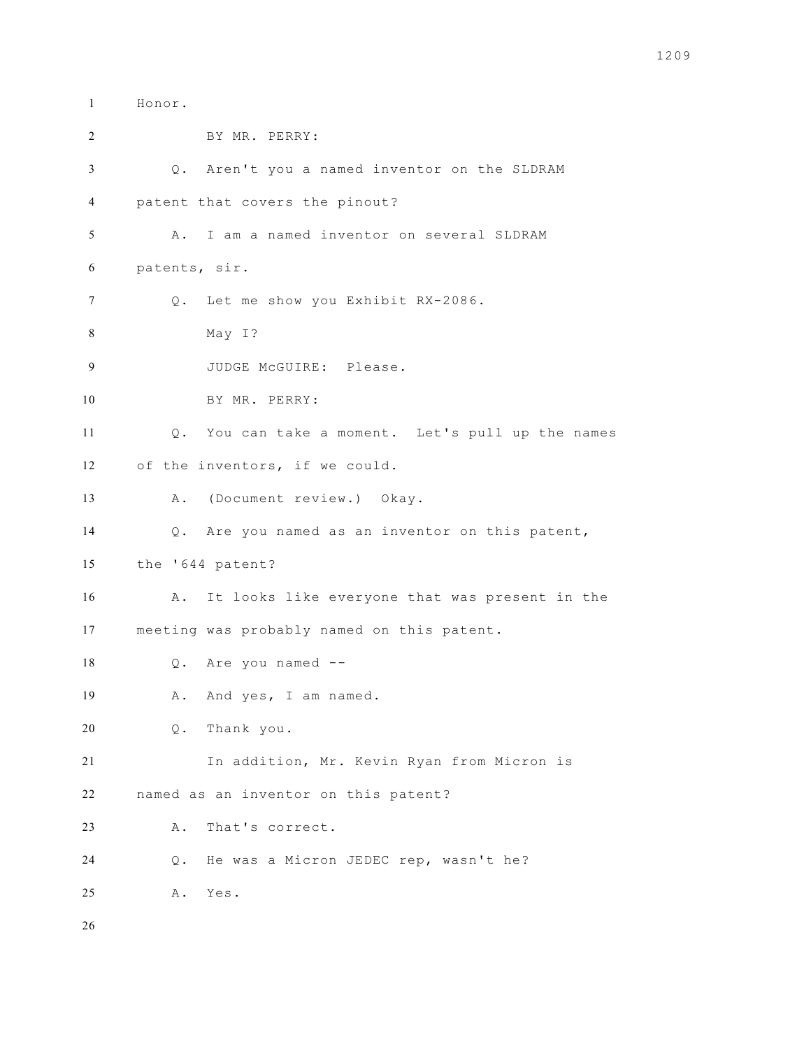Honor. BY MR. PERRY: Q. Aren't you a named inventor on the SLDRAM patent that covers the pinout? A. I am a named inventor on several SLDRAM patents, sir. Q. Let me show you Exhibit RX-2086. May I? 9 JUDGE McGUIRE: Please. BY MR. PERRY: Q. You can take a moment. Let's pull up the names of the inventors, if we could. A. (Document review.) Okay. Q. Are you named as an inventor on this patent, the '644 patent? A. It looks like everyone that was present in the meeting was probably named on this patent. Q. Are you named -- 19 A. And yes, I am named. Q. Thank you. In addition, Mr. Kevin Ryan from Micron is named as an inventor on this patent? A. That's correct. Q. He was a Micron JEDEC rep, wasn't he? A. Yes.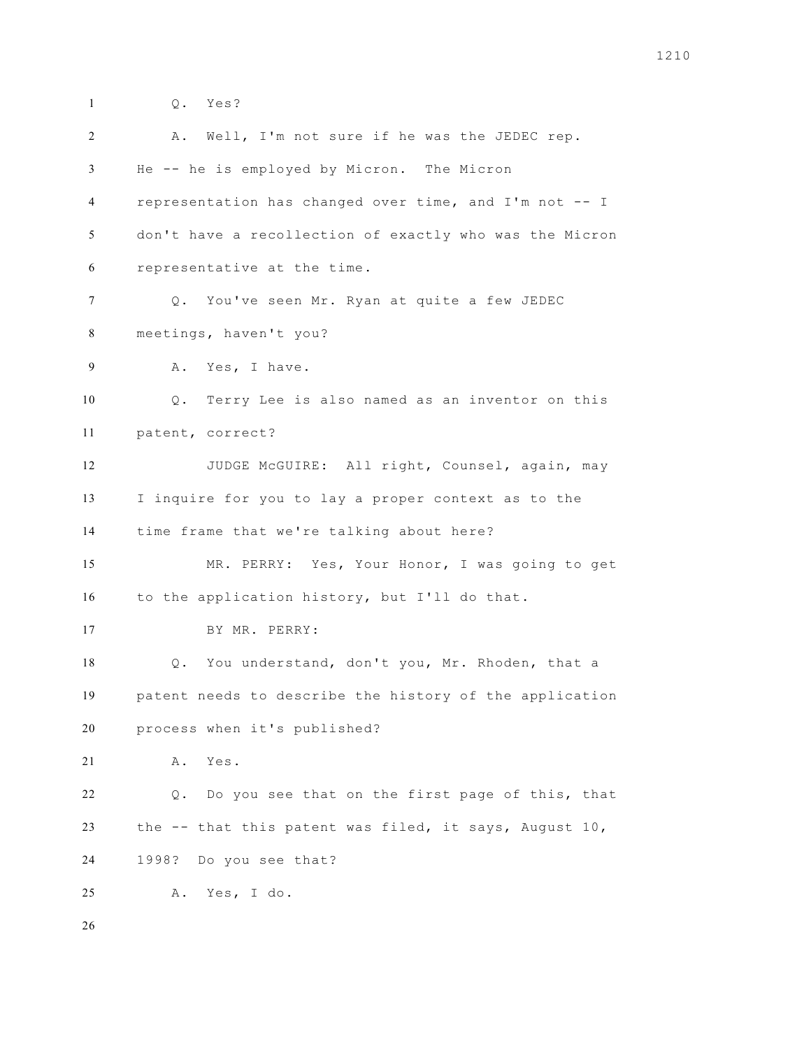Q. Yes? A. Well, I'm not sure if he was the JEDEC rep. He -- he is employed by Micron. The Micron representation has changed over time, and I'm not -- I don't have a recollection of exactly who was the Micron representative at the time. Q. You've seen Mr. Ryan at quite a few JEDEC meetings, haven't you? A. Yes, I have. Q. Terry Lee is also named as an inventor on this patent, correct? JUDGE McGUIRE: All right, Counsel, again, may I inquire for you to lay a proper context as to the time frame that we're talking about here? MR. PERRY: Yes, Your Honor, I was going to get to the application history, but I'll do that. BY MR. PERRY: Q. You understand, don't you, Mr. Rhoden, that a patent needs to describe the history of the application process when it's published? A. Yes. Q. Do you see that on the first page of this, that the -- that this patent was filed, it says, August 10, 1998? Do you see that? A. Yes, I do.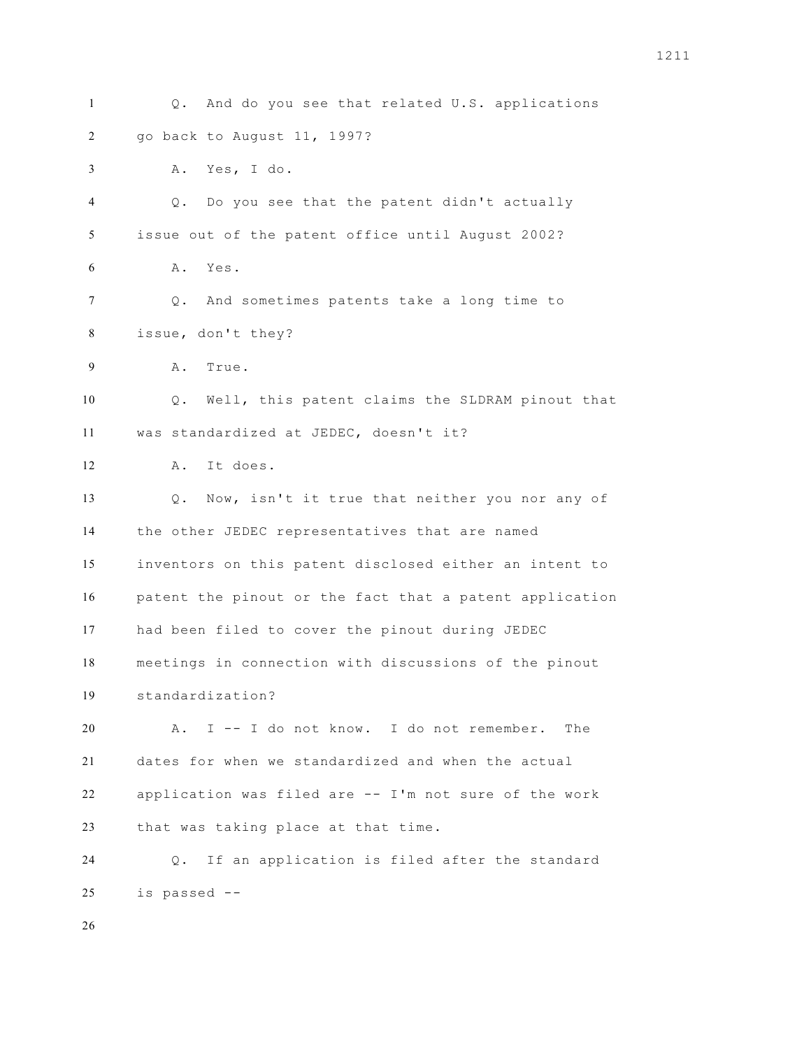| $\mathbf{1}$ | And do you see that related U.S. applications<br>Q.        |
|--------------|------------------------------------------------------------|
| 2            | go back to August 11, 1997?                                |
| 3            | Yes, I do.<br>Α.                                           |
| 4            | Do you see that the patent didn't actually<br>Q.           |
| 5            | issue out of the patent office until August 2002?          |
| 6            | Α.<br>Yes.                                                 |
| 7            | And sometimes patents take a long time to<br>Q.            |
| 8            | issue, don't they?                                         |
| 9            | Α.<br>True.                                                |
| 10           | Well, this patent claims the SLDRAM pinout that<br>Q.      |
| 11           | was standardized at JEDEC, doesn't it?                     |
| 12           | It does.<br>Α.                                             |
| 13           | Now, isn't it true that neither you nor any of<br>$Q$ .    |
| 14           | the other JEDEC representatives that are named             |
| 15           | inventors on this patent disclosed either an intent to     |
| 16           | patent the pinout or the fact that a patent application    |
| 17           | had been filed to cover the pinout during JEDEC            |
| 18           | meetings in connection with discussions of the pinout      |
| 19           | standardization?                                           |
| 20           | I -- I do not know. I do not remember.<br>Α.<br>The        |
| 21           | dates for when we standardized and when the actual         |
| 22           | application was filed are -- I'm not sure of the work      |
| 23           | that was taking place at that time.                        |
| 24           | If an application is filed after the standard<br>$\circ$ . |
| 25           | is passed --                                               |
| 26           |                                                            |
|              |                                                            |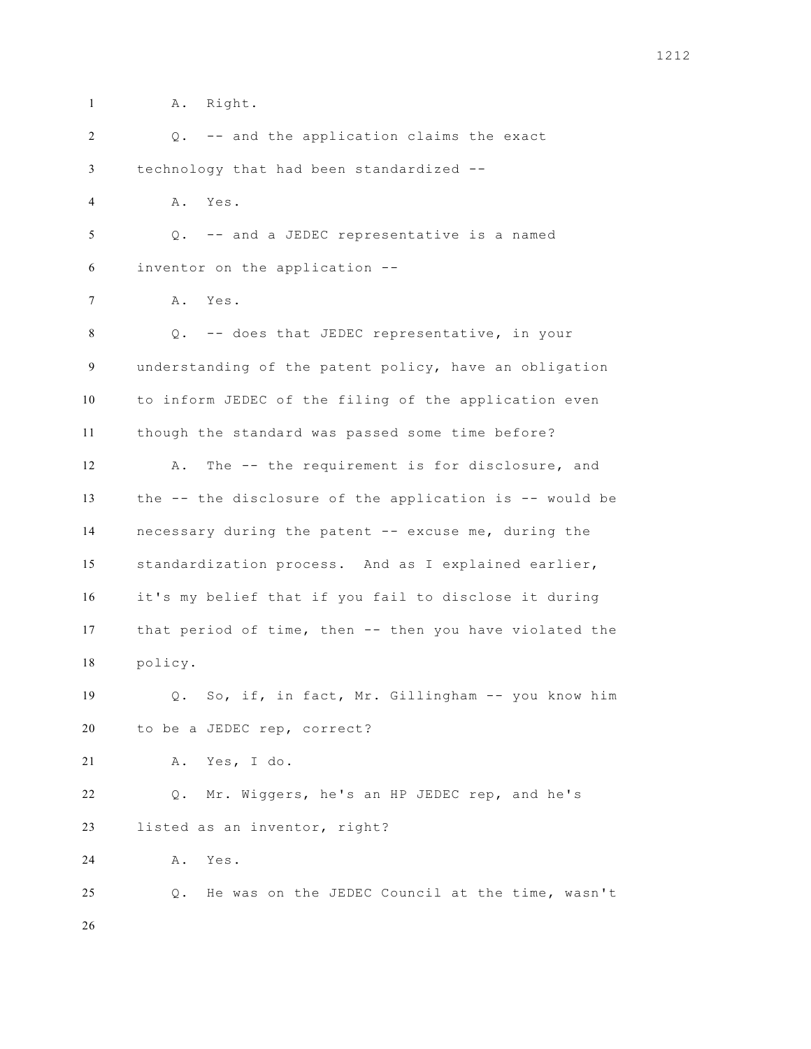A. Right.

| 2              | Q. -- and the application claims the exact              |
|----------------|---------------------------------------------------------|
| 3              | technology that had been standardized --                |
| $\overline{4}$ | Α.<br>Yes.                                              |
| 5              | -- and a JEDEC representative is a named<br>Q.          |
| 6              | inventor on the application --                          |
| 7              | A. Yes.                                                 |
| 8              | Q. -- does that JEDEC representative, in your           |
| 9              | understanding of the patent policy, have an obligation  |
| 10             | to inform JEDEC of the filing of the application even   |
| 11             | though the standard was passed some time before?        |
| 12             | The -- the requirement is for disclosure, and<br>Α.     |
| 13             | the -- the disclosure of the application is -- would be |
| 14             | necessary during the patent -- excuse me, during the    |
| 15             | standardization process. And as I explained earlier,    |
| 16             | it's my belief that if you fail to disclose it during   |
| 17             | that period of time, then -- then you have violated the |
| 18             | policy.                                                 |
| 19             | Q. So, if, in fact, Mr. Gillingham -- you know him      |
| 20             | to be a JEDEC rep, correct?                             |
| 21             | Yes, I do.<br>Α.                                        |
| 22             | Mr. Wiggers, he's an HP JEDEC rep, and he's<br>Q.       |
| 23             | listed as an inventor, right?                           |
| 24             | Yes.<br>Α.                                              |
| 25             | He was on the JEDEC Council at the time, wasn't<br>Q.   |
| 26             |                                                         |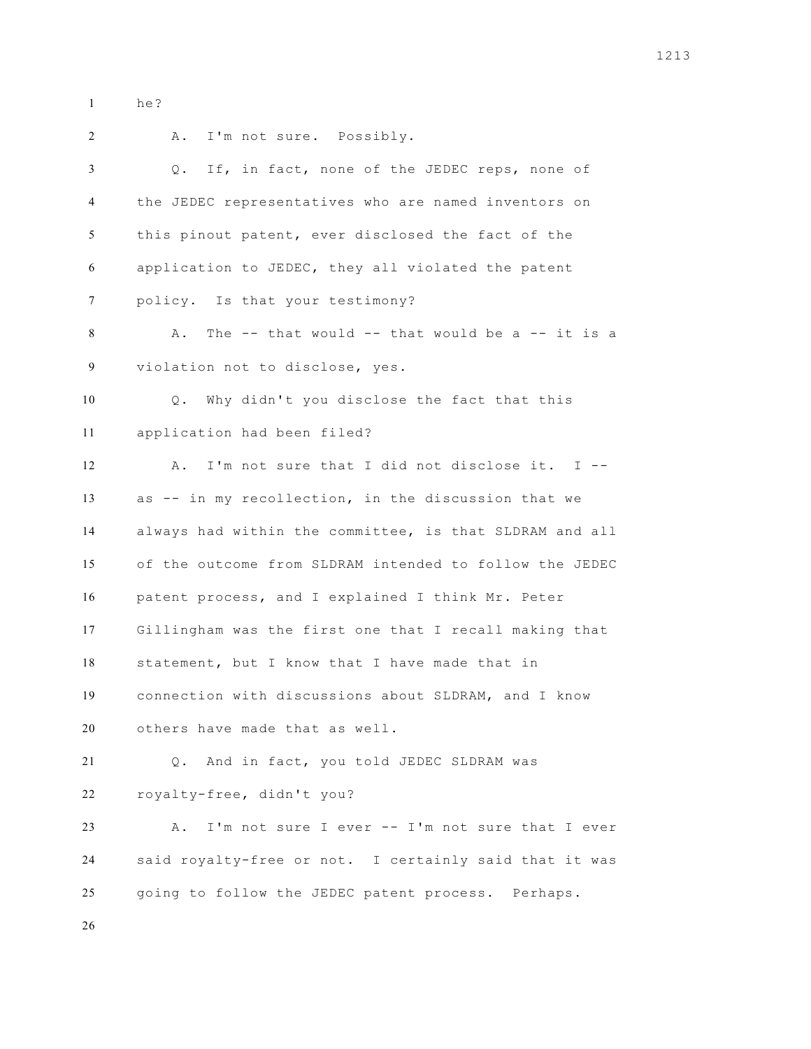he?

 A. I'm not sure. Possibly. Q. If, in fact, none of the JEDEC reps, none of the JEDEC representatives who are named inventors on this pinout patent, ever disclosed the fact of the application to JEDEC, they all violated the patent policy. Is that your testimony? A. The -- that would -- that would be a -- it is a violation not to disclose, yes. Q. Why didn't you disclose the fact that this application had been filed? A. I'm not sure that I did not disclose it. I -- as -- in my recollection, in the discussion that we always had within the committee, is that SLDRAM and all of the outcome from SLDRAM intended to follow the JEDEC patent process, and I explained I think Mr. Peter Gillingham was the first one that I recall making that statement, but I know that I have made that in connection with discussions about SLDRAM, and I know others have made that as well. Q. And in fact, you told JEDEC SLDRAM was royalty-free, didn't you? A. I'm not sure I ever -- I'm not sure that I ever said royalty-free or not. I certainly said that it was going to follow the JEDEC patent process. Perhaps.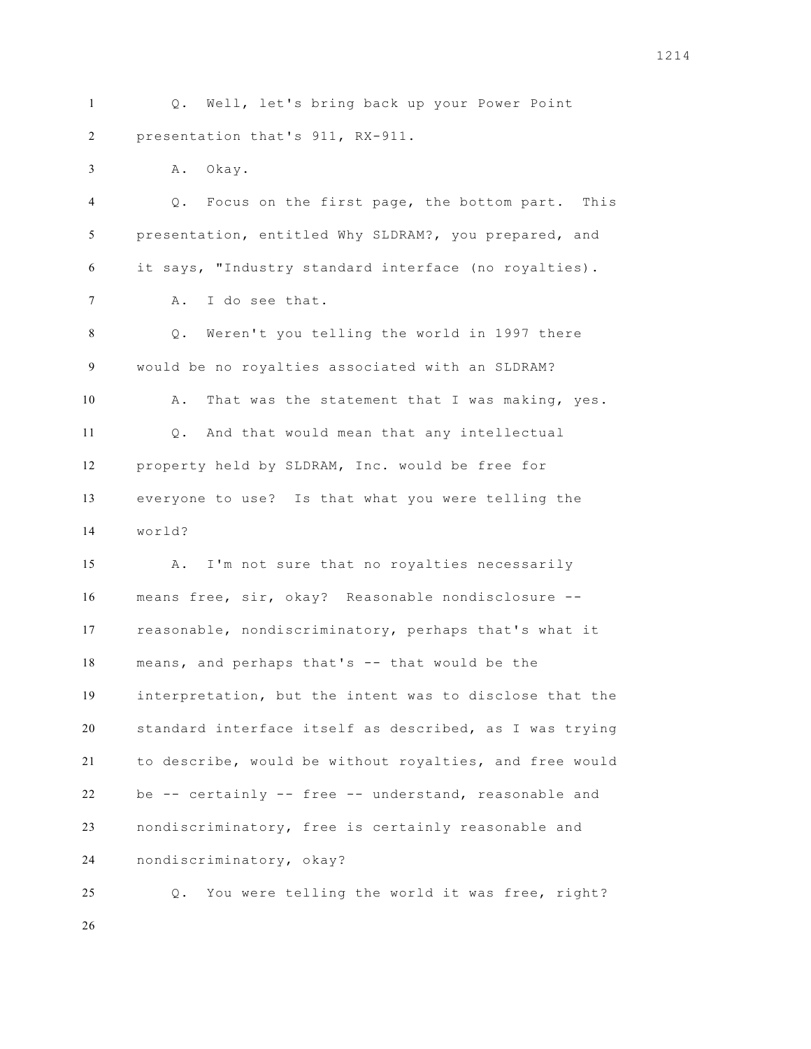Q. Well, let's bring back up your Power Point presentation that's 911, RX-911.

A. Okay.

 Q. Focus on the first page, the bottom part. This presentation, entitled Why SLDRAM?, you prepared, and it says, "Industry standard interface (no royalties). A. I do see that.

 Q. Weren't you telling the world in 1997 there would be no royalties associated with an SLDRAM? 10 A. That was the statement that I was making, yes. Q. And that would mean that any intellectual property held by SLDRAM, Inc. would be free for everyone to use? Is that what you were telling the world?

 A. I'm not sure that no royalties necessarily means free, sir, okay? Reasonable nondisclosure -- reasonable, nondiscriminatory, perhaps that's what it means, and perhaps that's -- that would be the interpretation, but the intent was to disclose that the standard interface itself as described, as I was trying to describe, would be without royalties, and free would be -- certainly -- free -- understand, reasonable and nondiscriminatory, free is certainly reasonable and nondiscriminatory, okay?

 Q. You were telling the world it was free, right?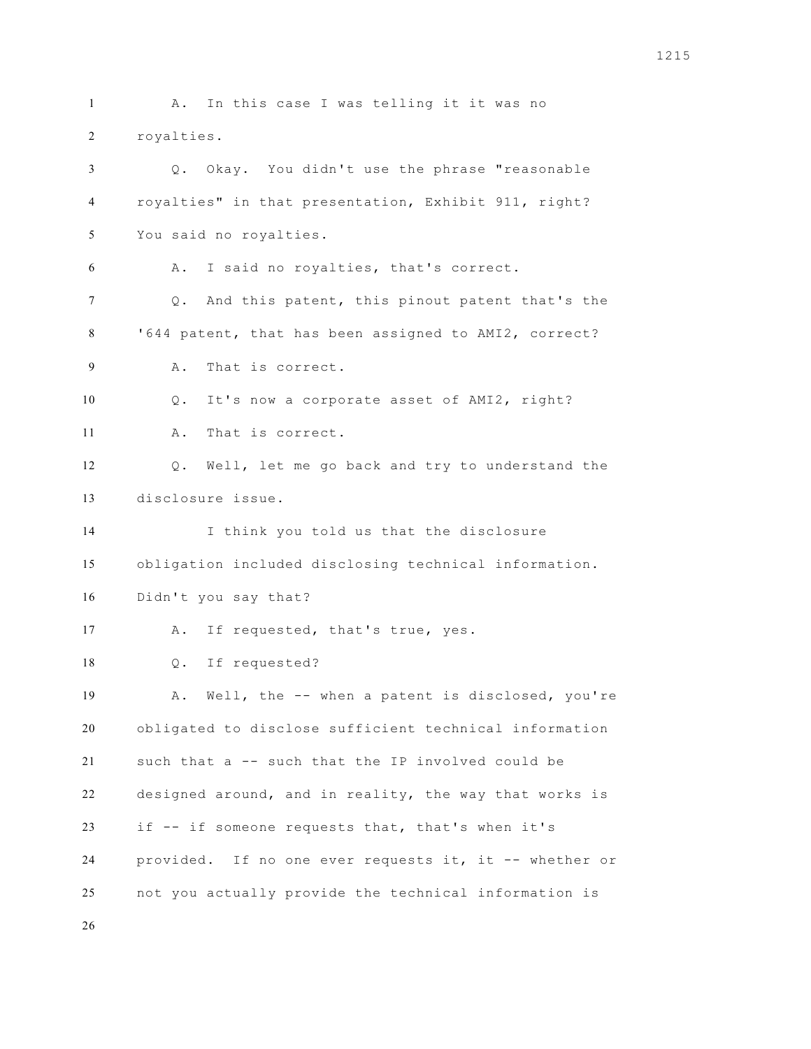A. In this case I was telling it it was no royalties. Q. Okay. You didn't use the phrase "reasonable royalties" in that presentation, Exhibit 911, right? You said no royalties. A. I said no royalties, that's correct. Q. And this patent, this pinout patent that's the '644 patent, that has been assigned to AMI2, correct? A. That is correct. Q. It's now a corporate asset of AMI2, right? A. That is correct. Q. Well, let me go back and try to understand the disclosure issue. I think you told us that the disclosure obligation included disclosing technical information. Didn't you say that? 17 A. If requested, that's true, yes. Q. If requested? A. Well, the -- when a patent is disclosed, you're obligated to disclose sufficient technical information such that a -- such that the IP involved could be designed around, and in reality, the way that works is if -- if someone requests that, that's when it's provided. If no one ever requests it, it -- whether or not you actually provide the technical information is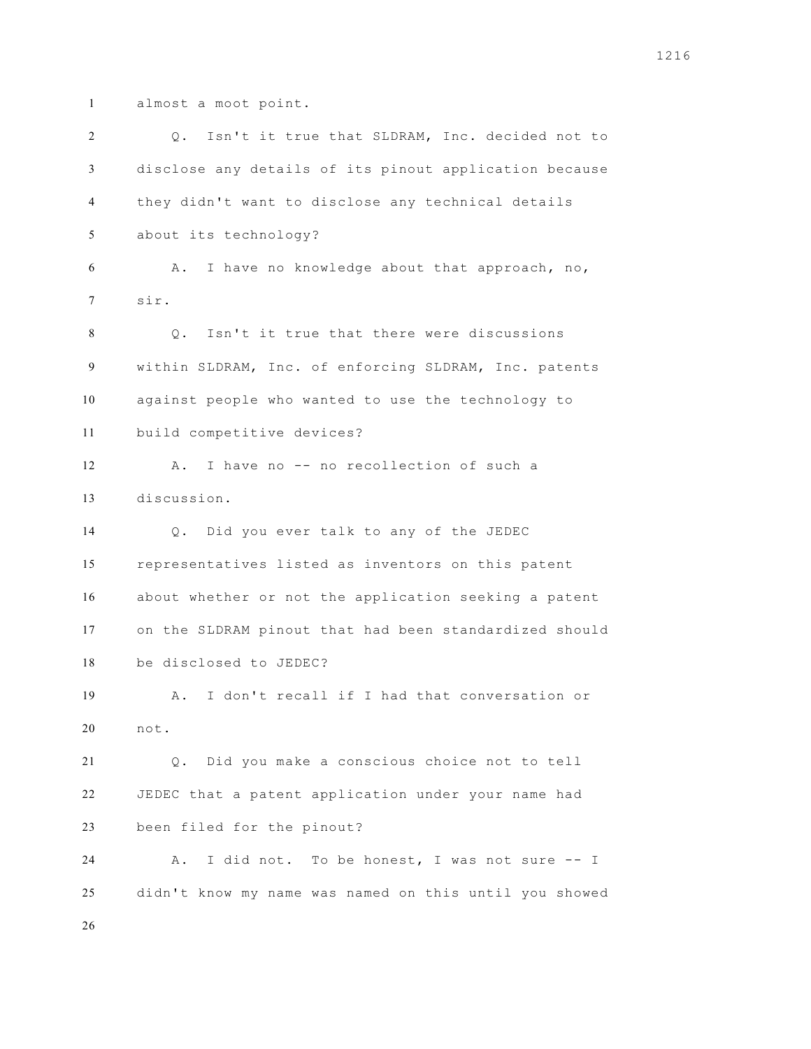almost a moot point.

 Q. Isn't it true that SLDRAM, Inc. decided not to disclose any details of its pinout application because they didn't want to disclose any technical details about its technology? A. I have no knowledge about that approach, no, sir. Q. Isn't it true that there were discussions within SLDRAM, Inc. of enforcing SLDRAM, Inc. patents against people who wanted to use the technology to build competitive devices? 12 A. I have no -- no recollection of such a discussion. Q. Did you ever talk to any of the JEDEC representatives listed as inventors on this patent about whether or not the application seeking a patent on the SLDRAM pinout that had been standardized should be disclosed to JEDEC? A. I don't recall if I had that conversation or not. Q. Did you make a conscious choice not to tell JEDEC that a patent application under your name had been filed for the pinout? A. I did not. To be honest, I was not sure -- I didn't know my name was named on this until you showed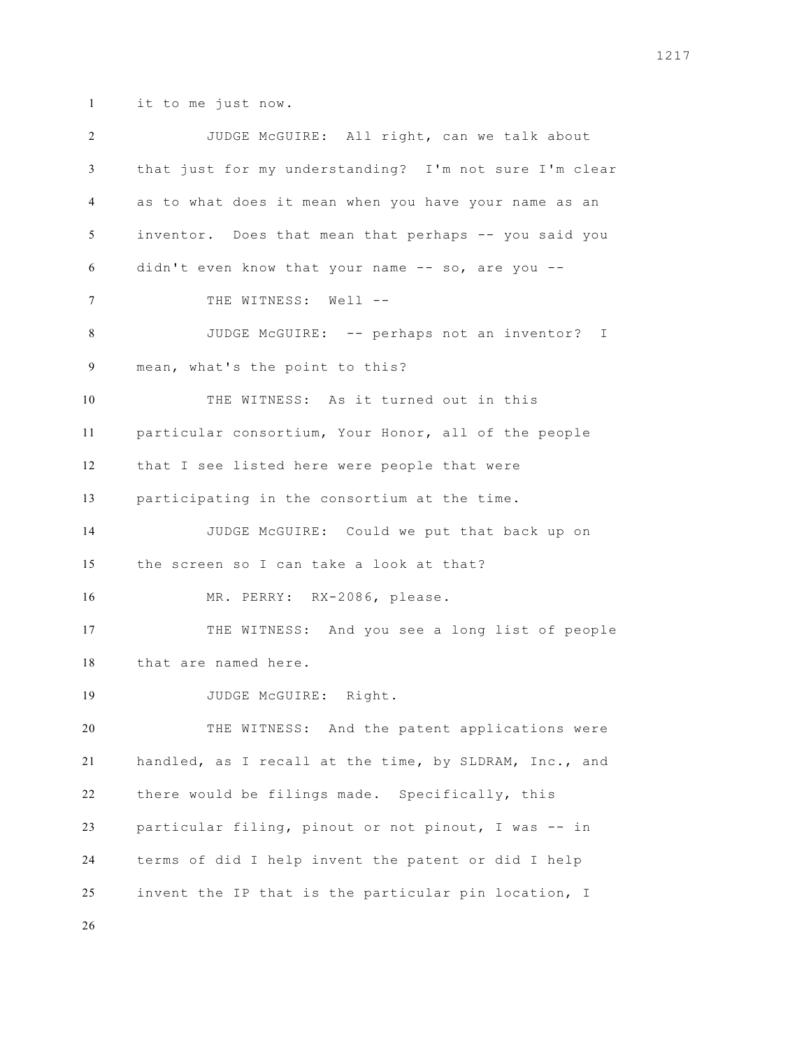it to me just now.

 JUDGE McGUIRE: All right, can we talk about that just for my understanding? I'm not sure I'm clear as to what does it mean when you have your name as an inventor. Does that mean that perhaps -- you said you didn't even know that your name -- so, are you -- 7 THE WITNESS: Well -- JUDGE McGUIRE: -- perhaps not an inventor? I mean, what's the point to this? THE WITNESS: As it turned out in this particular consortium, Your Honor, all of the people that I see listed here were people that were participating in the consortium at the time. JUDGE McGUIRE: Could we put that back up on the screen so I can take a look at that? MR. PERRY: RX-2086, please. THE WITNESS: And you see a long list of people that are named here. 19 JUDGE McGUIRE: Right. THE WITNESS: And the patent applications were handled, as I recall at the time, by SLDRAM, Inc., and there would be filings made. Specifically, this particular filing, pinout or not pinout, I was -- in terms of did I help invent the patent or did I help invent the IP that is the particular pin location, I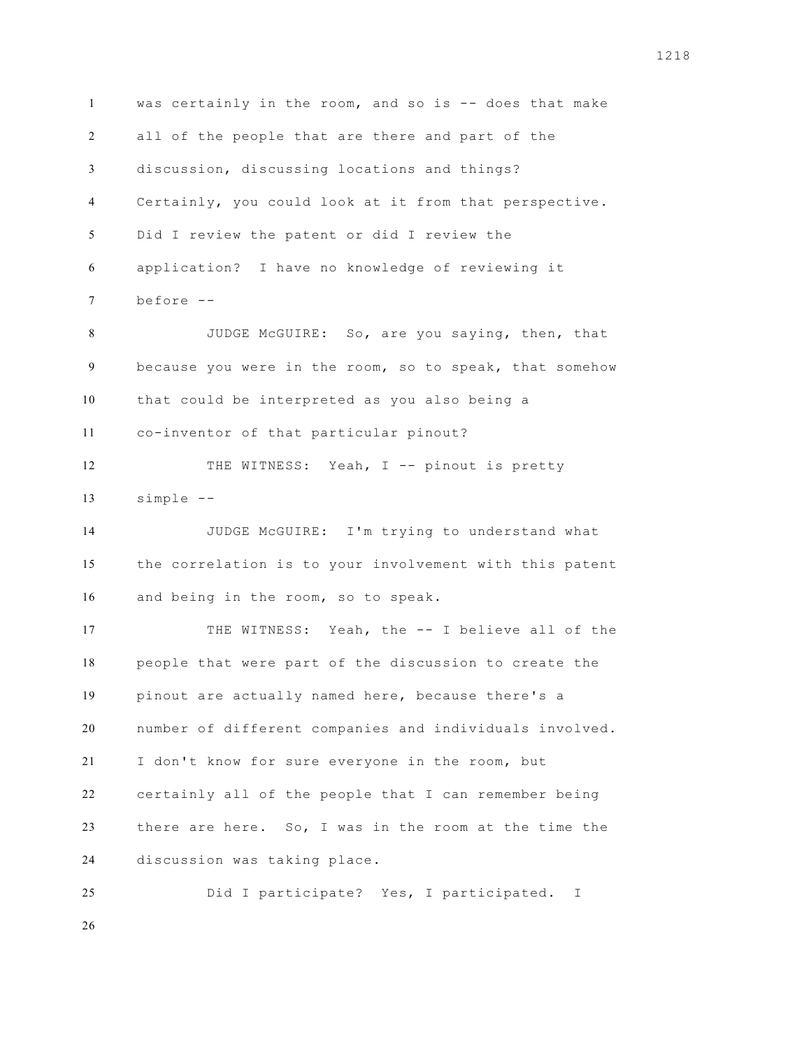was certainly in the room, and so is -- does that make all of the people that are there and part of the discussion, discussing locations and things? Certainly, you could look at it from that perspective. Did I review the patent or did I review the application? I have no knowledge of reviewing it before -- JUDGE McGUIRE: So, are you saying, then, that because you were in the room, so to speak, that somehow that could be interpreted as you also being a co-inventor of that particular pinout? 12 THE WITNESS: Yeah, I -- pinout is pretty simple -- JUDGE McGUIRE: I'm trying to understand what the correlation is to your involvement with this patent and being in the room, so to speak. THE WITNESS: Yeah, the -- I believe all of the people that were part of the discussion to create the pinout are actually named here, because there's a number of different companies and individuals involved. I don't know for sure everyone in the room, but certainly all of the people that I can remember being there are here. So, I was in the room at the time the discussion was taking place. Did I participate? Yes, I participated. I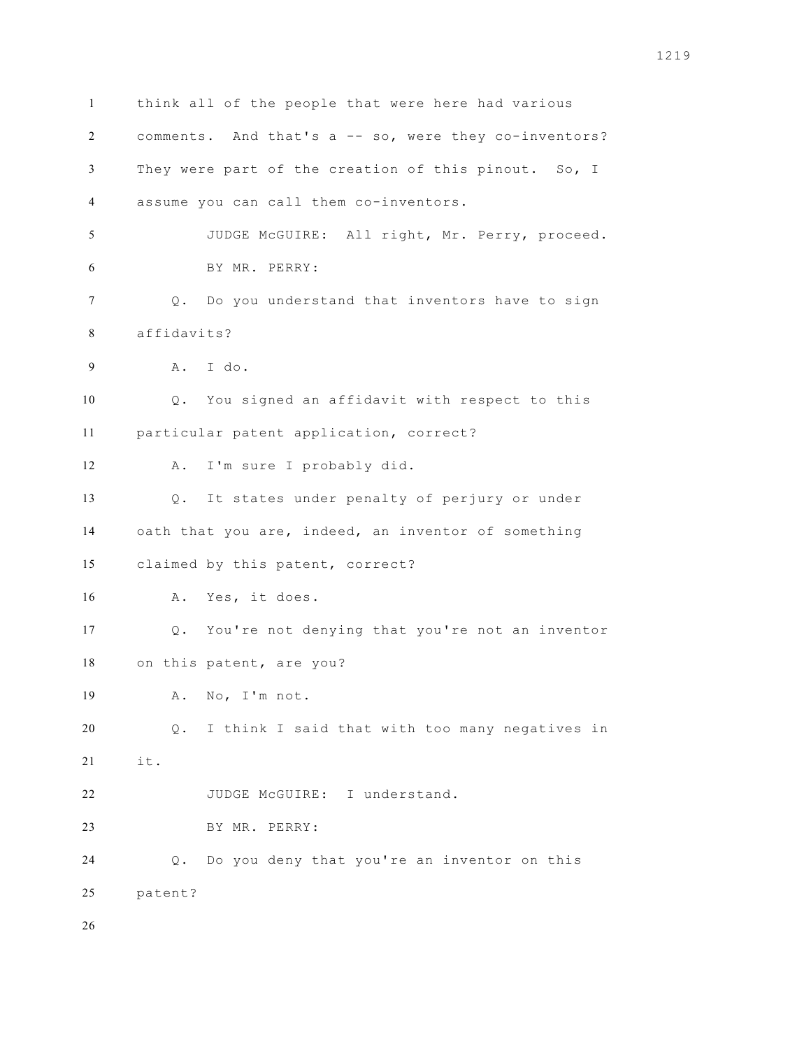think all of the people that were here had various comments. And that's a -- so, were they co-inventors? They were part of the creation of this pinout. So, I assume you can call them co-inventors. JUDGE McGUIRE: All right, Mr. Perry, proceed. BY MR. PERRY: Q. Do you understand that inventors have to sign affidavits? A. I do. Q. You signed an affidavit with respect to this particular patent application, correct? A. I'm sure I probably did. Q. It states under penalty of perjury or under oath that you are, indeed, an inventor of something claimed by this patent, correct? A. Yes, it does. Q. You're not denying that you're not an inventor on this patent, are you? A. No, I'm not. Q. I think I said that with too many negatives in it. JUDGE McGUIRE: I understand. BY MR. PERRY: Q. Do you deny that you're an inventor on this patent?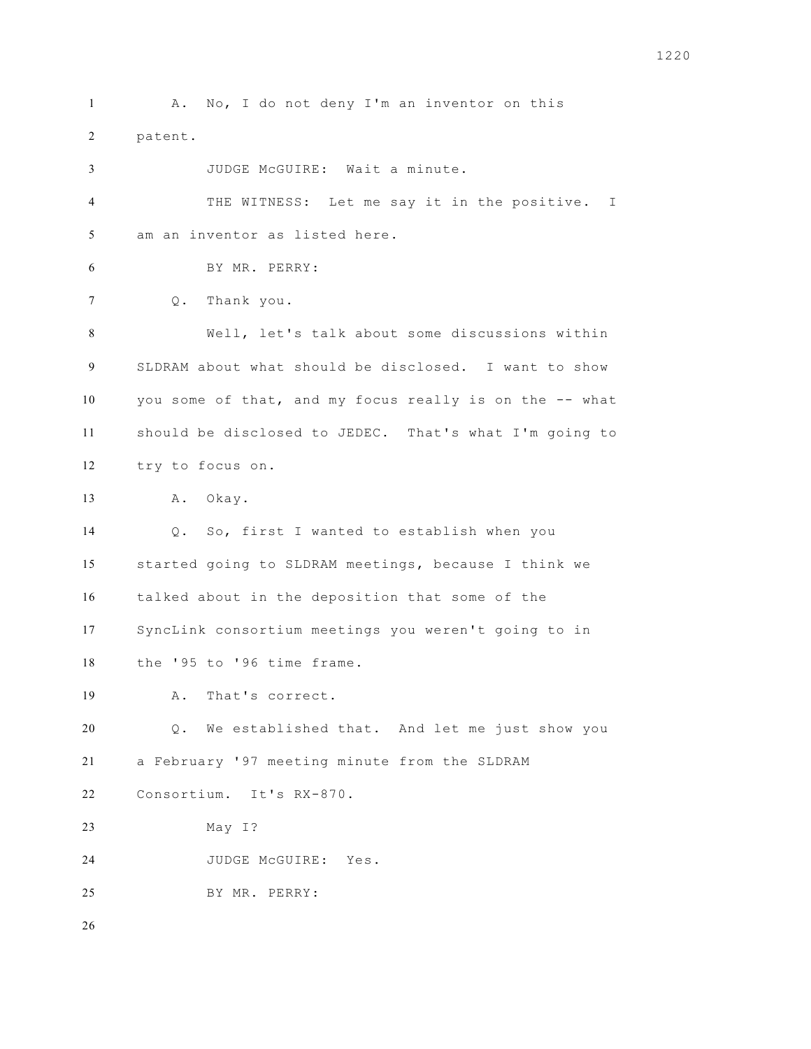1 A. No, I do not deny I'm an inventor on this patent. JUDGE McGUIRE: Wait a minute. THE WITNESS: Let me say it in the positive. I am an inventor as listed here. BY MR. PERRY: Q. Thank you. Well, let's talk about some discussions within SLDRAM about what should be disclosed. I want to show you some of that, and my focus really is on the -- what should be disclosed to JEDEC. That's what I'm going to try to focus on. A. Okay. Q. So, first I wanted to establish when you started going to SLDRAM meetings, because I think we talked about in the deposition that some of the SyncLink consortium meetings you weren't going to in the '95 to '96 time frame. A. That's correct. Q. We established that. And let me just show you a February '97 meeting minute from the SLDRAM Consortium. It's RX-870. May I? JUDGE McGUIRE: Yes. BY MR. PERRY: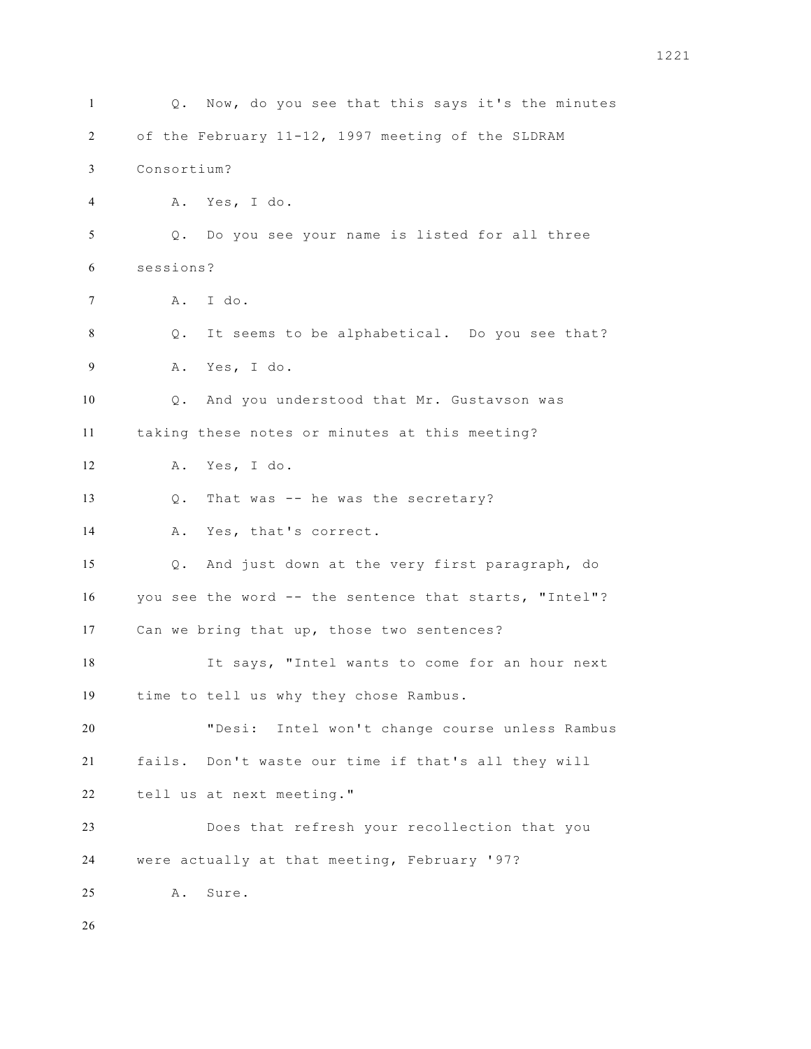Q. Now, do you see that this says it's the minutes of the February 11-12, 1997 meeting of the SLDRAM Consortium? A. Yes, I do. Q. Do you see your name is listed for all three sessions? A. I do. Q. It seems to be alphabetical. Do you see that? A. Yes, I do. Q. And you understood that Mr. Gustavson was taking these notes or minutes at this meeting? A. Yes, I do. Q. That was -- he was the secretary? A. Yes, that's correct. Q. And just down at the very first paragraph, do you see the word -- the sentence that starts, "Intel"? Can we bring that up, those two sentences? It says, "Intel wants to come for an hour next time to tell us why they chose Rambus. "Desi: Intel won't change course unless Rambus fails. Don't waste our time if that's all they will tell us at next meeting." Does that refresh your recollection that you were actually at that meeting, February '97? A. Sure.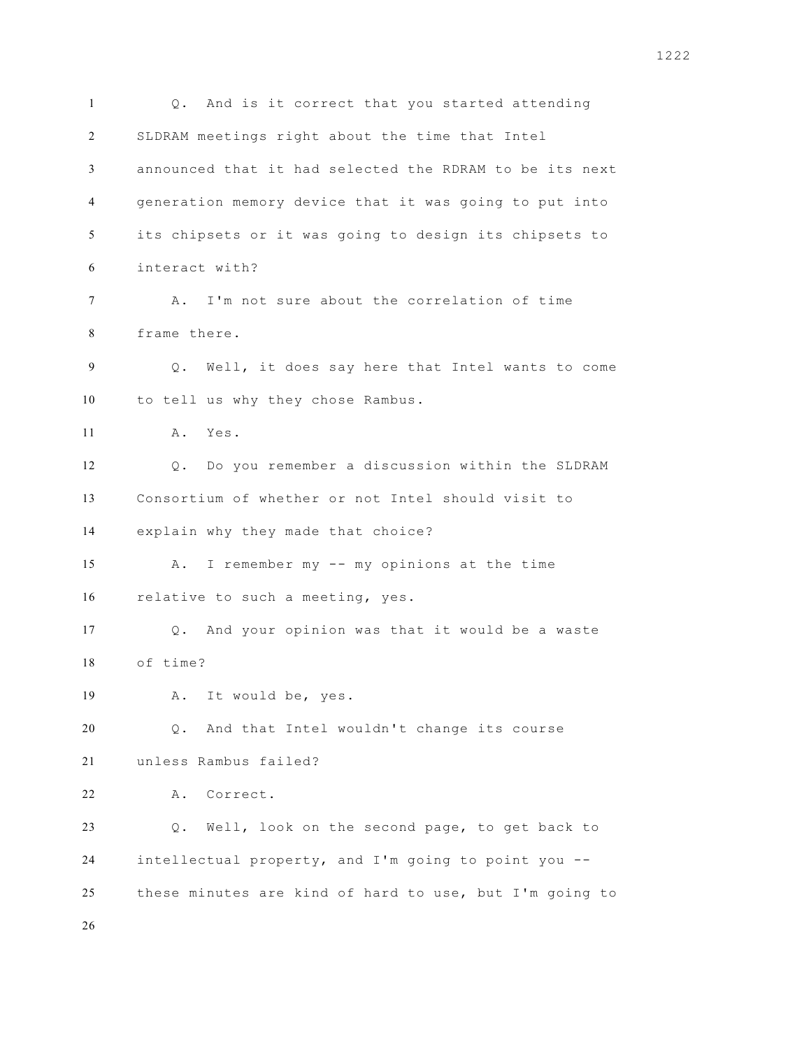Q. And is it correct that you started attending SLDRAM meetings right about the time that Intel announced that it had selected the RDRAM to be its next generation memory device that it was going to put into its chipsets or it was going to design its chipsets to interact with? A. I'm not sure about the correlation of time frame there. Q. Well, it does say here that Intel wants to come to tell us why they chose Rambus. A. Yes. Q. Do you remember a discussion within the SLDRAM Consortium of whether or not Intel should visit to explain why they made that choice? A. I remember my -- my opinions at the time relative to such a meeting, yes. Q. And your opinion was that it would be a waste of time? A. It would be, yes. Q. And that Intel wouldn't change its course unless Rambus failed? A. Correct. Q. Well, look on the second page, to get back to intellectual property, and I'm going to point you -- these minutes are kind of hard to use, but I'm going to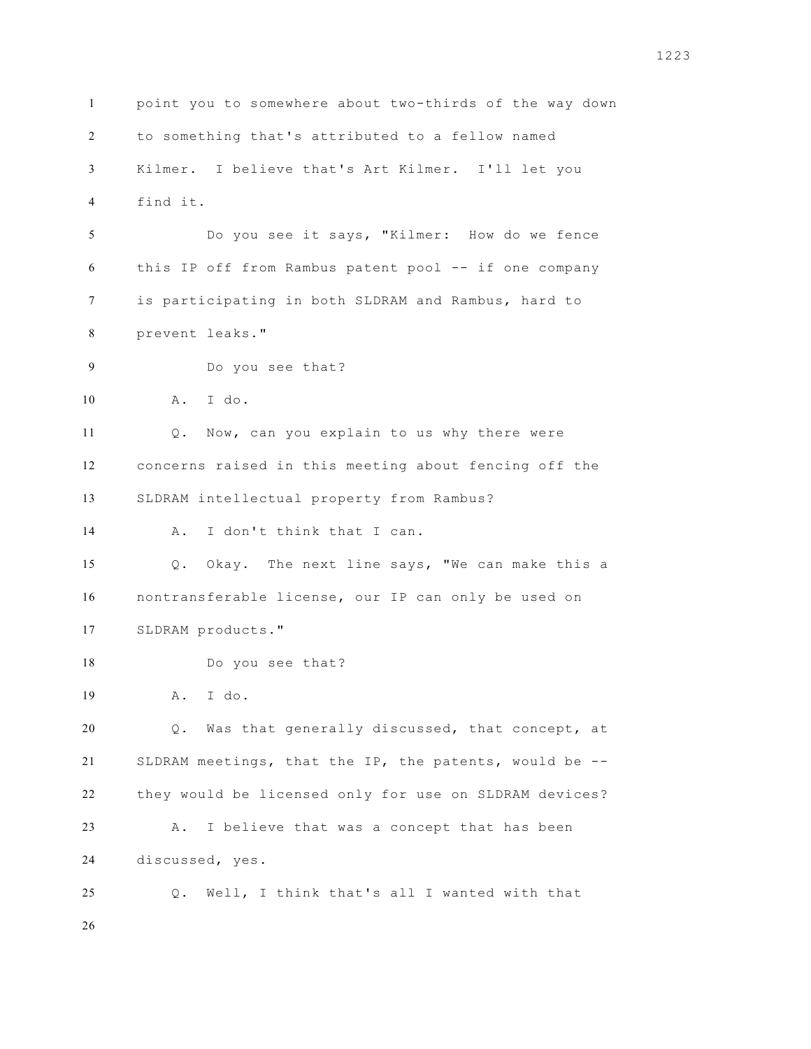point you to somewhere about two-thirds of the way down to something that's attributed to a fellow named Kilmer. I believe that's Art Kilmer. I'll let you find it. Do you see it says, "Kilmer: How do we fence this IP off from Rambus patent pool -- if one company is participating in both SLDRAM and Rambus, hard to prevent leaks." Do you see that? A. I do. Q. Now, can you explain to us why there were concerns raised in this meeting about fencing off the SLDRAM intellectual property from Rambus? A. I don't think that I can. Q. Okay. The next line says, "We can make this a nontransferable license, our IP can only be used on SLDRAM products." Do you see that? A. I do. Q. Was that generally discussed, that concept, at SLDRAM meetings, that the IP, the patents, would be -- they would be licensed only for use on SLDRAM devices? A. I believe that was a concept that has been discussed, yes. Q. Well, I think that's all I wanted with that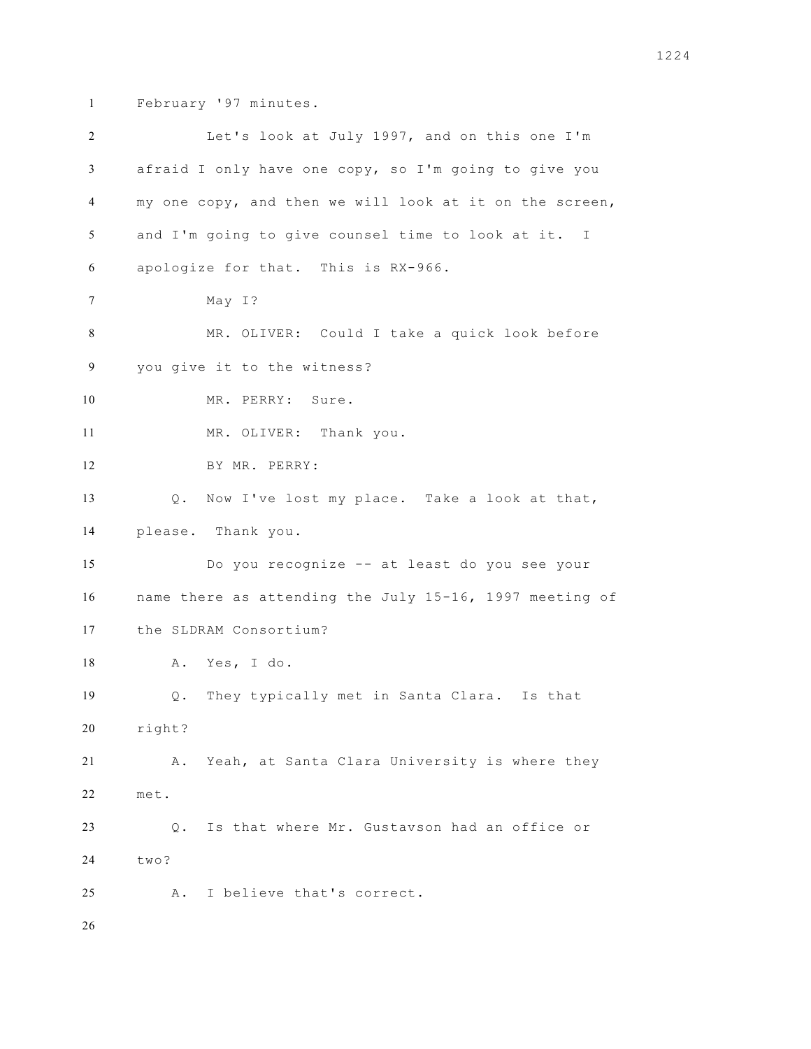February '97 minutes.

| 2              | Let's look at July 1997, and on this one I'm            |
|----------------|---------------------------------------------------------|
| 3              | afraid I only have one copy, so I'm going to give you   |
| $\overline{4}$ | my one copy, and then we will look at it on the screen, |
| 5              | and I'm going to give counsel time to look at it. I     |
| 6              | apologize for that. This is RX-966.                     |
| 7              | May I?                                                  |
| 8              | MR. OLIVER: Could I take a quick look before            |
| 9              | you give it to the witness?                             |
| 10             | MR. PERRY: Sure.                                        |
| 11             | MR. OLIVER: Thank you.                                  |
| 12             | BY MR. PERRY:                                           |
| 13             | Q. Now I've lost my place. Take a look at that,         |
| 14             | please. Thank you.                                      |
| 15             | Do you recognize -- at least do you see your            |
| 16             | name there as attending the July 15-16, 1997 meeting of |
| 17             | the SLDRAM Consortium?                                  |
| 18             | A. Yes, I do.                                           |
| 19             | They typically met in Santa Clara. Is that<br>Q.        |
| 20             | right?                                                  |
| 21             | Yeah, at Santa Clara University is where they<br>Α.     |
| 22             | met.                                                    |
| 23             | Is that where Mr. Gustavson had an office or<br>Q.      |
| 24             | two?                                                    |
| 25             | I believe that's correct.<br>Α.                         |
| 26             |                                                         |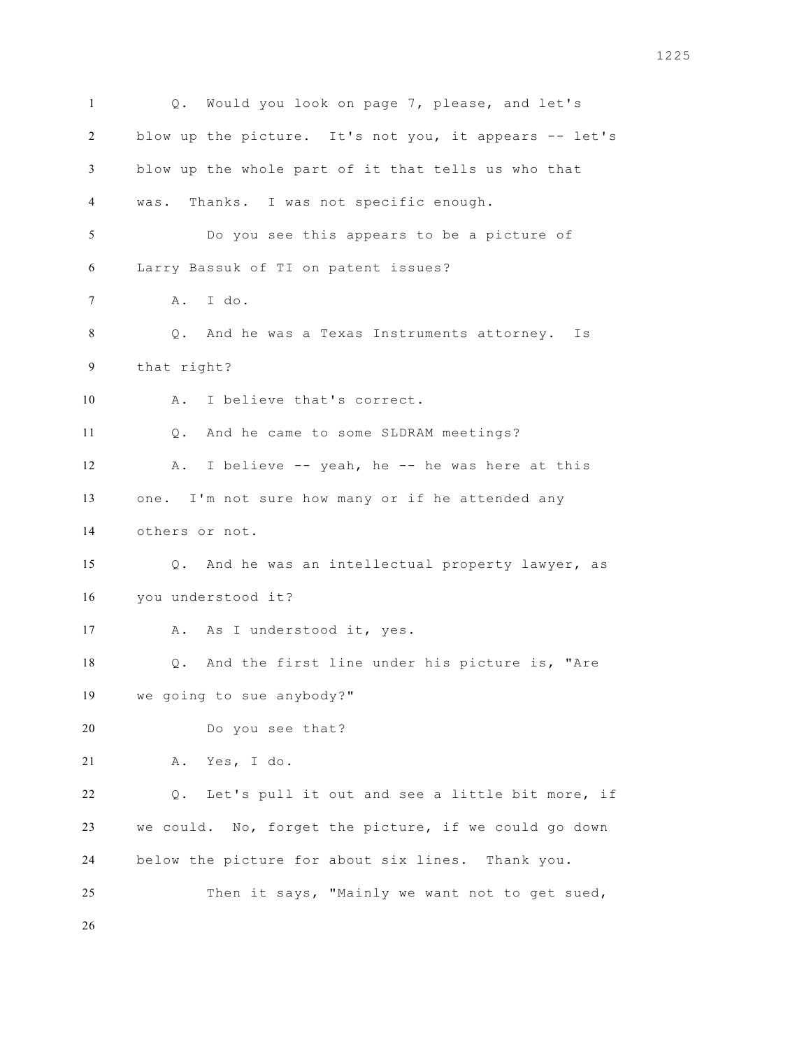Q. Would you look on page 7, please, and let's 2 blow up the picture. It's not you, it appears -- let's blow up the whole part of it that tells us who that was. Thanks. I was not specific enough. Do you see this appears to be a picture of Larry Bassuk of TI on patent issues? A. I do. Q. And he was a Texas Instruments attorney. Is that right? A. I believe that's correct. Q. And he came to some SLDRAM meetings? 12 A. I believe -- yeah, he -- he was here at this one. I'm not sure how many or if he attended any others or not. Q. And he was an intellectual property lawyer, as you understood it? 17 A. As I understood it, yes. Q. And the first line under his picture is, "Are we going to sue anybody?" Do you see that? A. Yes, I do. Q. Let's pull it out and see a little bit more, if we could. No, forget the picture, if we could go down below the picture for about six lines. Thank you. Then it says, "Mainly we want not to get sued,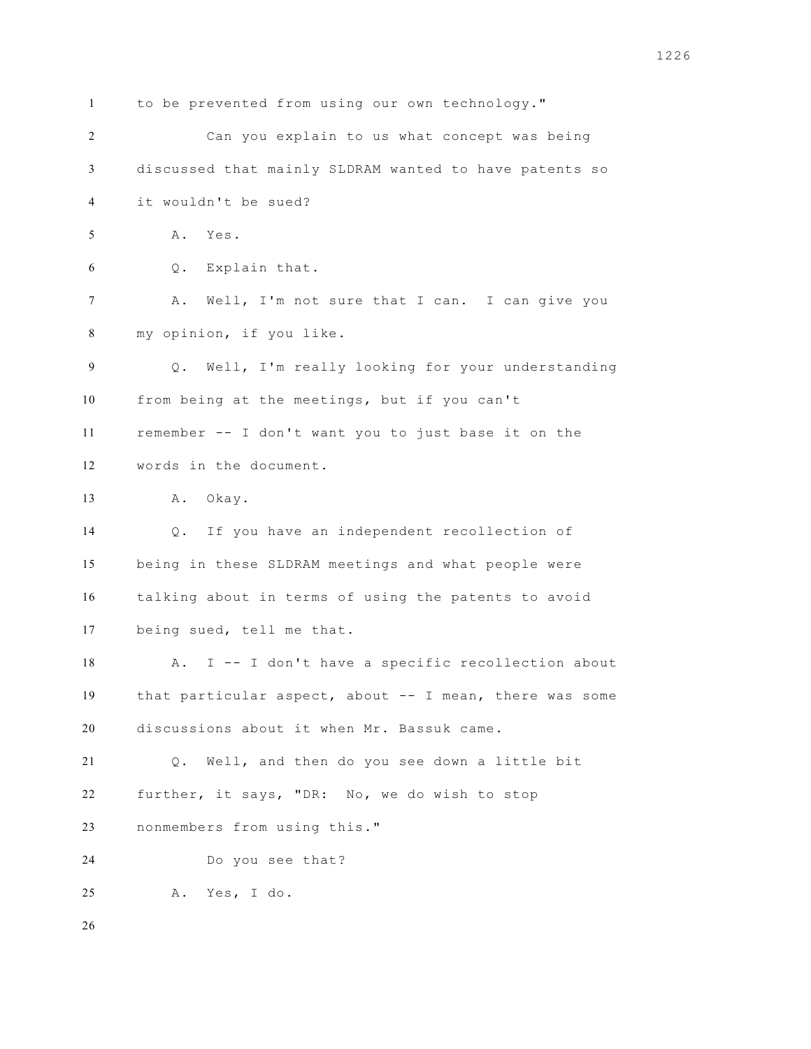to be prevented from using our own technology." Can you explain to us what concept was being discussed that mainly SLDRAM wanted to have patents so it wouldn't be sued? A. Yes. Q. Explain that. A. Well, I'm not sure that I can. I can give you my opinion, if you like. Q. Well, I'm really looking for your understanding from being at the meetings, but if you can't remember -- I don't want you to just base it on the words in the document. A. Okay. Q. If you have an independent recollection of being in these SLDRAM meetings and what people were talking about in terms of using the patents to avoid being sued, tell me that. A. I -- I don't have a specific recollection about that particular aspect, about -- I mean, there was some discussions about it when Mr. Bassuk came. Q. Well, and then do you see down a little bit further, it says, "DR: No, we do wish to stop nonmembers from using this." Do you see that? A. Yes, I do.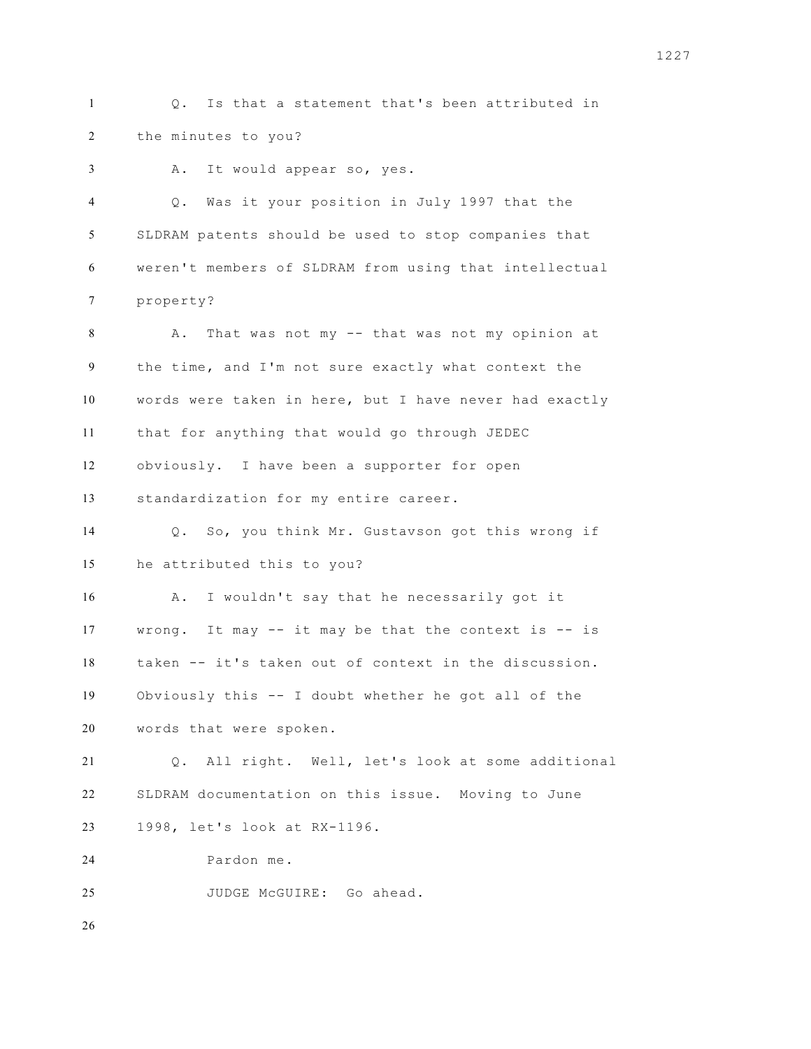Q. Is that a statement that's been attributed in the minutes to you?

A. It would appear so, yes.

 Q. Was it your position in July 1997 that the SLDRAM patents should be used to stop companies that weren't members of SLDRAM from using that intellectual property? 8 A. That was not my -- that was not my opinion at the time, and I'm not sure exactly what context the words were taken in here, but I have never had exactly that for anything that would go through JEDEC obviously. I have been a supporter for open standardization for my entire career. Q. So, you think Mr. Gustavson got this wrong if he attributed this to you? A. I wouldn't say that he necessarily got it wrong. It may -- it may be that the context is -- is taken -- it's taken out of context in the discussion. Obviously this -- I doubt whether he got all of the words that were spoken. Q. All right. Well, let's look at some additional SLDRAM documentation on this issue. Moving to June 1998, let's look at RX-1196. Pardon me. JUDGE McGUIRE: Go ahead.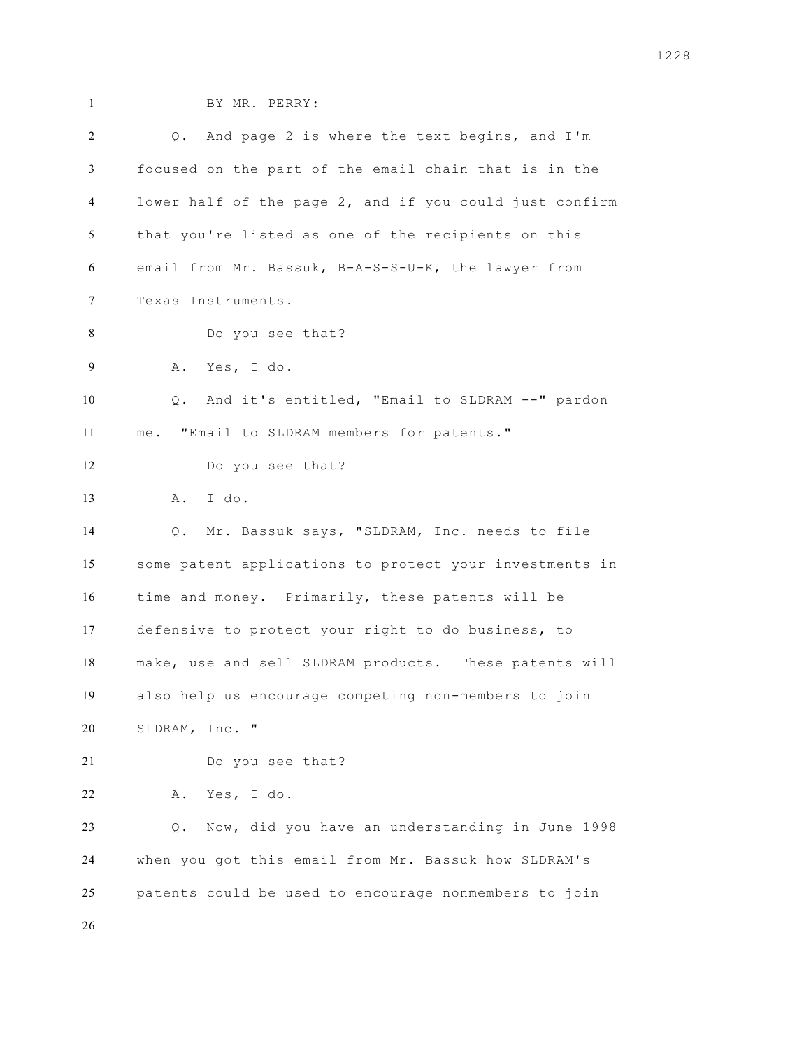BY MR. PERRY:

| 2  | Q. And page 2 is where the text begins, and I'm         |
|----|---------------------------------------------------------|
| 3  | focused on the part of the email chain that is in the   |
| 4  | lower half of the page 2, and if you could just confirm |
| 5  | that you're listed as one of the recipients on this     |
| 6  | email from Mr. Bassuk, B-A-S-S-U-K, the lawyer from     |
| 7  | Texas Instruments.                                      |
| 8  | Do you see that?                                        |
| 9  | A. Yes, I do.                                           |
| 10 | Q. And it's entitled, "Email to SLDRAM --" pardon       |
| 11 | me. "Email to SLDRAM members for patents."              |
| 12 | Do you see that?                                        |
| 13 | I do.<br>A .                                            |
| 14 | Mr. Bassuk says, "SLDRAM, Inc. needs to file<br>$Q$ .   |
| 15 | some patent applications to protect your investments in |
| 16 | time and money. Primarily, these patents will be        |
| 17 | defensive to protect your right to do business, to      |
| 18 | make, use and sell SLDRAM products. These patents will  |
| 19 | also help us encourage competing non-members to join    |
| 20 | SLDRAM, Inc. "                                          |
| 21 | Do you see that?                                        |
| 22 | Yes, I do.<br>Α.                                        |
| 23 | Now, did you have an understanding in June 1998<br>Q.   |
| 24 | when you got this email from Mr. Bassuk how SLDRAM's    |
| 25 | patents could be used to encourage nonmembers to join   |
| 26 |                                                         |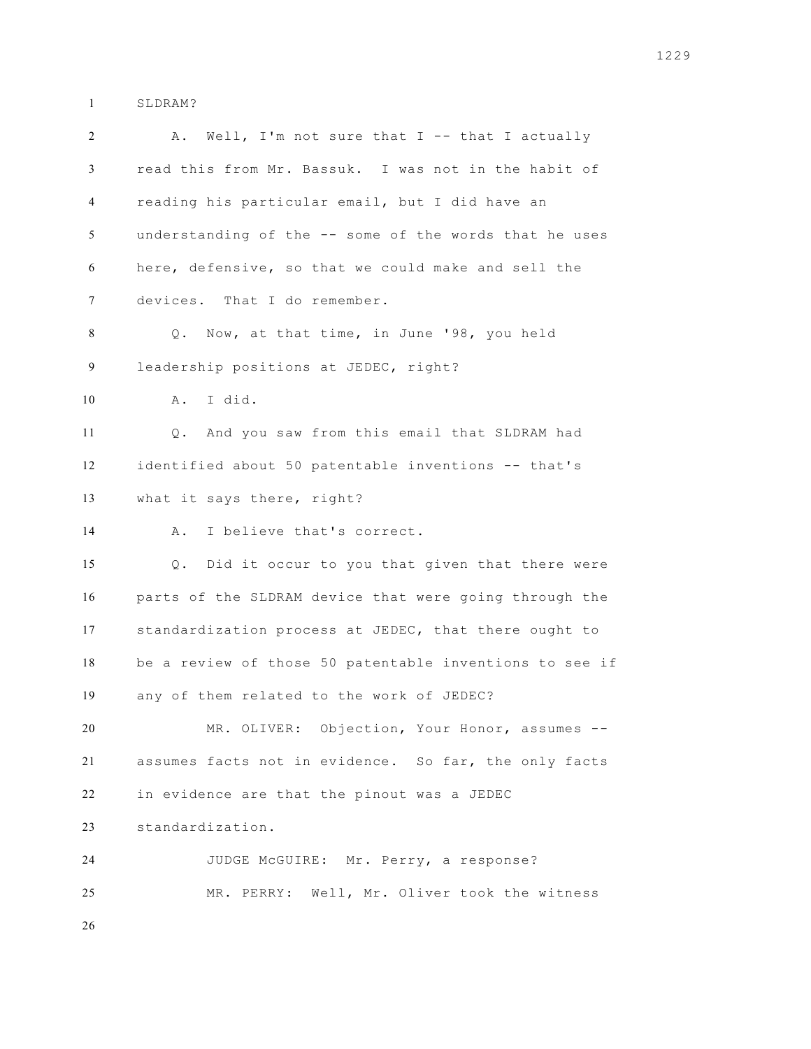SLDRAM?

| $\overline{c}$ | Well, I'm not sure that $I$ -- that I actually<br>Α.    |
|----------------|---------------------------------------------------------|
| 3              | read this from Mr. Bassuk. I was not in the habit of    |
| $\overline{4}$ | reading his particular email, but I did have an         |
| 5              | understanding of the -- some of the words that he uses  |
| 6              | here, defensive, so that we could make and sell the     |
| $\tau$         | devices. That I do remember.                            |
| 8              | Q. Now, at that time, in June '98, you held             |
| 9              | leadership positions at JEDEC, right?                   |
| 10             | I did.<br>Α.                                            |
| 11             | And you saw from this email that SLDRAM had<br>$Q$ .    |
| 12             | identified about 50 patentable inventions -- that's     |
| 13             | what it says there, right?                              |
| 14             | I believe that's correct.<br>Α.                         |
| 15             | Did it occur to you that given that there were<br>Q.    |
| 16             | parts of the SLDRAM device that were going through the  |
| 17             | standardization process at JEDEC, that there ought to   |
| 18             | be a review of those 50 patentable inventions to see if |
| 19             | any of them related to the work of JEDEC?               |
| 20             | MR. OLIVER: Objection, Your Honor, assumes --           |
| 21             | assumes facts not in evidence. So far, the only facts   |
| 22             | in evidence are that the pinout was a JEDEC             |
| 23             | standardization.                                        |
| 24             | JUDGE McGUIRE: Mr. Perry, a response?                   |
| 25             | MR. PERRY: Well, Mr. Oliver took the witness            |
| 26             |                                                         |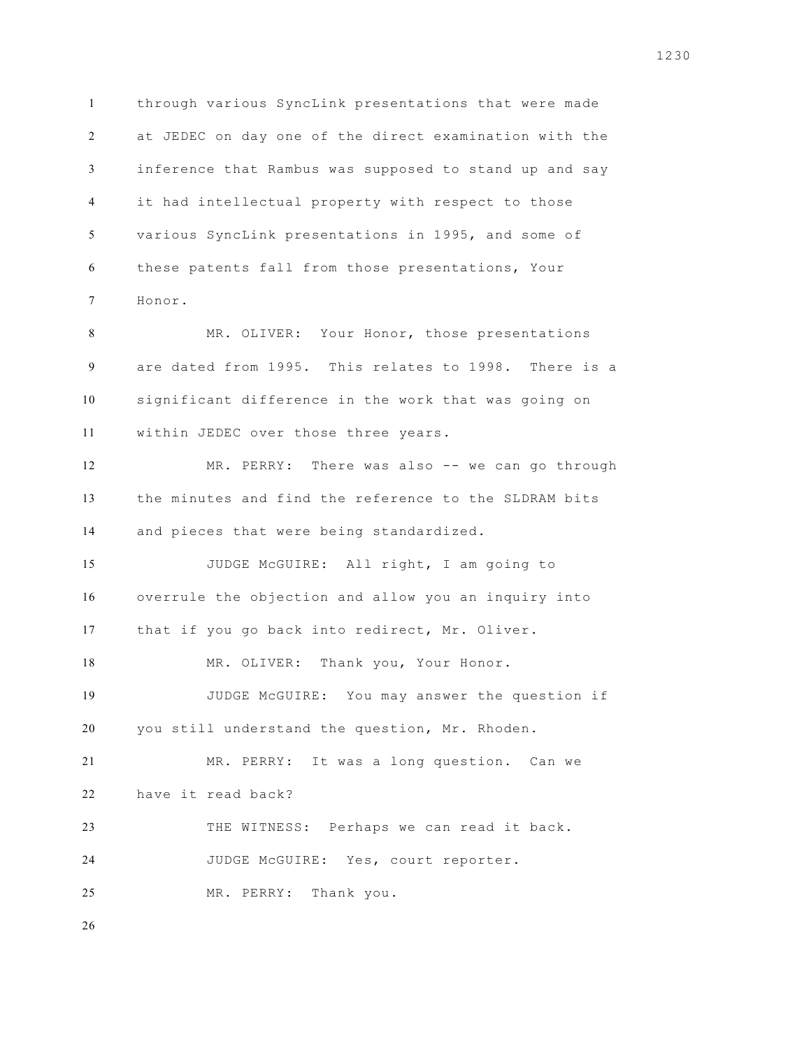through various SyncLink presentations that were made at JEDEC on day one of the direct examination with the inference that Rambus was supposed to stand up and say it had intellectual property with respect to those various SyncLink presentations in 1995, and some of these patents fall from those presentations, Your Honor.

 MR. OLIVER: Your Honor, those presentations are dated from 1995. This relates to 1998. There is a significant difference in the work that was going on within JEDEC over those three years.

 MR. PERRY: There was also -- we can go through the minutes and find the reference to the SLDRAM bits and pieces that were being standardized.

 JUDGE McGUIRE: All right, I am going to overrule the objection and allow you an inquiry into that if you go back into redirect, Mr. Oliver.

18 MR. OLIVER: Thank you, Your Honor.

 JUDGE McGUIRE: You may answer the question if you still understand the question, Mr. Rhoden.

 MR. PERRY: It was a long question. Can we have it read back?

 THE WITNESS: Perhaps we can read it back. JUDGE McGUIRE: Yes, court reporter.

MR. PERRY: Thank you.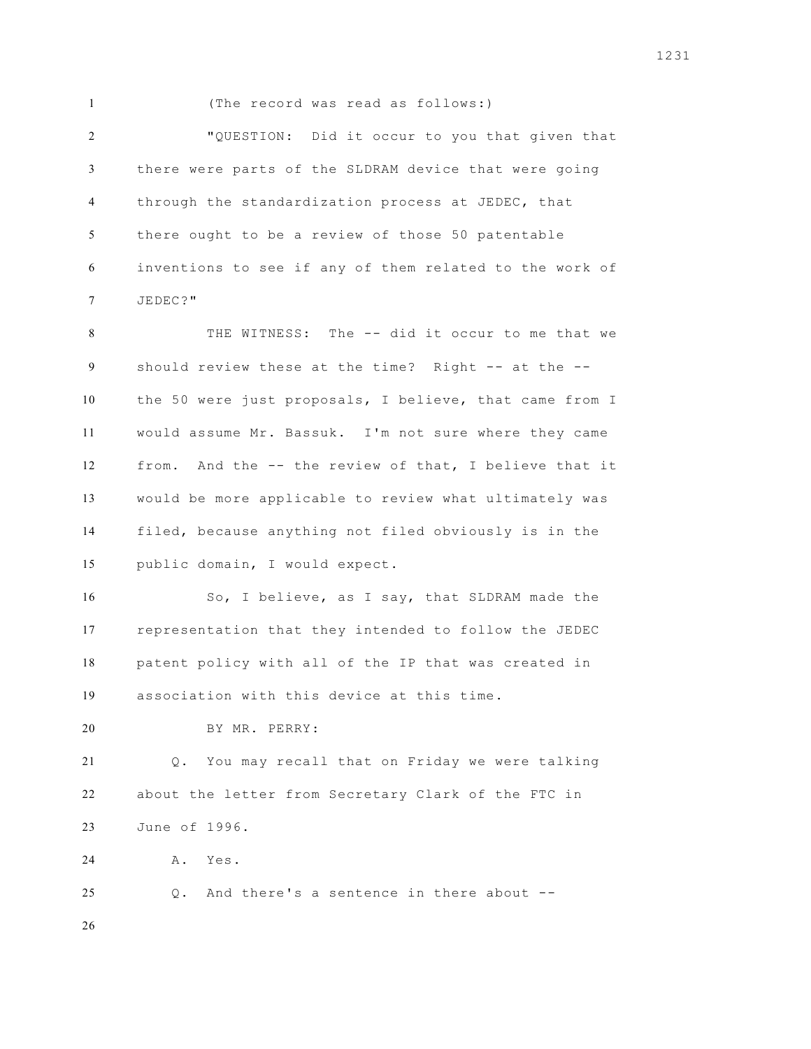(The record was read as follows:) "QUESTION: Did it occur to you that given that there were parts of the SLDRAM device that were going through the standardization process at JEDEC, that there ought to be a review of those 50 patentable inventions to see if any of them related to the work of JEDEC?" THE WITNESS: The -- did it occur to me that we should review these at the time? Right -- at the -- the 50 were just proposals, I believe, that came from I would assume Mr. Bassuk. I'm not sure where they came from. And the -- the review of that, I believe that it would be more applicable to review what ultimately was filed, because anything not filed obviously is in the public domain, I would expect. So, I believe, as I say, that SLDRAM made the representation that they intended to follow the JEDEC patent policy with all of the IP that was created in association with this device at this time. BY MR. PERRY: Q. You may recall that on Friday we were talking about the letter from Secretary Clark of the FTC in June of 1996. A. Yes. Q. And there's a sentence in there about --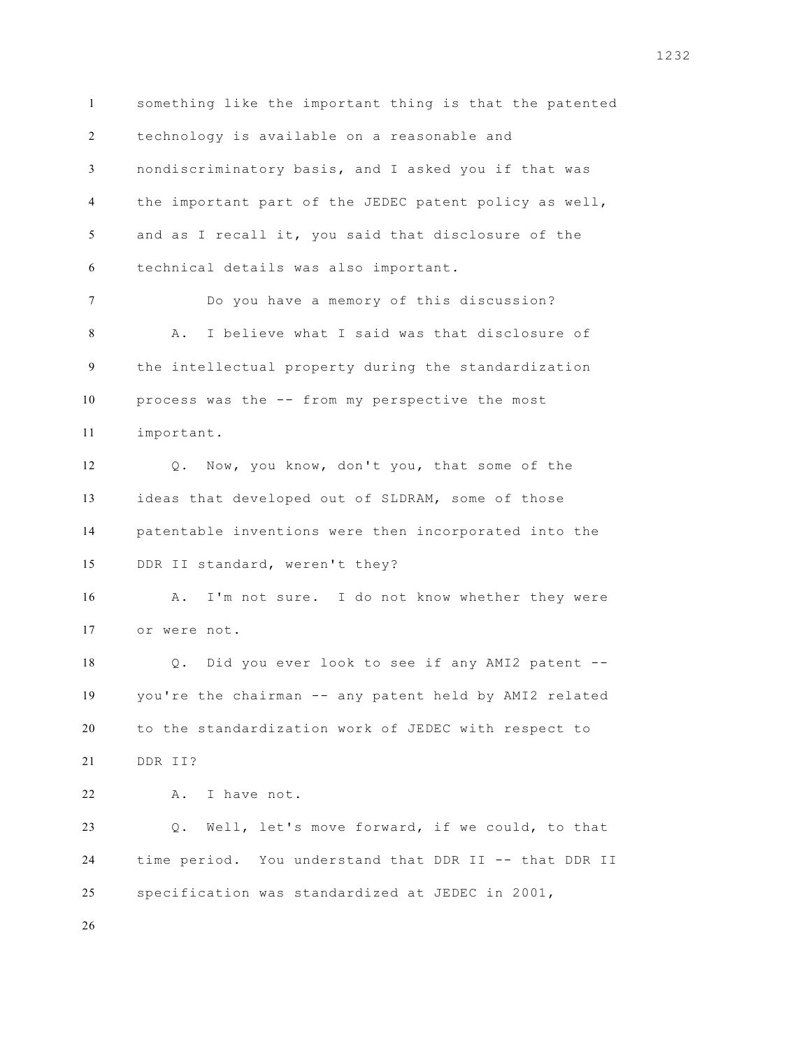something like the important thing is that the patented technology is available on a reasonable and nondiscriminatory basis, and I asked you if that was the important part of the JEDEC patent policy as well, and as I recall it, you said that disclosure of the technical details was also important. Do you have a memory of this discussion? A. I believe what I said was that disclosure of the intellectual property during the standardization process was the -- from my perspective the most important. Q. Now, you know, don't you, that some of the ideas that developed out of SLDRAM, some of those patentable inventions were then incorporated into the DDR II standard, weren't they? 16 A. I'm not sure. I do not know whether they were or were not. Q. Did you ever look to see if any AMI2 patent -- you're the chairman -- any patent held by AMI2 related to the standardization work of JEDEC with respect to DDR II? 22 A. I have not. Q. Well, let's move forward, if we could, to that time period. You understand that DDR II -- that DDR II specification was standardized at JEDEC in 2001,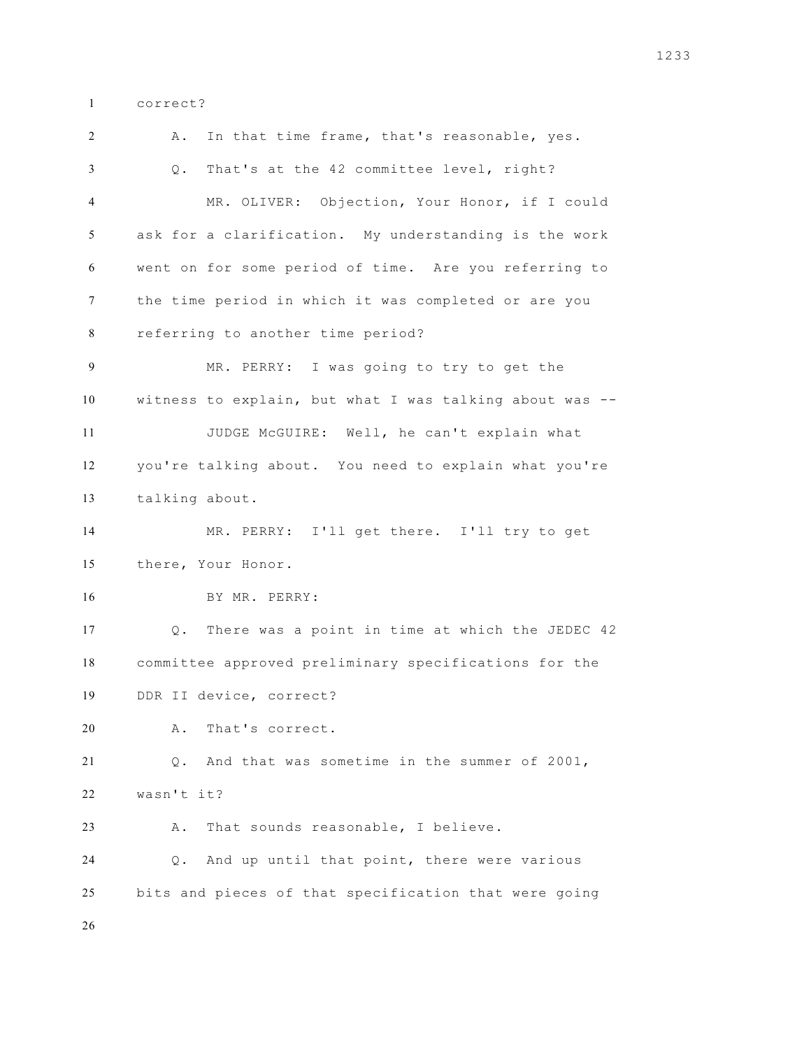correct?

 A. In that time frame, that's reasonable, yes. Q. That's at the 42 committee level, right? MR. OLIVER: Objection, Your Honor, if I could ask for a clarification. My understanding is the work went on for some period of time. Are you referring to the time period in which it was completed or are you referring to another time period? MR. PERRY: I was going to try to get the witness to explain, but what I was talking about was -- JUDGE McGUIRE: Well, he can't explain what you're talking about. You need to explain what you're talking about. MR. PERRY: I'll get there. I'll try to get there, Your Honor. BY MR. PERRY: Q. There was a point in time at which the JEDEC 42 committee approved preliminary specifications for the DDR II device, correct? A. That's correct. Q. And that was sometime in the summer of 2001, wasn't it? A. That sounds reasonable, I believe. Q. And up until that point, there were various bits and pieces of that specification that were going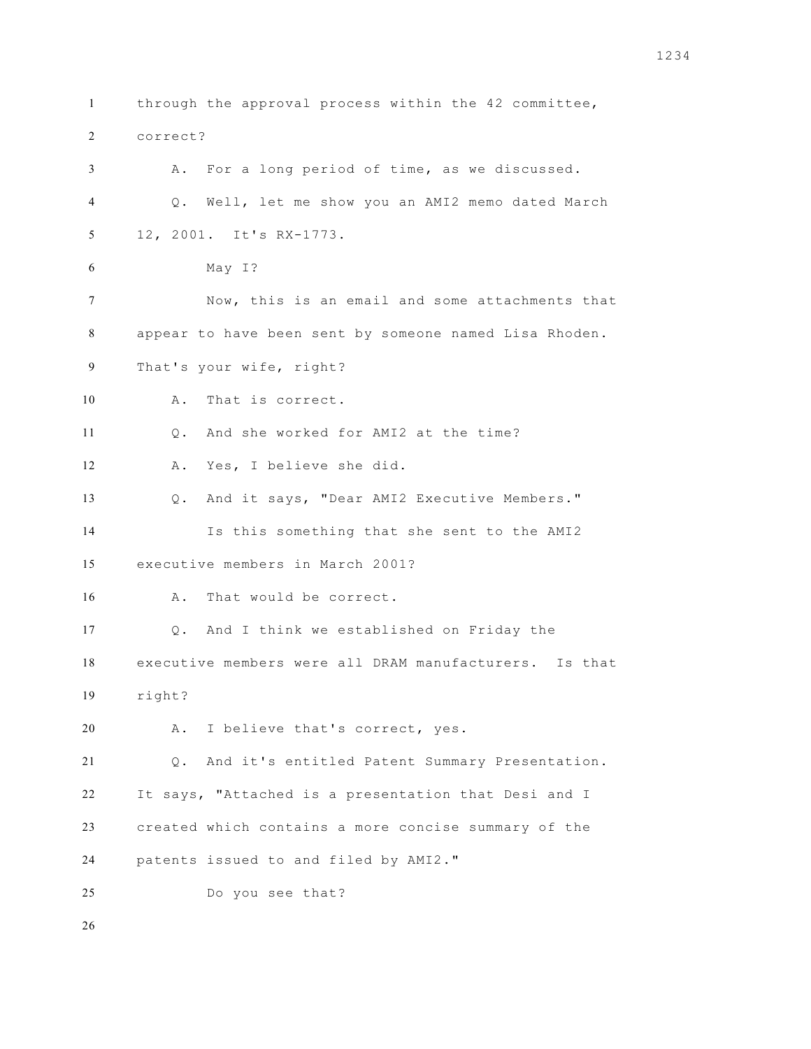through the approval process within the 42 committee, correct? A. For a long period of time, as we discussed. Q. Well, let me show you an AMI2 memo dated March 12, 2001. It's RX-1773. May I? Now, this is an email and some attachments that appear to have been sent by someone named Lisa Rhoden. That's your wife, right? A. That is correct. Q. And she worked for AMI2 at the time? A. Yes, I believe she did. Q. And it says, "Dear AMI2 Executive Members." Is this something that she sent to the AMI2 executive members in March 2001? A. That would be correct. Q. And I think we established on Friday the executive members were all DRAM manufacturers. Is that right? A. I believe that's correct, yes. Q. And it's entitled Patent Summary Presentation. It says, "Attached is a presentation that Desi and I created which contains a more concise summary of the patents issued to and filed by AMI2." Do you see that?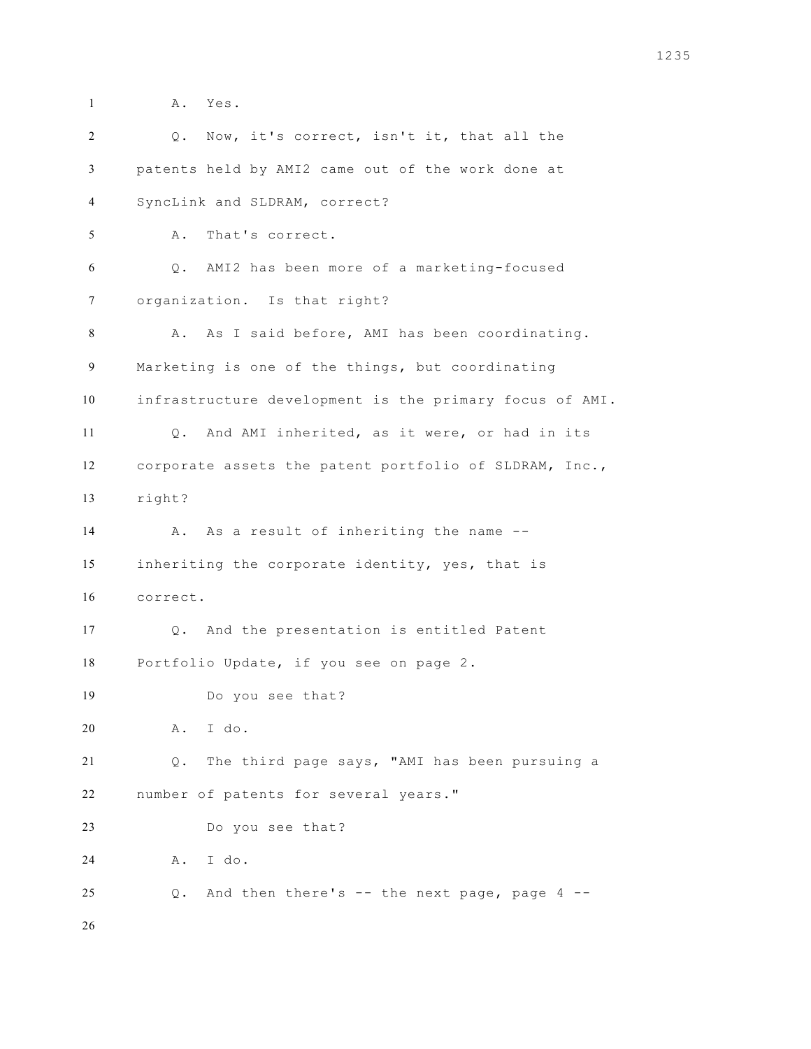A. Yes. Q. Now, it's correct, isn't it, that all the patents held by AMI2 came out of the work done at SyncLink and SLDRAM, correct? A. That's correct. Q. AMI2 has been more of a marketing-focused organization. Is that right? A. As I said before, AMI has been coordinating. Marketing is one of the things, but coordinating infrastructure development is the primary focus of AMI. Q. And AMI inherited, as it were, or had in its corporate assets the patent portfolio of SLDRAM, Inc., right? 14 A. As a result of inheriting the name -- inheriting the corporate identity, yes, that is correct. Q. And the presentation is entitled Patent Portfolio Update, if you see on page 2. Do you see that? A. I do. Q. The third page says, "AMI has been pursuing a number of patents for several years." Do you see that? A. I do. Q. And then there's -- the next page, page 4 --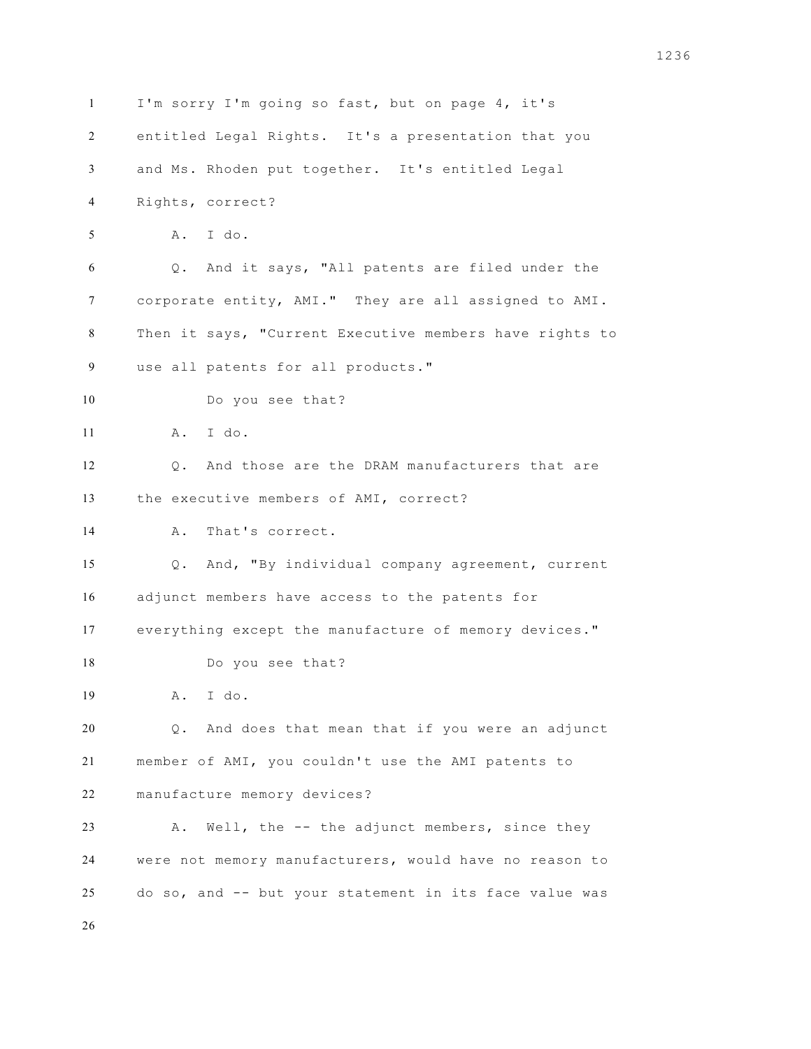I'm sorry I'm going so fast, but on page 4, it's entitled Legal Rights. It's a presentation that you and Ms. Rhoden put together. It's entitled Legal Rights, correct? A. I do. Q. And it says, "All patents are filed under the corporate entity, AMI." They are all assigned to AMI. Then it says, "Current Executive members have rights to use all patents for all products." Do you see that? A. I do. Q. And those are the DRAM manufacturers that are the executive members of AMI, correct? A. That's correct. Q. And, "By individual company agreement, current adjunct members have access to the patents for everything except the manufacture of memory devices." Do you see that? A. I do. Q. And does that mean that if you were an adjunct member of AMI, you couldn't use the AMI patents to manufacture memory devices? A. Well, the -- the adjunct members, since they were not memory manufacturers, would have no reason to do so, and -- but your statement in its face value was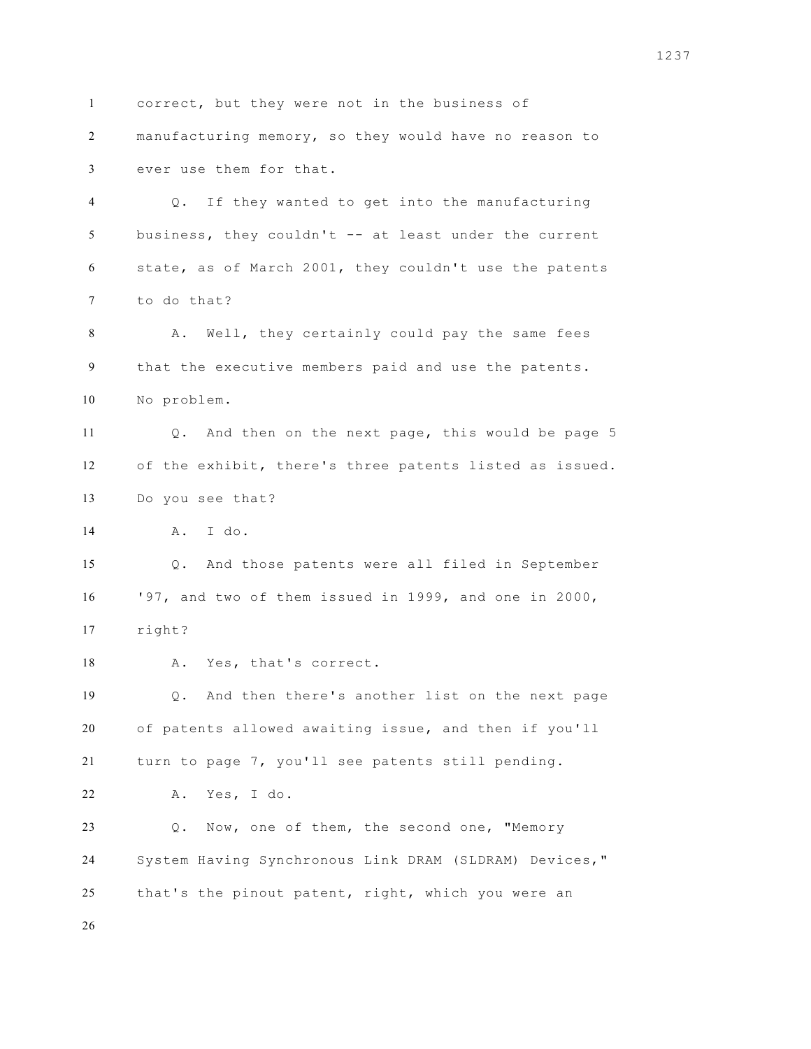correct, but they were not in the business of manufacturing memory, so they would have no reason to ever use them for that. Q. If they wanted to get into the manufacturing business, they couldn't -- at least under the current state, as of March 2001, they couldn't use the patents to do that? A. Well, they certainly could pay the same fees that the executive members paid and use the patents. No problem. Q. And then on the next page, this would be page 5 of the exhibit, there's three patents listed as issued. Do you see that? A. I do. Q. And those patents were all filed in September '97, and two of them issued in 1999, and one in 2000, right? 18 A. Yes, that's correct. Q. And then there's another list on the next page of patents allowed awaiting issue, and then if you'll turn to page 7, you'll see patents still pending. A. Yes, I do. Q. Now, one of them, the second one, "Memory System Having Synchronous Link DRAM (SLDRAM) Devices," that's the pinout patent, right, which you were an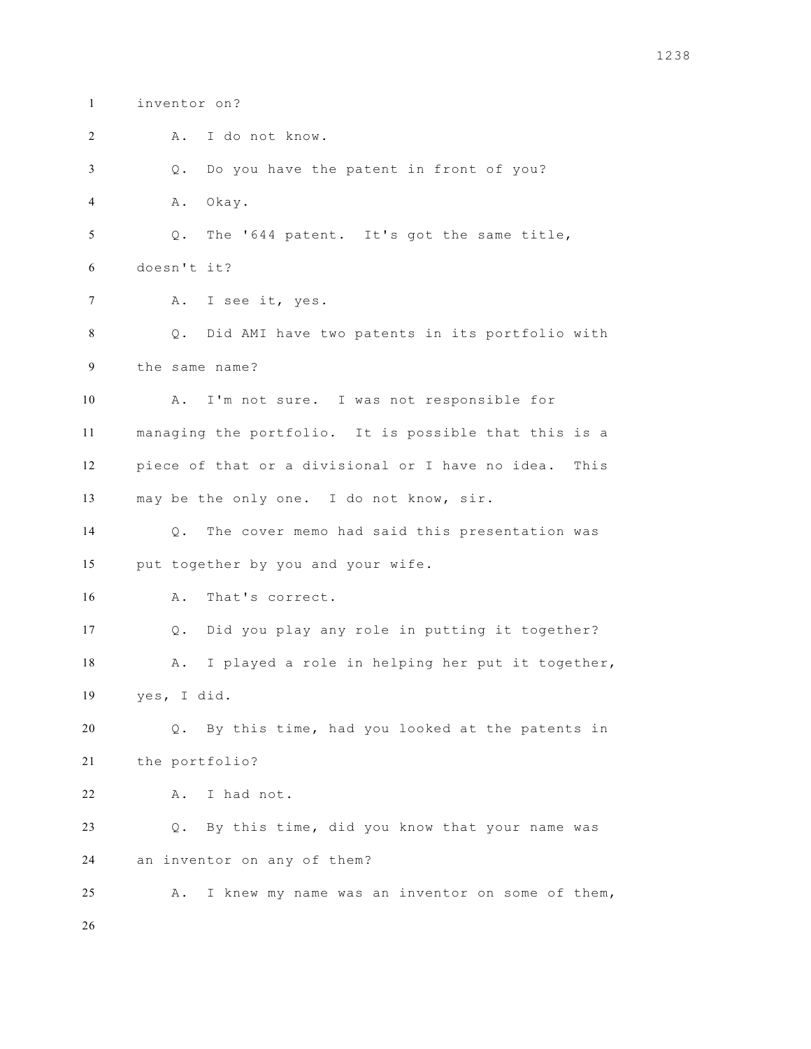inventor on?

A. I do not know.

Q. Do you have the patent in front of you?

A. Okay.

 Q. The '644 patent. It's got the same title, doesn't it?

A. I see it, yes.

 Q. Did AMI have two patents in its portfolio with the same name?

 A. I'm not sure. I was not responsible for managing the portfolio. It is possible that this is a piece of that or a divisional or I have no idea. This may be the only one. I do not know, sir.

 Q. The cover memo had said this presentation was put together by you and your wife.

A. That's correct.

 Q. Did you play any role in putting it together? A. I played a role in helping her put it together, yes, I did.

 Q. By this time, had you looked at the patents in the portfolio?

A. I had not.

 Q. By this time, did you know that your name was an inventor on any of them?

A. I knew my name was an inventor on some of them,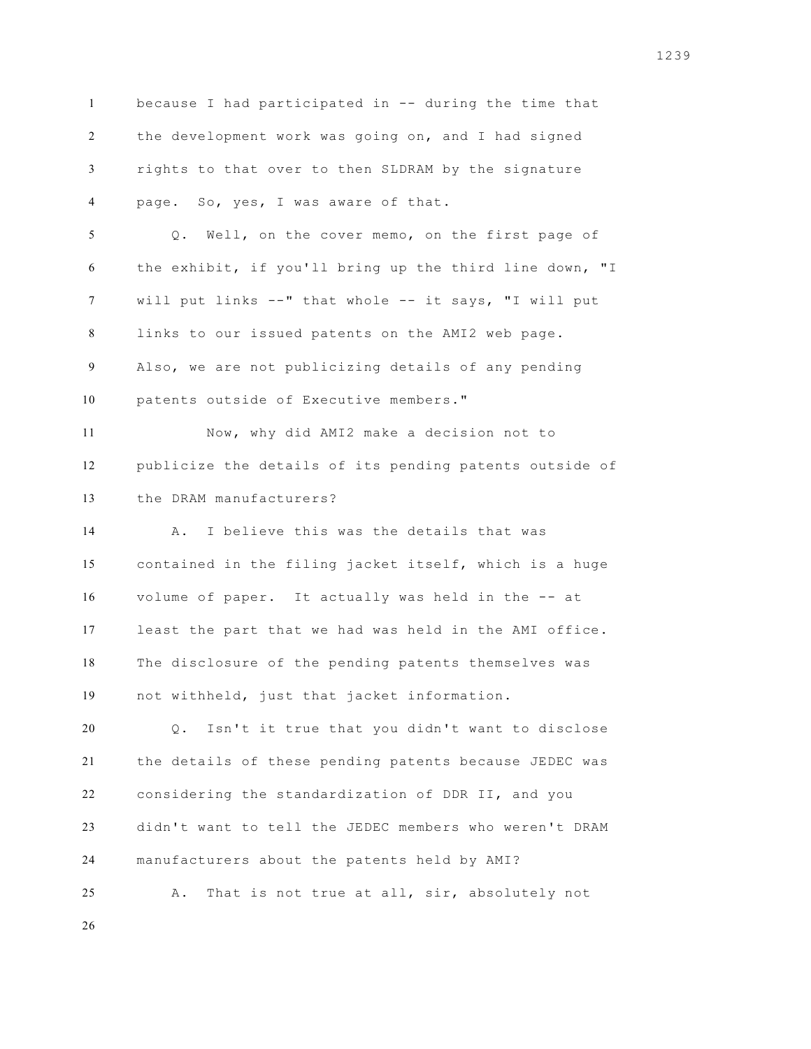because I had participated in -- during the time that the development work was going on, and I had signed rights to that over to then SLDRAM by the signature page. So, yes, I was aware of that. Q. Well, on the cover memo, on the first page of the exhibit, if you'll bring up the third line down, "I will put links --" that whole -- it says, "I will put links to our issued patents on the AMI2 web page. Also, we are not publicizing details of any pending patents outside of Executive members." Now, why did AMI2 make a decision not to publicize the details of its pending patents outside of the DRAM manufacturers? A. I believe this was the details that was contained in the filing jacket itself, which is a huge volume of paper. It actually was held in the -- at least the part that we had was held in the AMI office. The disclosure of the pending patents themselves was not withheld, just that jacket information. Q. Isn't it true that you didn't want to disclose the details of these pending patents because JEDEC was considering the standardization of DDR II, and you didn't want to tell the JEDEC members who weren't DRAM manufacturers about the patents held by AMI? A. That is not true at all, sir, absolutely not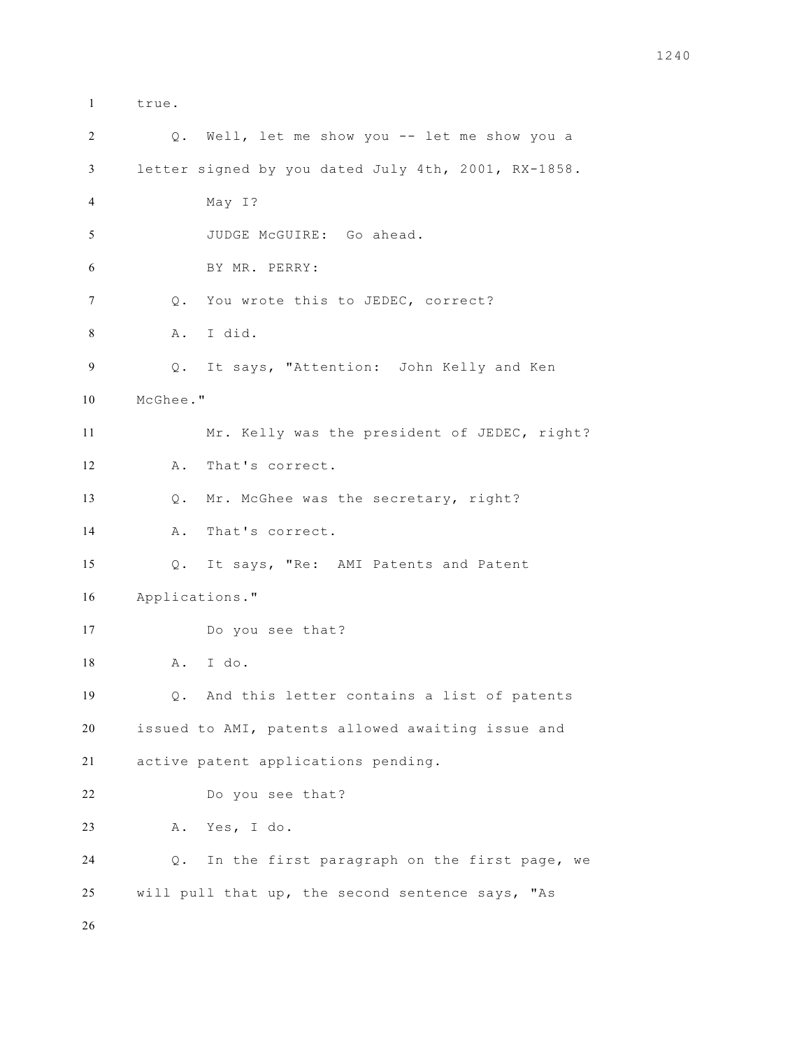true. Q. Well, let me show you -- let me show you a letter signed by you dated July 4th, 2001, RX-1858. May I? JUDGE McGUIRE: Go ahead. BY MR. PERRY: Q. You wrote this to JEDEC, correct? A. I did. Q. It says, "Attention: John Kelly and Ken McGhee." Mr. Kelly was the president of JEDEC, right? A. That's correct. Q. Mr. McGhee was the secretary, right? A. That's correct. Q. It says, "Re: AMI Patents and Patent Applications." Do you see that? A. I do. Q. And this letter contains a list of patents issued to AMI, patents allowed awaiting issue and active patent applications pending. Do you see that? A. Yes, I do. Q. In the first paragraph on the first page, we will pull that up, the second sentence says, "As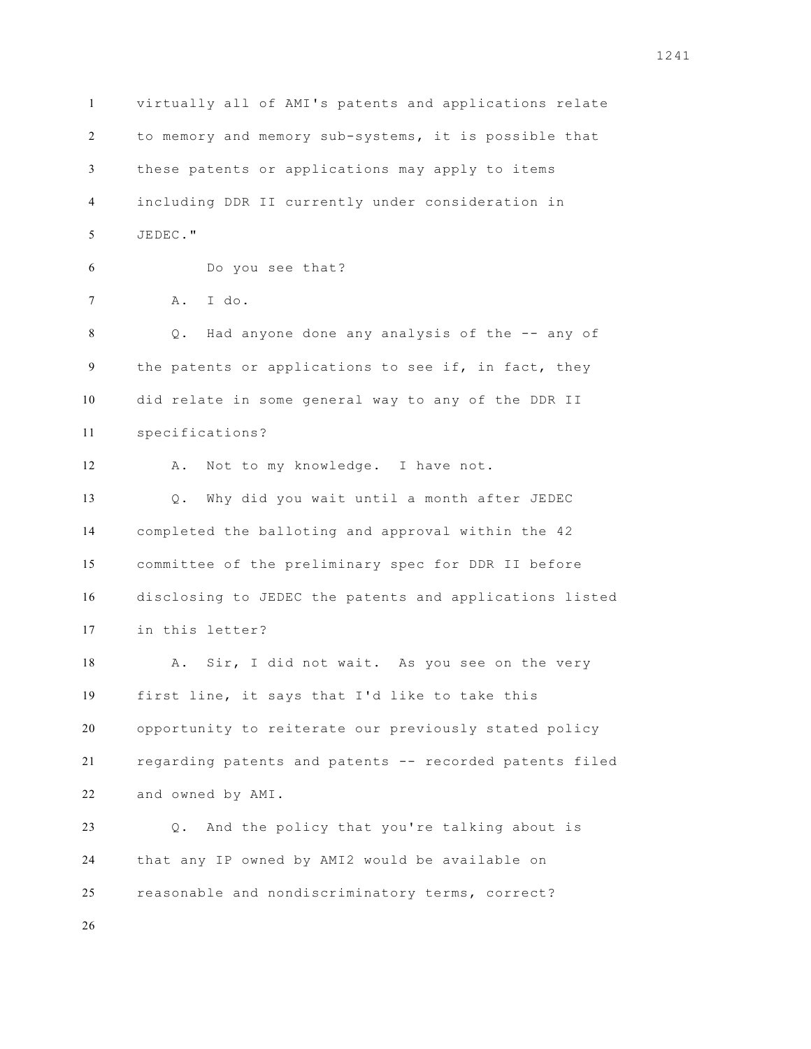virtually all of AMI's patents and applications relate to memory and memory sub-systems, it is possible that these patents or applications may apply to items including DDR II currently under consideration in JEDEC." Do you see that? A. I do. Q. Had anyone done any analysis of the -- any of the patents or applications to see if, in fact, they did relate in some general way to any of the DDR II specifications? 12 A. Not to my knowledge. I have not. Q. Why did you wait until a month after JEDEC completed the balloting and approval within the 42 committee of the preliminary spec for DDR II before disclosing to JEDEC the patents and applications listed in this letter? 18 A. Sir, I did not wait. As you see on the very first line, it says that I'd like to take this opportunity to reiterate our previously stated policy regarding patents and patents -- recorded patents filed and owned by AMI. Q. And the policy that you're talking about is that any IP owned by AMI2 would be available on reasonable and nondiscriminatory terms, correct?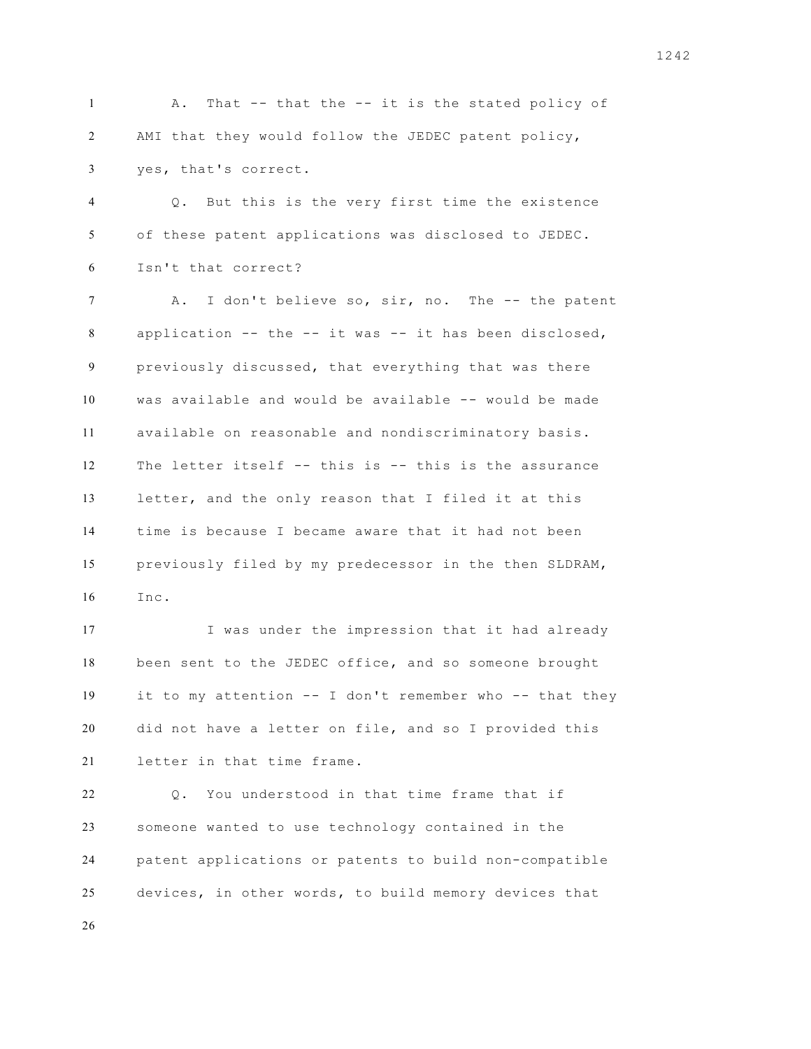1 A. That -- that the -- it is the stated policy of AMI that they would follow the JEDEC patent policy, yes, that's correct.

 Q. But this is the very first time the existence of these patent applications was disclosed to JEDEC. Isn't that correct?

7 A. I don't believe so, sir, no. The -- the patent application -- the -- it was -- it has been disclosed, previously discussed, that everything that was there was available and would be available -- would be made available on reasonable and nondiscriminatory basis. The letter itself -- this is -- this is the assurance letter, and the only reason that I filed it at this time is because I became aware that it had not been previously filed by my predecessor in the then SLDRAM, Inc.

 I was under the impression that it had already been sent to the JEDEC office, and so someone brought it to my attention -- I don't remember who -- that they did not have a letter on file, and so I provided this letter in that time frame.

 Q. You understood in that time frame that if someone wanted to use technology contained in the patent applications or patents to build non-compatible devices, in other words, to build memory devices that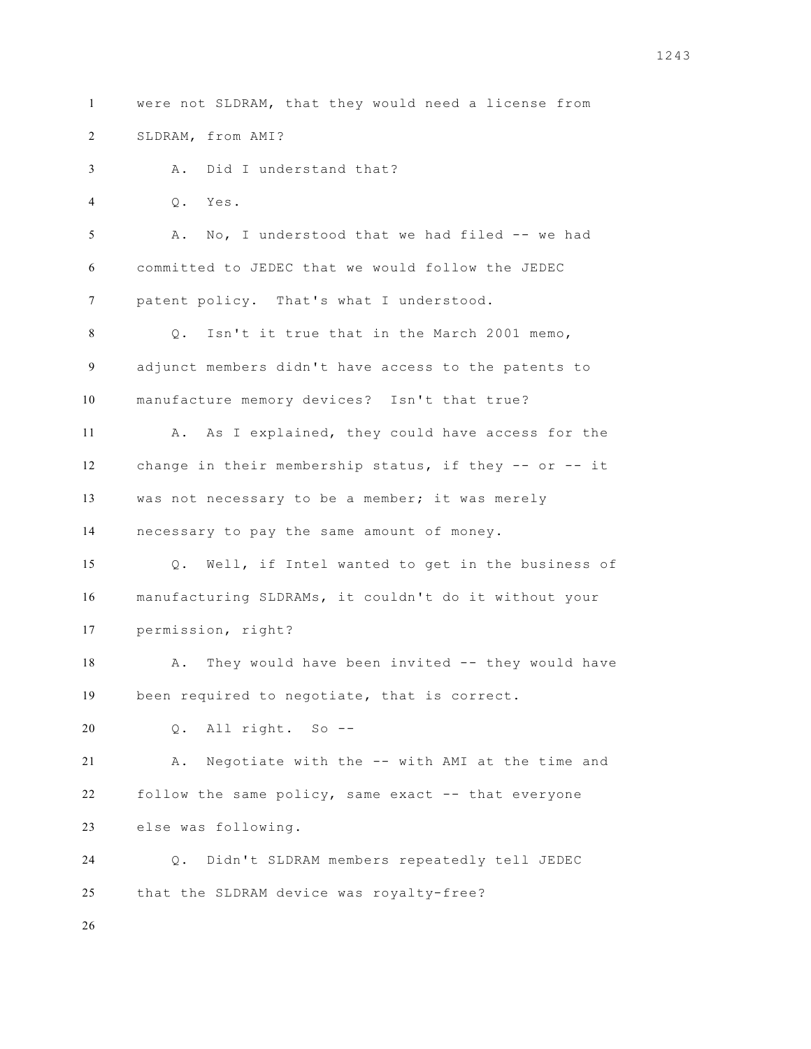were not SLDRAM, that they would need a license from SLDRAM, from AMI? A. Did I understand that? Q. Yes. A. No, I understood that we had filed -- we had committed to JEDEC that we would follow the JEDEC patent policy. That's what I understood. Q. Isn't it true that in the March 2001 memo, adjunct members didn't have access to the patents to manufacture memory devices? Isn't that true? A. As I explained, they could have access for the change in their membership status, if they -- or -- it was not necessary to be a member; it was merely necessary to pay the same amount of money. Q. Well, if Intel wanted to get in the business of manufacturing SLDRAMs, it couldn't do it without your permission, right? 18 A. They would have been invited -- they would have been required to negotiate, that is correct. Q. All right. So -- A. Negotiate with the -- with AMI at the time and follow the same policy, same exact -- that everyone else was following. Q. Didn't SLDRAM members repeatedly tell JEDEC that the SLDRAM device was royalty-free?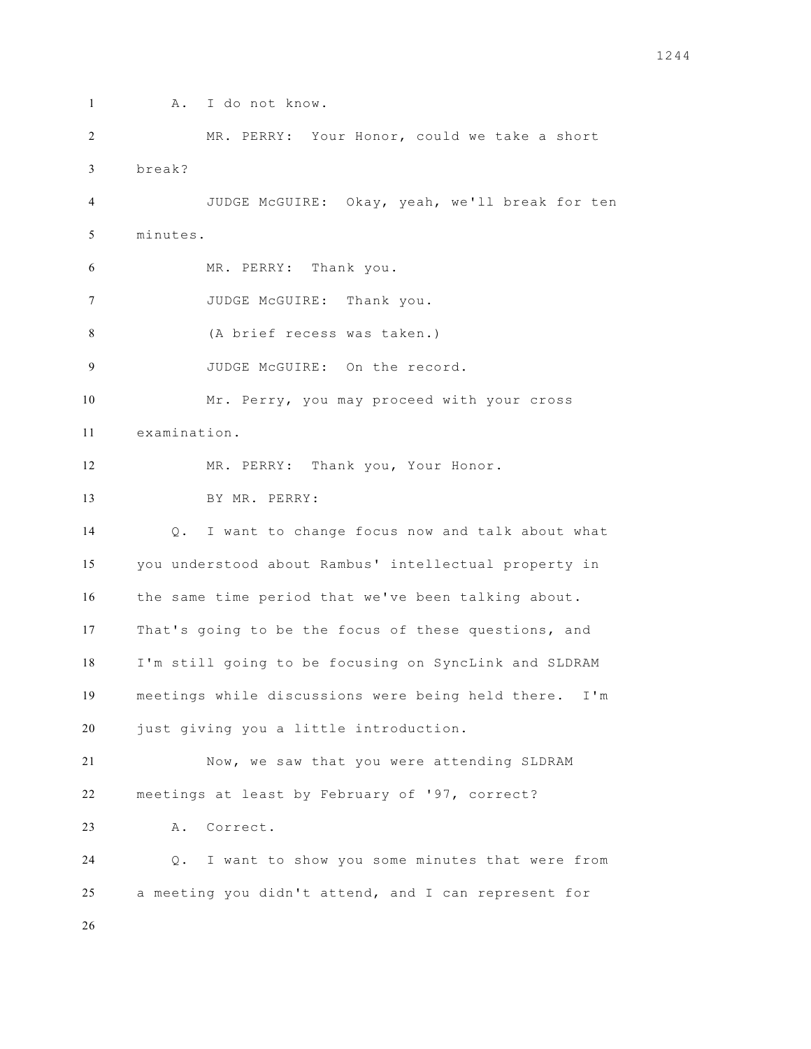```
1 A. I do not know. 
2 MR. PERRY: Your Honor, could we take a short 
3 break? 
4 JUDGE McGUIRE: Okay, yeah, we'll break for ten 
5 minutes. 
6 MR. PERRY: Thank you. 
7 JUDGE McGUIRE: Thank you.
8 (A brief recess was taken.)
9 JUDGE McGUIRE: On the record. 
10 Mr. Perry, you may proceed with your cross 
11 examination. 
12 MR. PERRY: Thank you, Your Honor. 
13 BY MR. PERRY:
14 Q. I want to change focus now and talk about what 
15 you understood about Rambus' intellectual property in 
16 the same time period that we've been talking about. 
17 That's going to be the focus of these questions, and 
18 I'm still going to be focusing on SyncLink and SLDRAM 
19 meetings while discussions were being held there. I'm 
20 just giving you a little introduction. 
21 Now, we saw that you were attending SLDRAM 
22 meetings at least by February of '97, correct? 
23 A. Correct. 
24 Q. I want to show you some minutes that were from 
25 a meeting you didn't attend, and I can represent for 
26
```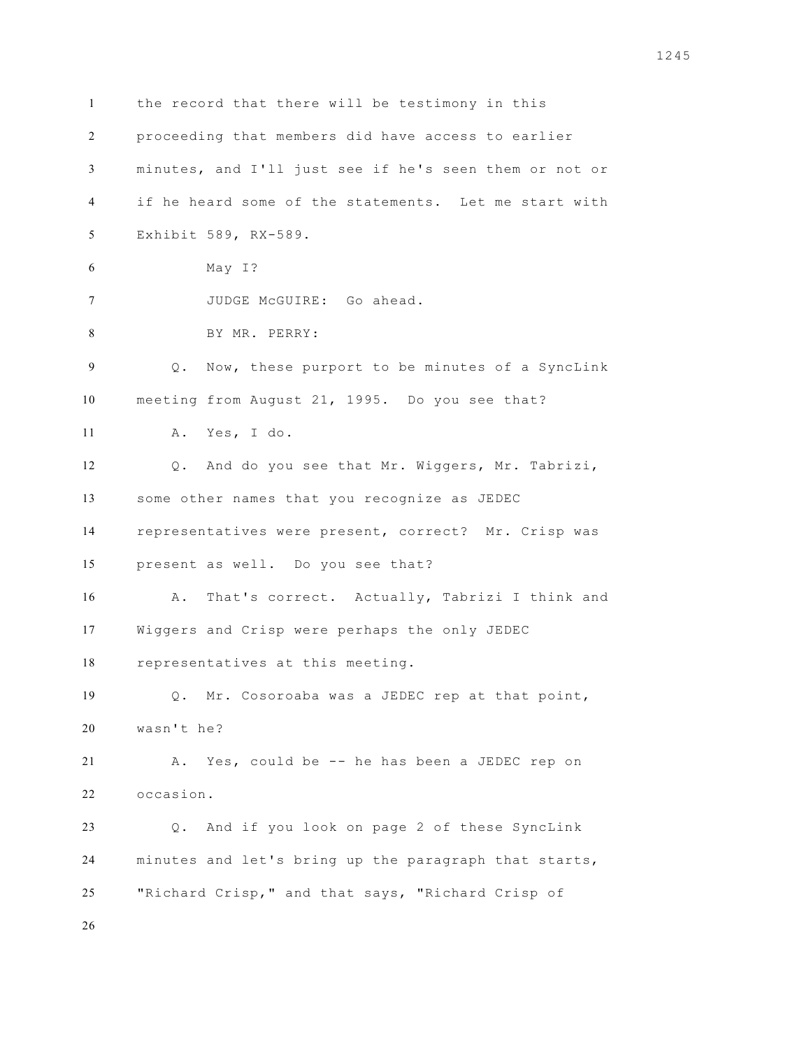the record that there will be testimony in this proceeding that members did have access to earlier minutes, and I'll just see if he's seen them or not or if he heard some of the statements. Let me start with Exhibit 589, RX-589. May I? JUDGE McGUIRE: Go ahead. BY MR. PERRY: Q. Now, these purport to be minutes of a SyncLink meeting from August 21, 1995. Do you see that? A. Yes, I do. Q. And do you see that Mr. Wiggers, Mr. Tabrizi, some other names that you recognize as JEDEC representatives were present, correct? Mr. Crisp was present as well. Do you see that? A. That's correct. Actually, Tabrizi I think and Wiggers and Crisp were perhaps the only JEDEC representatives at this meeting. Q. Mr. Cosoroaba was a JEDEC rep at that point, wasn't he? A. Yes, could be -- he has been a JEDEC rep on occasion. Q. And if you look on page 2 of these SyncLink minutes and let's bring up the paragraph that starts, "Richard Crisp," and that says, "Richard Crisp of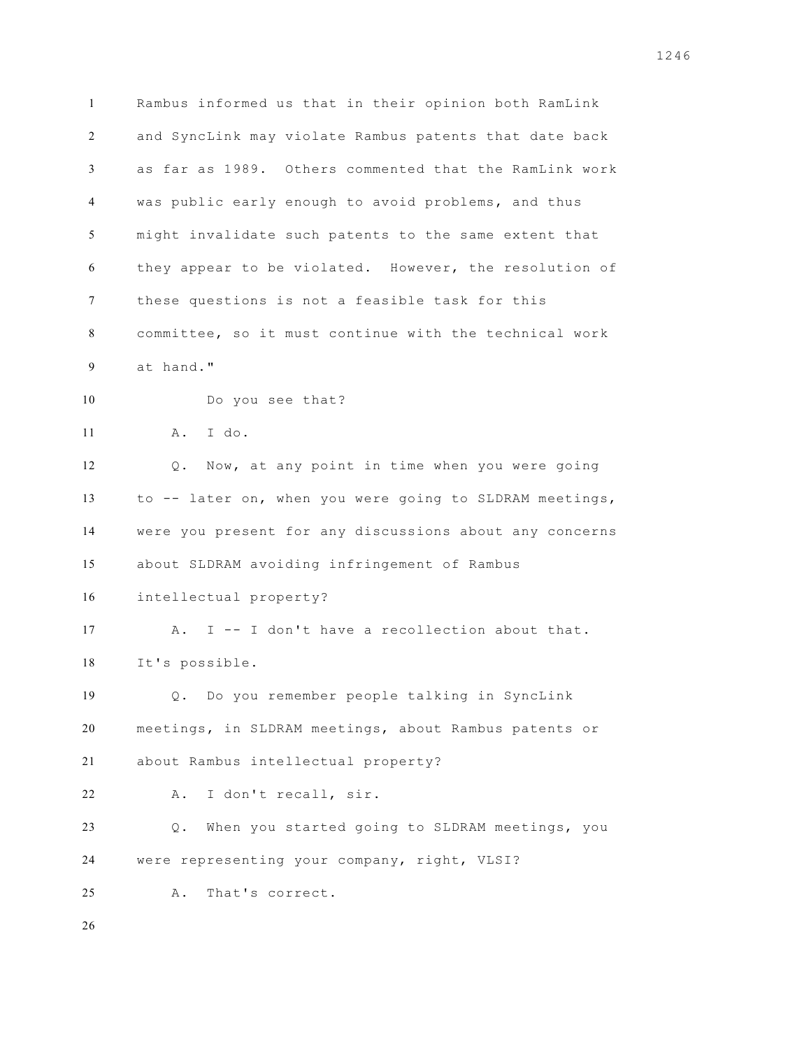Rambus informed us that in their opinion both RamLink and SyncLink may violate Rambus patents that date back as far as 1989. Others commented that the RamLink work was public early enough to avoid problems, and thus might invalidate such patents to the same extent that they appear to be violated. However, the resolution of these questions is not a feasible task for this committee, so it must continue with the technical work at hand." Do you see that? A. I do. Q. Now, at any point in time when you were going to -- later on, when you were going to SLDRAM meetings, were you present for any discussions about any concerns about SLDRAM avoiding infringement of Rambus intellectual property? A. I -- I don't have a recollection about that. It's possible. Q. Do you remember people talking in SyncLink meetings, in SLDRAM meetings, about Rambus patents or about Rambus intellectual property? A. I don't recall, sir. Q. When you started going to SLDRAM meetings, you were representing your company, right, VLSI? A. That's correct.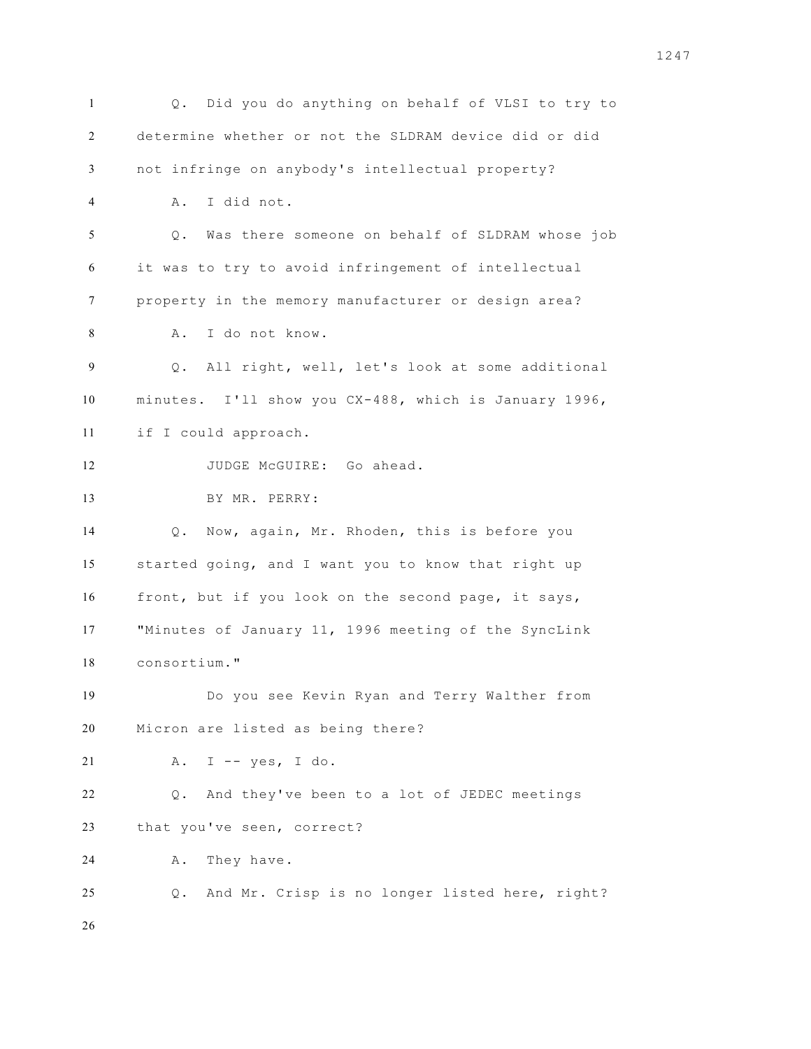Q. Did you do anything on behalf of VLSI to try to determine whether or not the SLDRAM device did or did not infringe on anybody's intellectual property? A. I did not. Q. Was there someone on behalf of SLDRAM whose job it was to try to avoid infringement of intellectual property in the memory manufacturer or design area? A. I do not know. Q. All right, well, let's look at some additional minutes. I'll show you CX-488, which is January 1996, if I could approach. JUDGE McGUIRE: Go ahead. BY MR. PERRY: Q. Now, again, Mr. Rhoden, this is before you started going, and I want you to know that right up front, but if you look on the second page, it says, "Minutes of January 11, 1996 meeting of the SyncLink consortium." Do you see Kevin Ryan and Terry Walther from Micron are listed as being there? A. I -- yes, I do. Q. And they've been to a lot of JEDEC meetings that you've seen, correct? A. They have. Q. And Mr. Crisp is no longer listed here, right?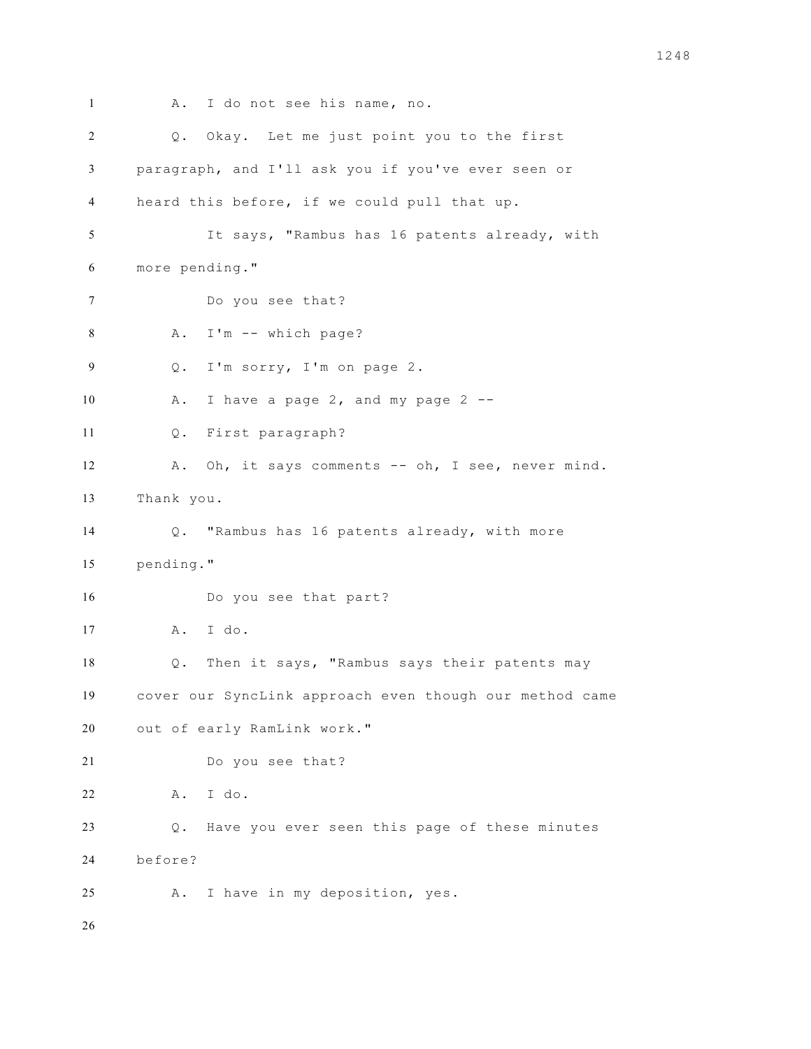```
1 A. I do not see his name, no.
2 Q. Okay. Let me just point you to the first 
3 paragraph, and I'll ask you if you've ever seen or 
4 heard this before, if we could pull that up. 
5 It says, "Rambus has 16 patents already, with 
6 more pending." 
7 Do you see that? 
8 A. I'm -- which page? 
9 Q. I'm sorry, I'm on page 2. 
10 A. I have a page 2, and my page 2 --
11 Q. First paragraph? 
12 A. Oh, it says comments -- oh, I see, never mind. 
13 Thank you. 
14 Q. "Rambus has 16 patents already, with more 
15 pending." 
16 Do you see that part? 
17 A. I do. 
18 Q. Then it says, "Rambus says their patents may 
19 cover our SyncLink approach even though our method came 
20 out of early RamLink work." 
21 Do you see that? 
22 A. I do. 
23 Q. Have you ever seen this page of these minutes 
24 before? 
25 A. I have in my deposition, yes. 
26
```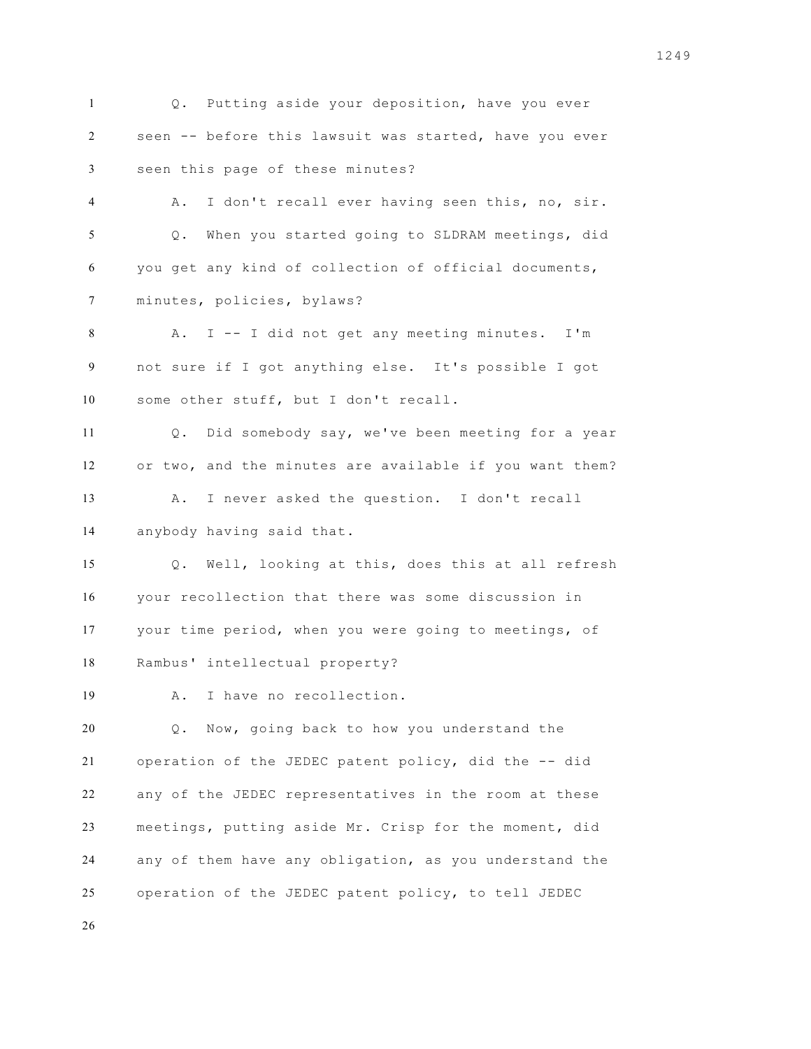Q. Putting aside your deposition, have you ever seen -- before this lawsuit was started, have you ever seen this page of these minutes? A. I don't recall ever having seen this, no, sir. Q. When you started going to SLDRAM meetings, did you get any kind of collection of official documents, minutes, policies, bylaws? A. I -- I did not get any meeting minutes. I'm not sure if I got anything else. It's possible I got some other stuff, but I don't recall. Q. Did somebody say, we've been meeting for a year or two, and the minutes are available if you want them? A. I never asked the question. I don't recall anybody having said that. Q. Well, looking at this, does this at all refresh your recollection that there was some discussion in your time period, when you were going to meetings, of Rambus' intellectual property? A. I have no recollection. Q. Now, going back to how you understand the operation of the JEDEC patent policy, did the -- did any of the JEDEC representatives in the room at these meetings, putting aside Mr. Crisp for the moment, did any of them have any obligation, as you understand the operation of the JEDEC patent policy, to tell JEDEC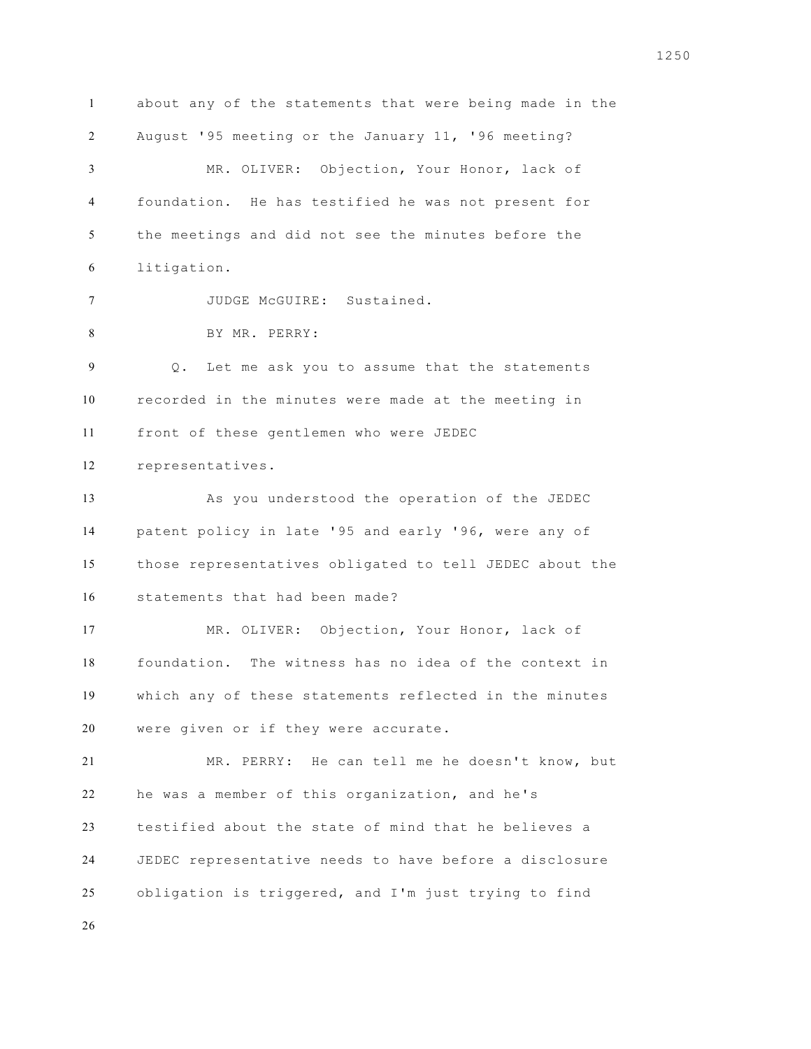about any of the statements that were being made in the August '95 meeting or the January 11, '96 meeting? MR. OLIVER: Objection, Your Honor, lack of foundation. He has testified he was not present for the meetings and did not see the minutes before the litigation. JUDGE McGUIRE: Sustained. BY MR. PERRY: Q. Let me ask you to assume that the statements recorded in the minutes were made at the meeting in front of these gentlemen who were JEDEC representatives. As you understood the operation of the JEDEC patent policy in late '95 and early '96, were any of those representatives obligated to tell JEDEC about the statements that had been made? MR. OLIVER: Objection, Your Honor, lack of foundation. The witness has no idea of the context in which any of these statements reflected in the minutes were given or if they were accurate. MR. PERRY: He can tell me he doesn't know, but he was a member of this organization, and he's testified about the state of mind that he believes a JEDEC representative needs to have before a disclosure obligation is triggered, and I'm just trying to find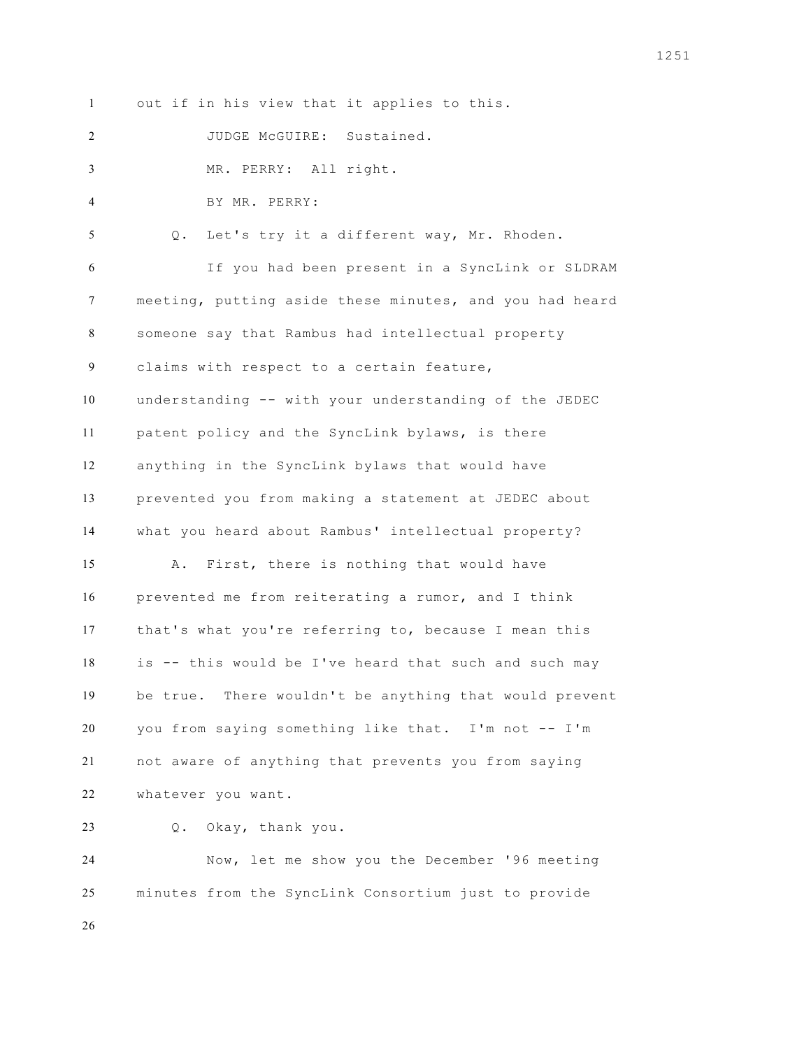out if in his view that it applies to this.

JUDGE McGUIRE: Sustained.

MR. PERRY: All right.

BY MR. PERRY:

Q. Let's try it a different way, Mr. Rhoden.

 If you had been present in a SyncLink or SLDRAM meeting, putting aside these minutes, and you had heard someone say that Rambus had intellectual property claims with respect to a certain feature, understanding -- with your understanding of the JEDEC patent policy and the SyncLink bylaws, is there anything in the SyncLink bylaws that would have prevented you from making a statement at JEDEC about what you heard about Rambus' intellectual property? A. First, there is nothing that would have prevented me from reiterating a rumor, and I think that's what you're referring to, because I mean this is -- this would be I've heard that such and such may be true. There wouldn't be anything that would prevent you from saying something like that. I'm not -- I'm not aware of anything that prevents you from saying whatever you want.

Q. Okay, thank you.

 Now, let me show you the December '96 meeting minutes from the SyncLink Consortium just to provide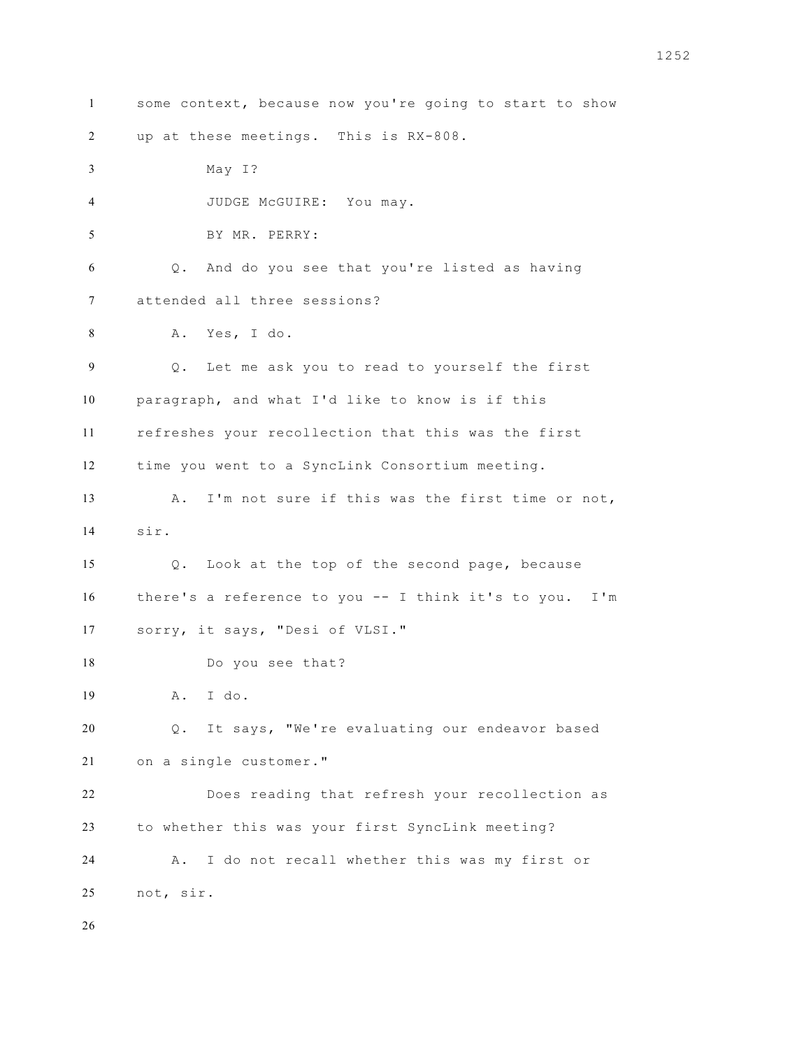some context, because now you're going to start to show up at these meetings. This is RX-808. May I? JUDGE McGUIRE: You may. BY MR. PERRY: Q. And do you see that you're listed as having attended all three sessions? A. Yes, I do. Q. Let me ask you to read to yourself the first paragraph, and what I'd like to know is if this refreshes your recollection that this was the first time you went to a SyncLink Consortium meeting. A. I'm not sure if this was the first time or not, sir. Q. Look at the top of the second page, because there's a reference to you -- I think it's to you. I'm sorry, it says, "Desi of VLSI." Do you see that? A. I do. Q. It says, "We're evaluating our endeavor based on a single customer." Does reading that refresh your recollection as to whether this was your first SyncLink meeting? A. I do not recall whether this was my first or not, sir.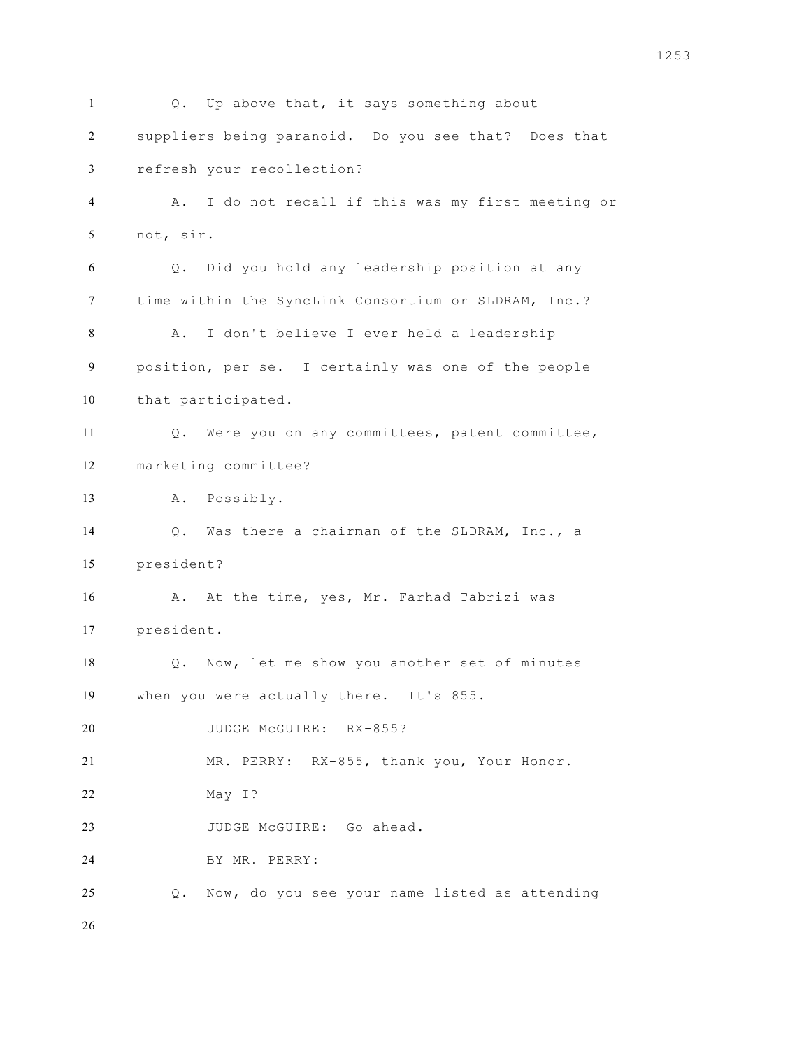Q. Up above that, it says something about suppliers being paranoid. Do you see that? Does that refresh your recollection? A. I do not recall if this was my first meeting or not, sir. Q. Did you hold any leadership position at any time within the SyncLink Consortium or SLDRAM, Inc.? A. I don't believe I ever held a leadership position, per se. I certainly was one of the people that participated. Q. Were you on any committees, patent committee, marketing committee? A. Possibly. Q. Was there a chairman of the SLDRAM, Inc., a president? A. At the time, yes, Mr. Farhad Tabrizi was president. Q. Now, let me show you another set of minutes when you were actually there. It's 855. 20 JUDGE MCGUIRE: RX-855? MR. PERRY: RX-855, thank you, Your Honor. May I? 23 JUDGE McGUIRE: Go ahead. BY MR. PERRY: Q. Now, do you see your name listed as attending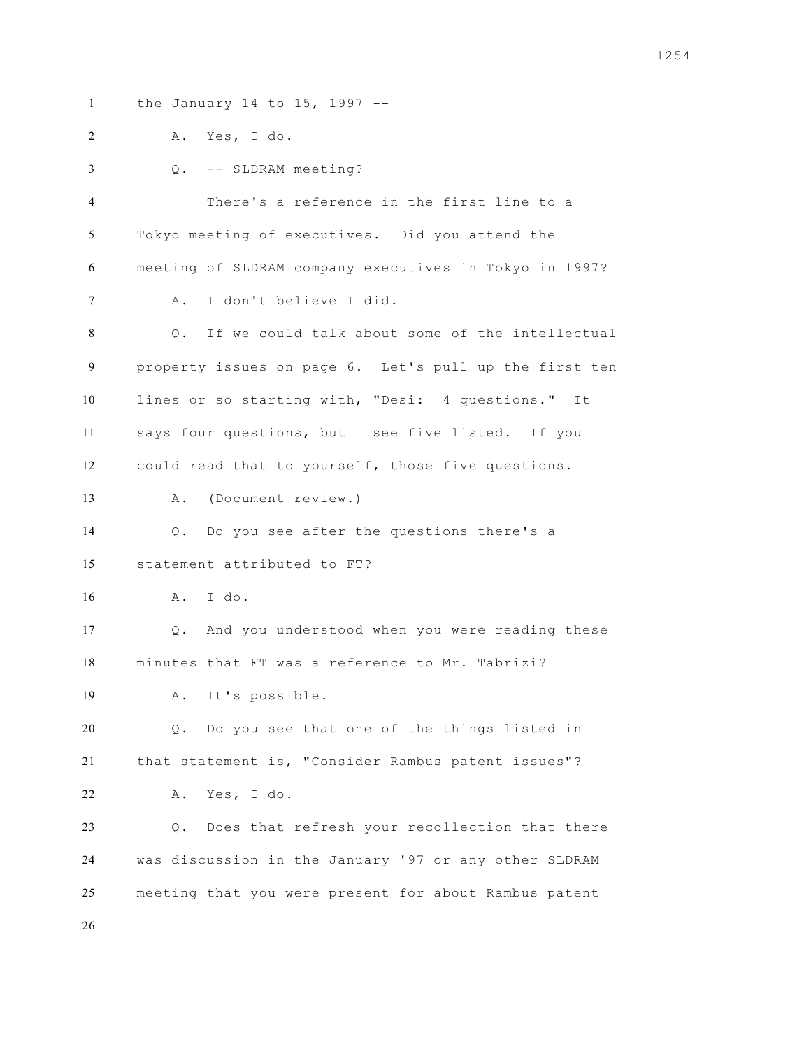the January 14 to 15, 1997 -- A. Yes, I do. Q. -- SLDRAM meeting? There's a reference in the first line to a Tokyo meeting of executives. Did you attend the meeting of SLDRAM company executives in Tokyo in 1997? A. I don't believe I did. Q. If we could talk about some of the intellectual property issues on page 6. Let's pull up the first ten lines or so starting with, "Desi: 4 questions." It says four questions, but I see five listed. If you could read that to yourself, those five questions. A. (Document review.) Q. Do you see after the questions there's a statement attributed to FT? A. I do. Q. And you understood when you were reading these minutes that FT was a reference to Mr. Tabrizi? A. It's possible. Q. Do you see that one of the things listed in that statement is, "Consider Rambus patent issues"? A. Yes, I do. Q. Does that refresh your recollection that there was discussion in the January '97 or any other SLDRAM meeting that you were present for about Rambus patent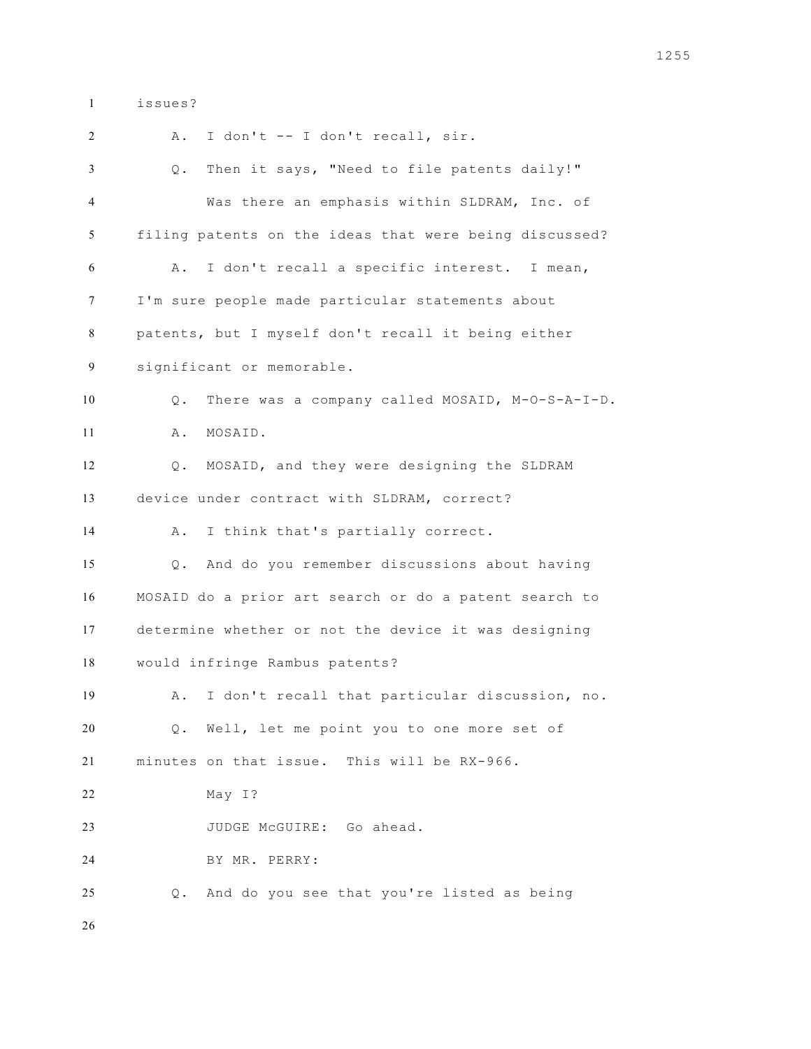issues?

 A. I don't -- I don't recall, sir. Q. Then it says, "Need to file patents daily!" Was there an emphasis within SLDRAM, Inc. of filing patents on the ideas that were being discussed? A. I don't recall a specific interest. I mean, I'm sure people made particular statements about patents, but I myself don't recall it being either significant or memorable. Q. There was a company called MOSAID, M-O-S-A-I-D. A. MOSAID. Q. MOSAID, and they were designing the SLDRAM device under contract with SLDRAM, correct? A. I think that's partially correct. Q. And do you remember discussions about having MOSAID do a prior art search or do a patent search to determine whether or not the device it was designing would infringe Rambus patents? A. I don't recall that particular discussion, no. Q. Well, let me point you to one more set of minutes on that issue. This will be RX-966. May I? JUDGE McGUIRE: Go ahead. BY MR. PERRY: Q. And do you see that you're listed as being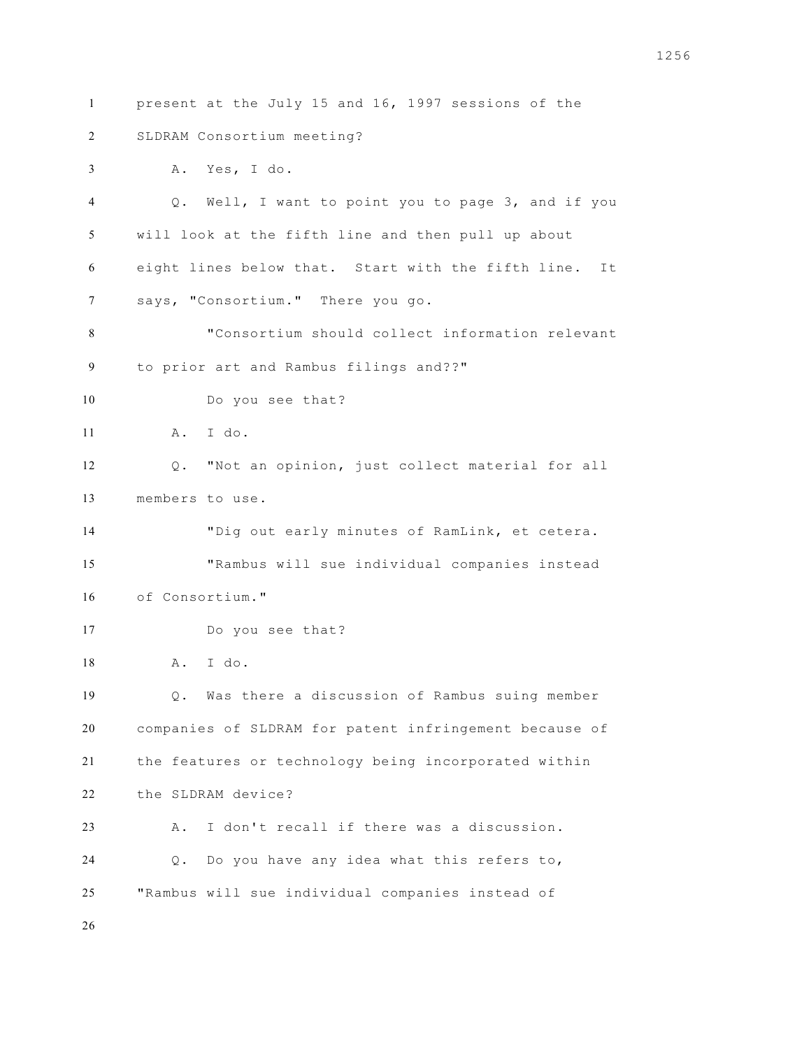present at the July 15 and 16, 1997 sessions of the SLDRAM Consortium meeting? A. Yes, I do. Q. Well, I want to point you to page 3, and if you will look at the fifth line and then pull up about eight lines below that. Start with the fifth line. It says, "Consortium." There you go. "Consortium should collect information relevant to prior art and Rambus filings and??" Do you see that? A. I do. Q. "Not an opinion, just collect material for all members to use. "Dig out early minutes of RamLink, et cetera. "Rambus will sue individual companies instead of Consortium." Do you see that? A. I do. Q. Was there a discussion of Rambus suing member companies of SLDRAM for patent infringement because of the features or technology being incorporated within the SLDRAM device? A. I don't recall if there was a discussion. Q. Do you have any idea what this refers to, "Rambus will sue individual companies instead of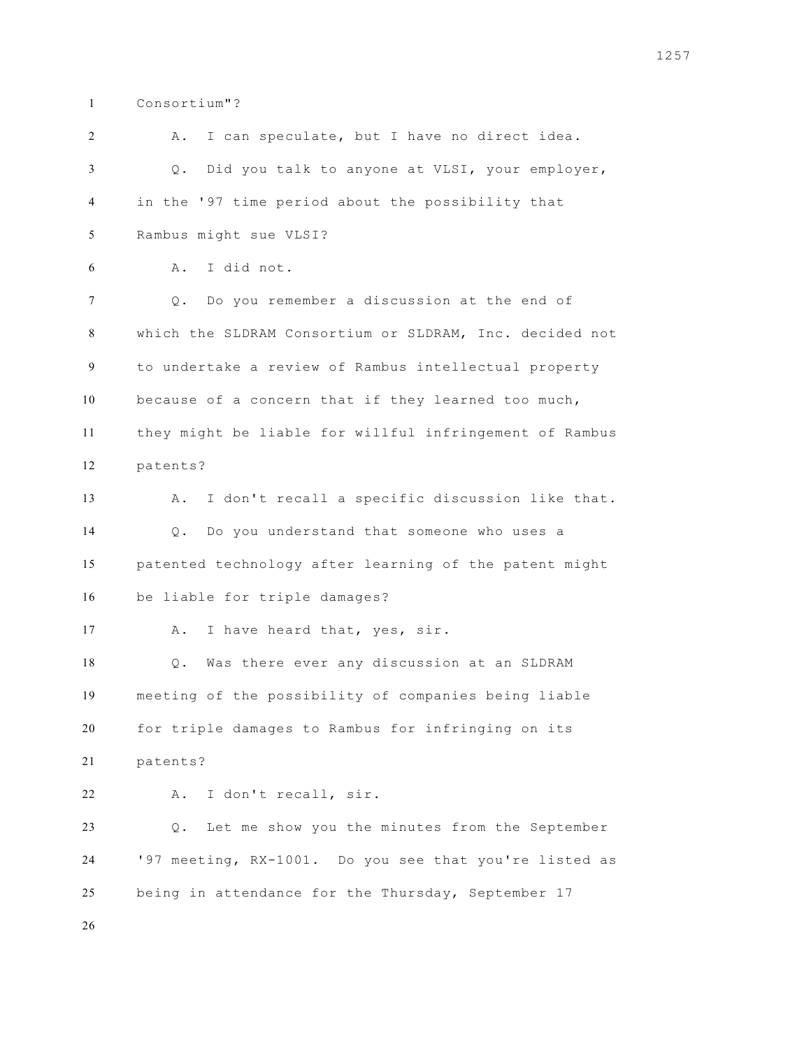Consortium"?

| 2  | I can speculate, but I have no direct idea.<br>Α.       |
|----|---------------------------------------------------------|
| 3  | Did you talk to anyone at VLSI, your employer,<br>Q.    |
| 4  | in the '97 time period about the possibility that       |
| 5  | Rambus might sue VLSI?                                  |
| 6  | I did not.<br>Α.                                        |
| 7  | Do you remember a discussion at the end of<br>Q.        |
| 8  | which the SLDRAM Consortium or SLDRAM, Inc. decided not |
| 9  | to undertake a review of Rambus intellectual property   |
| 10 | because of a concern that if they learned too much,     |
| 11 | they might be liable for willful infringement of Rambus |
| 12 | patents?                                                |
| 13 | I don't recall a specific discussion like that.<br>Α.   |
| 14 | Do you understand that someone who uses a<br>$Q$ .      |
| 15 | patented technology after learning of the patent might  |
| 16 | be liable for triple damages?                           |
| 17 | I have heard that, yes, sir.<br>Α.                      |
| 18 | Was there ever any discussion at an SLDRAM<br>Q.        |
| 19 | meeting of the possibility of companies being liable    |
| 20 | for triple damages to Rambus for infringing on its      |
| 21 | patents?                                                |
| 22 | I don't recall, sir.<br>Α.                              |
| 23 | Let me show you the minutes from the September<br>$Q$ . |
| 24 | '97 meeting, RX-1001. Do you see that you're listed as  |
| 25 | being in attendance for the Thursday, September 17      |
| 26 |                                                         |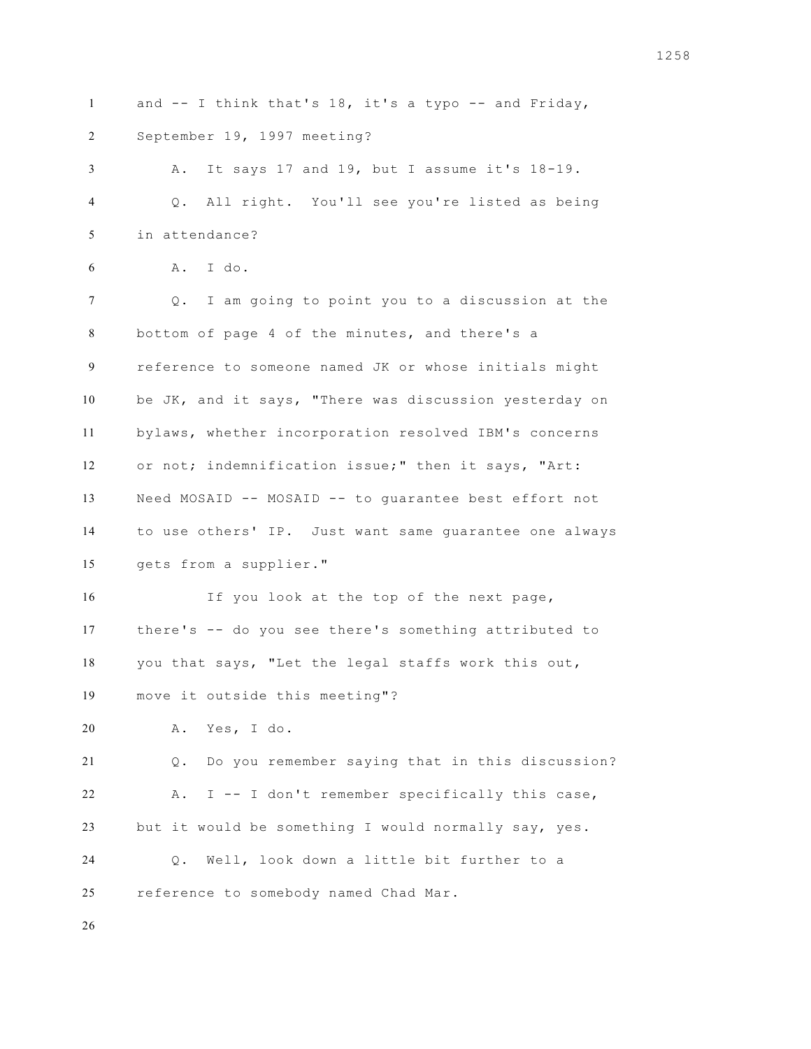and -- I think that's 18, it's a typo -- and Friday, September 19, 1997 meeting?

 A. It says 17 and 19, but I assume it's 18-19. Q. All right. You'll see you're listed as being in attendance?

```
6 A. I do.
```
 Q. I am going to point you to a discussion at the bottom of page 4 of the minutes, and there's a reference to someone named JK or whose initials might be JK, and it says, "There was discussion yesterday on bylaws, whether incorporation resolved IBM's concerns or not; indemnification issue;" then it says, "Art: Need MOSAID -- MOSAID -- to guarantee best effort not to use others' IP. Just want same guarantee one always gets from a supplier."

 If you look at the top of the next page, there's -- do you see there's something attributed to you that says, "Let the legal staffs work this out, move it outside this meeting"?

A. Yes, I do.

 Q. Do you remember saying that in this discussion? A. I -- I don't remember specifically this case, but it would be something I would normally say, yes. Q. Well, look down a little bit further to a

reference to somebody named Chad Mar.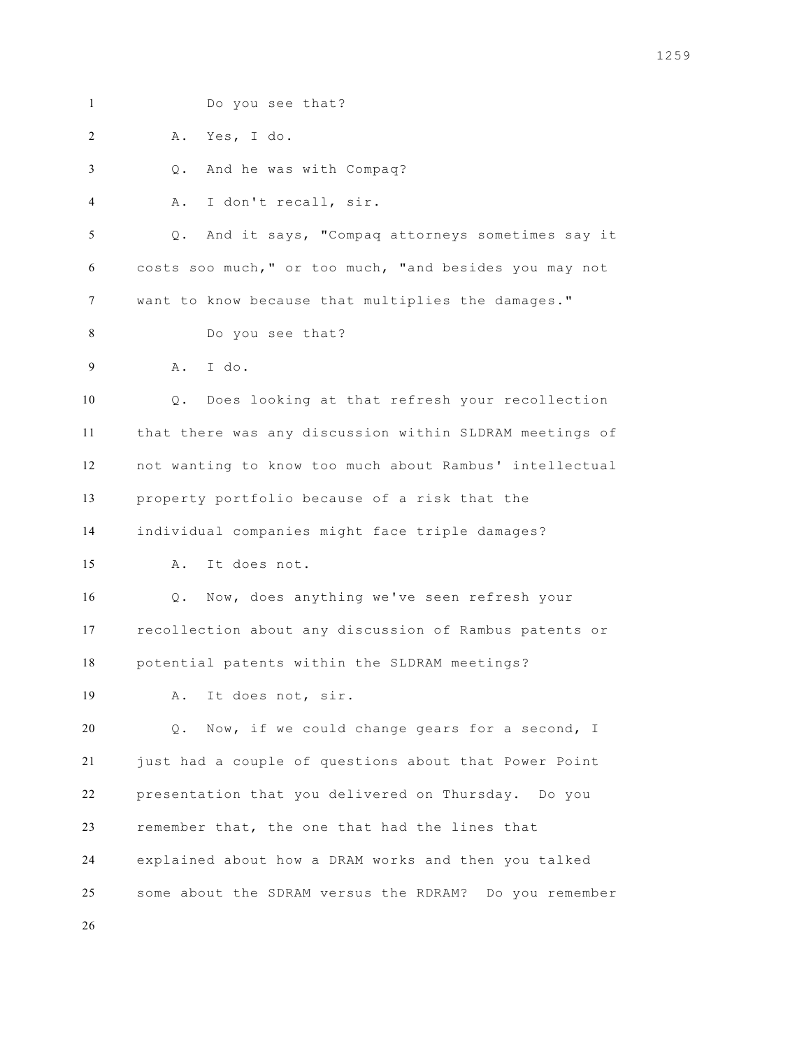Do you see that? A. Yes, I do. Q. And he was with Compaq? A. I don't recall, sir. Q. And it says, "Compaq attorneys sometimes say it costs soo much," or too much, "and besides you may not want to know because that multiplies the damages." Do you see that? A. I do. Q. Does looking at that refresh your recollection that there was any discussion within SLDRAM meetings of not wanting to know too much about Rambus' intellectual property portfolio because of a risk that the individual companies might face triple damages? A. It does not. Q. Now, does anything we've seen refresh your recollection about any discussion of Rambus patents or potential patents within the SLDRAM meetings? A. It does not, sir. Q. Now, if we could change gears for a second, I just had a couple of questions about that Power Point presentation that you delivered on Thursday. Do you remember that, the one that had the lines that explained about how a DRAM works and then you talked some about the SDRAM versus the RDRAM? Do you remember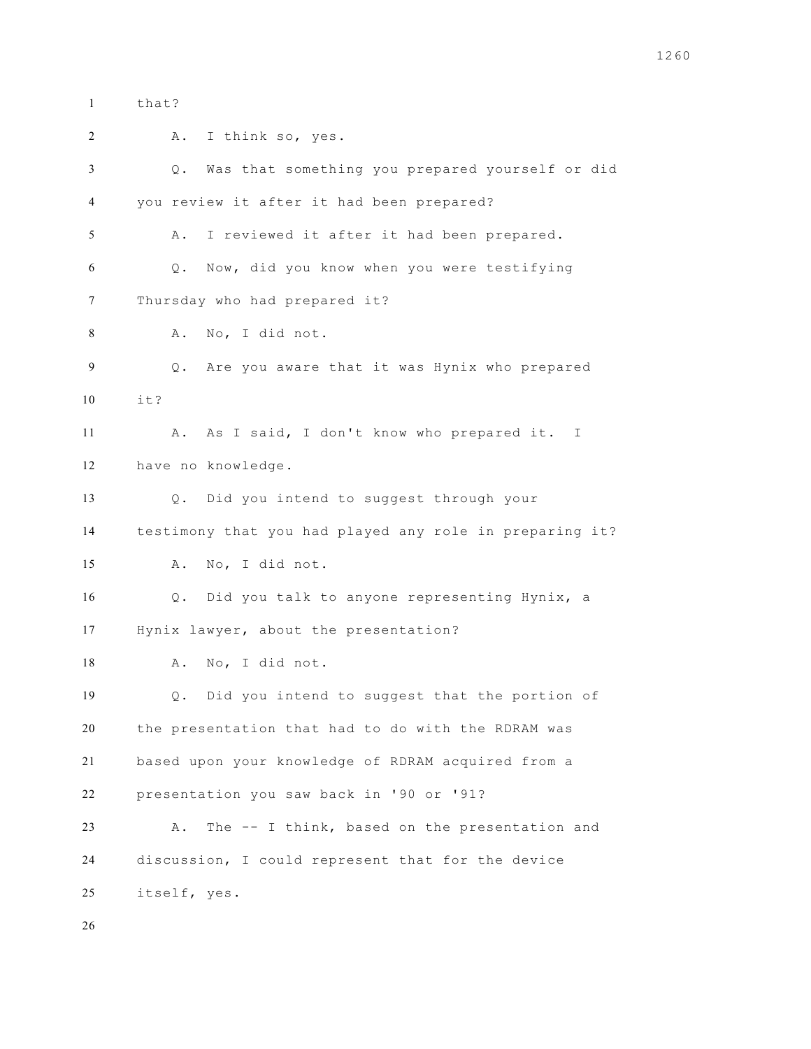that? A. I think so, yes. Q. Was that something you prepared yourself or did you review it after it had been prepared? A. I reviewed it after it had been prepared. Q. Now, did you know when you were testifying Thursday who had prepared it? A. No, I did not. Q. Are you aware that it was Hynix who prepared it? A. As I said, I don't know who prepared it. I have no knowledge. Q. Did you intend to suggest through your testimony that you had played any role in preparing it? A. No, I did not. Q. Did you talk to anyone representing Hynix, a Hynix lawyer, about the presentation? A. No, I did not. Q. Did you intend to suggest that the portion of the presentation that had to do with the RDRAM was based upon your knowledge of RDRAM acquired from a presentation you saw back in '90 or '91? A. The -- I think, based on the presentation and discussion, I could represent that for the device itself, yes.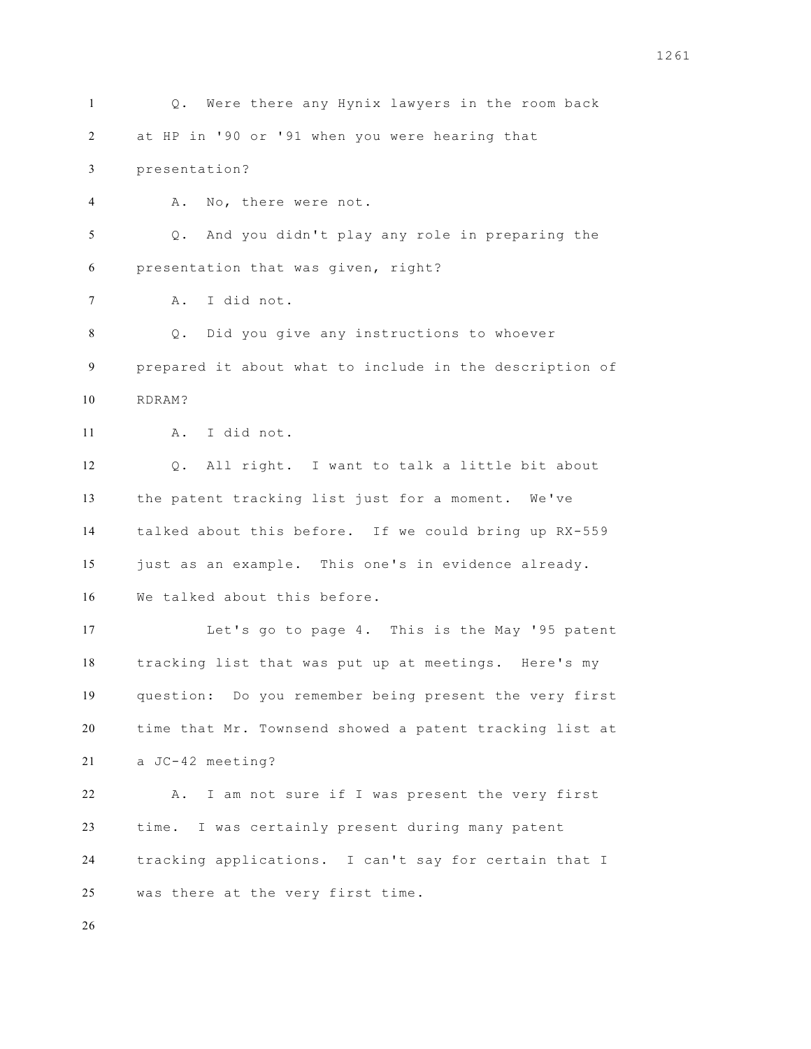Q. Were there any Hynix lawyers in the room back at HP in '90 or '91 when you were hearing that presentation? A. No, there were not. Q. And you didn't play any role in preparing the presentation that was given, right? A. I did not. Q. Did you give any instructions to whoever prepared it about what to include in the description of RDRAM? A. I did not. Q. All right. I want to talk a little bit about the patent tracking list just for a moment. We've talked about this before. If we could bring up RX-559 just as an example. This one's in evidence already. We talked about this before. Let's go to page 4. This is the May '95 patent tracking list that was put up at meetings. Here's my question: Do you remember being present the very first time that Mr. Townsend showed a patent tracking list at a JC-42 meeting? A. I am not sure if I was present the very first time. I was certainly present during many patent tracking applications. I can't say for certain that I was there at the very first time.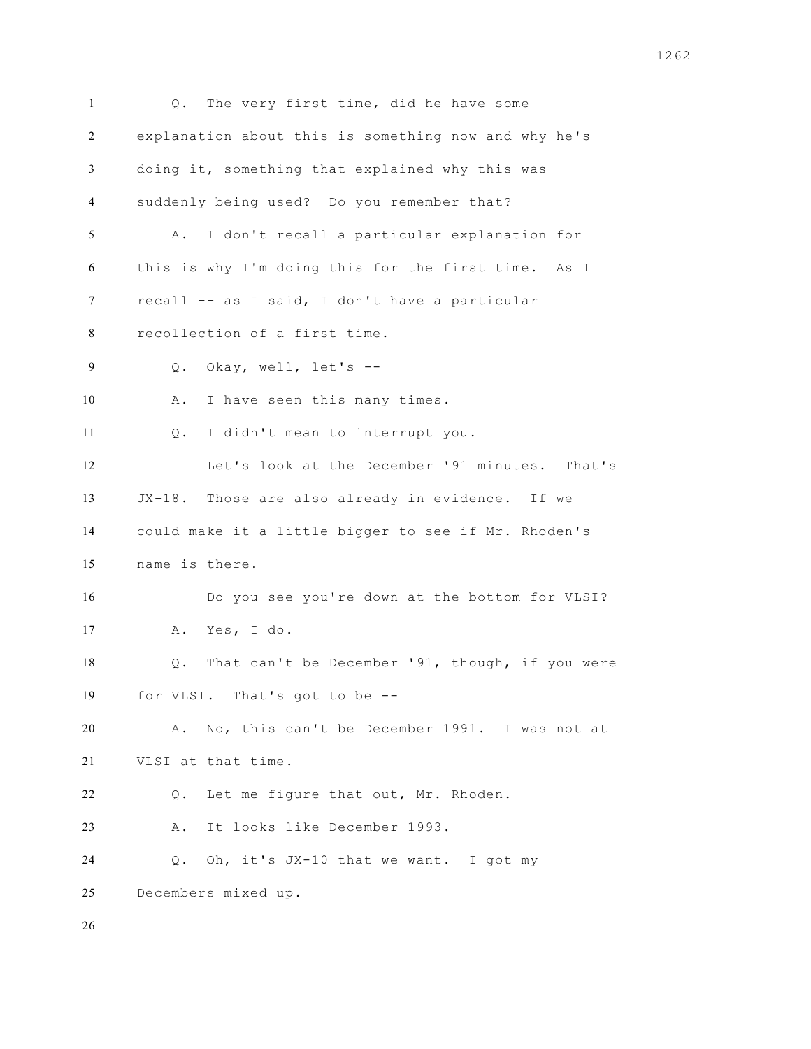Q. The very first time, did he have some explanation about this is something now and why he's doing it, something that explained why this was suddenly being used? Do you remember that? A. I don't recall a particular explanation for this is why I'm doing this for the first time. As I recall -- as I said, I don't have a particular recollection of a first time. Q. Okay, well, let's -- A. I have seen this many times. Q. I didn't mean to interrupt you. Let's look at the December '91 minutes. That's JX-18. Those are also already in evidence. If we could make it a little bigger to see if Mr. Rhoden's name is there. Do you see you're down at the bottom for VLSI? A. Yes, I do. Q. That can't be December '91, though, if you were for VLSI. That's got to be -- A. No, this can't be December 1991. I was not at VLSI at that time. Q. Let me figure that out, Mr. Rhoden. A. It looks like December 1993. Q. Oh, it's JX-10 that we want. I got my Decembers mixed up.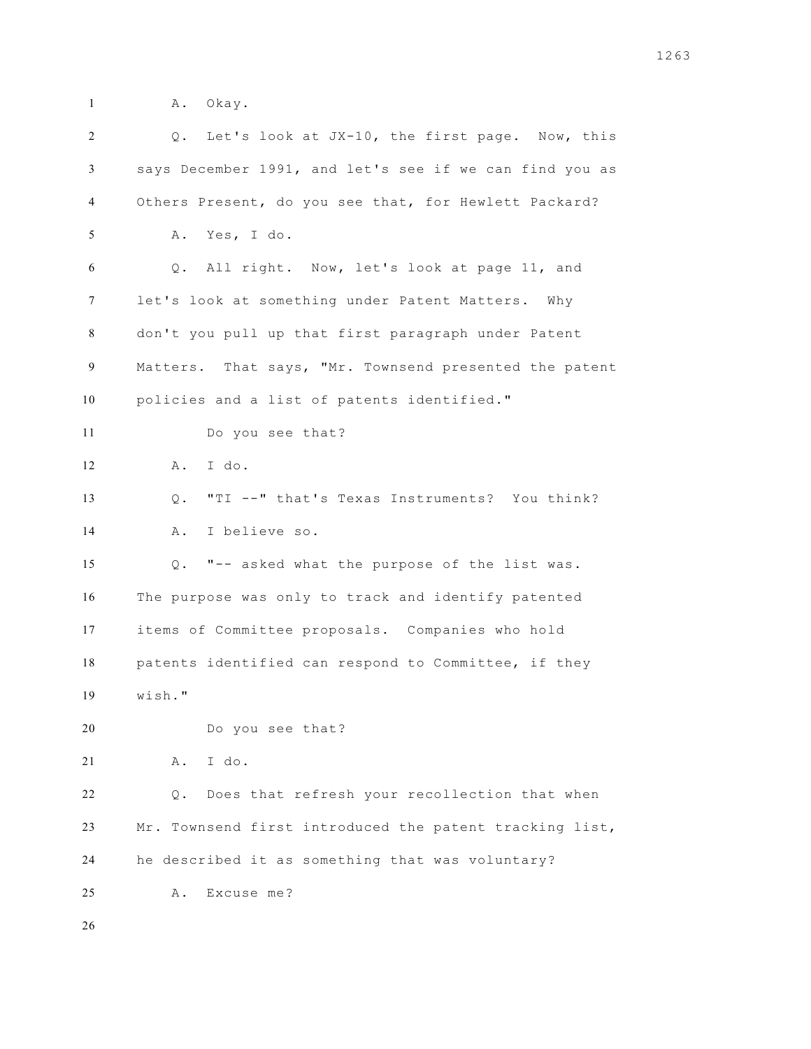- 
- 1 A. Okay.

| 2  | Q. Let's look at JX-10, the first page. Now, this       |
|----|---------------------------------------------------------|
| 3  | says December 1991, and let's see if we can find you as |
| 4  | Others Present, do you see that, for Hewlett Packard?   |
| 5  | A. Yes, I do.                                           |
| 6  | Q. All right. Now, let's look at page 11, and           |
| 7  | let's look at something under Patent Matters. Why       |
| 8  | don't you pull up that first paragraph under Patent     |
| 9  | Matters. That says, "Mr. Townsend presented the patent  |
| 10 | policies and a list of patents identified."             |
| 11 | Do you see that?                                        |
| 12 | I do.<br>Α.                                             |
| 13 | "TI --" that's Texas Instruments? You think?<br>$Q$ .   |
| 14 | I believe so.<br>Α.                                     |
| 15 | "-- asked what the purpose of the list was.<br>Q.       |
| 16 | The purpose was only to track and identify patented     |
| 17 | items of Committee proposals. Companies who hold        |
| 18 | patents identified can respond to Committee, if they    |
| 19 | wish."                                                  |
| 20 | Do you see that?                                        |
| 21 | I do.<br>Α.                                             |
| 22 | Does that refresh your recollection that when<br>Q.     |
| 23 | Mr. Townsend first introduced the patent tracking list, |
| 24 | he described it as something that was voluntary?        |
| 25 | Excuse me?<br>Α.                                        |
| 26 |                                                         |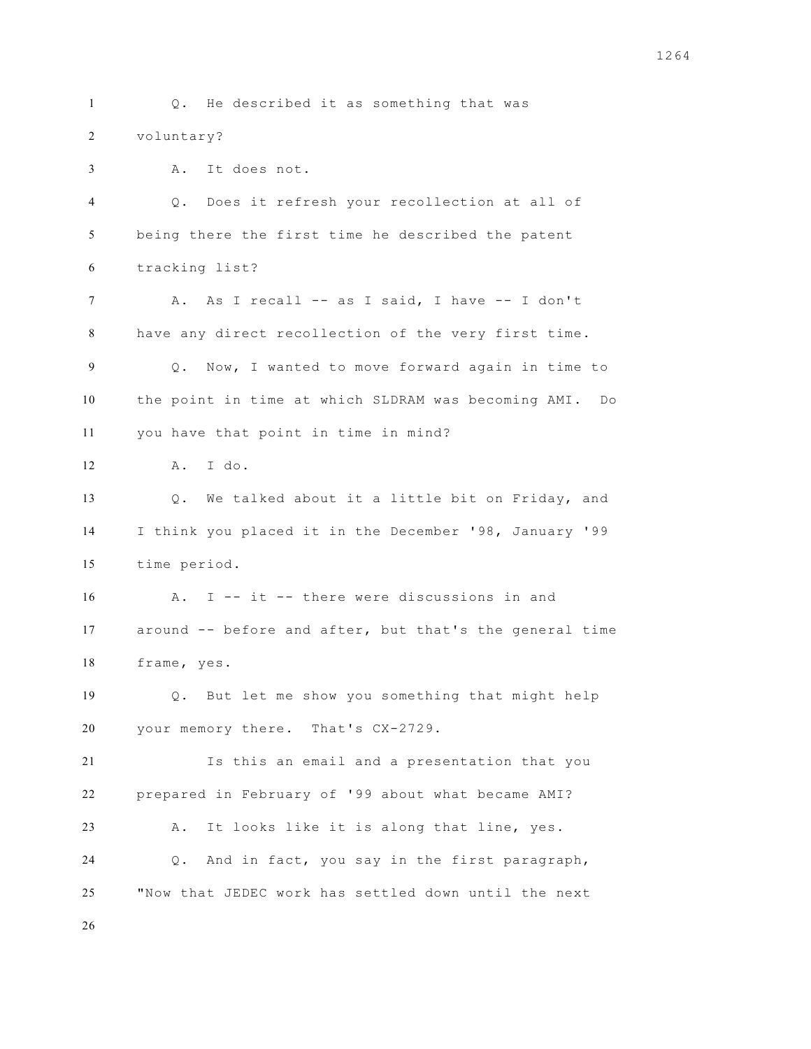Q. He described it as something that was voluntary? A. It does not. Q. Does it refresh your recollection at all of being there the first time he described the patent tracking list? A. As I recall -- as I said, I have -- I don't have any direct recollection of the very first time. Q. Now, I wanted to move forward again in time to the point in time at which SLDRAM was becoming AMI. Do you have that point in time in mind? A. I do. Q. We talked about it a little bit on Friday, and I think you placed it in the December '98, January '99 time period. A. I -- it -- there were discussions in and around -- before and after, but that's the general time frame, yes. Q. But let me show you something that might help your memory there. That's CX-2729. Is this an email and a presentation that you prepared in February of '99 about what became AMI? A. It looks like it is along that line, yes. Q. And in fact, you say in the first paragraph, "Now that JEDEC work has settled down until the next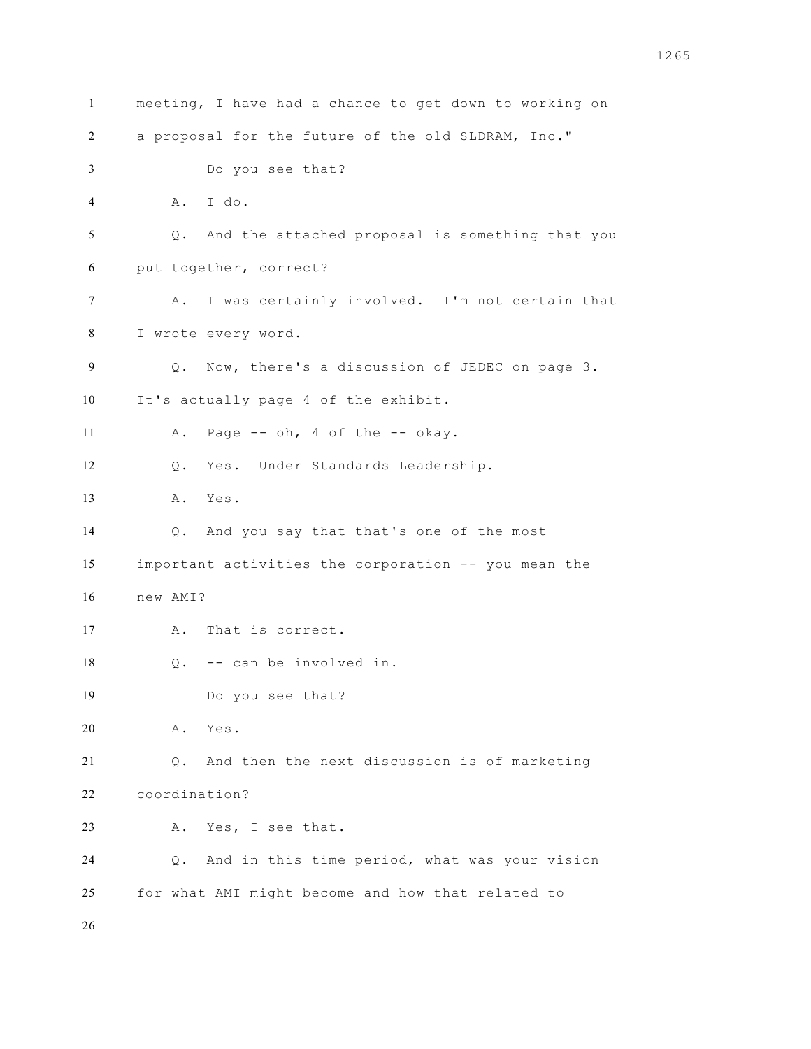meeting, I have had a chance to get down to working on a proposal for the future of the old SLDRAM, Inc." Do you see that? A. I do. Q. And the attached proposal is something that you put together, correct? A. I was certainly involved. I'm not certain that I wrote every word. Q. Now, there's a discussion of JEDEC on page 3. It's actually page 4 of the exhibit. A. Page -- oh, 4 of the -- okay. Q. Yes. Under Standards Leadership. A. Yes. Q. And you say that that's one of the most important activities the corporation -- you mean the new AMI? A. That is correct. Q. -- can be involved in. Do you see that? A. Yes. Q. And then the next discussion is of marketing coordination? A. Yes, I see that. Q. And in this time period, what was your vision for what AMI might become and how that related to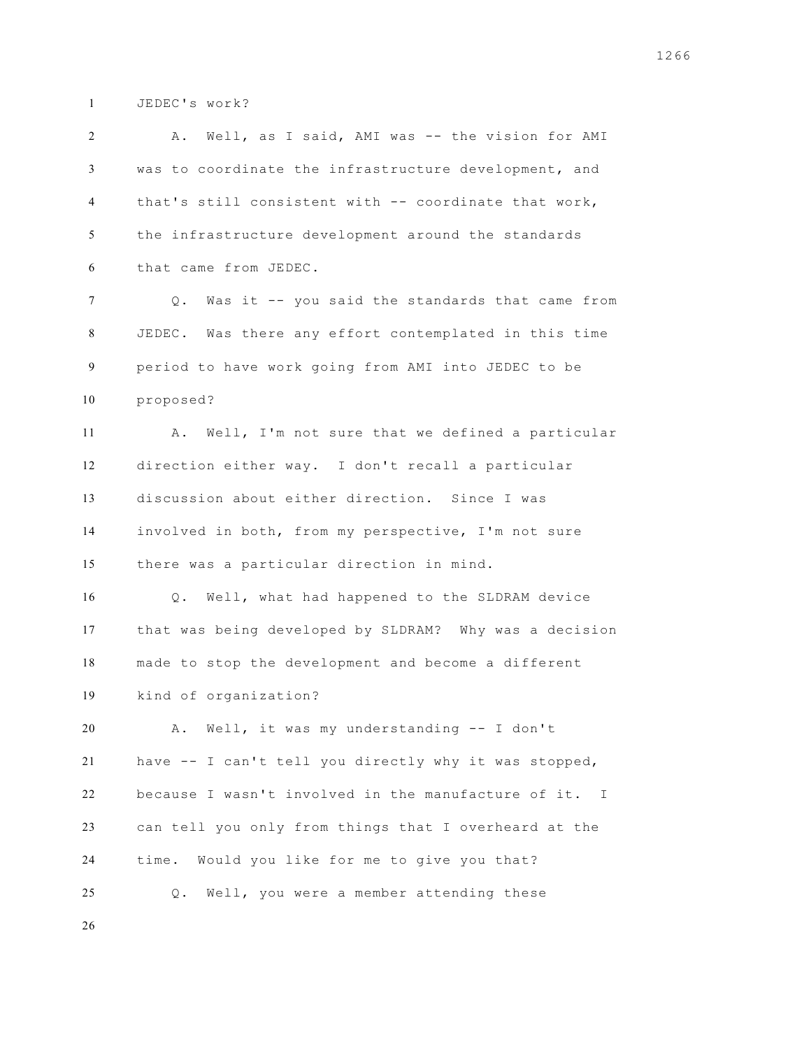JEDEC's work?

| 2  | A. Well, as I said, AMI was -- the vision for AMI             |
|----|---------------------------------------------------------------|
| 3  | was to coordinate the infrastructure development, and         |
| 4  | that's still consistent with -- coordinate that work,         |
| 5  | the infrastructure development around the standards           |
| 6  | that came from JEDEC.                                         |
| 7  | Was it -- you said the standards that came from<br>Q.         |
| 8  | JEDEC. Was there any effort contemplated in this time         |
| 9  | period to have work going from AMI into JEDEC to be           |
| 10 | proposed?                                                     |
| 11 | Well, I'm not sure that we defined a particular<br>Α.         |
| 12 | direction either way. I don't recall a particular             |
| 13 | discussion about either direction. Since I was                |
| 14 | involved in both, from my perspective, I'm not sure           |
| 15 | there was a particular direction in mind.                     |
| 16 | Well, what had happened to the SLDRAM device<br>$Q_{\bullet}$ |
| 17 | that was being developed by SLDRAM? Why was a decision        |
| 18 | made to stop the development and become a different           |
| 19 | kind of organization?                                         |
| 20 | Α.<br>Well, it was my understanding -- I don't                |
| 21 | have -- I can't tell you directly why it was stopped,         |
| 22 | because I wasn't involved in the manufacture of it. I         |
| 23 | can tell you only from things that I overheard at the         |
| 24 | Would you like for me to give you that?<br>time.              |
| 25 | Well, you were a member attending these<br>$Q$ .              |
| 26 |                                                               |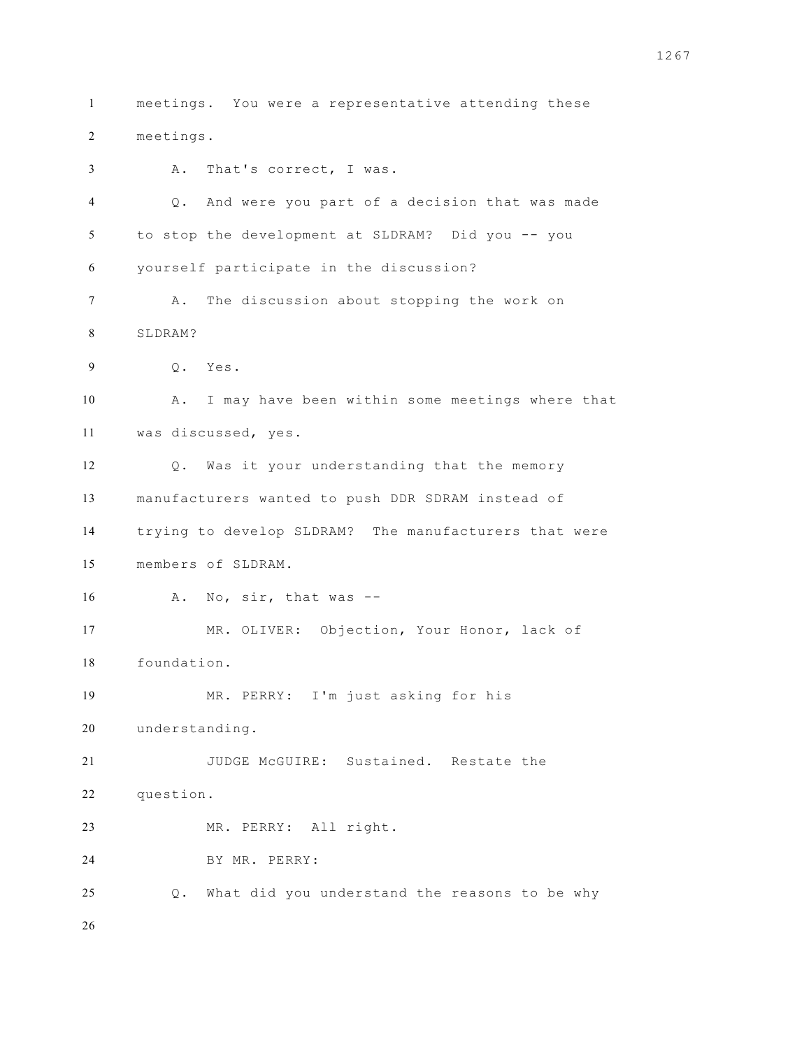meetings. You were a representative attending these meetings. A. That's correct, I was. Q. And were you part of a decision that was made to stop the development at SLDRAM? Did you -- you yourself participate in the discussion? A. The discussion about stopping the work on SLDRAM? Q. Yes. A. I may have been within some meetings where that was discussed, yes. Q. Was it your understanding that the memory manufacturers wanted to push DDR SDRAM instead of trying to develop SLDRAM? The manufacturers that were members of SLDRAM. A. No, sir, that was -- MR. OLIVER: Objection, Your Honor, lack of foundation. MR. PERRY: I'm just asking for his understanding. JUDGE McGUIRE: Sustained. Restate the question. MR. PERRY: All right. BY MR. PERRY: Q. What did you understand the reasons to be why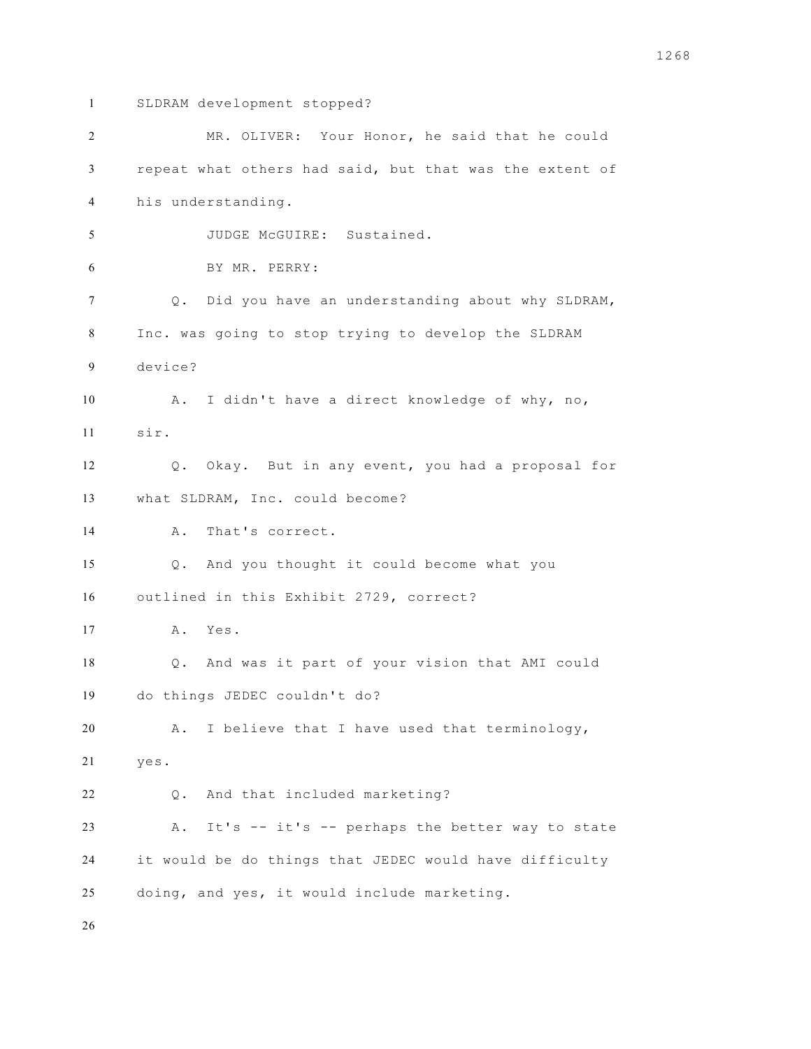- 
- SLDRAM development stopped?

| 2              | MR. OLIVER: Your Honor, he said that he could           |
|----------------|---------------------------------------------------------|
| 3              | repeat what others had said, but that was the extent of |
| $\overline{4}$ | his understanding.                                      |
| 5              | JUDGE McGUIRE: Sustained.                               |
| 6              | BY MR. PERRY:                                           |
| 7              | Q. Did you have an understanding about why SLDRAM,      |
| 8              | Inc. was going to stop trying to develop the SLDRAM     |
| 9              | device?                                                 |
| 10             | A. I didn't have a direct knowledge of why, no,         |
| 11             | sir.                                                    |
| 12             | Q. Okay. But in any event, you had a proposal for       |
| 13             | what SLDRAM, Inc. could become?                         |
| 14             | That's correct.<br>Α.                                   |
| 15             | Q. And you thought it could become what you             |
| 16             | outlined in this Exhibit 2729, correct?                 |
| 17             | A. Yes.                                                 |
| 18             | Q. And was it part of your vision that AMI could        |
| 19             | do things JEDEC couldn't do?                            |
| 20             | I believe that I have used that terminology,<br>Α.      |
| 21             | yes.                                                    |
| 22             | And that included marketing?<br>Q.                      |
| 23             | It's -- it's -- perhaps the better way to state<br>Α.   |
| 24             | it would be do things that JEDEC would have difficulty  |
| 25             | doing, and yes, it would include marketing.             |
|                |                                                         |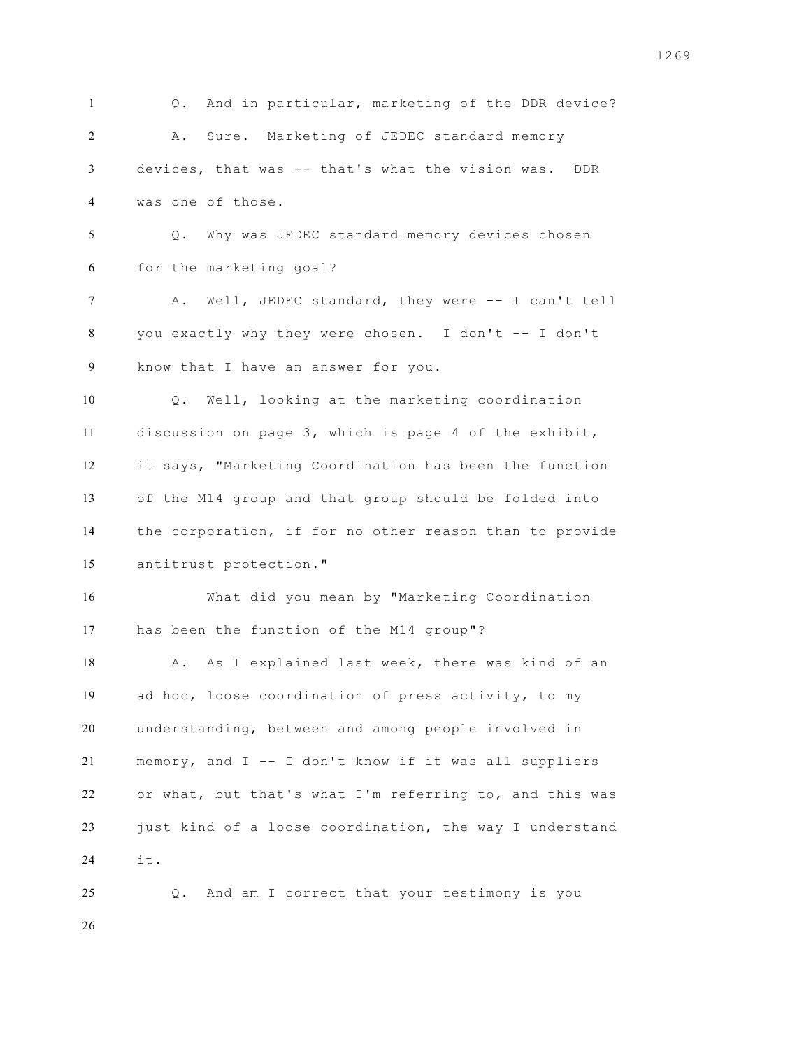Q. And in particular, marketing of the DDR device? A. Sure. Marketing of JEDEC standard memory devices, that was -- that's what the vision was. DDR was one of those. Q. Why was JEDEC standard memory devices chosen for the marketing goal? A. Well, JEDEC standard, they were -- I can't tell you exactly why they were chosen. I don't -- I don't know that I have an answer for you. Q. Well, looking at the marketing coordination discussion on page 3, which is page 4 of the exhibit, it says, "Marketing Coordination has been the function of the M14 group and that group should be folded into the corporation, if for no other reason than to provide antitrust protection." What did you mean by "Marketing Coordination has been the function of the M14 group"? 18 A. As I explained last week, there was kind of an ad hoc, loose coordination of press activity, to my understanding, between and among people involved in memory, and I -- I don't know if it was all suppliers or what, but that's what I'm referring to, and this was just kind of a loose coordination, the way I understand it. Q. And am I correct that your testimony is you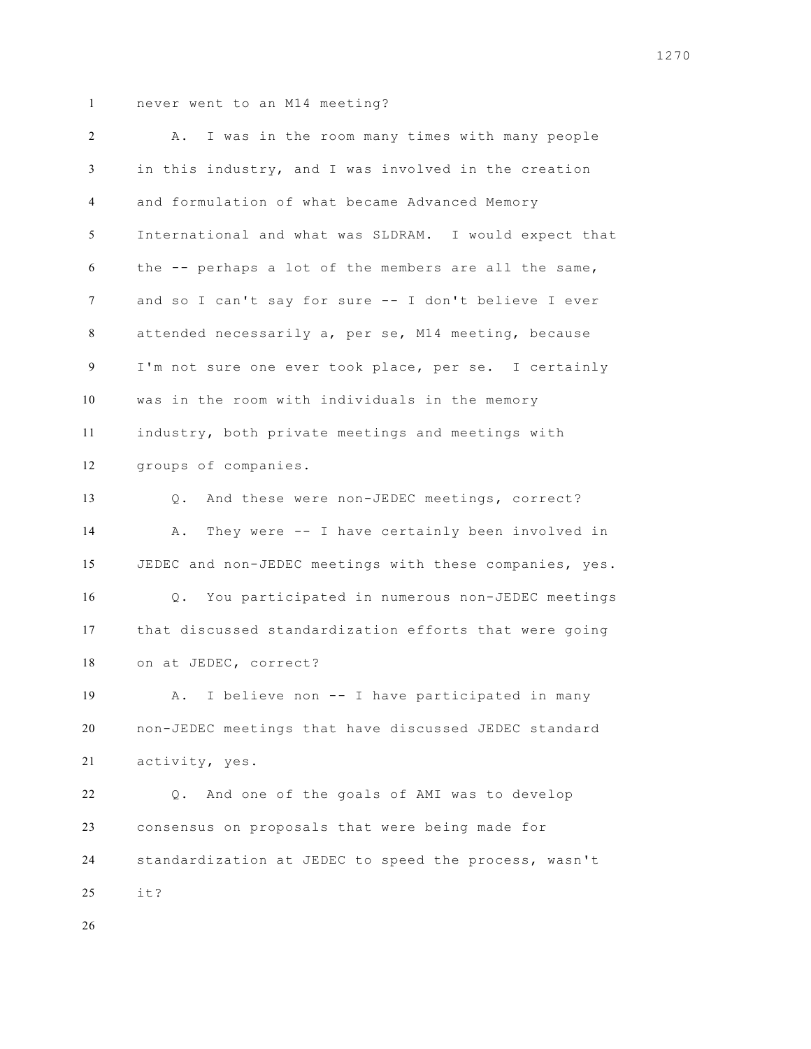| 2  | I was in the room many times with many people<br>Α.              |
|----|------------------------------------------------------------------|
| 3  | in this industry, and I was involved in the creation             |
| 4  | and formulation of what became Advanced Memory                   |
| 5  | International and what was SLDRAM. I would expect that           |
| 6  | the -- perhaps a lot of the members are all the same,            |
| 7  | and so I can't say for sure -- I don't believe I ever            |
| 8  | attended necessarily a, per se, M14 meeting, because             |
| 9  | I'm not sure one ever took place, per se. I certainly            |
| 10 | was in the room with individuals in the memory                   |
| 11 | industry, both private meetings and meetings with                |
| 12 | groups of companies.                                             |
| 13 | Q. And these were non-JEDEC meetings, correct?                   |
| 14 | They were -- I have certainly been involved in<br>Α.             |
| 15 | JEDEC and non-JEDEC meetings with these companies, yes.          |
| 16 | You participated in numerous non-JEDEC meetings<br>$Q_{\bullet}$ |
| 17 | that discussed standardization efforts that were going           |
| 18 | on at JEDEC, correct?                                            |
| 19 | I believe non -- I have participated in many<br>Α.               |
| 20 | non-JEDEC meetings that have discussed JEDEC standard            |
| 21 | activity, yes.                                                   |
| 22 | And one of the goals of AMI was to develop<br>$\circ$ .          |
| 23 | consensus on proposals that were being made for                  |
| 24 | standardization at JEDEC to speed the process, wasn't            |
| 25 | it?                                                              |
| 26 |                                                                  |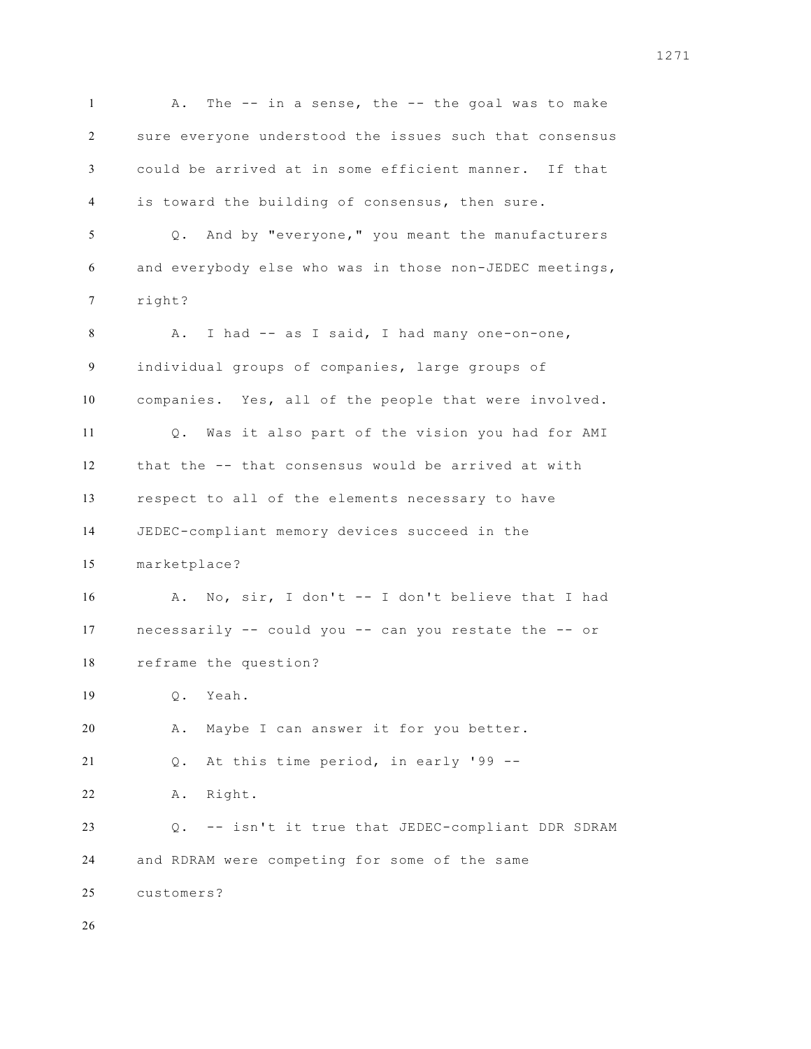1 A. The -- in a sense, the -- the goal was to make sure everyone understood the issues such that consensus could be arrived at in some efficient manner. If that is toward the building of consensus, then sure. Q. And by "everyone," you meant the manufacturers and everybody else who was in those non-JEDEC meetings, right? 8 A. I had -- as I said, I had many one-on-one, individual groups of companies, large groups of companies. Yes, all of the people that were involved. Q. Was it also part of the vision you had for AMI that the -- that consensus would be arrived at with respect to all of the elements necessary to have JEDEC-compliant memory devices succeed in the marketplace? A. No, sir, I don't -- I don't believe that I had necessarily -- could you -- can you restate the -- or reframe the question? Q. Yeah. A. Maybe I can answer it for you better. Q. At this time period, in early '99 -- A. Right. Q. -- isn't it true that JEDEC-compliant DDR SDRAM and RDRAM were competing for some of the same customers?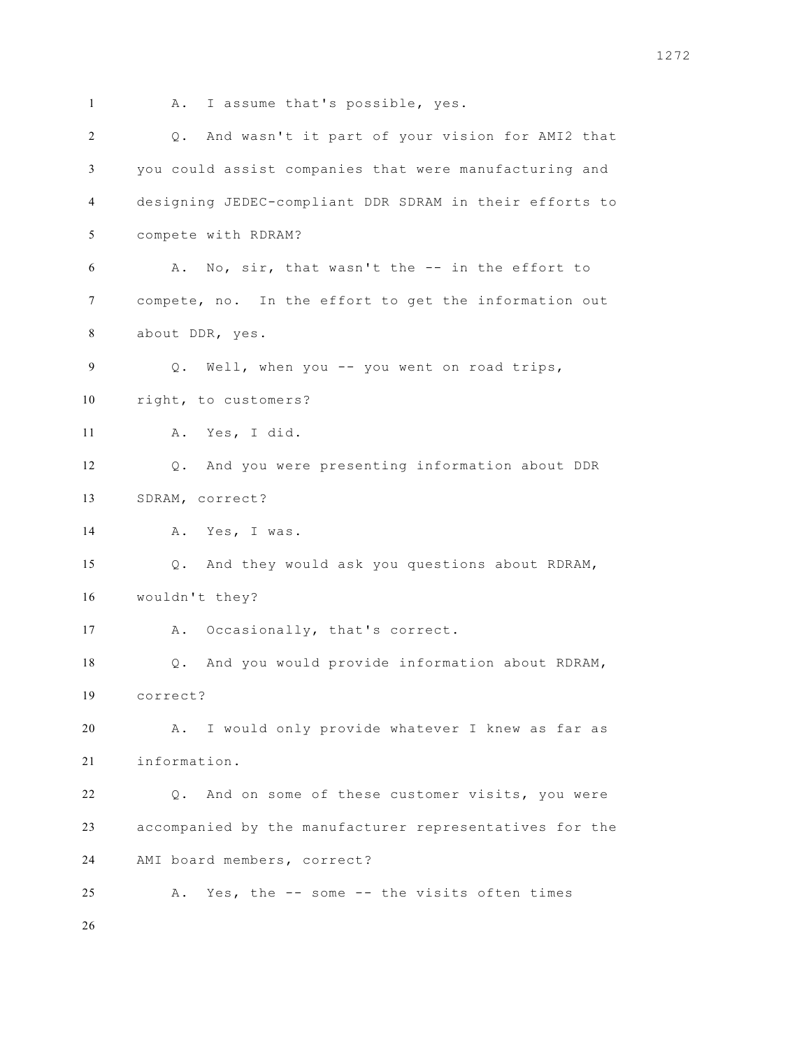1 A. I assume that's possible, yes. Q. And wasn't it part of your vision for AMI2 that you could assist companies that were manufacturing and designing JEDEC-compliant DDR SDRAM in their efforts to compete with RDRAM? A. No, sir, that wasn't the -- in the effort to compete, no. In the effort to get the information out about DDR, yes. Q. Well, when you -- you went on road trips, right, to customers? A. Yes, I did. Q. And you were presenting information about DDR SDRAM, correct? 14 A. Yes, I was. Q. And they would ask you questions about RDRAM, wouldn't they? A. Occasionally, that's correct. Q. And you would provide information about RDRAM, correct? A. I would only provide whatever I knew as far as information. Q. And on some of these customer visits, you were accompanied by the manufacturer representatives for the AMI board members, correct? A. Yes, the -- some -- the visits often times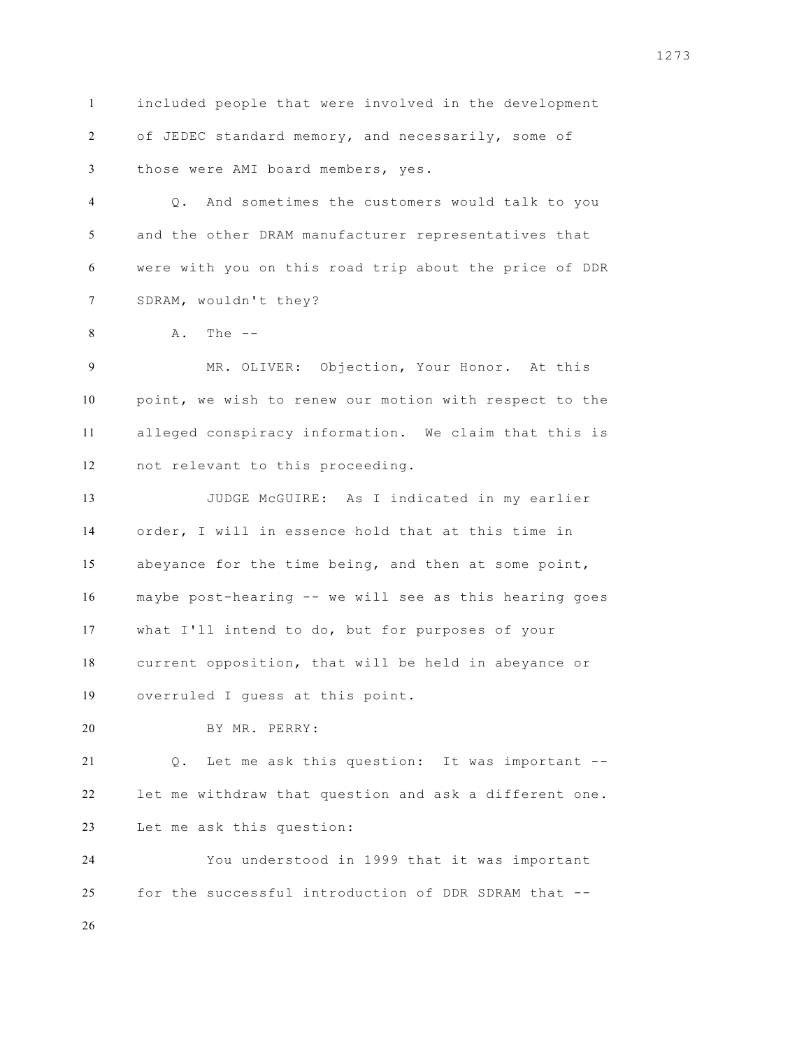included people that were involved in the development of JEDEC standard memory, and necessarily, some of those were AMI board members, yes.

 Q. And sometimes the customers would talk to you and the other DRAM manufacturer representatives that were with you on this road trip about the price of DDR SDRAM, wouldn't they?

A. The --

 MR. OLIVER: Objection, Your Honor. At this point, we wish to renew our motion with respect to the alleged conspiracy information. We claim that this is not relevant to this proceeding.

 JUDGE McGUIRE: As I indicated in my earlier order, I will in essence hold that at this time in abeyance for the time being, and then at some point, maybe post-hearing -- we will see as this hearing goes what I'll intend to do, but for purposes of your current opposition, that will be held in abeyance or overruled I guess at this point.

BY MR. PERRY:

 Q. Let me ask this question: It was important -- let me withdraw that question and ask a different one. Let me ask this question:

 You understood in 1999 that it was important for the successful introduction of DDR SDRAM that --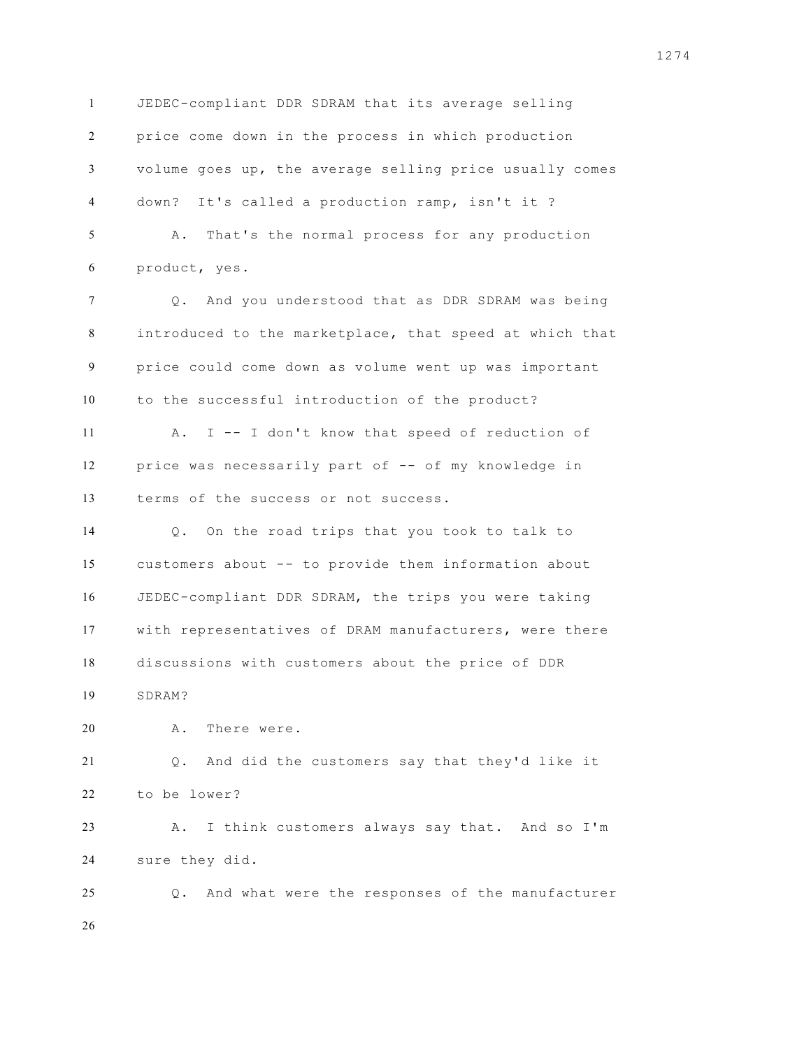JEDEC-compliant DDR SDRAM that its average selling price come down in the process in which production volume goes up, the average selling price usually comes down? It's called a production ramp, isn't it ? A. That's the normal process for any production product, yes. Q. And you understood that as DDR SDRAM was being introduced to the marketplace, that speed at which that price could come down as volume went up was important to the successful introduction of the product? A. I -- I don't know that speed of reduction of price was necessarily part of -- of my knowledge in terms of the success or not success. Q. On the road trips that you took to talk to customers about -- to provide them information about JEDEC-compliant DDR SDRAM, the trips you were taking with representatives of DRAM manufacturers, were there discussions with customers about the price of DDR SDRAM? A. There were. Q. And did the customers say that they'd like it to be lower? A. I think customers always say that. And so I'm sure they did. Q. And what were the responses of the manufacturer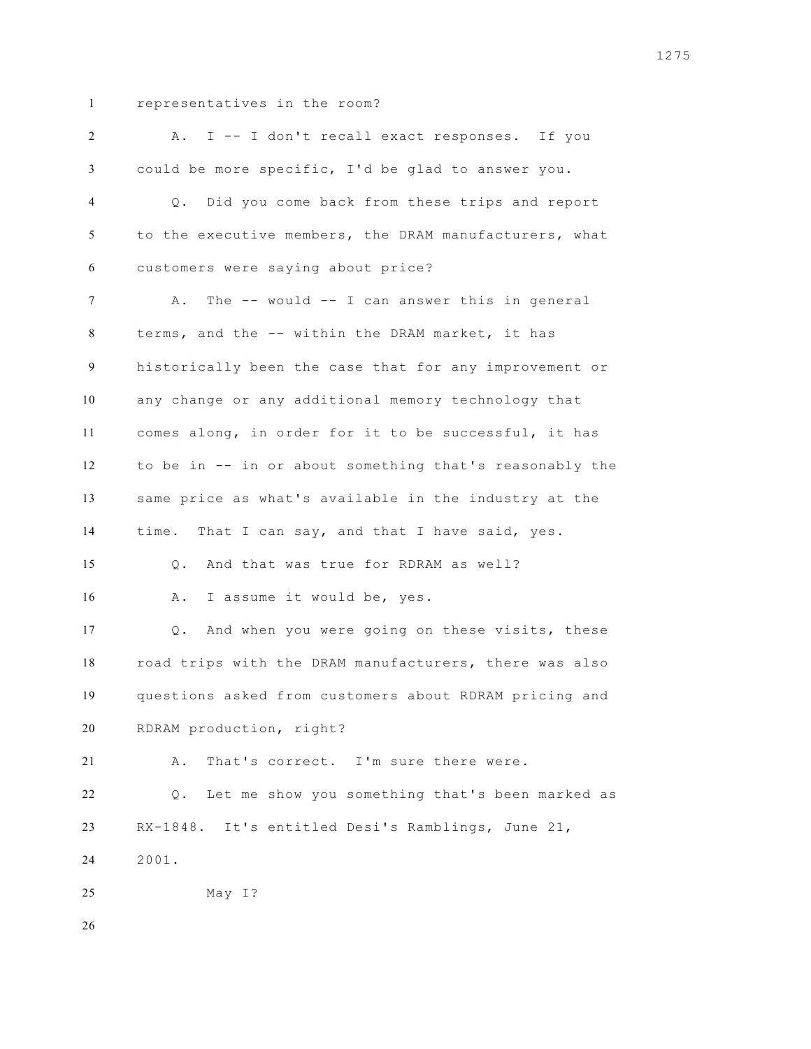## representatives in the room?

| 2              | I -- I don't recall exact responses. If you<br>Α.          |
|----------------|------------------------------------------------------------|
| 3              | could be more specific, I'd be glad to answer you.         |
| $\overline{4}$ | Did you come back from these trips and report<br>$\circ$ . |
| 5              | to the executive members, the DRAM manufacturers, what     |
| 6              | customers were saying about price?                         |
| $\tau$         | The $--$ would $--$ I can answer this in general<br>Α.     |
| 8              | terms, and the -- within the DRAM market, it has           |
| 9              | historically been the case that for any improvement or     |
| 10             | any change or any additional memory technology that        |
| 11             | comes along, in order for it to be successful, it has      |
| 12             | to be in -- in or about something that's reasonably the    |
| 13             | same price as what's available in the industry at the      |
| 14             | time. That I can say, and that I have said, yes.           |
| 15             | And that was true for RDRAM as well?<br>Q.                 |
| 16             | I assume it would be, yes.<br>Α.                           |
| 17             | And when you were going on these visits, these<br>Q.       |
| 18             | road trips with the DRAM manufacturers, there was also     |
| 19             | questions asked from customers about RDRAM pricing and     |
| 20             | RDRAM production, right?                                   |
| 21             | That's correct. I'm sure there were.<br>Α.                 |
| 22             | Let me show you something that's been marked as<br>Q.      |
| 23             | RX-1848. It's entitled Desi's Ramblings, June 21,          |
| 24             | 2001.                                                      |
| 25             | May I?                                                     |
| 26             |                                                            |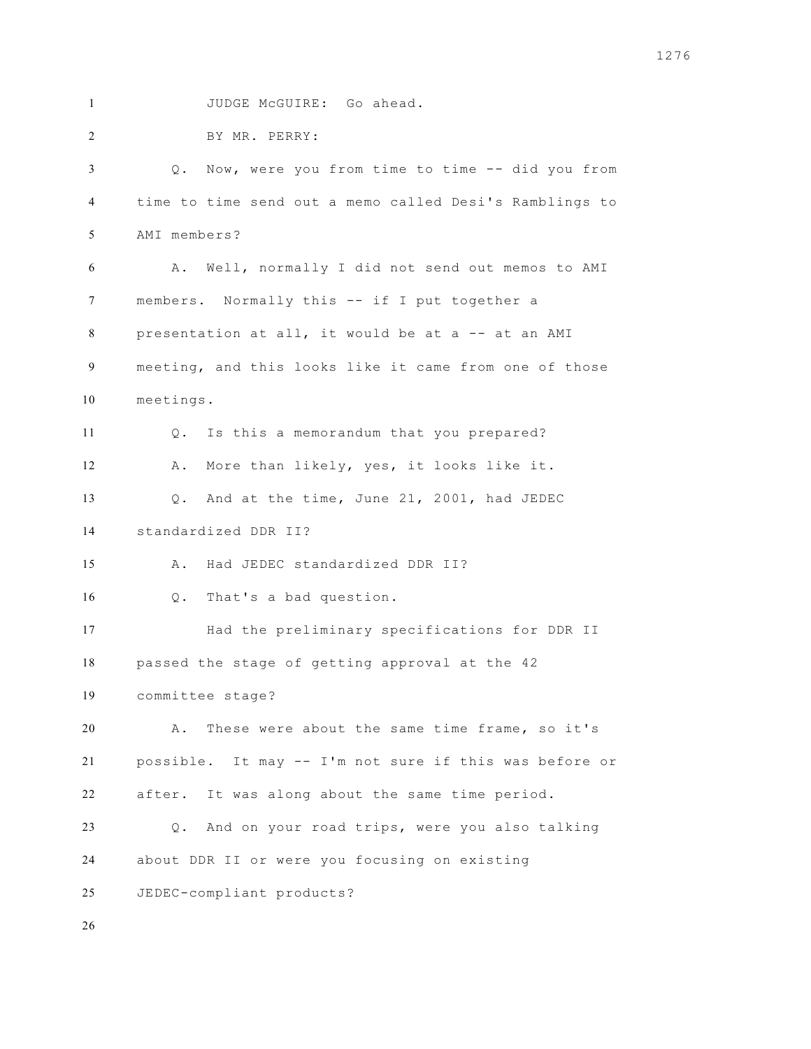JUDGE McGUIRE: Go ahead.

 BY MR. PERRY: Q. Now, were you from time to time -- did you from time to time send out a memo called Desi's Ramblings to AMI members? A. Well, normally I did not send out memos to AMI members. Normally this -- if I put together a presentation at all, it would be at a -- at an AMI meeting, and this looks like it came from one of those meetings. Q. Is this a memorandum that you prepared? A. More than likely, yes, it looks like it. Q. And at the time, June 21, 2001, had JEDEC standardized DDR II? A. Had JEDEC standardized DDR II? Q. That's a bad question. Had the preliminary specifications for DDR II passed the stage of getting approval at the 42 committee stage? A. These were about the same time frame, so it's possible. It may -- I'm not sure if this was before or after. It was along about the same time period. Q. And on your road trips, were you also talking about DDR II or were you focusing on existing JEDEC-compliant products?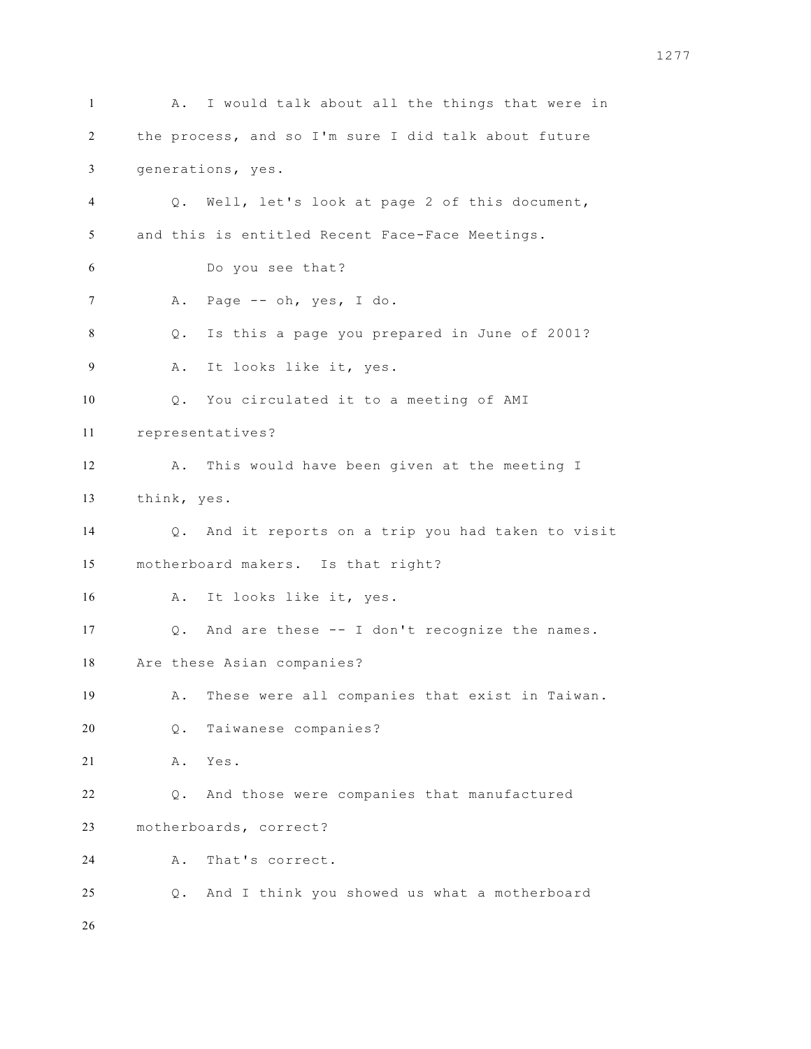1 A. I would talk about all the things that were in the process, and so I'm sure I did talk about future generations, yes. Q. Well, let's look at page 2 of this document, and this is entitled Recent Face-Face Meetings. Do you see that? A. Page -- oh, yes, I do. Q. Is this a page you prepared in June of 2001? A. It looks like it, yes. Q. You circulated it to a meeting of AMI representatives? A. This would have been given at the meeting I think, yes. Q. And it reports on a trip you had taken to visit motherboard makers. Is that right? A. It looks like it, yes. Q. And are these -- I don't recognize the names. Are these Asian companies? A. These were all companies that exist in Taiwan. Q. Taiwanese companies? A. Yes. Q. And those were companies that manufactured motherboards, correct? A. That's correct. Q. And I think you showed us what a motherboard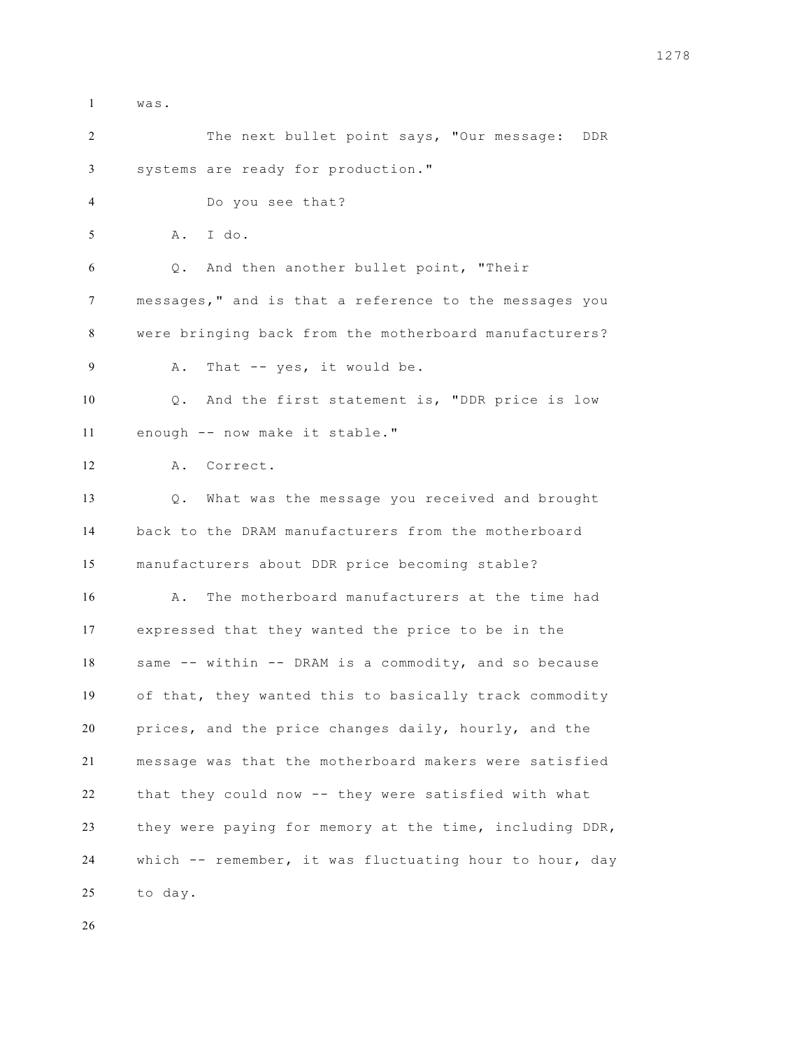| $\mathbf{I}$ | was.                                                    |
|--------------|---------------------------------------------------------|
| 2            | The next bullet point says, "Our message:<br>DDR        |
| 3            | systems are ready for production."                      |
| 4            | Do you see that?                                        |
| 5            | I do.<br>Α.                                             |
| 6            | Q. And then another bullet point, "Their                |
| 7            | messages," and is that a reference to the messages you  |
| 8            | were bringing back from the motherboard manufacturers?  |
| 9            | That -- yes, it would be.<br>Α.                         |
| 10           | And the first statement is, "DDR price is low<br>$Q$ .  |
| 11           | enough -- now make it stable."                          |
| 12           | A. Correct.                                             |
| 13           | Q. What was the message you received and brought        |
| 14           | back to the DRAM manufacturers from the motherboard     |
| 15           | manufacturers about DDR price becoming stable?          |
| 16           | The motherboard manufacturers at the time had<br>Α.     |
| 17           | expressed that they wanted the price to be in the       |
| 18           | same -- within -- DRAM is a commodity, and so because   |
| 19           | of that, they wanted this to basically track commodity  |
| 20           | prices, and the price changes daily, hourly, and the    |
| 21           | message was that the motherboard makers were satisfied  |
| 22           | that they could now -- they were satisfied with what    |
| 23           | they were paying for memory at the time, including DDR, |
| 24           | which -- remember, it was fluctuating hour to hour, day |
| 25           | to day.                                                 |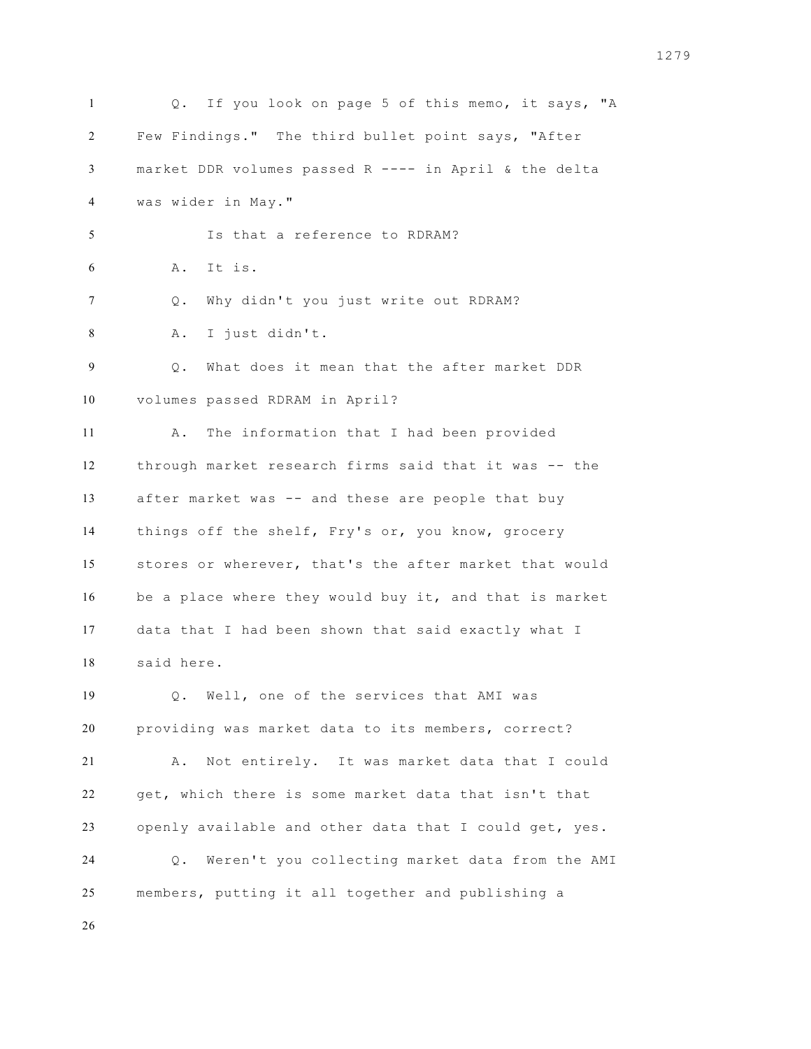Q. If you look on page 5 of this memo, it says, "A Few Findings." The third bullet point says, "After market DDR volumes passed R ---- in April & the delta was wider in May." Is that a reference to RDRAM? A. It is. Q. Why didn't you just write out RDRAM? A. I just didn't. Q. What does it mean that the after market DDR volumes passed RDRAM in April? A. The information that I had been provided through market research firms said that it was -- the after market was -- and these are people that buy things off the shelf, Fry's or, you know, grocery stores or wherever, that's the after market that would be a place where they would buy it, and that is market data that I had been shown that said exactly what I said here. Q. Well, one of the services that AMI was providing was market data to its members, correct? A. Not entirely. It was market data that I could get, which there is some market data that isn't that openly available and other data that I could get, yes. Q. Weren't you collecting market data from the AMI members, putting it all together and publishing a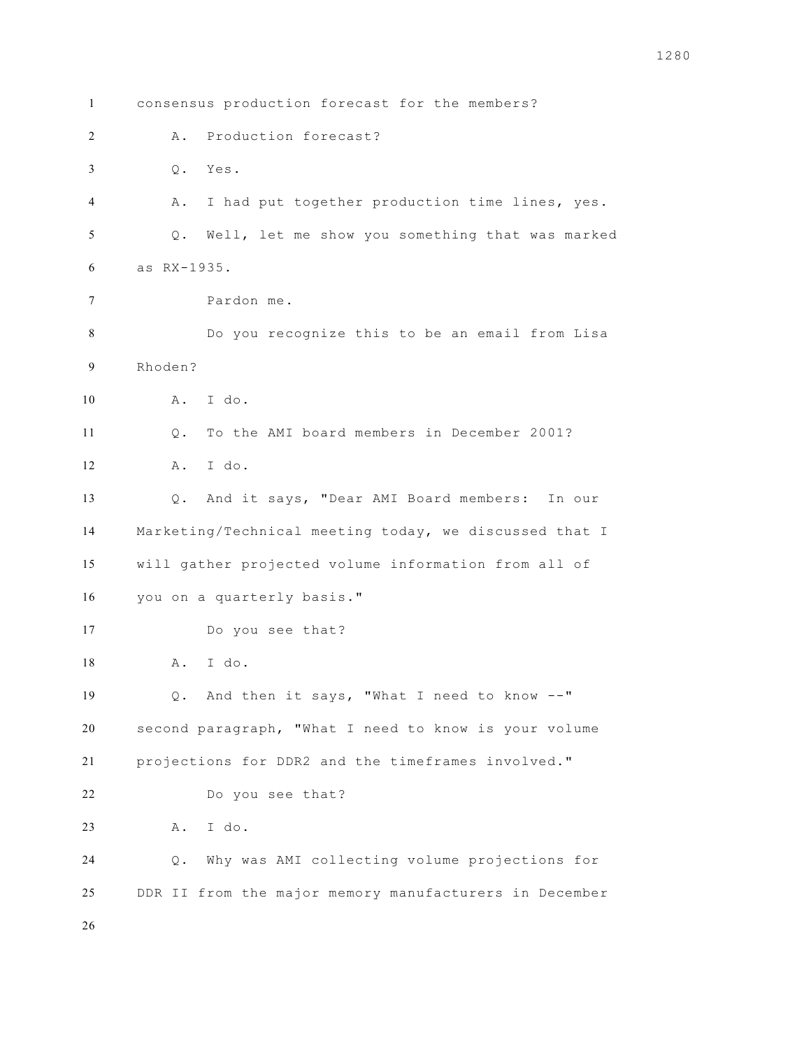consensus production forecast for the members? A. Production forecast? Q. Yes. A. I had put together production time lines, yes. Q. Well, let me show you something that was marked as RX-1935. Pardon me. Do you recognize this to be an email from Lisa Rhoden? A. I do. Q. To the AMI board members in December 2001? A. I do. Q. And it says, "Dear AMI Board members: In our Marketing/Technical meeting today, we discussed that I will gather projected volume information from all of you on a quarterly basis." Do you see that? A. I do. Q. And then it says, "What I need to know --" second paragraph, "What I need to know is your volume projections for DDR2 and the timeframes involved." Do you see that? A. I do. Q. Why was AMI collecting volume projections for DDR II from the major memory manufacturers in December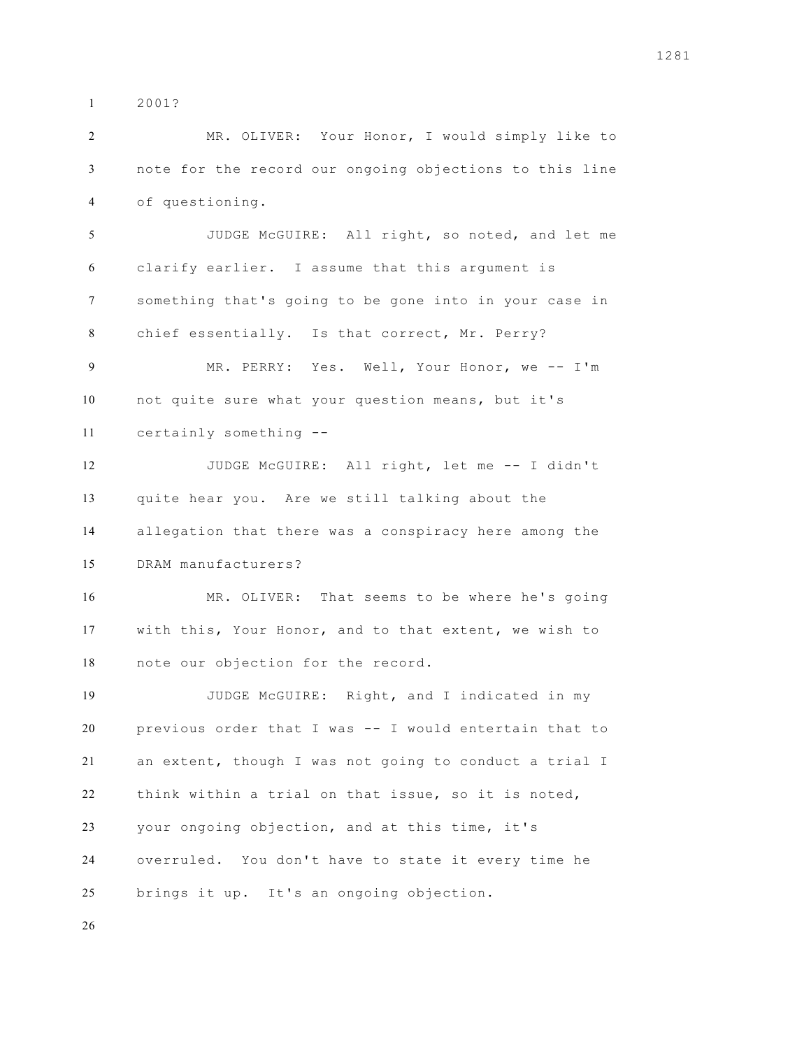2001?

 MR. OLIVER: Your Honor, I would simply like to note for the record our ongoing objections to this line of questioning. JUDGE McGUIRE: All right, so noted, and let me clarify earlier. I assume that this argument is something that's going to be gone into in your case in chief essentially. Is that correct, Mr. Perry? MR. PERRY: Yes. Well, Your Honor, we -- I'm not quite sure what your question means, but it's certainly something -- JUDGE McGUIRE: All right, let me -- I didn't quite hear you. Are we still talking about the allegation that there was a conspiracy here among the DRAM manufacturers? MR. OLIVER: That seems to be where he's going with this, Your Honor, and to that extent, we wish to note our objection for the record. JUDGE McGUIRE: Right, and I indicated in my previous order that I was -- I would entertain that to an extent, though I was not going to conduct a trial I think within a trial on that issue, so it is noted, your ongoing objection, and at this time, it's overruled. You don't have to state it every time he brings it up. It's an ongoing objection.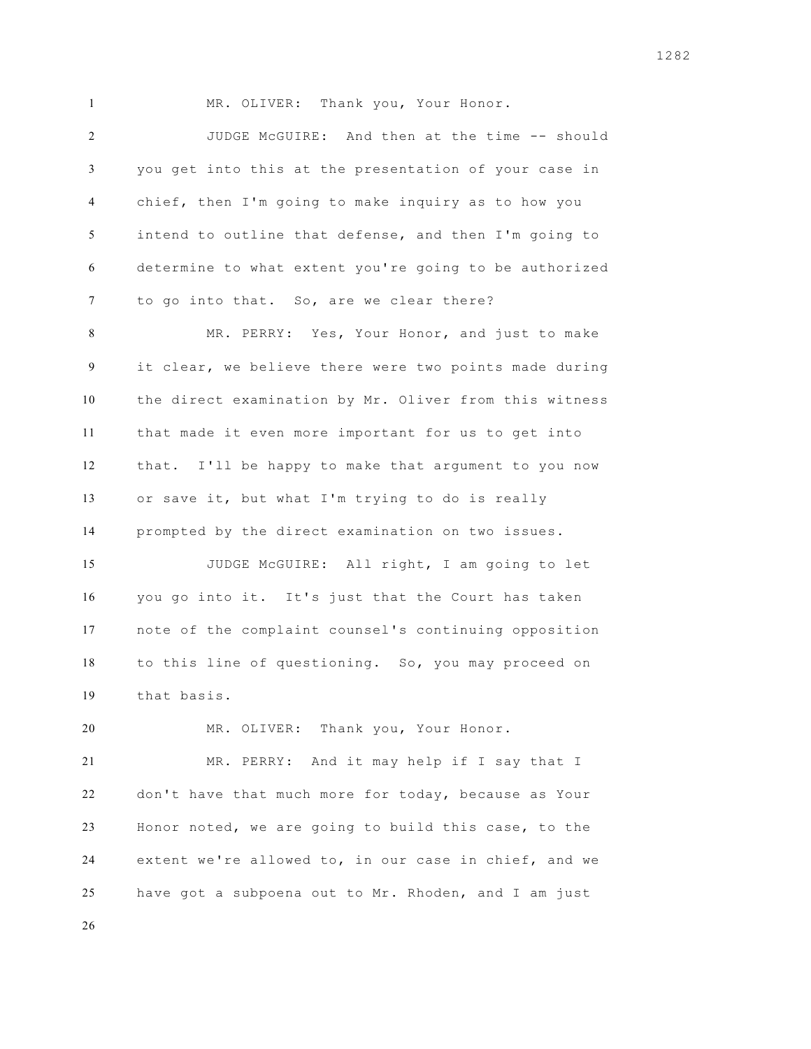1 MR. OLIVER: Thank you, Your Honor. JUDGE McGUIRE: And then at the time -- should you get into this at the presentation of your case in chief, then I'm going to make inquiry as to how you intend to outline that defense, and then I'm going to determine to what extent you're going to be authorized to go into that. So, are we clear there? MR. PERRY: Yes, Your Honor, and just to make it clear, we believe there were two points made during the direct examination by Mr. Oliver from this witness that made it even more important for us to get into that. I'll be happy to make that argument to you now or save it, but what I'm trying to do is really prompted by the direct examination on two issues. JUDGE McGUIRE: All right, I am going to let you go into it. It's just that the Court has taken note of the complaint counsel's continuing opposition to this line of questioning. So, you may proceed on that basis. MR. OLIVER: Thank you, Your Honor. MR. PERRY: And it may help if I say that I don't have that much more for today, because as Your Honor noted, we are going to build this case, to the extent we're allowed to, in our case in chief, and we

have got a subpoena out to Mr. Rhoden, and I am just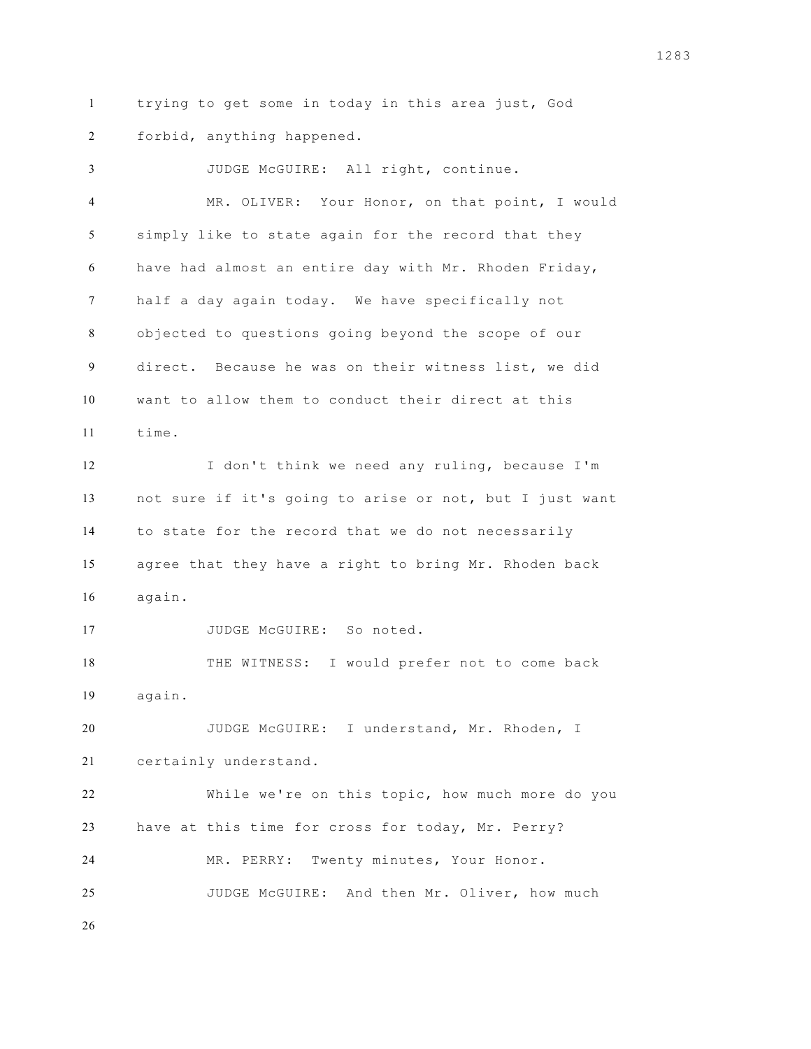trying to get some in today in this area just, God forbid, anything happened.

 JUDGE McGUIRE: All right, continue. MR. OLIVER: Your Honor, on that point, I would simply like to state again for the record that they have had almost an entire day with Mr. Rhoden Friday, half a day again today. We have specifically not objected to questions going beyond the scope of our direct. Because he was on their witness list, we did want to allow them to conduct their direct at this time. I don't think we need any ruling, because I'm not sure if it's going to arise or not, but I just want to state for the record that we do not necessarily agree that they have a right to bring Mr. Rhoden back again. JUDGE McGUIRE: So noted. THE WITNESS: I would prefer not to come back again. JUDGE McGUIRE: I understand, Mr. Rhoden, I certainly understand. While we're on this topic, how much more do you have at this time for cross for today, Mr. Perry? MR. PERRY: Twenty minutes, Your Honor. JUDGE McGUIRE: And then Mr. Oliver, how much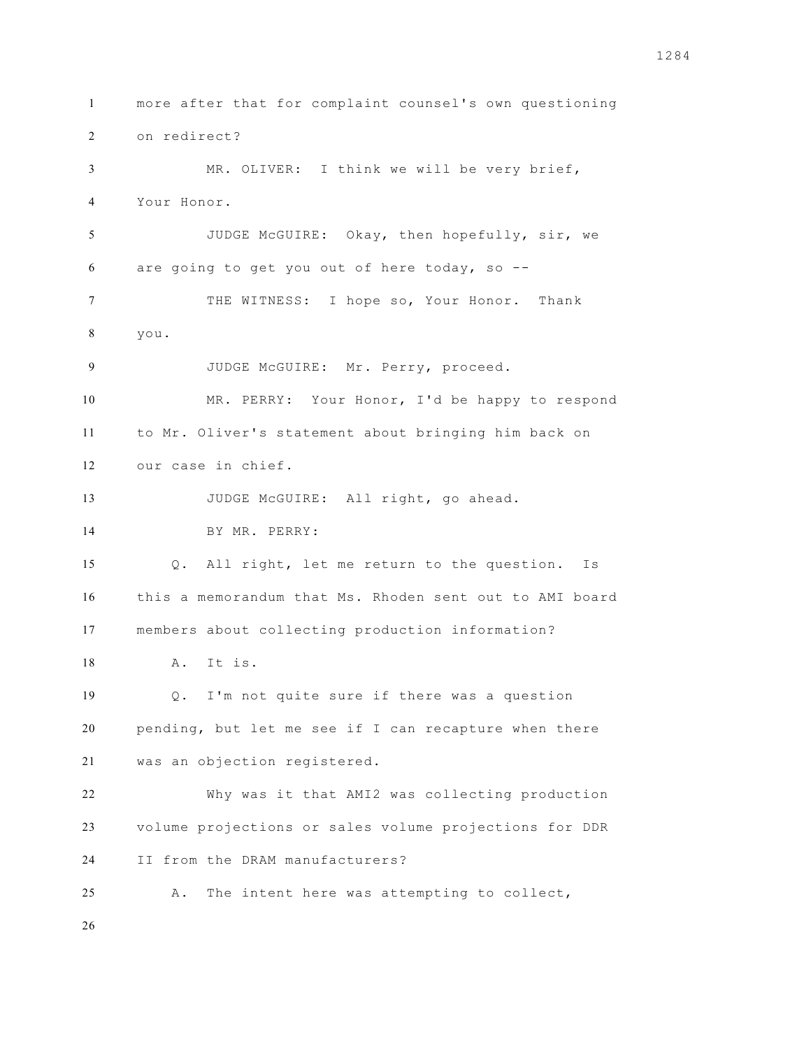more after that for complaint counsel's own questioning on redirect? MR. OLIVER: I think we will be very brief, Your Honor. JUDGE McGUIRE: Okay, then hopefully, sir, we are going to get you out of here today, so -- THE WITNESS: I hope so, Your Honor. Thank you. JUDGE McGUIRE: Mr. Perry, proceed. MR. PERRY: Your Honor, I'd be happy to respond to Mr. Oliver's statement about bringing him back on our case in chief. 13 JUDGE McGUIRE: All right, go ahead. BY MR. PERRY: Q. All right, let me return to the question. Is this a memorandum that Ms. Rhoden sent out to AMI board members about collecting production information? A. It is. Q. I'm not quite sure if there was a question pending, but let me see if I can recapture when there was an objection registered. Why was it that AMI2 was collecting production volume projections or sales volume projections for DDR II from the DRAM manufacturers? A. The intent here was attempting to collect,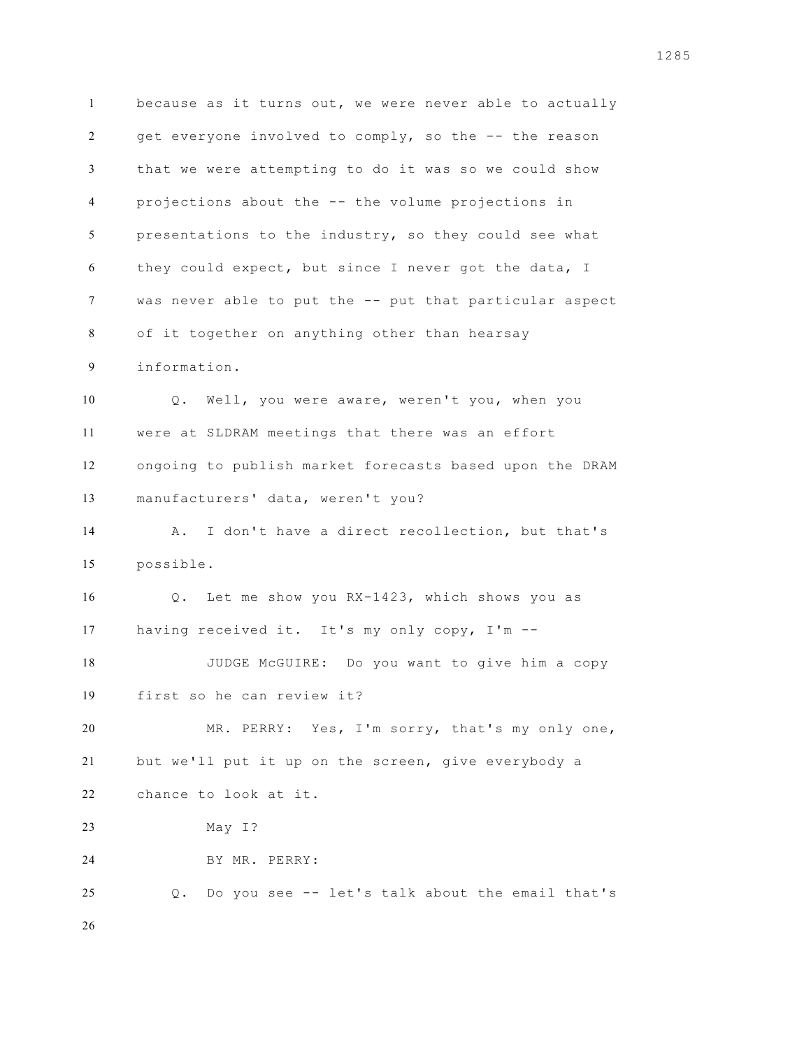because as it turns out, we were never able to actually get everyone involved to comply, so the -- the reason that we were attempting to do it was so we could show projections about the -- the volume projections in presentations to the industry, so they could see what they could expect, but since I never got the data, I was never able to put the -- put that particular aspect of it together on anything other than hearsay information. Q. Well, you were aware, weren't you, when you were at SLDRAM meetings that there was an effort ongoing to publish market forecasts based upon the DRAM manufacturers' data, weren't you? A. I don't have a direct recollection, but that's possible. Q. Let me show you RX-1423, which shows you as having received it. It's my only copy, I'm -- JUDGE McGUIRE: Do you want to give him a copy first so he can review it? MR. PERRY: Yes, I'm sorry, that's my only one, but we'll put it up on the screen, give everybody a chance to look at it. May I? BY MR. PERRY: Q. Do you see -- let's talk about the email that's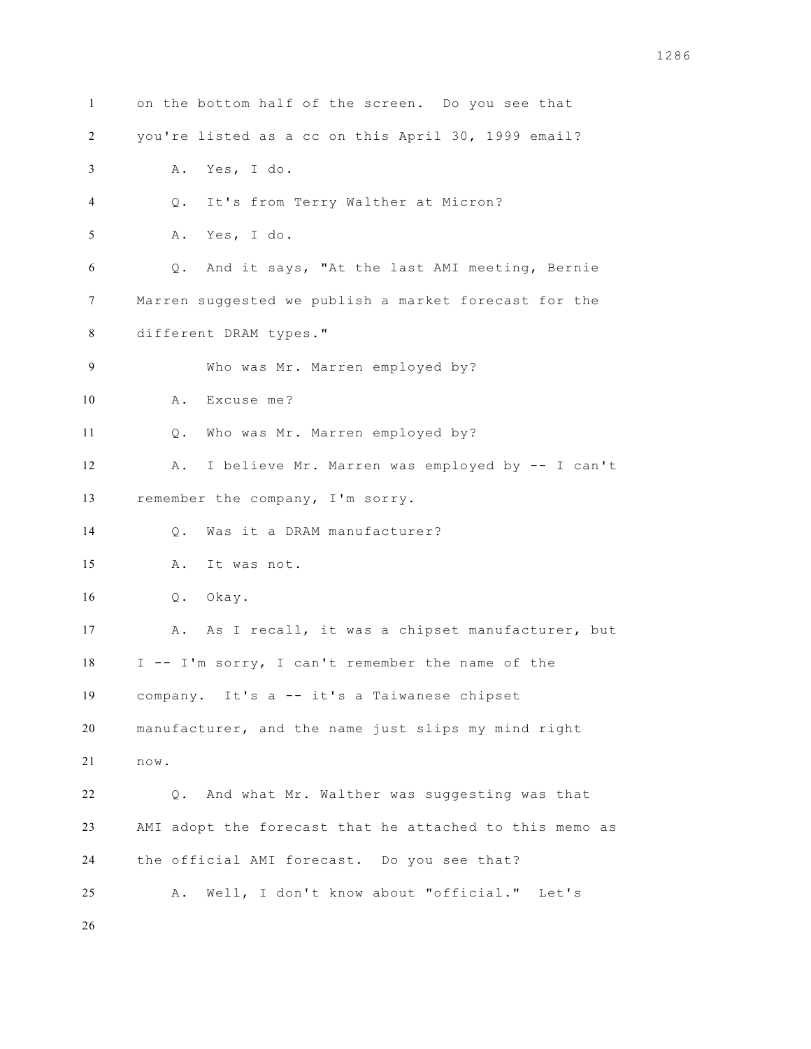| $\mathbf{1}$ | on the bottom half of the screen. Do you see that       |
|--------------|---------------------------------------------------------|
| 2            | you're listed as a cc on this April 30, 1999 email?     |
| 3            | Yes, I do.<br>Α.                                        |
| 4            | It's from Terry Walther at Micron?<br>Q.                |
| 5            | Yes, I do.<br>Α.                                        |
| 6            | Q. And it says, "At the last AMI meeting, Bernie        |
| 7            | Marren suggested we publish a market forecast for the   |
| 8            | different DRAM types."                                  |
| 9            | Who was Mr. Marren employed by?                         |
| 10           | Excuse me?<br>Α.                                        |
| 11           | Who was Mr. Marren employed by?<br>Q.                   |
| 12           | I believe Mr. Marren was employed by -- I can't<br>A .  |
| 13           | remember the company, I'm sorry.                        |
| 14           | Was it a DRAM manufacturer?<br>$\circ$ .                |
| 15           | It was not.<br>Α.                                       |
| 16           | Q. Okay.                                                |
| 17           | As I recall, it was a chipset manufacturer, but<br>A.   |
| 18           | I -- I'm sorry, I can't remember the name of the        |
| 19           | company. It's a -- it's a Taiwanese chipset             |
| $20\,$       | manufacturer, and the name just slips my mind right     |
| 21           | now.                                                    |
| 22           | Q. And what Mr. Walther was suggesting was that         |
| 23           | AMI adopt the forecast that he attached to this memo as |
| 24           | the official AMI forecast. Do you see that?             |
| 25           | Well, I don't know about "official." Let's<br>Α.        |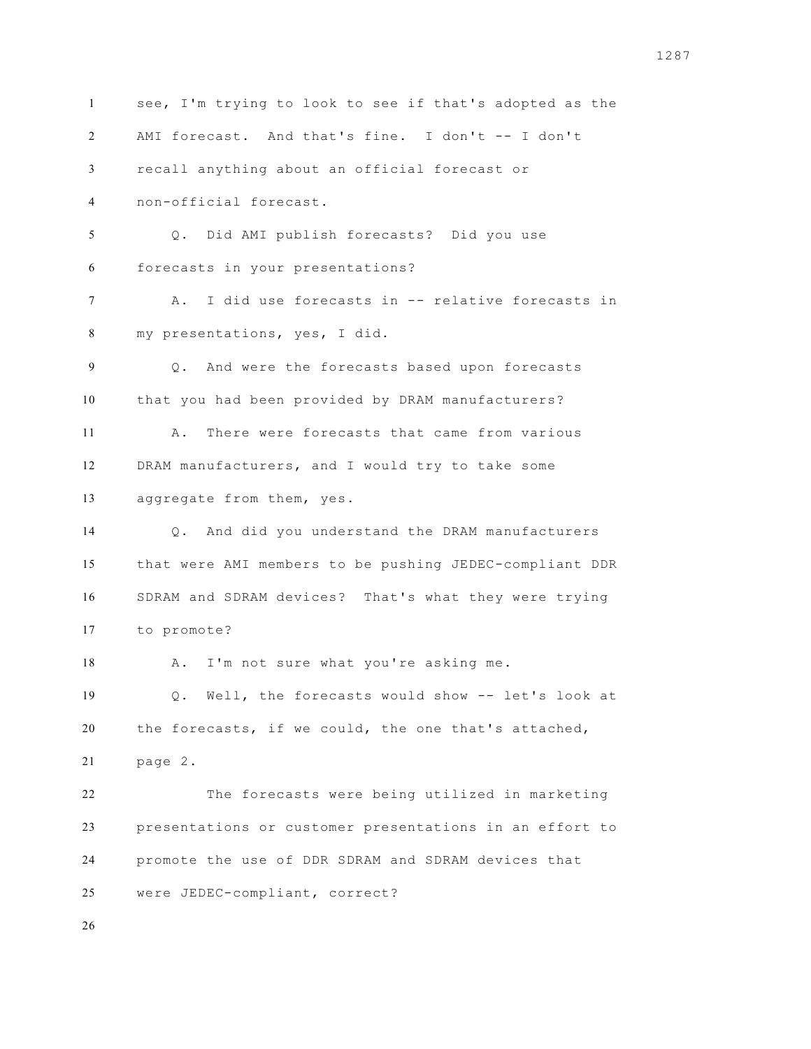see, I'm trying to look to see if that's adopted as the AMI forecast. And that's fine. I don't -- I don't recall anything about an official forecast or non-official forecast. Q. Did AMI publish forecasts? Did you use forecasts in your presentations? A. I did use forecasts in -- relative forecasts in my presentations, yes, I did. Q. And were the forecasts based upon forecasts that you had been provided by DRAM manufacturers? A. There were forecasts that came from various DRAM manufacturers, and I would try to take some aggregate from them, yes. Q. And did you understand the DRAM manufacturers that were AMI members to be pushing JEDEC-compliant DDR SDRAM and SDRAM devices? That's what they were trying to promote? 18 A. I'm not sure what you're asking me. Q. Well, the forecasts would show -- let's look at the forecasts, if we could, the one that's attached, page 2. The forecasts were being utilized in marketing presentations or customer presentations in an effort to promote the use of DDR SDRAM and SDRAM devices that were JEDEC-compliant, correct?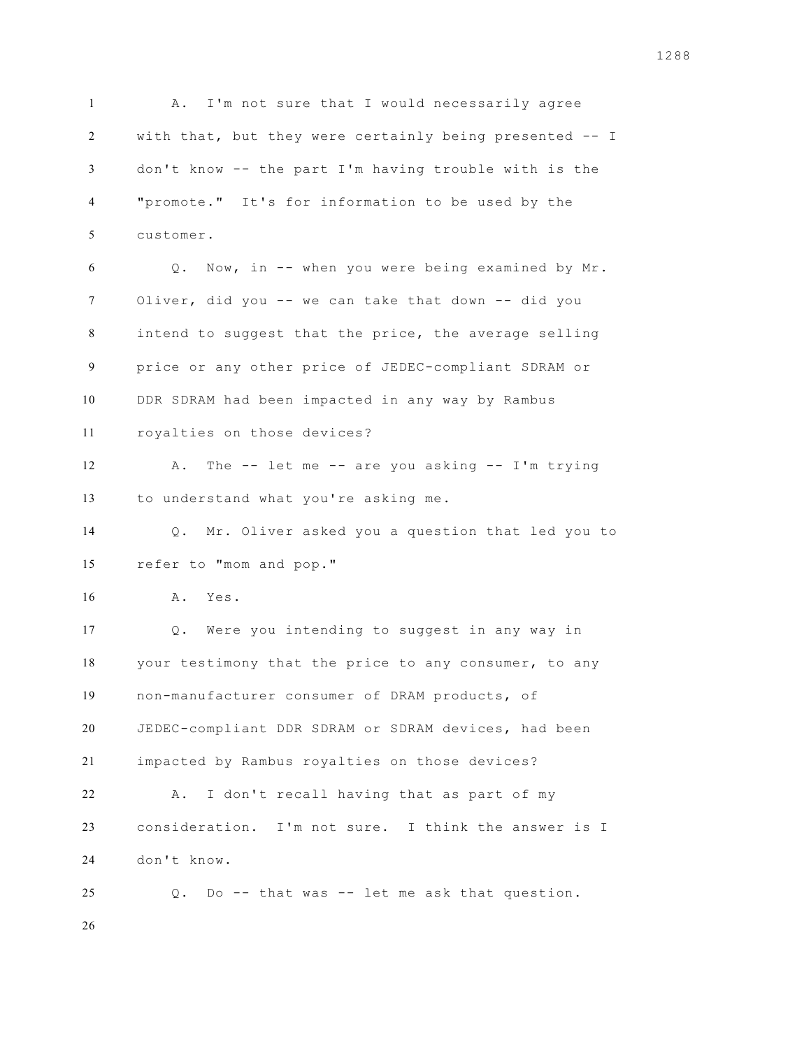1 A. I'm not sure that I would necessarily agree with that, but they were certainly being presented -- I don't know -- the part I'm having trouble with is the "promote." It's for information to be used by the customer. Q. Now, in -- when you were being examined by Mr. Oliver, did you -- we can take that down -- did you intend to suggest that the price, the average selling price or any other price of JEDEC-compliant SDRAM or DDR SDRAM had been impacted in any way by Rambus royalties on those devices? A. The -- let me -- are you asking -- I'm trying to understand what you're asking me. Q. Mr. Oliver asked you a question that led you to refer to "mom and pop." A. Yes. Q. Were you intending to suggest in any way in your testimony that the price to any consumer, to any non-manufacturer consumer of DRAM products, of JEDEC-compliant DDR SDRAM or SDRAM devices, had been impacted by Rambus royalties on those devices? A. I don't recall having that as part of my consideration. I'm not sure. I think the answer is I don't know. Q. Do -- that was -- let me ask that question.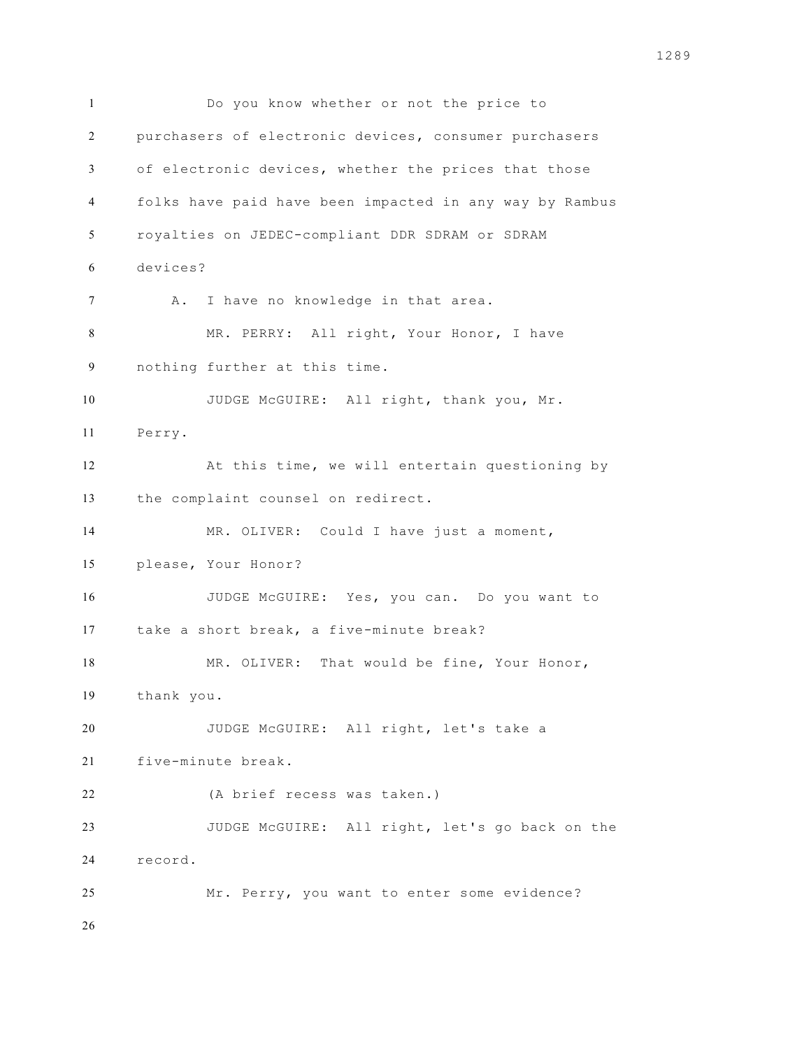Do you know whether or not the price to purchasers of electronic devices, consumer purchasers of electronic devices, whether the prices that those folks have paid have been impacted in any way by Rambus royalties on JEDEC-compliant DDR SDRAM or SDRAM devices? 7 A. I have no knowledge in that area. MR. PERRY: All right, Your Honor, I have nothing further at this time. 10 JUDGE McGUIRE: All right, thank you, Mr. Perry. At this time, we will entertain questioning by the complaint counsel on redirect. 14 MR. OLIVER: Could I have just a moment, please, Your Honor? JUDGE McGUIRE: Yes, you can. Do you want to take a short break, a five-minute break? MR. OLIVER: That would be fine, Your Honor, thank you. JUDGE McGUIRE: All right, let's take a five-minute break. (A brief recess was taken.) JUDGE McGUIRE: All right, let's go back on the record. Mr. Perry, you want to enter some evidence?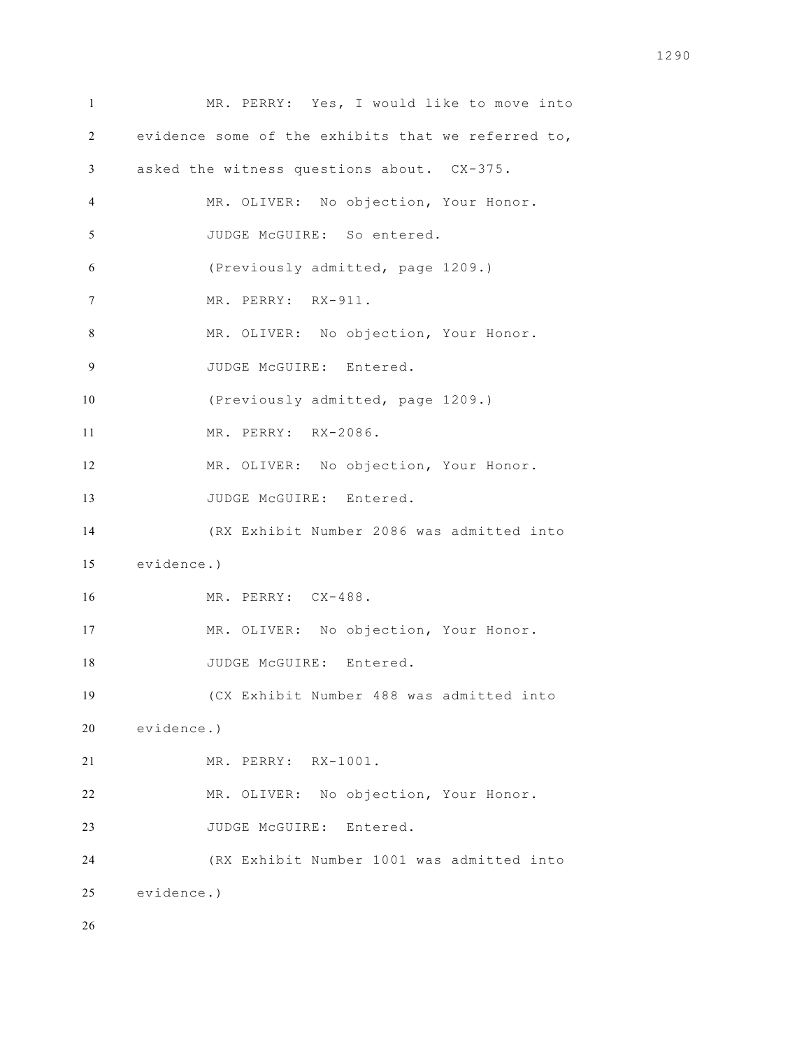MR. PERRY: Yes, I would like to move into evidence some of the exhibits that we referred to, asked the witness questions about. CX-375. MR. OLIVER: No objection, Your Honor. JUDGE McGUIRE: So entered. (Previously admitted, page 1209.) MR. PERRY: RX-911. MR. OLIVER: No objection, Your Honor. 9 JUDGE McGUIRE: Entered. (Previously admitted, page 1209.) MR. PERRY: RX-2086. MR. OLIVER: No objection, Your Honor. 13 JUDGE McGUIRE: Entered. (RX Exhibit Number 2086 was admitted into evidence.) MR. PERRY: CX-488. 17 MR. OLIVER: No objection, Your Honor. 18 JUDGE McGUIRE: Entered. (CX Exhibit Number 488 was admitted into evidence.) MR. PERRY: RX-1001. MR. OLIVER: No objection, Your Honor. 23 JUDGE McGUIRE: Entered. (RX Exhibit Number 1001 was admitted into evidence.)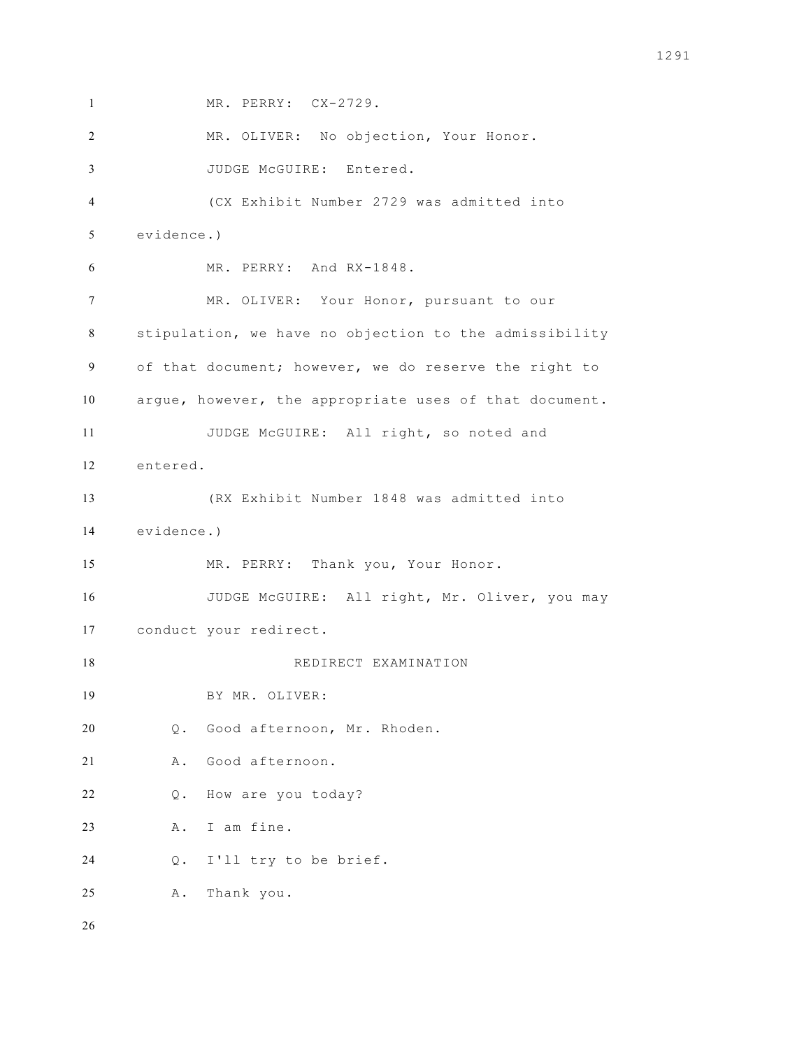MR. PERRY: CX-2729.

MR. OLIVER: No objection, Your Honor.

JUDGE McGUIRE: Entered.

 (CX Exhibit Number 2729 was admitted into evidence.)

MR. PERRY: And RX-1848.

 MR. OLIVER: Your Honor, pursuant to our stipulation, we have no objection to the admissibility of that document; however, we do reserve the right to argue, however, the appropriate uses of that document. JUDGE McGUIRE: All right, so noted and entered.

 (RX Exhibit Number 1848 was admitted into evidence.)

MR. PERRY: Thank you, Your Honor.

JUDGE McGUIRE: All right, Mr. Oliver, you may

conduct your redirect.

18 REDIRECT EXAMINATION

BY MR. OLIVER:

Q. Good afternoon, Mr. Rhoden.

A. Good afternoon.

Q. How are you today?

A. I am fine.

Q. I'll try to be brief.

A. Thank you.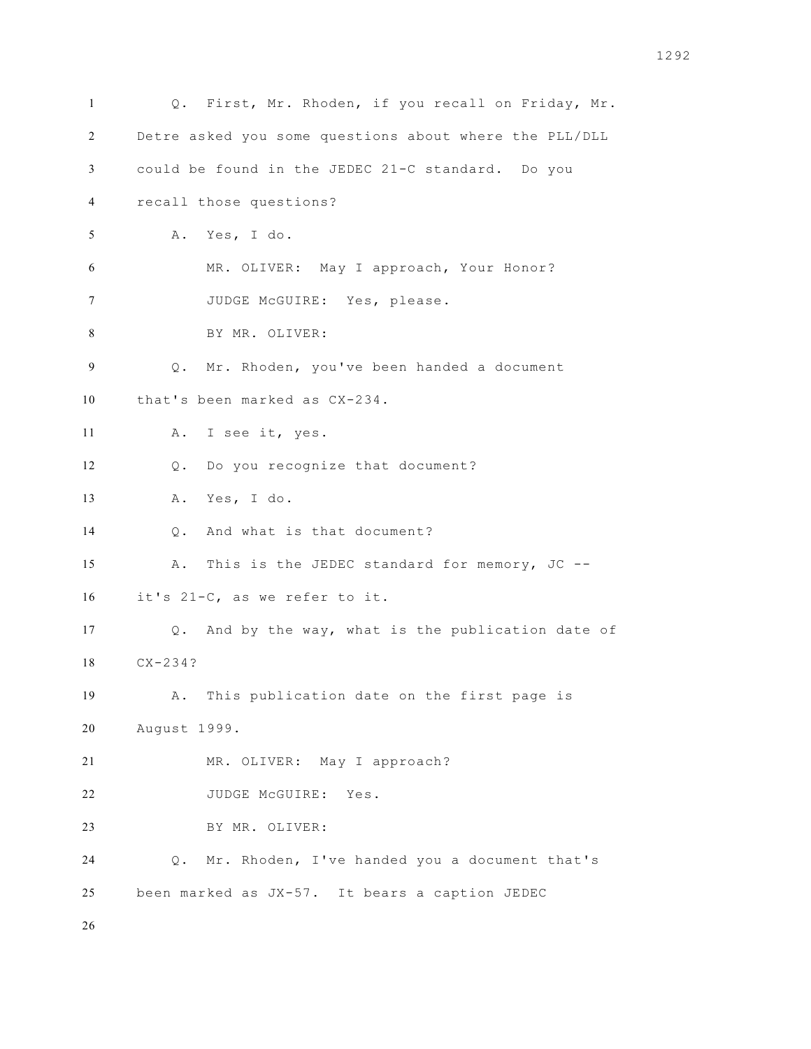Q. First, Mr. Rhoden, if you recall on Friday, Mr. Detre asked you some questions about where the PLL/DLL could be found in the JEDEC 21-C standard. Do you recall those questions? A. Yes, I do. MR. OLIVER: May I approach, Your Honor? JUDGE McGUIRE: Yes, please. BY MR. OLIVER: Q. Mr. Rhoden, you've been handed a document that's been marked as CX-234. A. I see it, yes. Q. Do you recognize that document? A. Yes, I do. Q. And what is that document? A. This is the JEDEC standard for memory, JC -- it's 21-C, as we refer to it. Q. And by the way, what is the publication date of CX-234? A. This publication date on the first page is August 1999. MR. OLIVER: May I approach? 22 JUDGE McGUIRE: Yes. BY MR. OLIVER: Q. Mr. Rhoden, I've handed you a document that's been marked as JX-57. It bears a caption JEDEC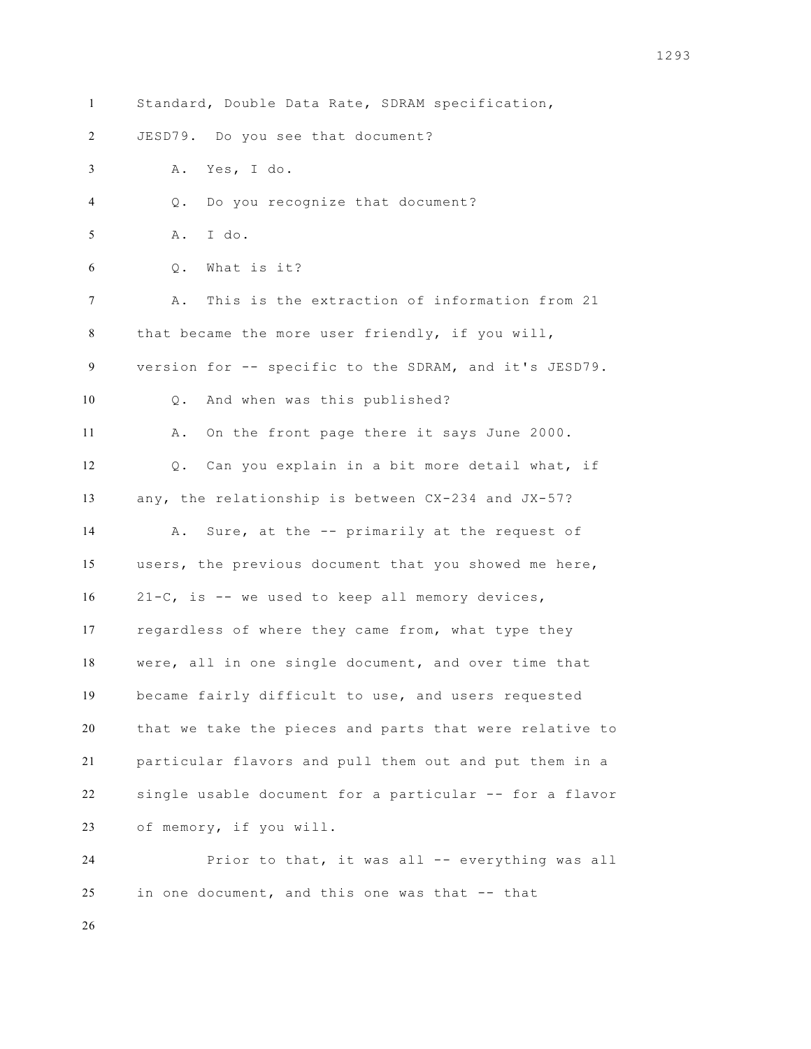Standard, Double Data Rate, SDRAM specification, JESD79. Do you see that document? A. Yes, I do. Q. Do you recognize that document? A. I do. Q. What is it? A. This is the extraction of information from 21 that became the more user friendly, if you will, version for -- specific to the SDRAM, and it's JESD79. Q. And when was this published? A. On the front page there it says June 2000. Q. Can you explain in a bit more detail what, if any, the relationship is between CX-234 and JX-57? A. Sure, at the -- primarily at the request of users, the previous document that you showed me here, 21-C, is -- we used to keep all memory devices, regardless of where they came from, what type they were, all in one single document, and over time that became fairly difficult to use, and users requested that we take the pieces and parts that were relative to particular flavors and pull them out and put them in a single usable document for a particular -- for a flavor of memory, if you will. Prior to that, it was all -- everything was all

in one document, and this one was that -- that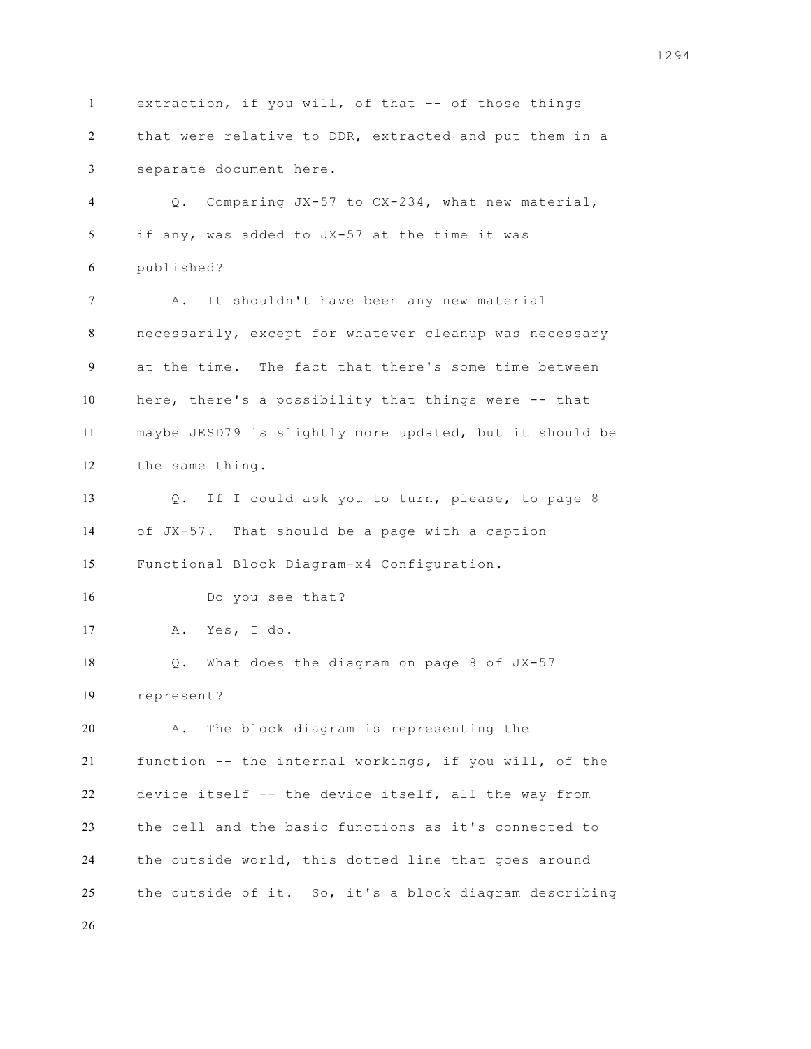extraction, if you will, of that -- of those things that were relative to DDR, extracted and put them in a separate document here. Q. Comparing JX-57 to CX-234, what new material, if any, was added to JX-57 at the time it was published? 7 A. It shouldn't have been any new material necessarily, except for whatever cleanup was necessary at the time. The fact that there's some time between here, there's a possibility that things were -- that maybe JESD79 is slightly more updated, but it should be the same thing. Q. If I could ask you to turn, please, to page 8 of JX-57. That should be a page with a caption Functional Block Diagram-x4 Configuration. Do you see that? A. Yes, I do. Q. What does the diagram on page 8 of JX-57 represent? A. The block diagram is representing the function -- the internal workings, if you will, of the device itself -- the device itself, all the way from the cell and the basic functions as it's connected to the outside world, this dotted line that goes around the outside of it. So, it's a block diagram describing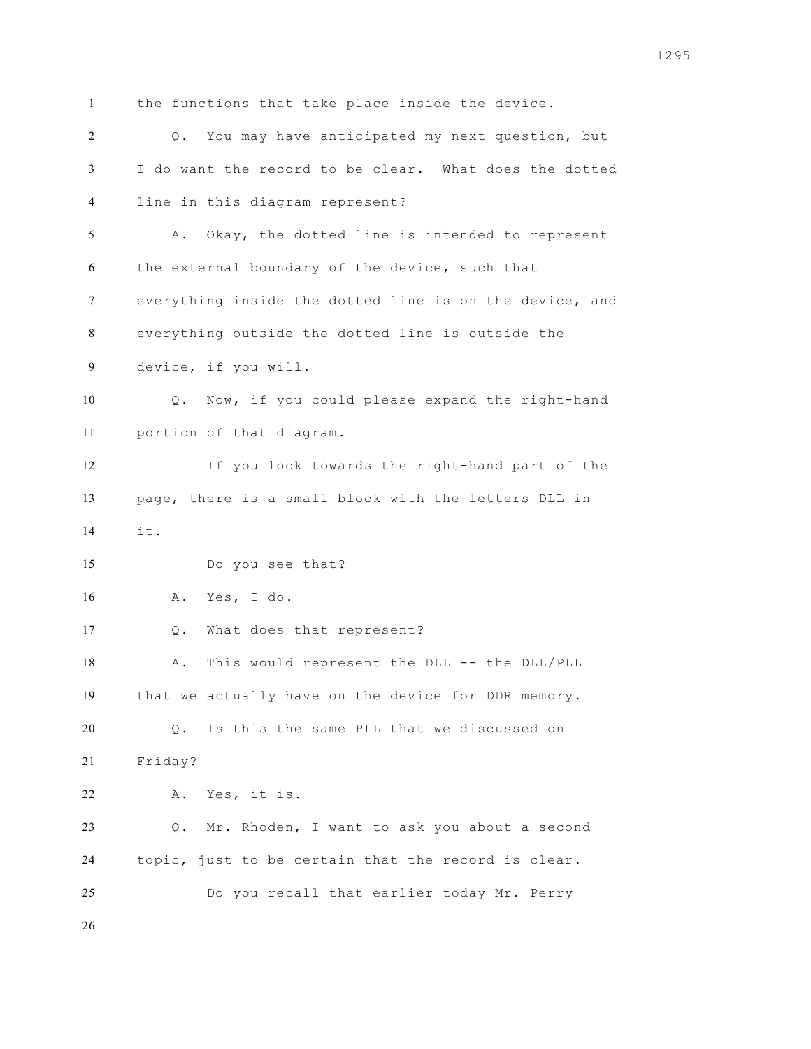the functions that take place inside the device. Q. You may have anticipated my next question, but I do want the record to be clear. What does the dotted line in this diagram represent? A. Okay, the dotted line is intended to represent the external boundary of the device, such that everything inside the dotted line is on the device, and everything outside the dotted line is outside the device, if you will. Q. Now, if you could please expand the right-hand portion of that diagram. If you look towards the right-hand part of the page, there is a small block with the letters DLL in it. Do you see that? A. Yes, I do. Q. What does that represent? 18 A. This would represent the DLL -- the DLL/PLL that we actually have on the device for DDR memory. Q. Is this the same PLL that we discussed on Friday? A. Yes, it is. Q. Mr. Rhoden, I want to ask you about a second topic, just to be certain that the record is clear. Do you recall that earlier today Mr. Perry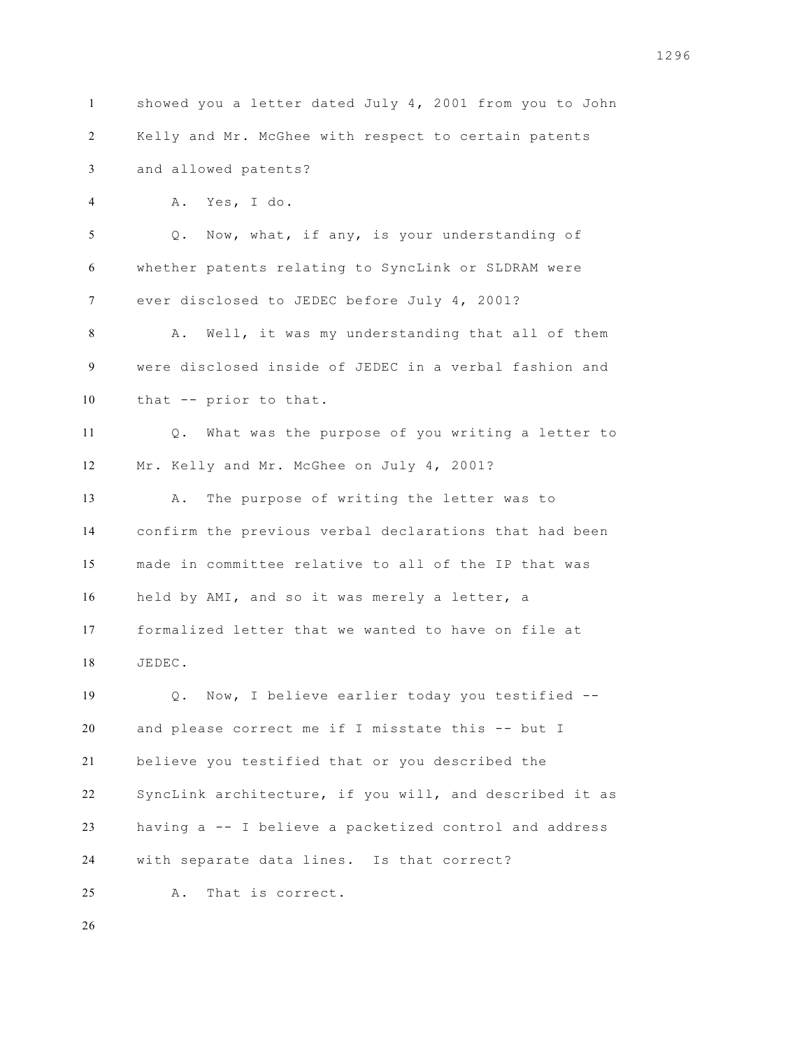showed you a letter dated July 4, 2001 from you to John Kelly and Mr. McGhee with respect to certain patents and allowed patents? A. Yes, I do. Q. Now, what, if any, is your understanding of whether patents relating to SyncLink or SLDRAM were ever disclosed to JEDEC before July 4, 2001? A. Well, it was my understanding that all of them were disclosed inside of JEDEC in a verbal fashion and that -- prior to that. Q. What was the purpose of you writing a letter to Mr. Kelly and Mr. McGhee on July 4, 2001? A. The purpose of writing the letter was to confirm the previous verbal declarations that had been made in committee relative to all of the IP that was held by AMI, and so it was merely a letter, a formalized letter that we wanted to have on file at JEDEC. Q. Now, I believe earlier today you testified -- and please correct me if I misstate this -- but I believe you testified that or you described the SyncLink architecture, if you will, and described it as having a -- I believe a packetized control and address with separate data lines. Is that correct? A. That is correct.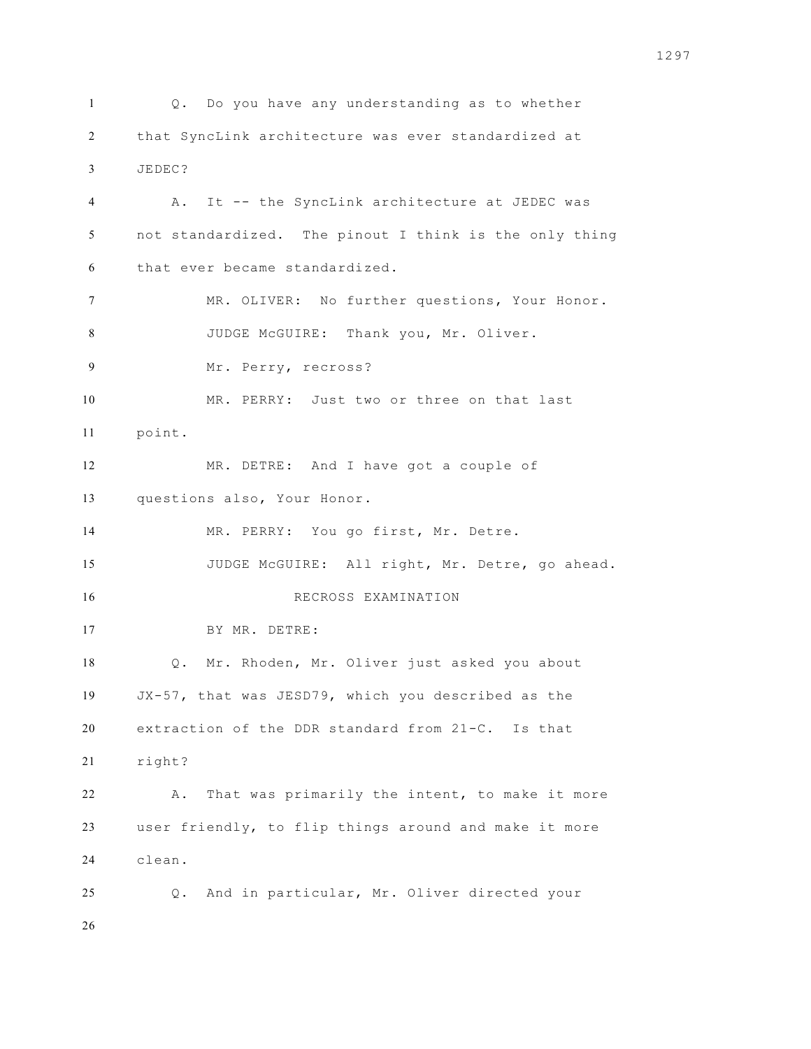Q. Do you have any understanding as to whether that SyncLink architecture was ever standardized at JEDEC? A. It -- the SyncLink architecture at JEDEC was not standardized. The pinout I think is the only thing that ever became standardized. MR. OLIVER: No further questions, Your Honor. 8 JUDGE McGUIRE: Thank you, Mr. Oliver. Mr. Perry, recross? MR. PERRY: Just two or three on that last point. MR. DETRE: And I have got a couple of questions also, Your Honor. MR. PERRY: You go first, Mr. Detre. JUDGE McGUIRE: All right, Mr. Detre, go ahead. RECROSS EXAMINATION BY MR. DETRE: Q. Mr. Rhoden, Mr. Oliver just asked you about JX-57, that was JESD79, which you described as the extraction of the DDR standard from 21-C. Is that right? A. That was primarily the intent, to make it more user friendly, to flip things around and make it more clean. Q. And in particular, Mr. Oliver directed your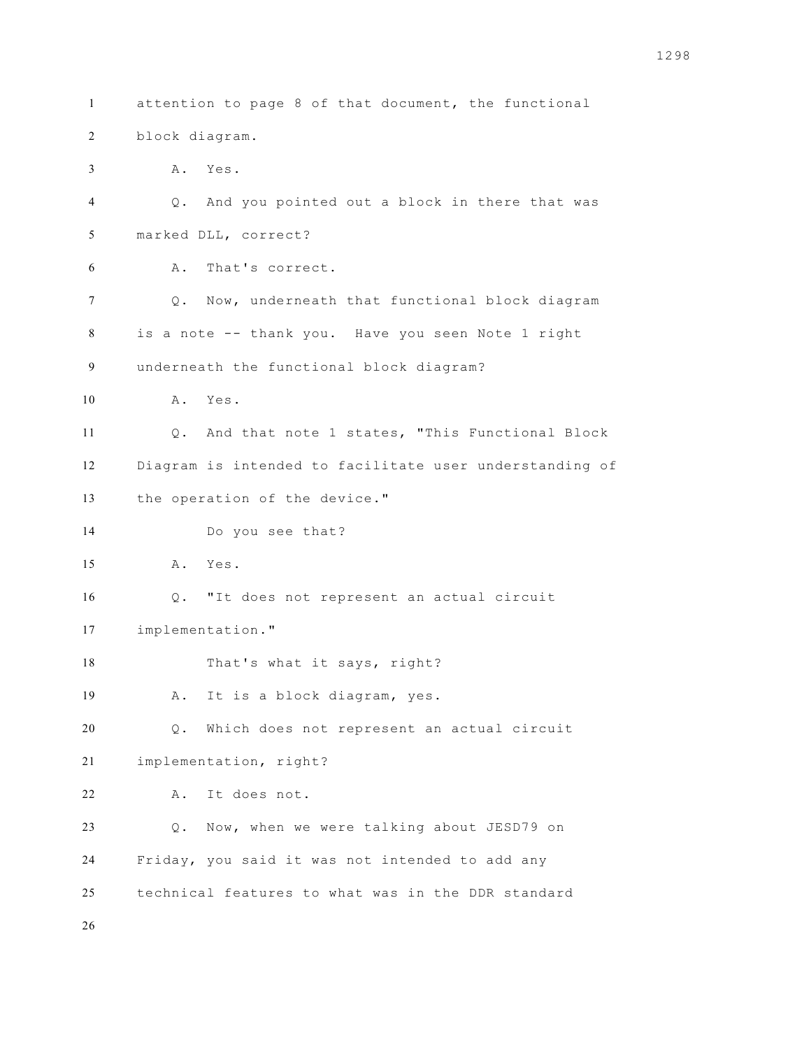attention to page 8 of that document, the functional block diagram. A. Yes. Q. And you pointed out a block in there that was marked DLL, correct? A. That's correct. Q. Now, underneath that functional block diagram is a note -- thank you. Have you seen Note 1 right underneath the functional block diagram? A. Yes. Q. And that note 1 states, "This Functional Block Diagram is intended to facilitate user understanding of the operation of the device." Do you see that? A. Yes. Q. "It does not represent an actual circuit implementation." 18 That's what it says, right? A. It is a block diagram, yes. Q. Which does not represent an actual circuit implementation, right? A. It does not. Q. Now, when we were talking about JESD79 on Friday, you said it was not intended to add any technical features to what was in the DDR standard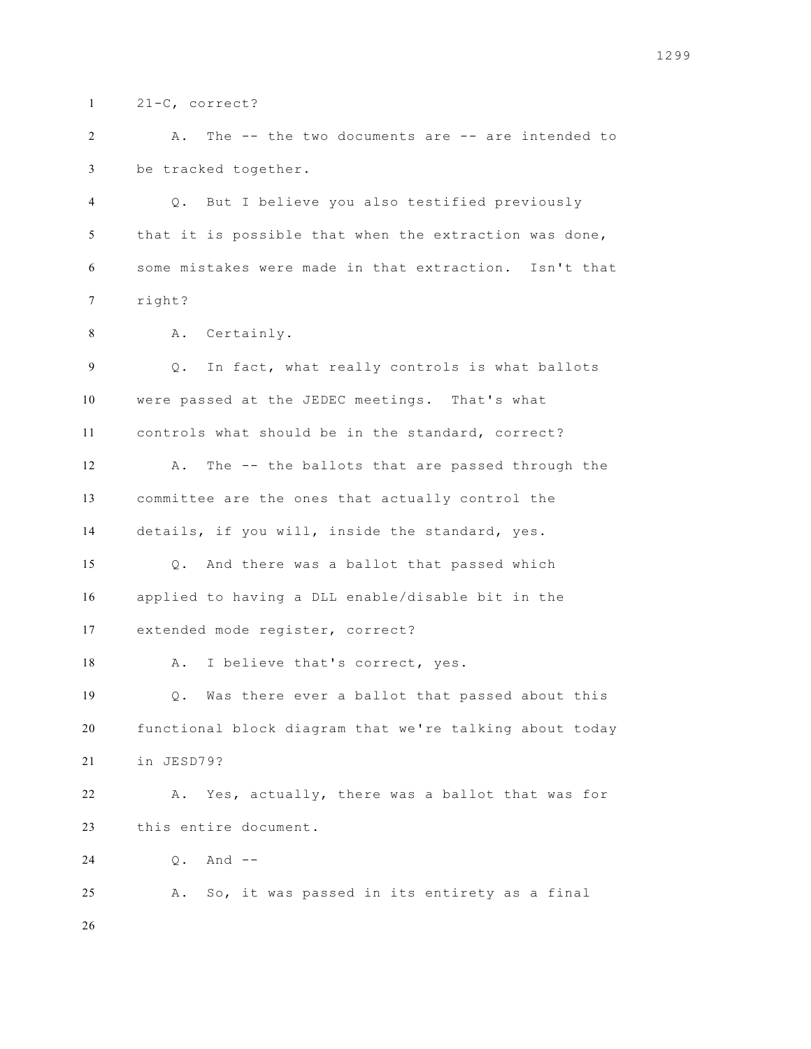21-C, correct?

 A. The -- the two documents are -- are intended to be tracked together.

 Q. But I believe you also testified previously that it is possible that when the extraction was done, some mistakes were made in that extraction. Isn't that right?

A. Certainly.

 Q. In fact, what really controls is what ballots were passed at the JEDEC meetings. That's what controls what should be in the standard, correct? A. The -- the ballots that are passed through the committee are the ones that actually control the details, if you will, inside the standard, yes. Q. And there was a ballot that passed which applied to having a DLL enable/disable bit in the extended mode register, correct? 18 A. I believe that's correct, yes. Q. Was there ever a ballot that passed about this functional block diagram that we're talking about today in JESD79? A. Yes, actually, there was a ballot that was for this entire document. Q. And -- A. So, it was passed in its entirety as a final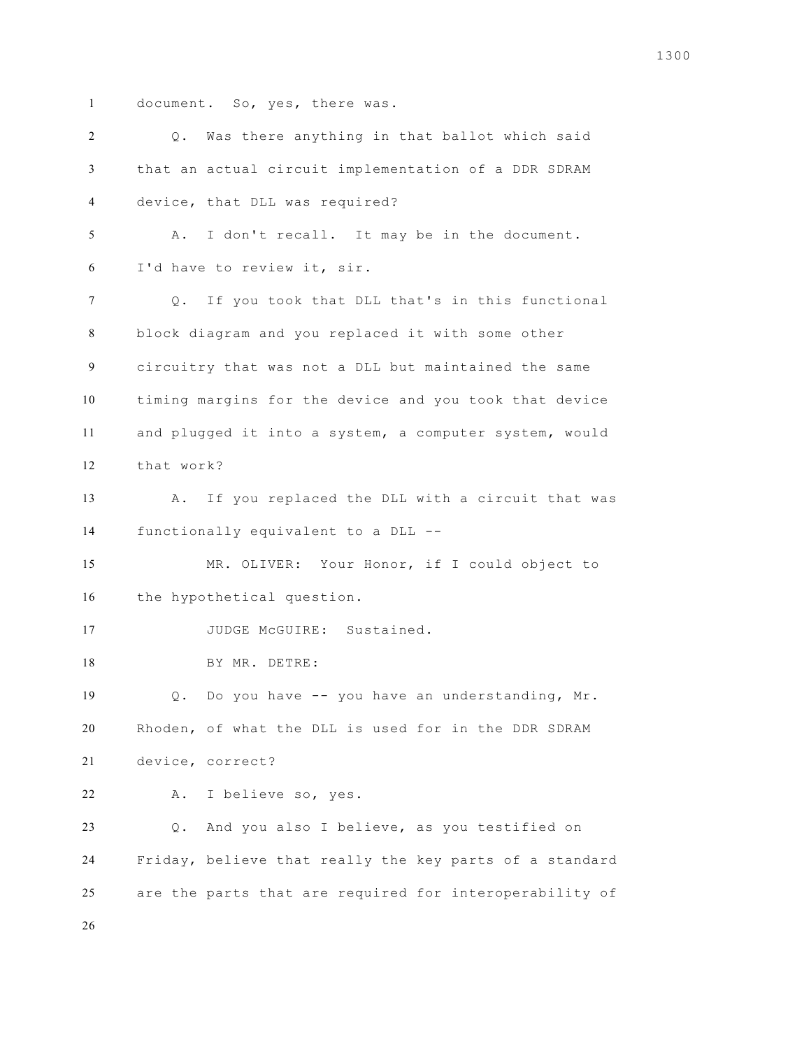document. So, yes, there was.

| 2  | Q. Was there anything in that ballot which said         |  |  |  |  |  |  |  |  |  |
|----|---------------------------------------------------------|--|--|--|--|--|--|--|--|--|
| 3  | that an actual circuit implementation of a DDR SDRAM    |  |  |  |  |  |  |  |  |  |
| 4  | device, that DLL was required?                          |  |  |  |  |  |  |  |  |  |
| 5  | I don't recall. It may be in the document.<br>Α.        |  |  |  |  |  |  |  |  |  |
| 6  | I'd have to review it, sir.                             |  |  |  |  |  |  |  |  |  |
| 7  | If you took that DLL that's in this functional<br>$Q$ . |  |  |  |  |  |  |  |  |  |
| 8  | block diagram and you replaced it with some other       |  |  |  |  |  |  |  |  |  |
| 9  | circuitry that was not a DLL but maintained the same    |  |  |  |  |  |  |  |  |  |
| 10 | timing margins for the device and you took that device  |  |  |  |  |  |  |  |  |  |
| 11 | and plugged it into a system, a computer system, would  |  |  |  |  |  |  |  |  |  |
| 12 | that work?                                              |  |  |  |  |  |  |  |  |  |
| 13 | If you replaced the DLL with a circuit that was<br>Α.   |  |  |  |  |  |  |  |  |  |
| 14 | functionally equivalent to a DLL --                     |  |  |  |  |  |  |  |  |  |
| 15 | MR. OLIVER: Your Honor, if I could object to            |  |  |  |  |  |  |  |  |  |
| 16 | the hypothetical question.                              |  |  |  |  |  |  |  |  |  |
| 17 | JUDGE McGUIRE: Sustained.                               |  |  |  |  |  |  |  |  |  |
| 18 | BY MR. DETRE:                                           |  |  |  |  |  |  |  |  |  |
| 19 | Do you have -- you have an understanding, Mr.<br>Q.     |  |  |  |  |  |  |  |  |  |
| 20 | Rhoden, of what the DLL is used for in the DDR SDRAM    |  |  |  |  |  |  |  |  |  |
| 21 | device, correct?                                        |  |  |  |  |  |  |  |  |  |
| 22 | I believe so, yes.<br>Α.                                |  |  |  |  |  |  |  |  |  |
| 23 | And you also I believe, as you testified on<br>$Q$ .    |  |  |  |  |  |  |  |  |  |
| 24 | Friday, believe that really the key parts of a standard |  |  |  |  |  |  |  |  |  |
| 25 | are the parts that are required for interoperability of |  |  |  |  |  |  |  |  |  |
| 26 |                                                         |  |  |  |  |  |  |  |  |  |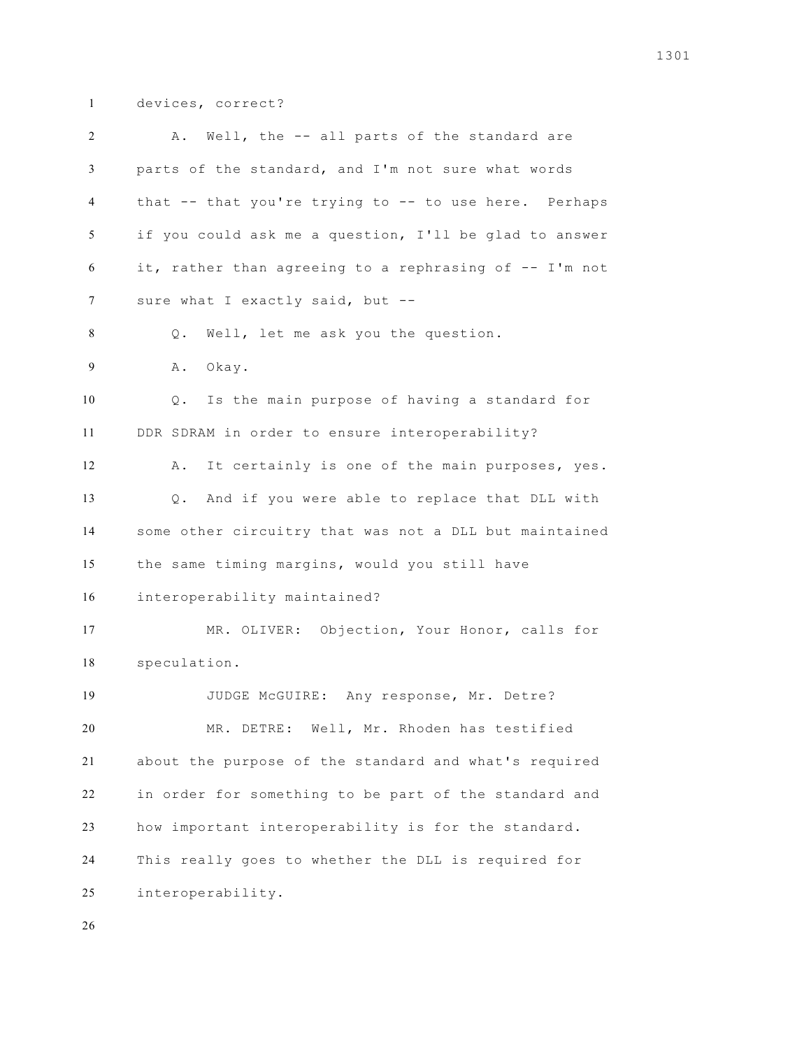devices, correct?

| 2              | Well, the -- all parts of the standard are<br>Α.       |  |  |  |  |  |  |  |  |  |
|----------------|--------------------------------------------------------|--|--|--|--|--|--|--|--|--|
| 3              | parts of the standard, and I'm not sure what words     |  |  |  |  |  |  |  |  |  |
| 4              | that -- that you're trying to -- to use here. Perhaps  |  |  |  |  |  |  |  |  |  |
| 5              | if you could ask me a question, I'll be glad to answer |  |  |  |  |  |  |  |  |  |
| 6              | it, rather than agreeing to a rephrasing of -- I'm not |  |  |  |  |  |  |  |  |  |
| 7              | sure what I exactly said, but --                       |  |  |  |  |  |  |  |  |  |
| 8              | Well, let me ask you the question.<br>Q.               |  |  |  |  |  |  |  |  |  |
| $\overline{9}$ | Okay.<br>Α.                                            |  |  |  |  |  |  |  |  |  |
| 10             | Is the main purpose of having a standard for<br>Q.     |  |  |  |  |  |  |  |  |  |
| 11             | DDR SDRAM in order to ensure interoperability?         |  |  |  |  |  |  |  |  |  |
| 12             | It certainly is one of the main purposes, yes.<br>Α.   |  |  |  |  |  |  |  |  |  |
| 13             | And if you were able to replace that DLL with<br>$Q$ . |  |  |  |  |  |  |  |  |  |
| 14             | some other circuitry that was not a DLL but maintained |  |  |  |  |  |  |  |  |  |
| 15             | the same timing margins, would you still have          |  |  |  |  |  |  |  |  |  |
| 16             | interoperability maintained?                           |  |  |  |  |  |  |  |  |  |
| 17             | MR. OLIVER: Objection, Your Honor, calls for           |  |  |  |  |  |  |  |  |  |
| 18             | speculation.                                           |  |  |  |  |  |  |  |  |  |
| 19             | JUDGE McGUIRE: Any response, Mr. Detre?                |  |  |  |  |  |  |  |  |  |
| 20             | MR. DETRE: Well, Mr. Rhoden has testified              |  |  |  |  |  |  |  |  |  |
| 21             | about the purpose of the standard and what's required  |  |  |  |  |  |  |  |  |  |
| 22             | in order for something to be part of the standard and  |  |  |  |  |  |  |  |  |  |
| 23             | how important interoperability is for the standard.    |  |  |  |  |  |  |  |  |  |
| 24             | This really goes to whether the DLL is required for    |  |  |  |  |  |  |  |  |  |
| 25             | interoperability.                                      |  |  |  |  |  |  |  |  |  |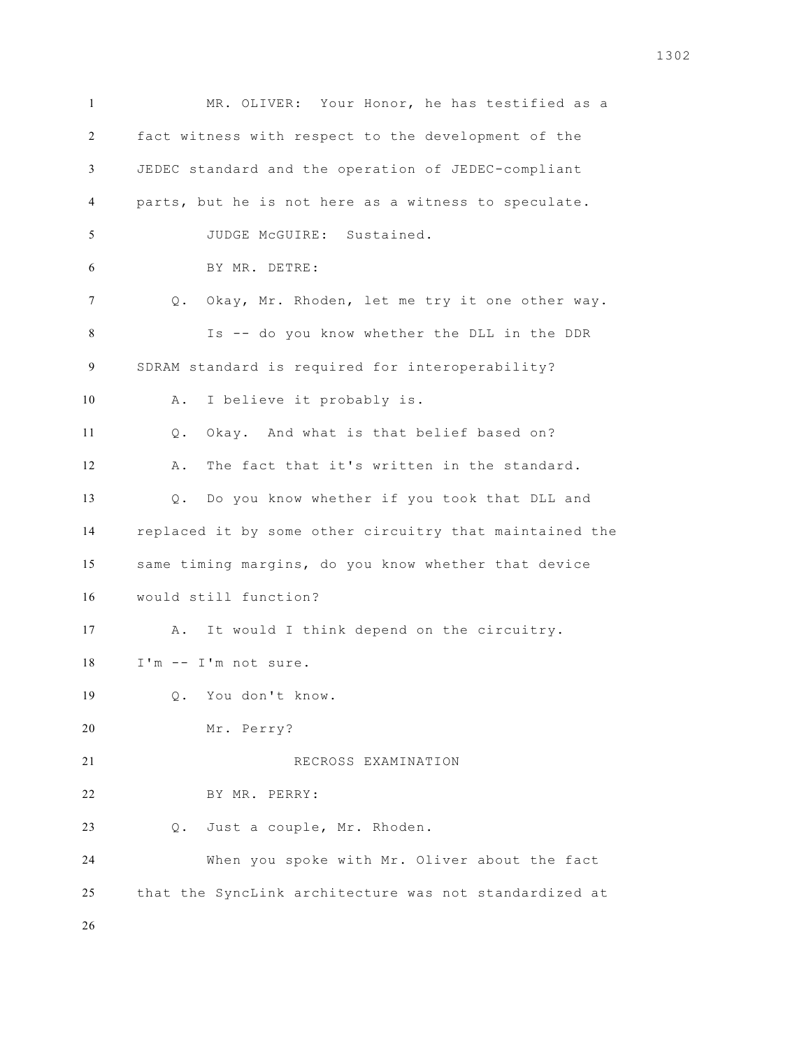MR. OLIVER: Your Honor, he has testified as a fact witness with respect to the development of the JEDEC standard and the operation of JEDEC-compliant parts, but he is not here as a witness to speculate. JUDGE McGUIRE: Sustained. BY MR. DETRE: Q. Okay, Mr. Rhoden, let me try it one other way. Is -- do you know whether the DLL in the DDR SDRAM standard is required for interoperability? A. I believe it probably is. Q. Okay. And what is that belief based on? A. The fact that it's written in the standard. Q. Do you know whether if you took that DLL and replaced it by some other circuitry that maintained the same timing margins, do you know whether that device would still function? A. It would I think depend on the circuitry. I'm -- I'm not sure. Q. You don't know. Mr. Perry? RECROSS EXAMINATION BY MR. PERRY: Q. Just a couple, Mr. Rhoden. When you spoke with Mr. Oliver about the fact that the SyncLink architecture was not standardized at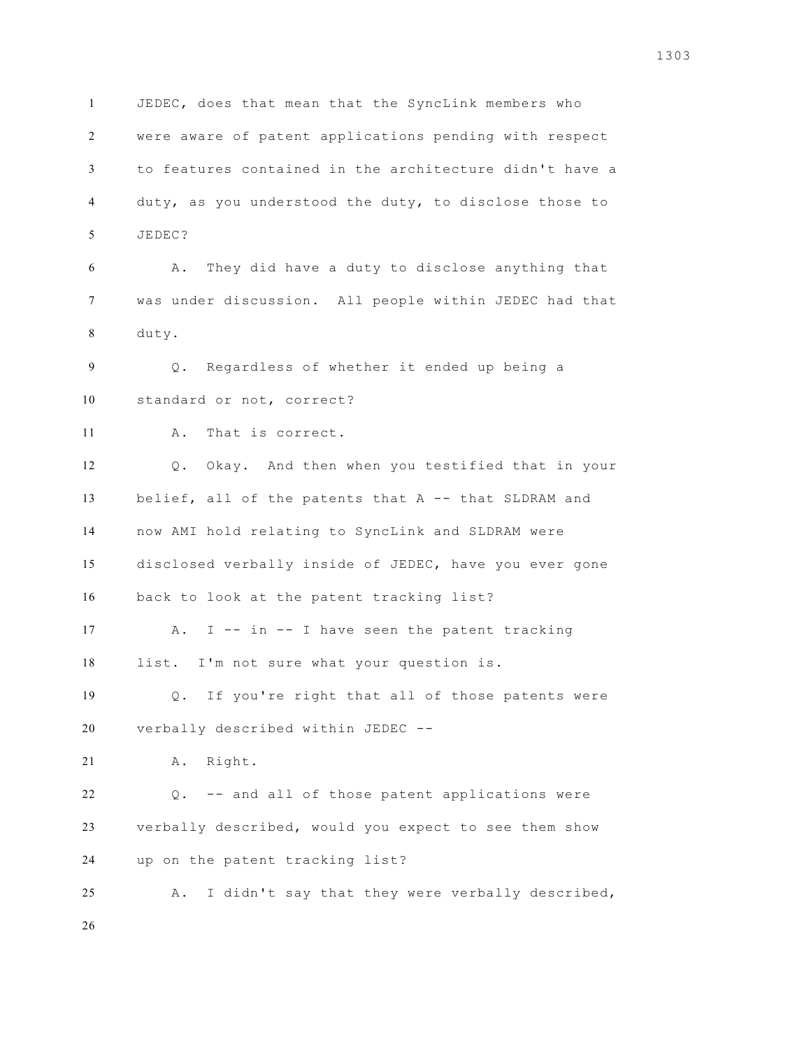JEDEC, does that mean that the SyncLink members who were aware of patent applications pending with respect to features contained in the architecture didn't have a duty, as you understood the duty, to disclose those to JEDEC? A. They did have a duty to disclose anything that was under discussion. All people within JEDEC had that duty. Q. Regardless of whether it ended up being a standard or not, correct? A. That is correct. Q. Okay. And then when you testified that in your belief, all of the patents that A -- that SLDRAM and now AMI hold relating to SyncLink and SLDRAM were disclosed verbally inside of JEDEC, have you ever gone back to look at the patent tracking list? A. I -- in -- I have seen the patent tracking list. I'm not sure what your question is. Q. If you're right that all of those patents were verbally described within JEDEC -- A. Right. Q. -- and all of those patent applications were verbally described, would you expect to see them show up on the patent tracking list? A. I didn't say that they were verbally described,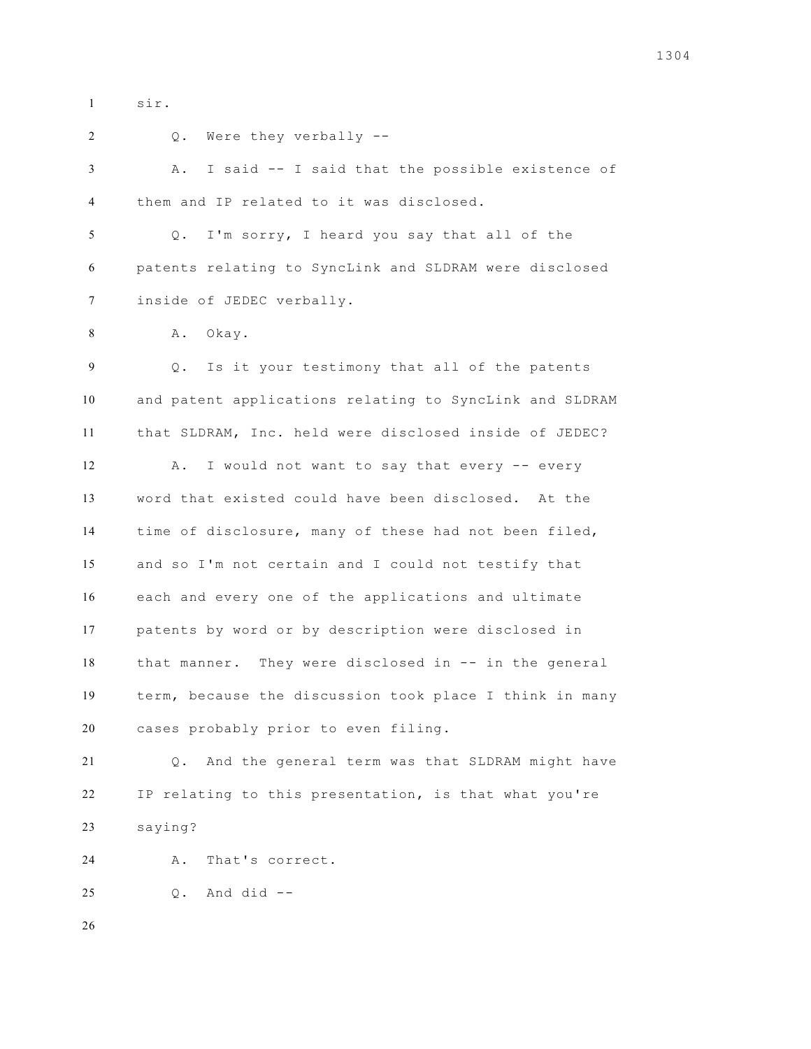sir. 2 0. Were they verbally -- A. I said -- I said that the possible existence of them and IP related to it was disclosed. Q. I'm sorry, I heard you say that all of the patents relating to SyncLink and SLDRAM were disclosed inside of JEDEC verbally. 8 A. Okay. Q. Is it your testimony that all of the patents and patent applications relating to SyncLink and SLDRAM that SLDRAM, Inc. held were disclosed inside of JEDEC? 12 A. I would not want to say that every -- every word that existed could have been disclosed. At the time of disclosure, many of these had not been filed, and so I'm not certain and I could not testify that each and every one of the applications and ultimate patents by word or by description were disclosed in that manner. They were disclosed in -- in the general term, because the discussion took place I think in many cases probably prior to even filing. Q. And the general term was that SLDRAM might have IP relating to this presentation, is that what you're saying? A. That's correct. Q. And did --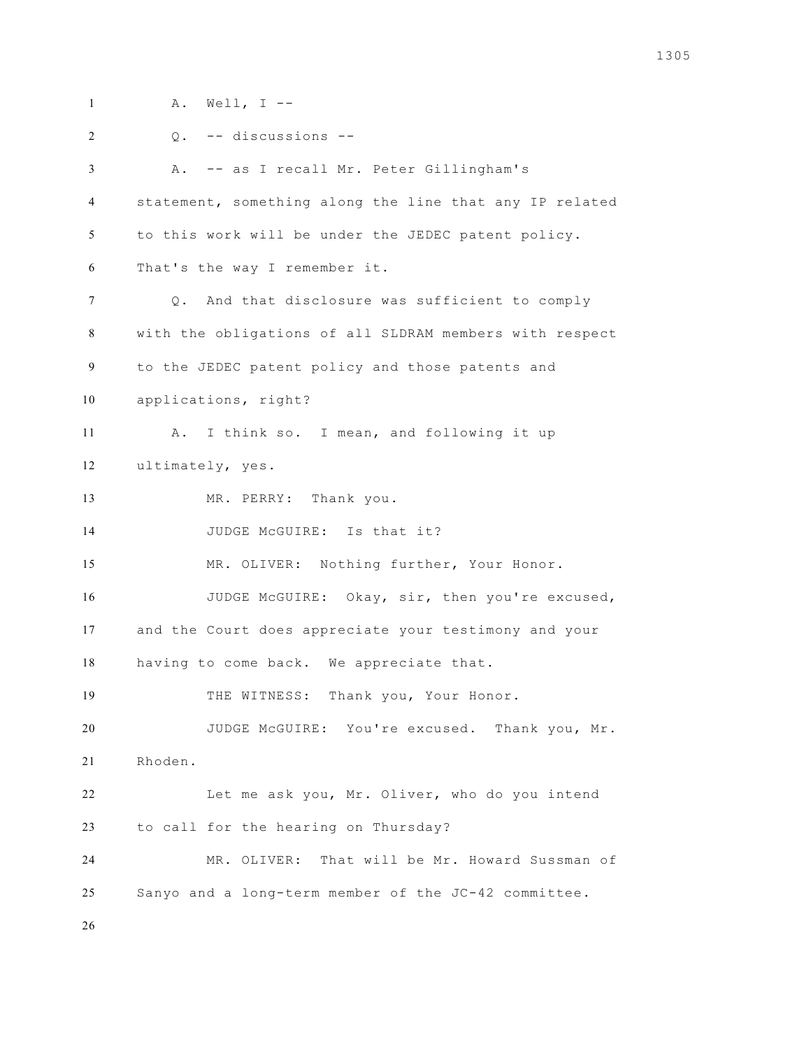A. Well, I -- Q. -- discussions -- A. -- as I recall Mr. Peter Gillingham's statement, something along the line that any IP related to this work will be under the JEDEC patent policy. That's the way I remember it. Q. And that disclosure was sufficient to comply with the obligations of all SLDRAM members with respect to the JEDEC patent policy and those patents and applications, right? A. I think so. I mean, and following it up ultimately, yes. MR. PERRY: Thank you. 14 JUDGE McGUIRE: Is that it? MR. OLIVER: Nothing further, Your Honor. JUDGE McGUIRE: Okay, sir, then you're excused, and the Court does appreciate your testimony and your having to come back. We appreciate that. THE WITNESS: Thank you, Your Honor. JUDGE McGUIRE: You're excused. Thank you, Mr. Rhoden. Let me ask you, Mr. Oliver, who do you intend to call for the hearing on Thursday? MR. OLIVER: That will be Mr. Howard Sussman of Sanyo and a long-term member of the JC-42 committee.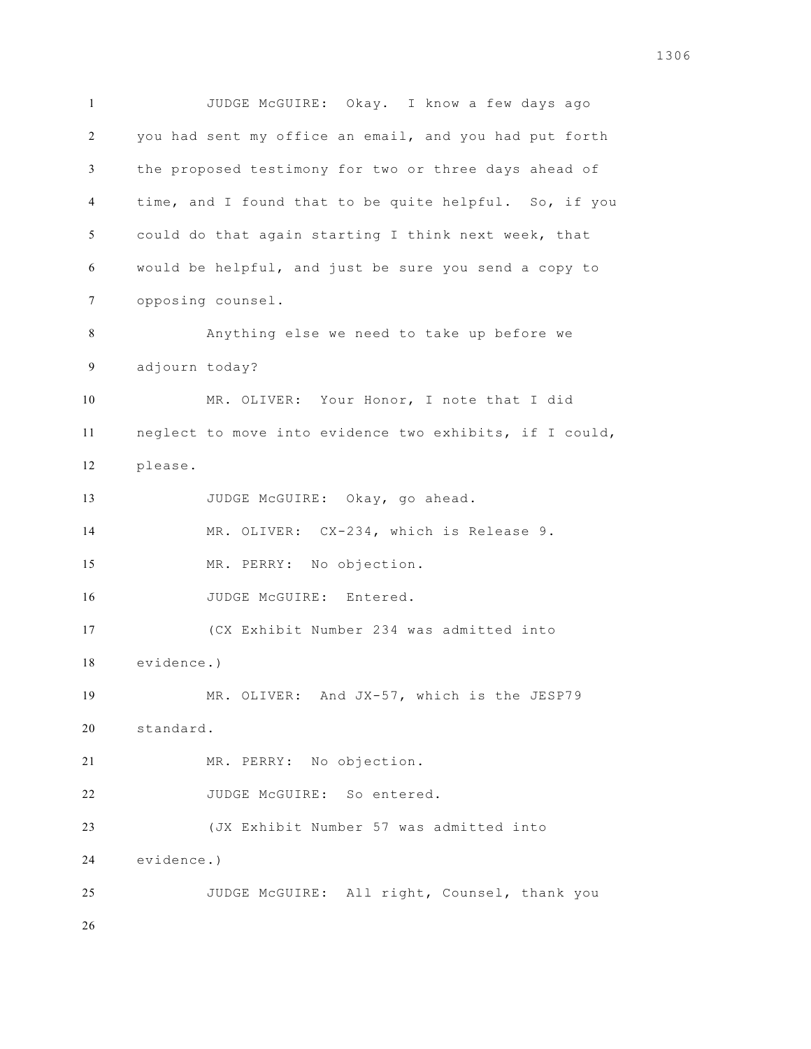JUDGE McGUIRE: Okay. I know a few days ago you had sent my office an email, and you had put forth the proposed testimony for two or three days ahead of time, and I found that to be quite helpful. So, if you could do that again starting I think next week, that would be helpful, and just be sure you send a copy to opposing counsel. Anything else we need to take up before we adjourn today? MR. OLIVER: Your Honor, I note that I did neglect to move into evidence two exhibits, if I could, please. 13 JUDGE McGUIRE: Okay, go ahead. 14 MR. OLIVER: CX-234, which is Release 9. MR. PERRY: No objection. 16 JUDGE McGUIRE: Entered. (CX Exhibit Number 234 was admitted into evidence.) MR. OLIVER: And JX-57, which is the JESP79 standard. MR. PERRY: No objection. JUDGE McGUIRE: So entered. (JX Exhibit Number 57 was admitted into evidence.) JUDGE McGUIRE: All right, Counsel, thank you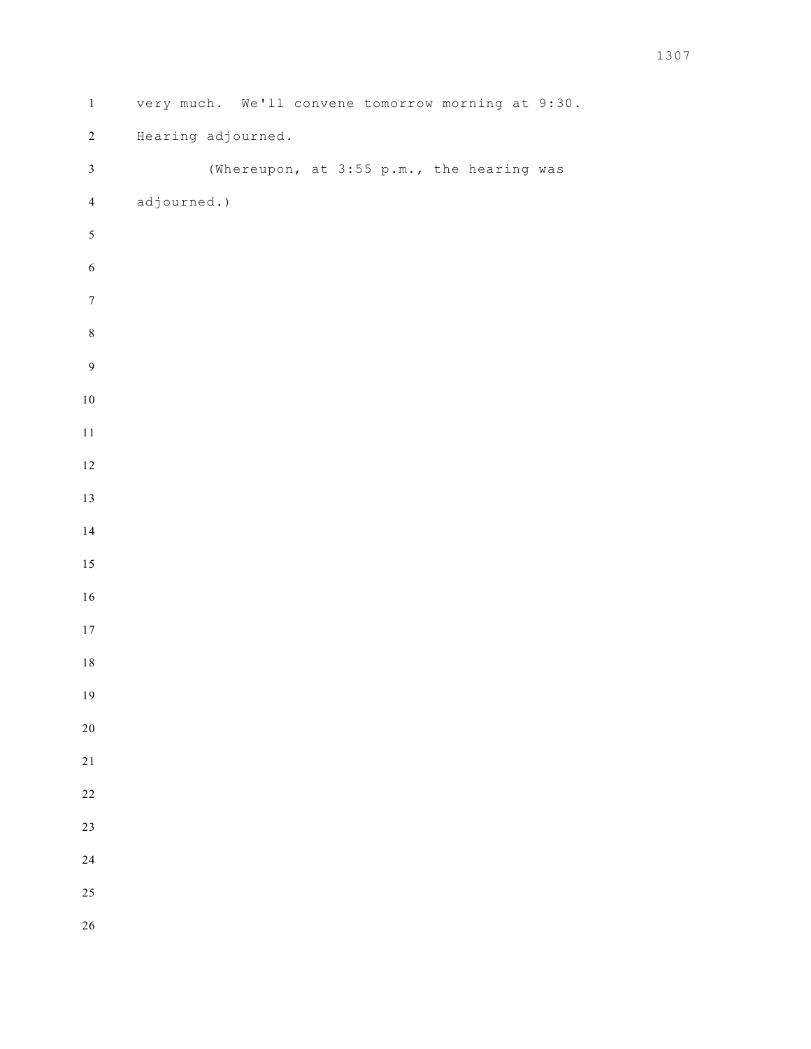| $\,1\,$          | very much. We'll convene tomorrow morning at 9:30. |  |  |                                           |  |  |  |
|------------------|----------------------------------------------------|--|--|-------------------------------------------|--|--|--|
| $\sqrt{2}$       | Hearing adjourned.                                 |  |  |                                           |  |  |  |
| $\mathfrak{Z}$   |                                                    |  |  | (Whereupon, at 3:55 p.m., the hearing was |  |  |  |
| $\overline{4}$   | adjourned.)                                        |  |  |                                           |  |  |  |
| $\mathfrak{S}$   |                                                    |  |  |                                           |  |  |  |
| $\sqrt{6}$       |                                                    |  |  |                                           |  |  |  |
| $\boldsymbol{7}$ |                                                    |  |  |                                           |  |  |  |
| $\,8\,$          |                                                    |  |  |                                           |  |  |  |
| $\boldsymbol{9}$ |                                                    |  |  |                                           |  |  |  |
| $10\,$           |                                                    |  |  |                                           |  |  |  |
| $1\,1$           |                                                    |  |  |                                           |  |  |  |
| $12\,$           |                                                    |  |  |                                           |  |  |  |
| $13\,$           |                                                    |  |  |                                           |  |  |  |
| 14               |                                                    |  |  |                                           |  |  |  |
| $15\,$           |                                                    |  |  |                                           |  |  |  |
| $16\,$           |                                                    |  |  |                                           |  |  |  |
| $17\,$           |                                                    |  |  |                                           |  |  |  |
| $1\,8$           |                                                    |  |  |                                           |  |  |  |
| 19               |                                                    |  |  |                                           |  |  |  |
| $20\,$           |                                                    |  |  |                                           |  |  |  |
| $2\sqrt{1}$      |                                                    |  |  |                                           |  |  |  |
| 22               |                                                    |  |  |                                           |  |  |  |
| 23               |                                                    |  |  |                                           |  |  |  |
| 24               |                                                    |  |  |                                           |  |  |  |
| 25               |                                                    |  |  |                                           |  |  |  |
| 26               |                                                    |  |  |                                           |  |  |  |